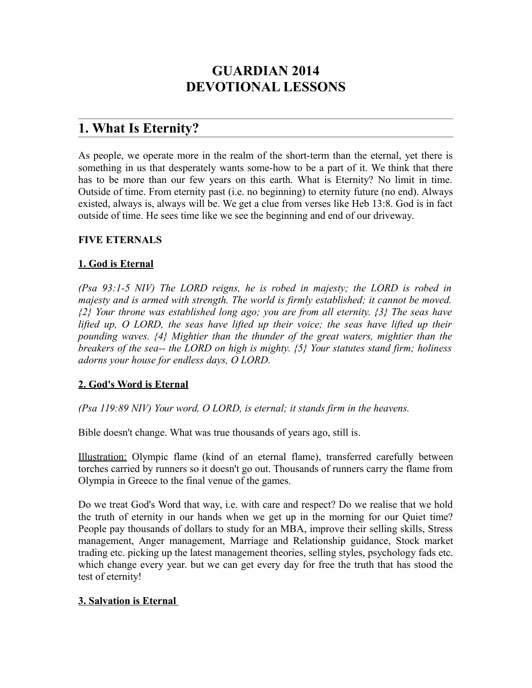# **GUARDIAN 2014 DEVOTIONAL LESSONS**

# **1. What Is Eternity?**

As people, we operate more in the realm of the short-term than the eternal, yet there is something in us that desperately wants some-how to be a part of it. We think that there has to be more than our few years on this earth. What is Eternity? No limit in time. Outside of time. From eternity past (i.e. no beginning) to eternity future (no end). Always existed, always is, always will be. We get a clue from verses like Heb 13:8. God is in fact outside of time. He sees time like we see the beginning and end of our driveway.

# **FIVE ETERNALS**

#### **1. God is Eternal**

*(Psa 93:1-5 NIV) The LORD reigns, he is robed in majesty; the LORD is robed in majesty and is armed with strength. The world is firmly established; it cannot be moved. {2} Your throne was established long ago; you are from all eternity. {3} The seas have lifted up, O LORD, the seas have lifted up their voice; the seas have lifted up their pounding waves. {4} Mightier than the thunder of the great waters, mightier than the breakers of the sea-- the LORD on high is mighty. {5} Your statutes stand firm; holiness adorns your house for endless days, O LORD.*

# **2. God's Word is Eternal**

*(Psa 119:89 NIV) Your word, O LORD, is eternal; it stands firm in the heavens.* 

Bible doesn't change. What was true thousands of years ago, still is.

Illustration: Olympic flame (kind of an eternal flame), transferred carefully between torches carried by runners so it doesn't go out. Thousands of runners carry the flame from Olympia in Greece to the final venue of the games.

Do we treat God's Word that way, i.e. with care and respect? Do we realise that we hold the truth of eternity in our hands when we get up in the morning for our Quiet time? People pay thousands of dollars to study for an MBA, improve their selling skills, Stress management, Anger management, Marriage and Relationship guidance, Stock market trading etc. picking up the latest management theories, selling styles, psychology fads etc. which change every year. but we can get every day for free the truth that has stood the test of eternity!

# **3. Salvation is Eternal**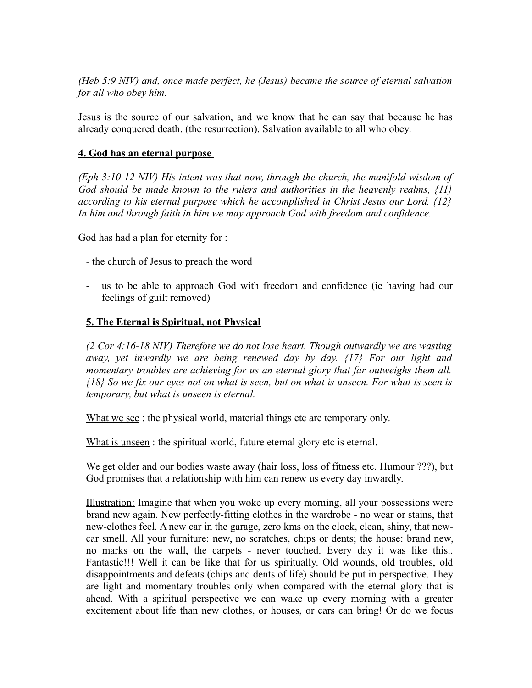*(Heb 5:9 NIV) and, once made perfect, he (Jesus) became the source of eternal salvation for all who obey him.*

Jesus is the source of our salvation, and we know that he can say that because he has already conquered death. (the resurrection). Salvation available to all who obey.

#### **4. God has an eternal purpose**

*(Eph 3:10-12 NIV) His intent was that now, through the church, the manifold wisdom of God should be made known to the rulers and authorities in the heavenly realms, {11} according to his eternal purpose which he accomplished in Christ Jesus our Lord. {12} In him and through faith in him we may approach God with freedom and confidence.*

God has had a plan for eternity for :

- the church of Jesus to preach the word
- us to be able to approach God with freedom and confidence (ie having had our feelings of guilt removed)

#### **5. The Eternal is Spiritual, not Physical**

*(2 Cor 4:16-18 NIV) Therefore we do not lose heart. Though outwardly we are wasting away, yet inwardly we are being renewed day by day. {17} For our light and momentary troubles are achieving for us an eternal glory that far outweighs them all. {18} So we fix our eyes not on what is seen, but on what is unseen. For what is seen is temporary, but what is unseen is eternal.*

What we see: the physical world, material things etc are temporary only.

What is unseen: the spiritual world, future eternal glory etc is eternal.

We get older and our bodies waste away (hair loss, loss of fitness etc. Humour ???), but God promises that a relationship with him can renew us every day inwardly.

Illustration: Imagine that when you woke up every morning, all your possessions were brand new again. New perfectly-fitting clothes in the wardrobe - no wear or stains, that new-clothes feel. A new car in the garage, zero kms on the clock, clean, shiny, that newcar smell. All your furniture: new, no scratches, chips or dents; the house: brand new, no marks on the wall, the carpets - never touched. Every day it was like this.. Fantastic!!! Well it can be like that for us spiritually. Old wounds, old troubles, old disappointments and defeats (chips and dents of life) should be put in perspective. They are light and momentary troubles only when compared with the eternal glory that is ahead. With a spiritual perspective we can wake up every morning with a greater excitement about life than new clothes, or houses, or cars can bring! Or do we focus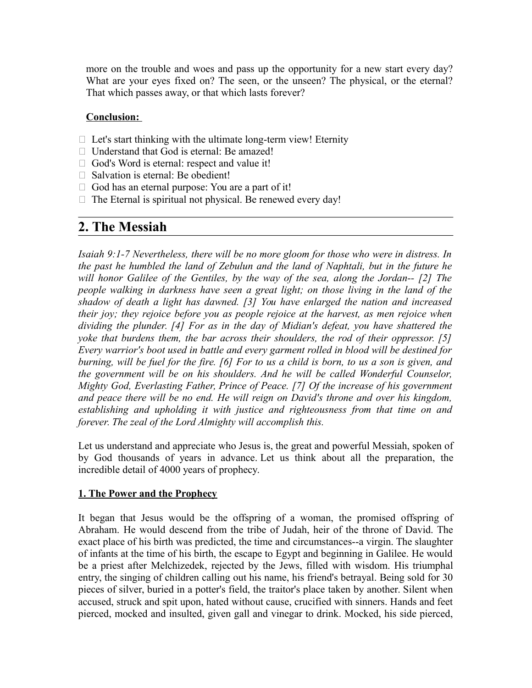more on the trouble and woes and pass up the opportunity for a new start every day? What are your eyes fixed on? The seen, or the unseen? The physical, or the eternal? That which passes away, or that which lasts forever?

#### **Conclusion:**

- $\Box$  Let's start thinking with the ultimate long-term view! Eternity
- □ Understand that God is eternal: Be amazed!
- $\Box$  God's Word is eternal: respect and value it!
- $\Box$  Salvation is eternal: Be obedient!
- $\Box$  God has an eternal purpose: You are a part of it!
- $\Box$  The Eternal is spiritual not physical. Be renewed every day!

# **2. The Messiah**

*Isaiah 9:1-7 Nevertheless, there will be no more gloom for those who were in distress. In the past he humbled the land of Zebulun and the land of Naphtali, but in the future he will honor Galilee of the Gentiles, by the way of the sea, along the Jordan-- [2] The people walking in darkness have seen a great light; on those living in the land of the shadow of death a light has dawned. [3] You have enlarged the nation and increased their joy; they rejoice before you as people rejoice at the harvest, as men rejoice when dividing the plunder. [4] For as in the day of Midian's defeat, you have shattered the yoke that burdens them, the bar across their shoulders, the rod of their oppressor. [5] Every warrior's boot used in battle and every garment rolled in blood will be destined for burning, will be fuel for the fire. [6] For to us a child is born, to us a son is given, and the government will be on his shoulders. And he will be called Wonderful Counselor, Mighty God, Everlasting Father, Prince of Peace. [7] Of the increase of his government and peace there will be no end. He will reign on David's throne and over his kingdom, establishing and upholding it with justice and righteousness from that time on and forever. The zeal of the Lord Almighty will accomplish this.*

Let us understand and appreciate who Jesus is, the great and powerful Messiah, spoken of by God thousands of years in advance. Let us think about all the preparation, the incredible detail of 4000 years of prophecy.

# **1. The Power and the Prophecy**

It began that Jesus would be the offspring of a woman, the promised offspring of Abraham. He would descend from the tribe of Judah, heir of the throne of David. The exact place of his birth was predicted, the time and circumstances--a virgin. The slaughter of infants at the time of his birth, the escape to Egypt and beginning in Galilee. He would be a priest after Melchizedek, rejected by the Jews, filled with wisdom. His triumphal entry, the singing of children calling out his name, his friend's betrayal. Being sold for 30 pieces of silver, buried in a potter's field, the traitor's place taken by another. Silent when accused, struck and spit upon, hated without cause, crucified with sinners. Hands and feet pierced, mocked and insulted, given gall and vinegar to drink. Mocked, his side pierced,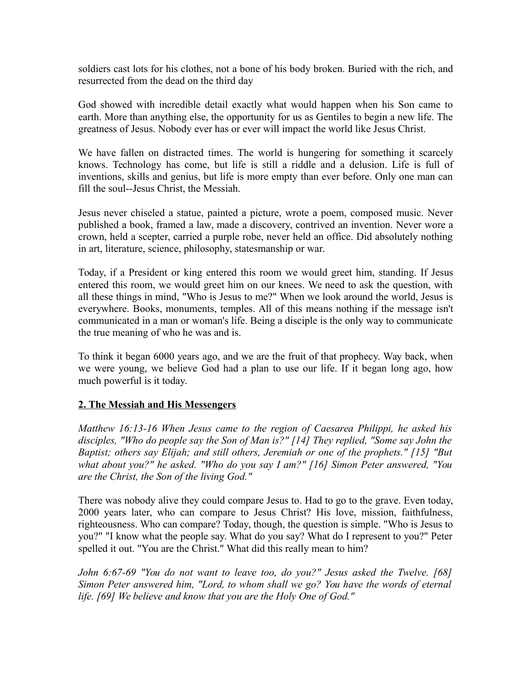soldiers cast lots for his clothes, not a bone of his body broken. Buried with the rich, and resurrected from the dead on the third day

God showed with incredible detail exactly what would happen when his Son came to earth. More than anything else, the opportunity for us as Gentiles to begin a new life. The greatness of Jesus. Nobody ever has or ever will impact the world like Jesus Christ.

We have fallen on distracted times. The world is hungering for something it scarcely knows. Technology has come, but life is still a riddle and a delusion. Life is full of inventions, skills and genius, but life is more empty than ever before. Only one man can fill the soul--Jesus Christ, the Messiah.

Jesus never chiseled a statue, painted a picture, wrote a poem, composed music. Never published a book, framed a law, made a discovery, contrived an invention. Never wore a crown, held a scepter, carried a purple robe, never held an office. Did absolutely nothing in art, literature, science, philosophy, statesmanship or war.

Today, if a President or king entered this room we would greet him, standing. If Jesus entered this room, we would greet him on our knees. We need to ask the question, with all these things in mind, "Who is Jesus to me?" When we look around the world, Jesus is everywhere. Books, monuments, temples. All of this means nothing if the message isn't communicated in a man or woman's life. Being a disciple is the only way to communicate the true meaning of who he was and is.

To think it began 6000 years ago, and we are the fruit of that prophecy. Way back, when we were young, we believe God had a plan to use our life. If it began long ago, how much powerful is it today.

# **2. The Messiah and His Messengers**

*Matthew 16:13-16 When Jesus came to the region of Caesarea Philippi, he asked his disciples, "Who do people say the Son of Man is?" [14] They replied, "Some say John the Baptist; others say Elijah; and still others, Jeremiah or one of the prophets." [15] "But what about you?" he asked. "Who do you say I am?" [16] Simon Peter answered, "You are the Christ, the Son of the living God."*

There was nobody alive they could compare Jesus to. Had to go to the grave. Even today, 2000 years later, who can compare to Jesus Christ? His love, mission, faithfulness, righteousness. Who can compare? Today, though, the question is simple. "Who is Jesus to you?" "I know what the people say. What do you say? What do I represent to you?" Peter spelled it out. "You are the Christ." What did this really mean to him?

*John 6:67-69 "You do not want to leave too, do you?" Jesus asked the Twelve. [68] Simon Peter answered him, "Lord, to whom shall we go? You have the words of eternal life. [69] We believe and know that you are the Holy One of God."*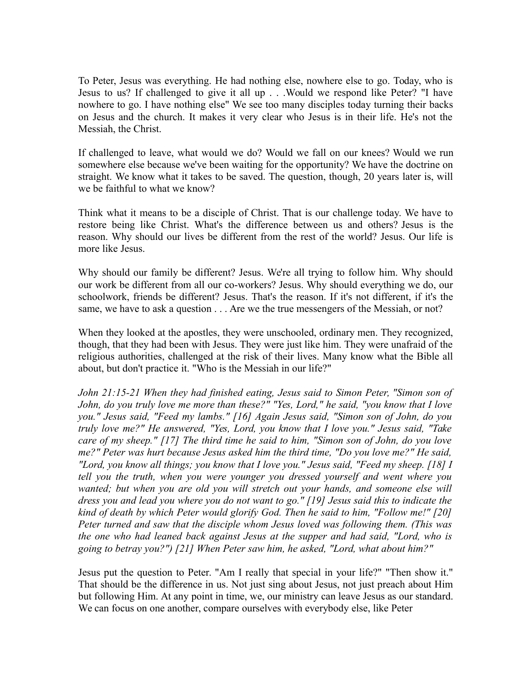To Peter, Jesus was everything. He had nothing else, nowhere else to go. Today, who is Jesus to us? If challenged to give it all up . . .Would we respond like Peter? "I have nowhere to go. I have nothing else" We see too many disciples today turning their backs on Jesus and the church. It makes it very clear who Jesus is in their life. He's not the Messiah, the Christ.

If challenged to leave, what would we do? Would we fall on our knees? Would we run somewhere else because we've been waiting for the opportunity? We have the doctrine on straight. We know what it takes to be saved. The question, though, 20 years later is, will we be faithful to what we know?

Think what it means to be a disciple of Christ. That is our challenge today. We have to restore being like Christ. What's the difference between us and others? Jesus is the reason. Why should our lives be different from the rest of the world? Jesus. Our life is more like Jesus.

Why should our family be different? Jesus. We're all trying to follow him. Why should our work be different from all our co-workers? Jesus. Why should everything we do, our schoolwork, friends be different? Jesus. That's the reason. If it's not different, if it's the same, we have to ask a question . . . Are we the true messengers of the Messiah, or not?

When they looked at the apostles, they were unschooled, ordinary men. They recognized, though, that they had been with Jesus. They were just like him. They were unafraid of the religious authorities, challenged at the risk of their lives. Many know what the Bible all about, but don't practice it. "Who is the Messiah in our life?"

*John 21:15-21 When they had finished eating, Jesus said to Simon Peter, "Simon son of John, do you truly love me more than these?" "Yes, Lord," he said, "you know that I love you." Jesus said, "Feed my lambs." [16] Again Jesus said, "Simon son of John, do you truly love me?" He answered, "Yes, Lord, you know that I love you." Jesus said, "Take care of my sheep." [17] The third time he said to him, "Simon son of John, do you love me?" Peter was hurt because Jesus asked him the third time, "Do you love me?" He said, "Lord, you know all things; you know that I love you." Jesus said, "Feed my sheep. [18] I tell you the truth, when you were younger you dressed yourself and went where you wanted; but when you are old you will stretch out your hands, and someone else will dress you and lead you where you do not want to go." [19] Jesus said this to indicate the kind of death by which Peter would glorify God. Then he said to him, "Follow me!" [20] Peter turned and saw that the disciple whom Jesus loved was following them. (This was the one who had leaned back against Jesus at the supper and had said, "Lord, who is going to betray you?") [21] When Peter saw him, he asked, "Lord, what about him?"*

Jesus put the question to Peter. "Am I really that special in your life?" "Then show it." That should be the difference in us. Not just sing about Jesus, not just preach about Him but following Him. At any point in time, we, our ministry can leave Jesus as our standard. We can focus on one another, compare ourselves with everybody else, like Peter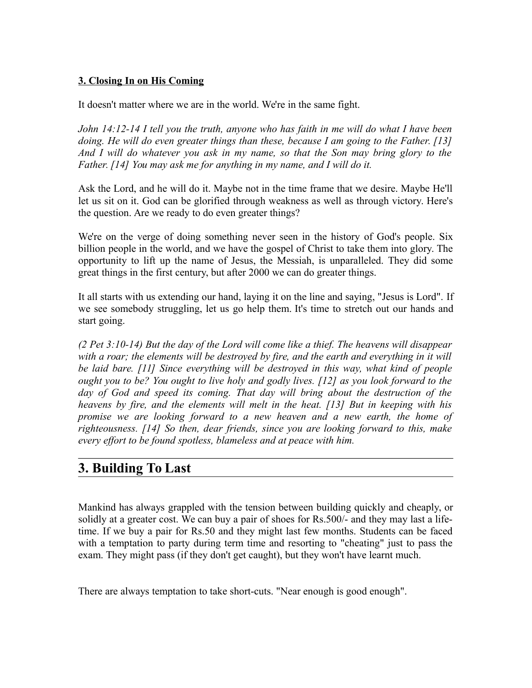# **3. Closing In on His Coming**

It doesn't matter where we are in the world. We're in the same fight.

*John 14:12-14 I tell you the truth, anyone who has faith in me will do what I have been doing. He will do even greater things than these, because I am going to the Father. [13] And I will do whatever you ask in my name, so that the Son may bring glory to the Father. [14] You may ask me for anything in my name, and I will do it.*

Ask the Lord, and he will do it. Maybe not in the time frame that we desire. Maybe He'll let us sit on it. God can be glorified through weakness as well as through victory. Here's the question. Are we ready to do even greater things?

We're on the verge of doing something never seen in the history of God's people. Six billion people in the world, and we have the gospel of Christ to take them into glory. The opportunity to lift up the name of Jesus, the Messiah, is unparalleled. They did some great things in the first century, but after 2000 we can do greater things.

It all starts with us extending our hand, laying it on the line and saying, "Jesus is Lord". If we see somebody struggling, let us go help them. It's time to stretch out our hands and start going.

*(2 Pet 3:10-14) But the day of the Lord will come like a thief. The heavens will disappear* with a roar; the elements will be destroyed by fire, and the earth and everything in it will *be laid bare. [11] Since everything will be destroyed in this way, what kind of people ought you to be? You ought to live holy and godly lives. [12] as you look forward to the day of God and speed its coming. That day will bring about the destruction of the heavens by fire, and the elements will melt in the heat. [13] But in keeping with his promise we are looking forward to a new heaven and a new earth, the home of righteousness. [14] So then, dear friends, since you are looking forward to this, make every effort to be found spotless, blameless and at peace with him.*

# **3. Building To Last**

Mankind has always grappled with the tension between building quickly and cheaply, or solidly at a greater cost. We can buy a pair of shoes for Rs.500/- and they may last a lifetime. If we buy a pair for Rs.50 and they might last few months. Students can be faced with a temptation to party during term time and resorting to "cheating" just to pass the exam. They might pass (if they don't get caught), but they won't have learnt much.

There are always temptation to take short-cuts. "Near enough is good enough".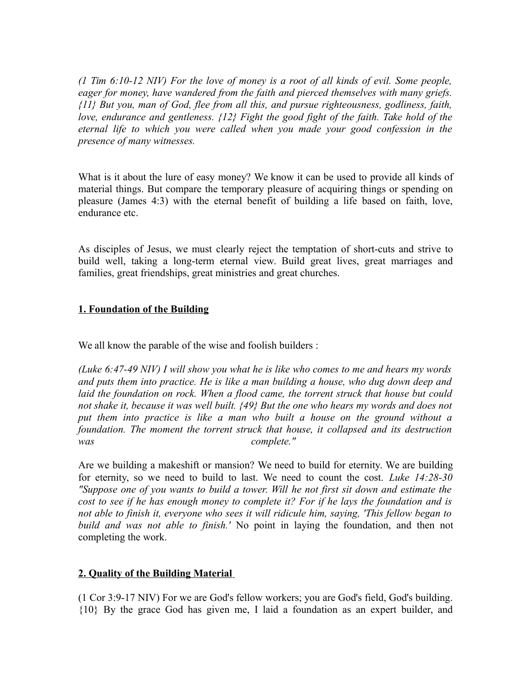*(1 Tim 6:10-12 NIV) For the love of money is a root of all kinds of evil. Some people, eager for money, have wandered from the faith and pierced themselves with many griefs. {11} But you, man of God, flee from all this, and pursue righteousness, godliness, faith, love, endurance and gentleness. {12} Fight the good fight of the faith. Take hold of the eternal life to which you were called when you made your good confession in the presence of many witnesses.*

What is it about the lure of easy money? We know it can be used to provide all kinds of material things. But compare the temporary pleasure of acquiring things or spending on pleasure (James 4:3) with the eternal benefit of building a life based on faith, love, endurance etc.

As disciples of Jesus, we must clearly reject the temptation of short-cuts and strive to build well, taking a long-term eternal view. Build great lives, great marriages and families, great friendships, great ministries and great churches.

# **1. Foundation of the Building**

We all know the parable of the wise and foolish builders :

*(Luke 6:47-49 NIV) I will show you what he is like who comes to me and hears my words and puts them into practice. He is like a man building a house, who dug down deep and laid the foundation on rock. When a flood came, the torrent struck that house but could not shake it, because it was well built. {49} But the one who hears my words and does not put them into practice is like a man who built a house on the ground without a foundation. The moment the torrent struck that house, it collapsed and its destruction was complete."* 

Are we building a makeshift or mansion? We need to build for eternity. We are building for eternity, so we need to build to last. We need to count the cost. *Luke 14:28-30 "Suppose one of you wants to build a tower. Will he not first sit down and estimate the cost to see if he has enough money to complete it? For if he lays the foundation and is not able to finish it, everyone who sees it will ridicule him, saying, 'This fellow began to build and was not able to finish.'* No point in laying the foundation, and then not completing the work.

# **2. Quality of the Building Material**

(1 Cor 3:9-17 NIV) For we are God's fellow workers; you are God's field, God's building. {10} By the grace God has given me, I laid a foundation as an expert builder, and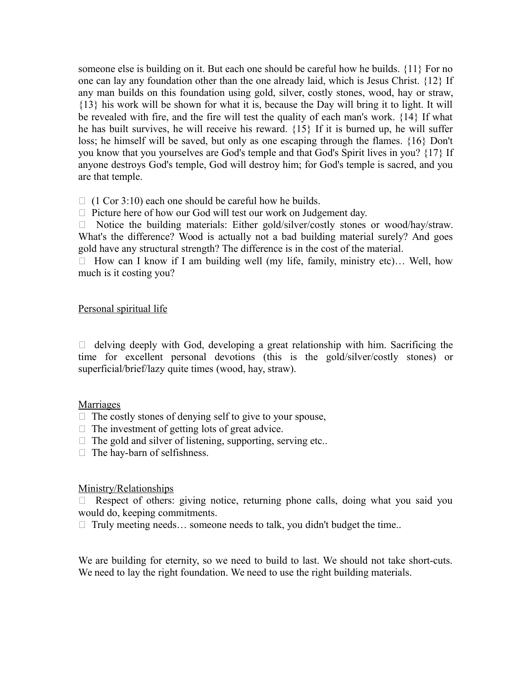someone else is building on it. But each one should be careful how he builds. {11} For no one can lay any foundation other than the one already laid, which is Jesus Christ. {12} If any man builds on this foundation using gold, silver, costly stones, wood, hay or straw, {13} his work will be shown for what it is, because the Day will bring it to light. It will be revealed with fire, and the fire will test the quality of each man's work. {14} If what he has built survives, he will receive his reward. {15} If it is burned up, he will suffer loss; he himself will be saved, but only as one escaping through the flames. {16} Don't you know that you yourselves are God's temple and that God's Spirit lives in you? {17} If anyone destroys God's temple, God will destroy him; for God's temple is sacred, and you are that temple.

 $\Box$  (1 Cor 3:10) each one should be careful how he builds.

 $\Box$  Picture here of how our God will test our work on Judgement day.

 $\Box$  Notice the building materials: Either gold/silver/costly stones or wood/hay/straw. What's the difference? Wood is actually not a bad building material surely? And goes gold have any structural strength? The difference is in the cost of the material.

 $\Box$  How can I know if I am building well (my life, family, ministry etc)... Well, how much is it costing you?

#### Personal spiritual life

 $\Box$  delving deeply with God, developing a great relationship with him. Sacrificing the time for excellent personal devotions (this is the gold/silver/costly stones) or superficial/brief/lazy quite times (wood, hay, straw).

#### **Marriages**

- $\Box$  The costly stones of denying self to give to your spouse,
- $\Box$  The investment of getting lots of great advice.
- $\Box$  The gold and silver of listening, supporting, serving etc...
- $\Box$  The hay-barn of selfishness.

#### Ministry/Relationships

 $\Box$  Respect of others: giving notice, returning phone calls, doing what you said you would do, keeping commitments.

 $\Box$  Truly meeting needs... someone needs to talk, you didn't budget the time...

We are building for eternity, so we need to build to last. We should not take short-cuts. We need to lay the right foundation. We need to use the right building materials.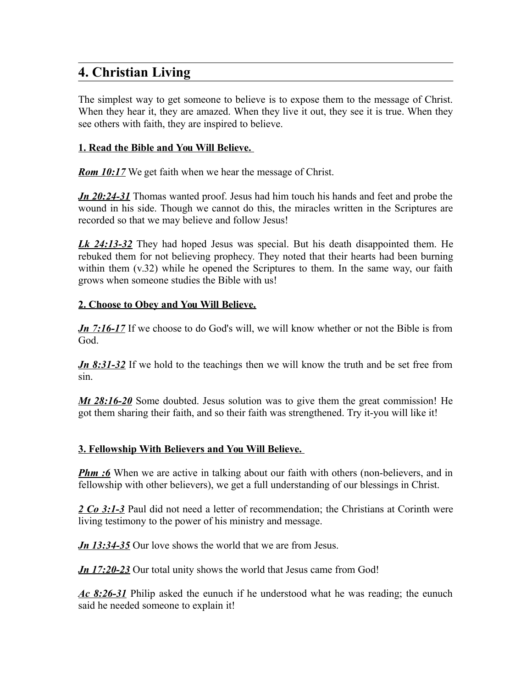# **4. Christian Living**

The simplest way to get someone to believe is to expose them to the message of Christ. When they hear it, they are amazed. When they live it out, they see it is true. When they see others with faith, they are inspired to believe.

# **1. Read the Bible and You Will Believe.**

*Rom 10:17* We get faith when we hear the message of Christ.

*Jn 20:24-31* Thomas wanted proof. Jesus had him touch his hands and feet and probe the wound in his side. Though we cannot do this, the miracles written in the Scriptures are recorded so that we may believe and follow Jesus!

*Lk 24:13-32* They had hoped Jesus was special. But his death disappointed them. He rebuked them for not believing prophecy. They noted that their hearts had been burning within them (v.32) while he opened the Scriptures to them. In the same way, our faith grows when someone studies the Bible with us!

# **2. Choose to Obey and You Will Believe.**

*Jn 7:16-17* If we choose to do God's will, we will know whether or not the Bible is from God.

*Jn 8:31-32* If we hold to the teachings then we will know the truth and be set free from sin.

*Mt 28:16-20* Some doubted. Jesus solution was to give them the great commission! He got them sharing their faith, and so their faith was strengthened. Try it-you will like it!

# **3. Fellowship With Believers and You Will Believe.**

**Phm :6** When we are active in talking about our faith with others (non-believers, and in fellowship with other believers), we get a full understanding of our blessings in Christ.

*2 Co 3:1-3* Paul did not need a letter of recommendation; the Christians at Corinth were living testimony to the power of his ministry and message.

*Jn 13:34-35* Our love shows the world that we are from Jesus.

*Jn 17:20-23* Our total unity shows the world that Jesus came from God!

*Ac 8:26-31* Philip asked the eunuch if he understood what he was reading; the eunuch said he needed someone to explain it!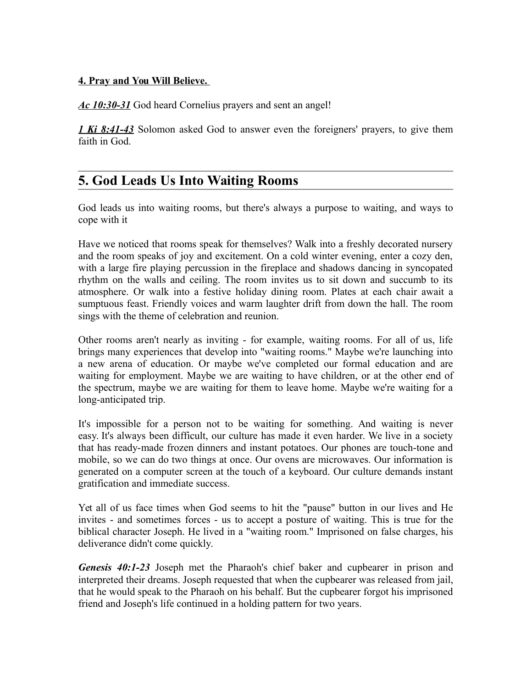### **4. Pray and You Will Believe.**

*Ac 10:30-31* God heard Cornelius prayers and sent an angel!

*1 Ki 8:41-43* Solomon asked God to answer even the foreigners' prayers, to give them faith in God.

# **5. God Leads Us Into Waiting Rooms**

God leads us into waiting rooms, but there's always a purpose to waiting, and ways to cope with it

Have we noticed that rooms speak for themselves? Walk into a freshly decorated nursery and the room speaks of joy and excitement. On a cold winter evening, enter a cozy den, with a large fire playing percussion in the fireplace and shadows dancing in syncopated rhythm on the walls and ceiling. The room invites us to sit down and succumb to its atmosphere. Or walk into a festive holiday dining room. Plates at each chair await a sumptuous feast. Friendly voices and warm laughter drift from down the hall. The room sings with the theme of celebration and reunion.

Other rooms aren't nearly as inviting - for example, waiting rooms. For all of us, life brings many experiences that develop into "waiting rooms." Maybe we're launching into a new arena of education. Or maybe we've completed our formal education and are waiting for employment. Maybe we are waiting to have children, or at the other end of the spectrum, maybe we are waiting for them to leave home. Maybe we're waiting for a long-anticipated trip.

It's impossible for a person not to be waiting for something. And waiting is never easy. It's always been difficult, our culture has made it even harder. We live in a society that has ready-made frozen dinners and instant potatoes. Our phones are touch-tone and mobile, so we can do two things at once. Our ovens are microwaves. Our information is generated on a computer screen at the touch of a keyboard. Our culture demands instant gratification and immediate success.

Yet all of us face times when God seems to hit the "pause" button in our lives and He invites - and sometimes forces - us to accept a posture of waiting. This is true for the biblical character Joseph. He lived in a "waiting room." Imprisoned on false charges, his deliverance didn't come quickly.

*Genesis 40:1-23* Joseph met the Pharaoh's chief baker and cupbearer in prison and interpreted their dreams. Joseph requested that when the cupbearer was released from jail, that he would speak to the Pharaoh on his behalf. But the cupbearer forgot his imprisoned friend and Joseph's life continued in a holding pattern for two years.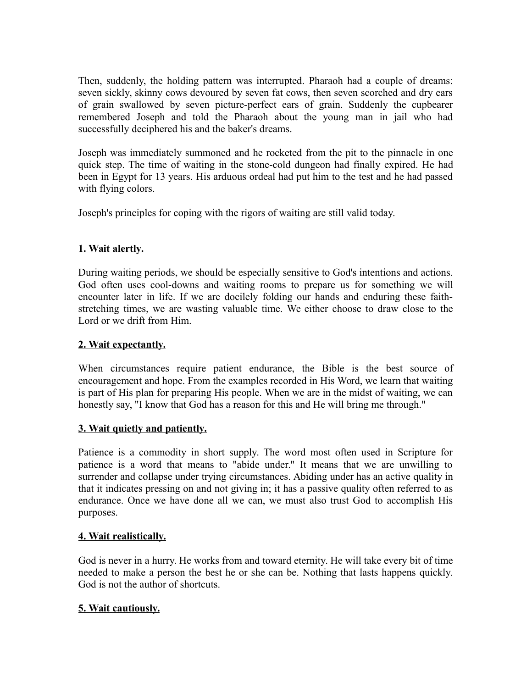Then, suddenly, the holding pattern was interrupted. Pharaoh had a couple of dreams: seven sickly, skinny cows devoured by seven fat cows, then seven scorched and dry ears of grain swallowed by seven picture-perfect ears of grain. Suddenly the cupbearer remembered Joseph and told the Pharaoh about the young man in jail who had successfully deciphered his and the baker's dreams.

Joseph was immediately summoned and he rocketed from the pit to the pinnacle in one quick step. The time of waiting in the stone-cold dungeon had finally expired. He had been in Egypt for 13 years. His arduous ordeal had put him to the test and he had passed with flying colors.

Joseph's principles for coping with the rigors of waiting are still valid today.

# **1. Wait alertly.**

During waiting periods, we should be especially sensitive to God's intentions and actions. God often uses cool-downs and waiting rooms to prepare us for something we will encounter later in life. If we are docilely folding our hands and enduring these faithstretching times, we are wasting valuable time. We either choose to draw close to the Lord or we drift from Him.

# **2. Wait expectantly.**

When circumstances require patient endurance, the Bible is the best source of encouragement and hope. From the examples recorded in His Word, we learn that waiting is part of His plan for preparing His people. When we are in the midst of waiting, we can honestly say, "I know that God has a reason for this and He will bring me through."

# **3. Wait quietly and patiently.**

Patience is a commodity in short supply. The word most often used in Scripture for patience is a word that means to "abide under." It means that we are unwilling to surrender and collapse under trying circumstances. Abiding under has an active quality in that it indicates pressing on and not giving in; it has a passive quality often referred to as endurance. Once we have done all we can, we must also trust God to accomplish His purposes.

# **4. Wait realistically.**

God is never in a hurry. He works from and toward eternity. He will take every bit of time needed to make a person the best he or she can be. Nothing that lasts happens quickly. God is not the author of shortcuts.

# **5. Wait cautiously.**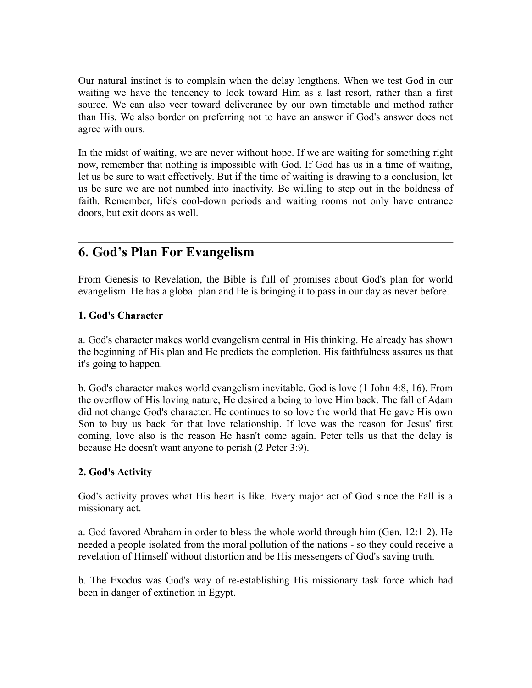Our natural instinct is to complain when the delay lengthens. When we test God in our waiting we have the tendency to look toward Him as a last resort, rather than a first source. We can also veer toward deliverance by our own timetable and method rather than His. We also border on preferring not to have an answer if God's answer does not agree with ours.

In the midst of waiting, we are never without hope. If we are waiting for something right now, remember that nothing is impossible with God. If God has us in a time of waiting, let us be sure to wait effectively. But if the time of waiting is drawing to a conclusion, let us be sure we are not numbed into inactivity. Be willing to step out in the boldness of faith. Remember, life's cool-down periods and waiting rooms not only have entrance doors, but exit doors as well.

# **6. God's Plan For Evangelism**

From Genesis to Revelation, the Bible is full of promises about God's plan for world evangelism. He has a global plan and He is bringing it to pass in our day as never before.

# **1. God's Character**

a. God's character makes world evangelism central in His thinking. He already has shown the beginning of His plan and He predicts the completion. His faithfulness assures us that it's going to happen.

b. God's character makes world evangelism inevitable. God is love (1 John 4:8, 16). From the overflow of His loving nature, He desired a being to love Him back. The fall of Adam did not change God's character. He continues to so love the world that He gave His own Son to buy us back for that love relationship. If love was the reason for Jesus' first coming, love also is the reason He hasn't come again. Peter tells us that the delay is because He doesn't want anyone to perish (2 Peter 3:9).

# **2. God's Activity**

God's activity proves what His heart is like. Every major act of God since the Fall is a missionary act.

a. God favored Abraham in order to bless the whole world through him (Gen. 12:1-2). He needed a people isolated from the moral pollution of the nations - so they could receive a revelation of Himself without distortion and be His messengers of God's saving truth.

b. The Exodus was God's way of re-establishing His missionary task force which had been in danger of extinction in Egypt.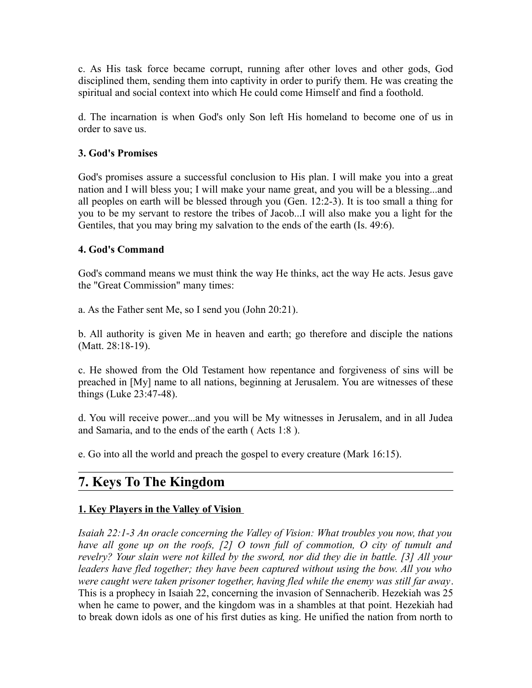c. As His task force became corrupt, running after other loves and other gods, God disciplined them, sending them into captivity in order to purify them. He was creating the spiritual and social context into which He could come Himself and find a foothold.

d. The incarnation is when God's only Son left His homeland to become one of us in order to save us.

# **3. God's Promises**

God's promises assure a successful conclusion to His plan. I will make you into a great nation and I will bless you; I will make your name great, and you will be a blessing...and all peoples on earth will be blessed through you (Gen. 12:2-3). It is too small a thing for you to be my servant to restore the tribes of Jacob...I will also make you a light for the Gentiles, that you may bring my salvation to the ends of the earth (Is. 49:6).

# **4. God's Command**

God's command means we must think the way He thinks, act the way He acts. Jesus gave the "Great Commission" many times:

a. As the Father sent Me, so I send you (John 20:21).

b. All authority is given Me in heaven and earth; go therefore and disciple the nations (Matt. 28:18-19).

c. He showed from the Old Testament how repentance and forgiveness of sins will be preached in [My] name to all nations, beginning at Jerusalem. You are witnesses of these things (Luke 23:47-48).

d. You will receive power...and you will be My witnesses in Jerusalem, and in all Judea and Samaria, and to the ends of the earth ( Acts 1:8 ).

e. Go into all the world and preach the gospel to every creature (Mark 16:15).

# **7. Keys To The Kingdom**

# **1. Key Players in the Valley of Vision**

*Isaiah 22:1-3 An oracle concerning the Valley of Vision: What troubles you now, that you have all gone up on the roofs, [2] O town full of commotion, O city of tumult and revelry? Your slain were not killed by the sword, nor did they die in battle. [3] All your leaders have fled together; they have been captured without using the bow. All you who were caught were taken prisoner together, having fled while the enemy was still far away*. This is a prophecy in Isaiah 22, concerning the invasion of Sennacherib. Hezekiah was 25 when he came to power, and the kingdom was in a shambles at that point. Hezekiah had to break down idols as one of his first duties as king. He unified the nation from north to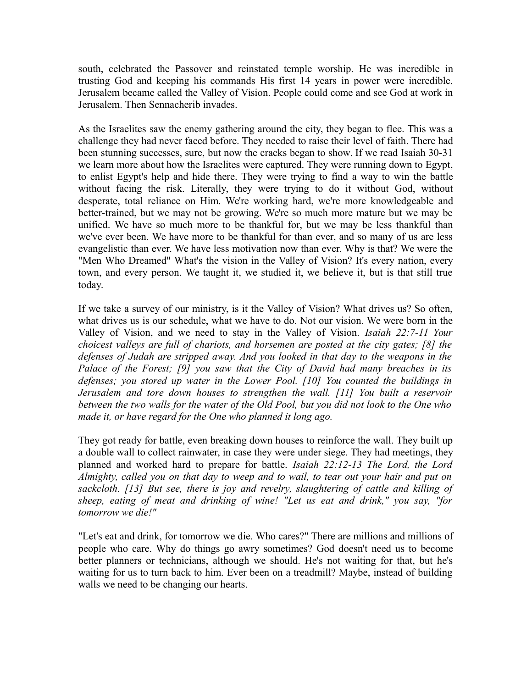south, celebrated the Passover and reinstated temple worship. He was incredible in trusting God and keeping his commands His first 14 years in power were incredible. Jerusalem became called the Valley of Vision. People could come and see God at work in Jerusalem. Then Sennacherib invades.

As the Israelites saw the enemy gathering around the city, they began to flee. This was a challenge they had never faced before. They needed to raise their level of faith. There had been stunning successes, sure, but now the cracks began to show. If we read Isaiah 30-31 we learn more about how the Israelites were captured. They were running down to Egypt, to enlist Egypt's help and hide there. They were trying to find a way to win the battle without facing the risk. Literally, they were trying to do it without God, without desperate, total reliance on Him. We're working hard, we're more knowledgeable and better-trained, but we may not be growing. We're so much more mature but we may be unified. We have so much more to be thankful for, but we may be less thankful than we've ever been. We have more to be thankful for than ever, and so many of us are less evangelistic than ever. We have less motivation now than ever. Why is that? We were the "Men Who Dreamed" What's the vision in the Valley of Vision? It's every nation, every town, and every person. We taught it, we studied it, we believe it, but is that still true today.

If we take a survey of our ministry, is it the Valley of Vision? What drives us? So often, what drives us is our schedule, what we have to do. Not our vision. We were born in the Valley of Vision, and we need to stay in the Valley of Vision. *Isaiah 22:7-11 Your choicest valleys are full of chariots, and horsemen are posted at the city gates; [8] the defenses of Judah are stripped away. And you looked in that day to the weapons in the Palace of the Forest; [9] you saw that the City of David had many breaches in its defenses; you stored up water in the Lower Pool. [10] You counted the buildings in Jerusalem and tore down houses to strengthen the wall. [11] You built a reservoir between the two walls for the water of the Old Pool, but you did not look to the One who made it, or have regard for the One who planned it long ago.*

They got ready for battle, even breaking down houses to reinforce the wall. They built up a double wall to collect rainwater, in case they were under siege. They had meetings, they planned and worked hard to prepare for battle. *Isaiah 22:12-13 The Lord, the Lord Almighty, called you on that day to weep and to wail, to tear out your hair and put on sackcloth. [13] But see, there is joy and revelry, slaughtering of cattle and killing of sheep, eating of meat and drinking of wine! "Let us eat and drink," you say, "for tomorrow we die!"* 

"Let's eat and drink, for tomorrow we die. Who cares?" There are millions and millions of people who care. Why do things go awry sometimes? God doesn't need us to become better planners or technicians, although we should. He's not waiting for that, but he's waiting for us to turn back to him. Ever been on a treadmill? Maybe, instead of building walls we need to be changing our hearts.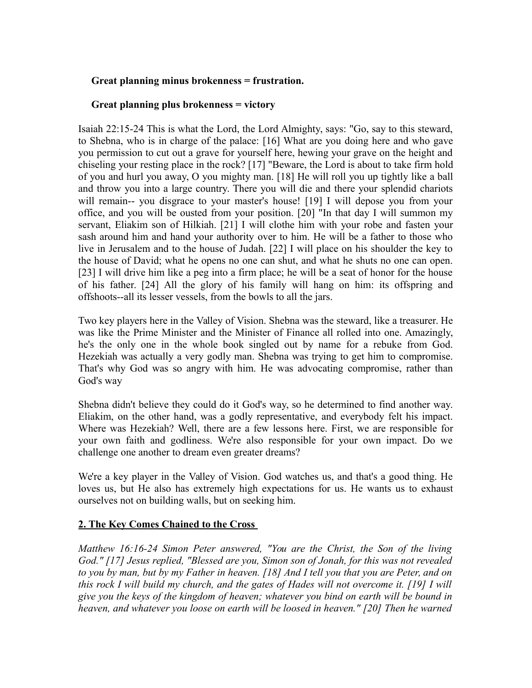#### **Great planning minus brokenness = frustration.**

### **Great planning plus brokenness = victory**

Isaiah 22:15-24 This is what the Lord, the Lord Almighty, says: "Go, say to this steward, to Shebna, who is in charge of the palace: [16] What are you doing here and who gave you permission to cut out a grave for yourself here, hewing your grave on the height and chiseling your resting place in the rock? [17] "Beware, the Lord is about to take firm hold of you and hurl you away, O you mighty man. [18] He will roll you up tightly like a ball and throw you into a large country. There you will die and there your splendid chariots will remain-- you disgrace to your master's house! [19] I will depose you from your office, and you will be ousted from your position. [20] "In that day I will summon my servant, Eliakim son of Hilkiah. [21] I will clothe him with your robe and fasten your sash around him and hand your authority over to him. He will be a father to those who live in Jerusalem and to the house of Judah. [22] I will place on his shoulder the key to the house of David; what he opens no one can shut, and what he shuts no one can open. [23] I will drive him like a peg into a firm place; he will be a seat of honor for the house of his father. [24] All the glory of his family will hang on him: its offspring and offshoots--all its lesser vessels, from the bowls to all the jars.

Two key players here in the Valley of Vision. Shebna was the steward, like a treasurer. He was like the Prime Minister and the Minister of Finance all rolled into one. Amazingly, he's the only one in the whole book singled out by name for a rebuke from God. Hezekiah was actually a very godly man. Shebna was trying to get him to compromise. That's why God was so angry with him. He was advocating compromise, rather than God's way

Shebna didn't believe they could do it God's way, so he determined to find another way. Eliakim, on the other hand, was a godly representative, and everybody felt his impact. Where was Hezekiah? Well, there are a few lessons here. First, we are responsible for your own faith and godliness. We're also responsible for your own impact. Do we challenge one another to dream even greater dreams?

We're a key player in the Valley of Vision. God watches us, and that's a good thing. He loves us, but He also has extremely high expectations for us. He wants us to exhaust ourselves not on building walls, but on seeking him.

#### **2. The Key Comes Chained to the Cross**

*Matthew 16:16-24 Simon Peter answered, "You are the Christ, the Son of the living God." [17] Jesus replied, "Blessed are you, Simon son of Jonah, for this was not revealed to you by man, but by my Father in heaven. [18] And I tell you that you are Peter, and on this rock I will build my church, and the gates of Hades will not overcome it. [19] I will give you the keys of the kingdom of heaven; whatever you bind on earth will be bound in heaven, and whatever you loose on earth will be loosed in heaven." [20] Then he warned*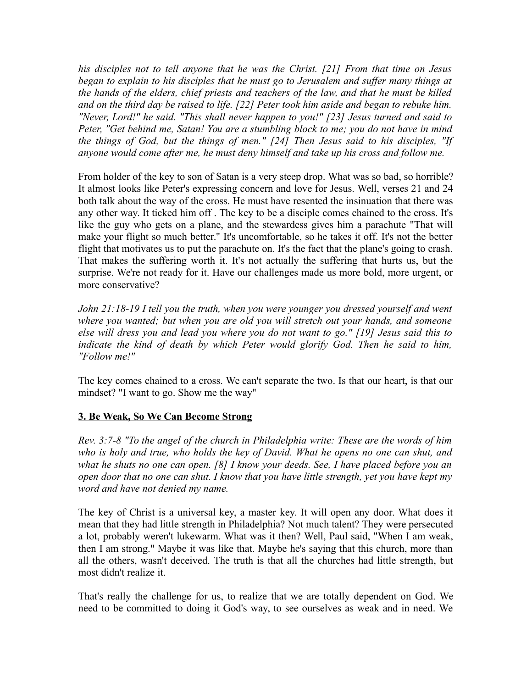*his disciples not to tell anyone that he was the Christ. [21] From that time on Jesus began to explain to his disciples that he must go to Jerusalem and suffer many things at the hands of the elders, chief priests and teachers of the law, and that he must be killed and on the third day be raised to life. [22] Peter took him aside and began to rebuke him. "Never, Lord!" he said. "This shall never happen to you!" [23] Jesus turned and said to Peter, "Get behind me, Satan! You are a stumbling block to me; you do not have in mind the things of God, but the things of men." [24] Then Jesus said to his disciples, "If anyone would come after me, he must deny himself and take up his cross and follow me.*

From holder of the key to son of Satan is a very steep drop. What was so bad, so horrible? It almost looks like Peter's expressing concern and love for Jesus. Well, verses 21 and 24 both talk about the way of the cross. He must have resented the insinuation that there was any other way. It ticked him off . The key to be a disciple comes chained to the cross. It's like the guy who gets on a plane, and the stewardess gives him a parachute "That will make your flight so much better." It's uncomfortable, so he takes it off. It's not the better flight that motivates us to put the parachute on. It's the fact that the plane's going to crash. That makes the suffering worth it. It's not actually the suffering that hurts us, but the surprise. We're not ready for it. Have our challenges made us more bold, more urgent, or more conservative?

*John 21:18-19 I tell you the truth, when you were younger you dressed yourself and went where you wanted; but when you are old you will stretch out your hands, and someone else will dress you and lead you where you do not want to go." [19] Jesus said this to indicate the kind of death by which Peter would glorify God. Then he said to him, "Follow me!"* 

The key comes chained to a cross. We can't separate the two. Is that our heart, is that our mindset? "I want to go. Show me the way"

# **3. Be Weak, So We Can Become Strong**

*Rev. 3:7-8 "To the angel of the church in Philadelphia write: These are the words of him who is holy and true, who holds the key of David. What he opens no one can shut, and what he shuts no one can open. [8] I know your deeds. See, I have placed before you an open door that no one can shut. I know that you have little strength, yet you have kept my word and have not denied my name.*

The key of Christ is a universal key, a master key. It will open any door. What does it mean that they had little strength in Philadelphia? Not much talent? They were persecuted a lot, probably weren't lukewarm. What was it then? Well, Paul said, "When I am weak, then I am strong." Maybe it was like that. Maybe he's saying that this church, more than all the others, wasn't deceived. The truth is that all the churches had little strength, but most didn't realize it.

That's really the challenge for us, to realize that we are totally dependent on God. We need to be committed to doing it God's way, to see ourselves as weak and in need. We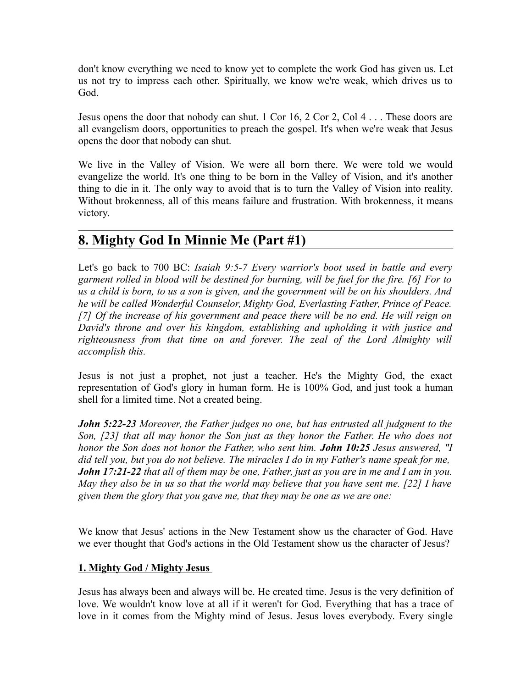don't know everything we need to know yet to complete the work God has given us. Let us not try to impress each other. Spiritually, we know we're weak, which drives us to God.

Jesus opens the door that nobody can shut. 1 Cor 16, 2 Cor 2, Col 4 . . . These doors are all evangelism doors, opportunities to preach the gospel. It's when we're weak that Jesus opens the door that nobody can shut.

We live in the Valley of Vision. We were all born there. We were told we would evangelize the world. It's one thing to be born in the Valley of Vision, and it's another thing to die in it. The only way to avoid that is to turn the Valley of Vision into reality. Without brokenness, all of this means failure and frustration. With brokenness, it means victory.

# **8. Mighty God In Minnie Me (Part #1)**

Let's go back to 700 BC: *Isaiah 9:5-7 Every warrior's boot used in battle and every garment rolled in blood will be destined for burning, will be fuel for the fire. [6] For to us a child is born, to us a son is given, and the government will be on his shoulders. And he will be called Wonderful Counselor, Mighty God, Everlasting Father, Prince of Peace. [7] Of the increase of his government and peace there will be no end. He will reign on David's throne and over his kingdom, establishing and upholding it with justice and righteousness from that time on and forever. The zeal of the Lord Almighty will accomplish this.* 

Jesus is not just a prophet, not just a teacher. He's the Mighty God, the exact representation of God's glory in human form. He is 100% God, and just took a human shell for a limited time. Not a created being.

*John 5:22-23 Moreover, the Father judges no one, but has entrusted all judgment to the Son, [23] that all may honor the Son just as they honor the Father. He who does not honor the Son does not honor the Father, who sent him. John 10:25 Jesus answered, "I did tell you, but you do not believe. The miracles I do in my Father's name speak for me, John 17:21-22 that all of them may be one, Father, just as you are in me and I am in you. May they also be in us so that the world may believe that you have sent me. [22] I have given them the glory that you gave me, that they may be one as we are one:* 

We know that Jesus' actions in the New Testament show us the character of God. Have we ever thought that God's actions in the Old Testament show us the character of Jesus?

# **1. Mighty God / Mighty Jesus**

Jesus has always been and always will be. He created time. Jesus is the very definition of love. We wouldn't know love at all if it weren't for God. Everything that has a trace of love in it comes from the Mighty mind of Jesus. Jesus loves everybody. Every single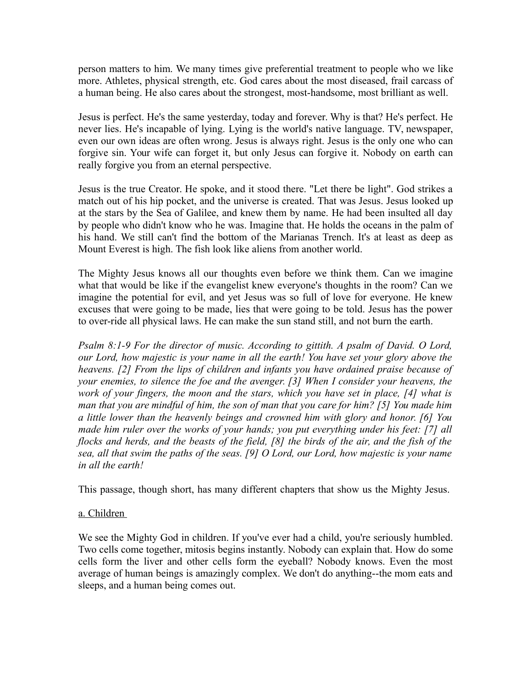person matters to him. We many times give preferential treatment to people who we like more. Athletes, physical strength, etc. God cares about the most diseased, frail carcass of a human being. He also cares about the strongest, most-handsome, most brilliant as well.

Jesus is perfect. He's the same yesterday, today and forever. Why is that? He's perfect. He never lies. He's incapable of lying. Lying is the world's native language. TV, newspaper, even our own ideas are often wrong. Jesus is always right. Jesus is the only one who can forgive sin. Your wife can forget it, but only Jesus can forgive it. Nobody on earth can really forgive you from an eternal perspective.

Jesus is the true Creator. He spoke, and it stood there. "Let there be light". God strikes a match out of his hip pocket, and the universe is created. That was Jesus. Jesus looked up at the stars by the Sea of Galilee, and knew them by name. He had been insulted all day by people who didn't know who he was. Imagine that. He holds the oceans in the palm of his hand. We still can't find the bottom of the Marianas Trench. It's at least as deep as Mount Everest is high. The fish look like aliens from another world.

The Mighty Jesus knows all our thoughts even before we think them. Can we imagine what that would be like if the evangelist knew everyone's thoughts in the room? Can we imagine the potential for evil, and yet Jesus was so full of love for everyone. He knew excuses that were going to be made, lies that were going to be told. Jesus has the power to over-ride all physical laws. He can make the sun stand still, and not burn the earth.

*Psalm 8:1-9 For the director of music. According to gittith. A psalm of David. O Lord, our Lord, how majestic is your name in all the earth! You have set your glory above the heavens. [2] From the lips of children and infants you have ordained praise because of your enemies, to silence the foe and the avenger. [3] When I consider your heavens, the work of your fingers, the moon and the stars, which you have set in place, [4] what is man that you are mindful of him, the son of man that you care for him? [5] You made him a little lower than the heavenly beings and crowned him with glory and honor. [6] You made him ruler over the works of your hands; you put everything under his feet: [7] all flocks and herds, and the beasts of the field, [8] the birds of the air, and the fish of the sea, all that swim the paths of the seas. [9] O Lord, our Lord, how majestic is your name in all the earth!* 

This passage, though short, has many different chapters that show us the Mighty Jesus.

# a. Children

We see the Mighty God in children. If you've ever had a child, you're seriously humbled. Two cells come together, mitosis begins instantly. Nobody can explain that. How do some cells form the liver and other cells form the eyeball? Nobody knows. Even the most average of human beings is amazingly complex. We don't do anything--the mom eats and sleeps, and a human being comes out.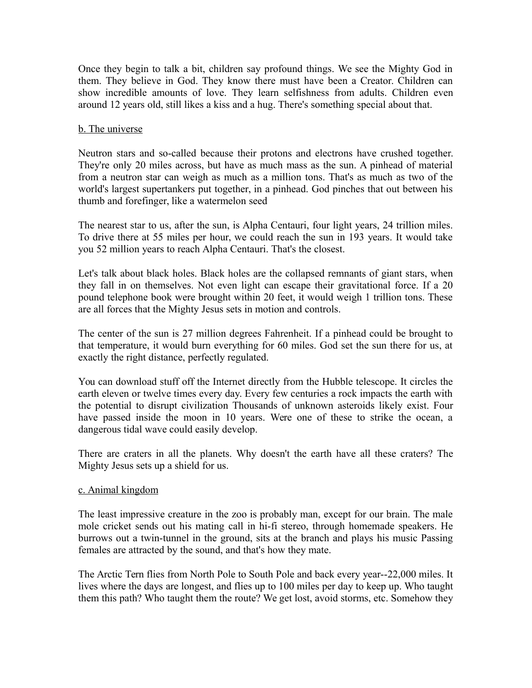Once they begin to talk a bit, children say profound things. We see the Mighty God in them. They believe in God. They know there must have been a Creator. Children can show incredible amounts of love. They learn selfishness from adults. Children even around 12 years old, still likes a kiss and a hug. There's something special about that.

#### b. The universe

Neutron stars and so-called because their protons and electrons have crushed together. They're only 20 miles across, but have as much mass as the sun. A pinhead of material from a neutron star can weigh as much as a million tons. That's as much as two of the world's largest supertankers put together, in a pinhead. God pinches that out between his thumb and forefinger, like a watermelon seed

The nearest star to us, after the sun, is Alpha Centauri, four light years, 24 trillion miles. To drive there at 55 miles per hour, we could reach the sun in 193 years. It would take you 52 million years to reach Alpha Centauri. That's the closest.

Let's talk about black holes. Black holes are the collapsed remnants of giant stars, when they fall in on themselves. Not even light can escape their gravitational force. If a 20 pound telephone book were brought within 20 feet, it would weigh 1 trillion tons. These are all forces that the Mighty Jesus sets in motion and controls.

The center of the sun is 27 million degrees Fahrenheit. If a pinhead could be brought to that temperature, it would burn everything for 60 miles. God set the sun there for us, at exactly the right distance, perfectly regulated.

You can download stuff off the Internet directly from the Hubble telescope. It circles the earth eleven or twelve times every day. Every few centuries a rock impacts the earth with the potential to disrupt civilization Thousands of unknown asteroids likely exist. Four have passed inside the moon in 10 years. Were one of these to strike the ocean, a dangerous tidal wave could easily develop.

There are craters in all the planets. Why doesn't the earth have all these craters? The Mighty Jesus sets up a shield for us.

#### c. Animal kingdom

The least impressive creature in the zoo is probably man, except for our brain. The male mole cricket sends out his mating call in hi-fi stereo, through homemade speakers. He burrows out a twin-tunnel in the ground, sits at the branch and plays his music Passing females are attracted by the sound, and that's how they mate.

The Arctic Tern flies from North Pole to South Pole and back every year--22,000 miles. It lives where the days are longest, and flies up to 100 miles per day to keep up. Who taught them this path? Who taught them the route? We get lost, avoid storms, etc. Somehow they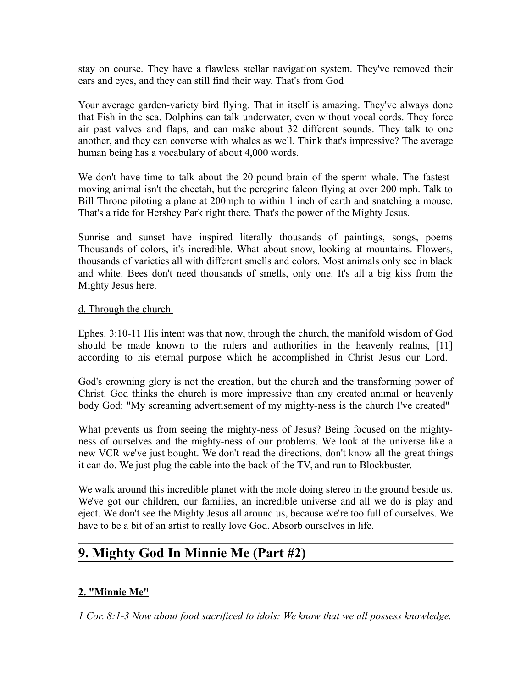stay on course. They have a flawless stellar navigation system. They've removed their ears and eyes, and they can still find their way. That's from God

Your average garden-variety bird flying. That in itself is amazing. They've always done that Fish in the sea. Dolphins can talk underwater, even without vocal cords. They force air past valves and flaps, and can make about 32 different sounds. They talk to one another, and they can converse with whales as well. Think that's impressive? The average human being has a vocabulary of about 4,000 words.

We don't have time to talk about the 20-pound brain of the sperm whale. The fastestmoving animal isn't the cheetah, but the peregrine falcon flying at over 200 mph. Talk to Bill Throne piloting a plane at 200mph to within 1 inch of earth and snatching a mouse. That's a ride for Hershey Park right there. That's the power of the Mighty Jesus.

Sunrise and sunset have inspired literally thousands of paintings, songs, poems Thousands of colors, it's incredible. What about snow, looking at mountains. Flowers, thousands of varieties all with different smells and colors. Most animals only see in black and white. Bees don't need thousands of smells, only one. It's all a big kiss from the Mighty Jesus here.

#### d. Through the church

Ephes. 3:10-11 His intent was that now, through the church, the manifold wisdom of God should be made known to the rulers and authorities in the heavenly realms, [11] according to his eternal purpose which he accomplished in Christ Jesus our Lord.

God's crowning glory is not the creation, but the church and the transforming power of Christ. God thinks the church is more impressive than any created animal or heavenly body God: "My screaming advertisement of my mighty-ness is the church I've created"

What prevents us from seeing the mighty-ness of Jesus? Being focused on the mightyness of ourselves and the mighty-ness of our problems. We look at the universe like a new VCR we've just bought. We don't read the directions, don't know all the great things it can do. We just plug the cable into the back of the TV, and run to Blockbuster.

We walk around this incredible planet with the mole doing stereo in the ground beside us. We've got our children, our families, an incredible universe and all we do is play and eject. We don't see the Mighty Jesus all around us, because we're too full of ourselves. We have to be a bit of an artist to really love God. Absorb ourselves in life.

# **9. Mighty God In Minnie Me (Part #2)**

# **2. "Minnie Me"**

*1 Cor. 8:1-3 Now about food sacrificed to idols: We know that we all possess knowledge.*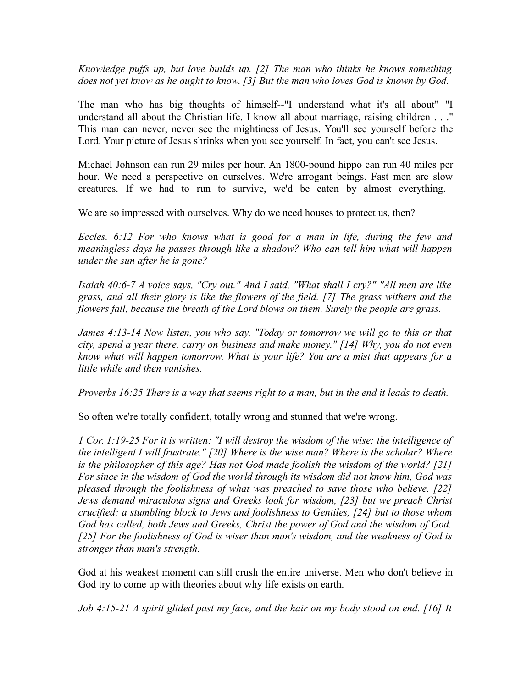*Knowledge puffs up, but love builds up. [2] The man who thinks he knows something does not yet know as he ought to know. [3] But the man who loves God is known by God.* 

The man who has big thoughts of himself--"I understand what it's all about" "I understand all about the Christian life. I know all about marriage, raising children . . ." This man can never, never see the mightiness of Jesus. You'll see yourself before the Lord. Your picture of Jesus shrinks when you see yourself. In fact, you can't see Jesus.

Michael Johnson can run 29 miles per hour. An 1800-pound hippo can run 40 miles per hour. We need a perspective on ourselves. We're arrogant beings. Fast men are slow creatures. If we had to run to survive, we'd be eaten by almost everything.

We are so impressed with ourselves. Why do we need houses to protect us, then?

*Eccles. 6:12 For who knows what is good for a man in life, during the few and meaningless days he passes through like a shadow? Who can tell him what will happen under the sun after he is gone?* 

*Isaiah 40:6-7 A voice says, "Cry out." And I said, "What shall I cry?" "All men are like grass, and all their glory is like the flowers of the field. [7] The grass withers and the flowers fall, because the breath of the Lord blows on them. Surely the people are grass.*

*James 4:13-14 Now listen, you who say, "Today or tomorrow we will go to this or that city, spend a year there, carry on business and make money." [14] Why, you do not even know what will happen tomorrow. What is your life? You are a mist that appears for a little while and then vanishes.* 

*Proverbs 16:25 There is a way that seems right to a man, but in the end it leads to death.* 

So often we're totally confident, totally wrong and stunned that we're wrong.

*1 Cor. 1:19-25 For it is written: "I will destroy the wisdom of the wise; the intelligence of the intelligent I will frustrate." [20] Where is the wise man? Where is the scholar? Where is the philosopher of this age? Has not God made foolish the wisdom of the world? [21] For since in the wisdom of God the world through its wisdom did not know him, God was pleased through the foolishness of what was preached to save those who believe. [22] Jews demand miraculous signs and Greeks look for wisdom, [23] but we preach Christ crucified: a stumbling block to Jews and foolishness to Gentiles, [24] but to those whom God has called, both Jews and Greeks, Christ the power of God and the wisdom of God. [25] For the foolishness of God is wiser than man's wisdom, and the weakness of God is stronger than man's strength.* 

God at his weakest moment can still crush the entire universe. Men who don't believe in God try to come up with theories about why life exists on earth.

*Job 4:15-21 A spirit glided past my face, and the hair on my body stood on end. [16] It*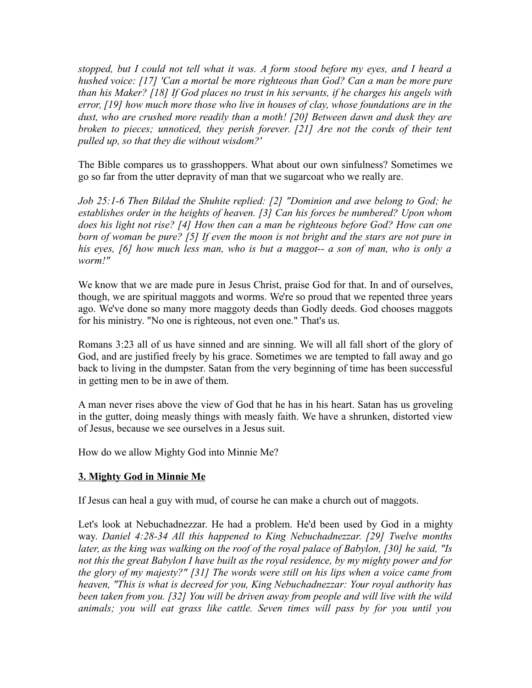*stopped, but I could not tell what it was. A form stood before my eyes, and I heard a hushed voice: [17] 'Can a mortal be more righteous than God? Can a man be more pure than his Maker? [18] If God places no trust in his servants, if he charges his angels with error, [19] how much more those who live in houses of clay, whose foundations are in the dust, who are crushed more readily than a moth! [20] Between dawn and dusk they are broken to pieces; unnoticed, they perish forever. [21] Are not the cords of their tent pulled up, so that they die without wisdom?'*

The Bible compares us to grasshoppers. What about our own sinfulness? Sometimes we go so far from the utter depravity of man that we sugarcoat who we really are.

*Job 25:1-6 Then Bildad the Shuhite replied: [2] "Dominion and awe belong to God; he establishes order in the heights of heaven. [3] Can his forces be numbered? Upon whom does his light not rise? [4] How then can a man be righteous before God? How can one born of woman be pure? [5] If even the moon is not bright and the stars are not pure in his eyes, [6] how much less man, who is but a maggot-- a son of man, who is only a worm!"*

We know that we are made pure in Jesus Christ, praise God for that. In and of ourselves, though, we are spiritual maggots and worms. We're so proud that we repented three years ago. We've done so many more maggoty deeds than Godly deeds. God chooses maggots for his ministry. "No one is righteous, not even one." That's us.

Romans 3:23 all of us have sinned and are sinning. We will all fall short of the glory of God, and are justified freely by his grace. Sometimes we are tempted to fall away and go back to living in the dumpster. Satan from the very beginning of time has been successful in getting men to be in awe of them.

A man never rises above the view of God that he has in his heart. Satan has us groveling in the gutter, doing measly things with measly faith. We have a shrunken, distorted view of Jesus, because we see ourselves in a Jesus suit.

How do we allow Mighty God into Minnie Me?

#### **3. Mighty God in Minnie Me**

If Jesus can heal a guy with mud, of course he can make a church out of maggots.

Let's look at Nebuchadnezzar. He had a problem. He'd been used by God in a mighty way. *Daniel 4:28-34 All this happened to King Nebuchadnezzar. [29] Twelve months later, as the king was walking on the roof of the royal palace of Babylon, [30] he said, "Is not this the great Babylon I have built as the royal residence, by my mighty power and for the glory of my majesty?" [31] The words were still on his lips when a voice came from heaven, "This is what is decreed for you, King Nebuchadnezzar: Your royal authority has been taken from you. [32] You will be driven away from people and will live with the wild animals; you will eat grass like cattle. Seven times will pass by for you until you*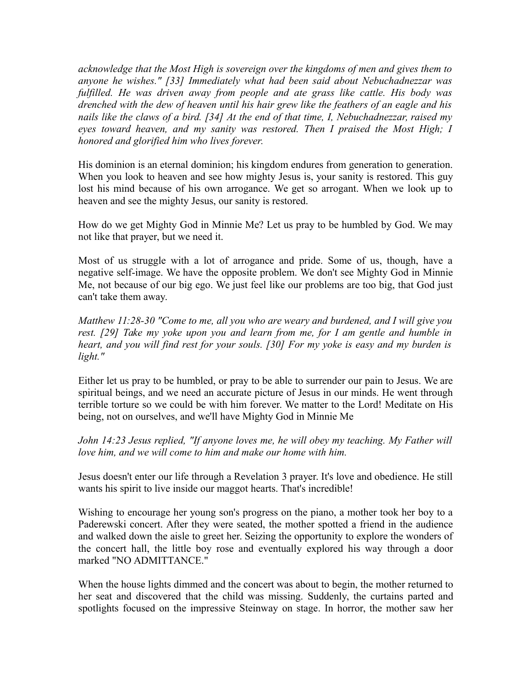*acknowledge that the Most High is sovereign over the kingdoms of men and gives them to anyone he wishes." [33] Immediately what had been said about Nebuchadnezzar was fulfilled. He was driven away from people and ate grass like cattle. His body was drenched with the dew of heaven until his hair grew like the feathers of an eagle and his nails like the claws of a bird. [34] At the end of that time, I, Nebuchadnezzar, raised my eyes toward heaven, and my sanity was restored. Then I praised the Most High; I honored and glorified him who lives forever.* 

His dominion is an eternal dominion; his kingdom endures from generation to generation. When you look to heaven and see how mighty Jesus is, your sanity is restored. This guy lost his mind because of his own arrogance. We get so arrogant. When we look up to heaven and see the mighty Jesus, our sanity is restored.

How do we get Mighty God in Minnie Me? Let us pray to be humbled by God. We may not like that prayer, but we need it.

Most of us struggle with a lot of arrogance and pride. Some of us, though, have a negative self-image. We have the opposite problem. We don't see Mighty God in Minnie Me, not because of our big ego. We just feel like our problems are too big, that God just can't take them away.

*Matthew 11:28-30 "Come to me, all you who are weary and burdened, and I will give you rest. [29] Take my yoke upon you and learn from me, for I am gentle and humble in heart, and you will find rest for your souls. [30] For my yoke is easy and my burden is light."*

Either let us pray to be humbled, or pray to be able to surrender our pain to Jesus. We are spiritual beings, and we need an accurate picture of Jesus in our minds. He went through terrible torture so we could be with him forever. We matter to the Lord! Meditate on His being, not on ourselves, and we'll have Mighty God in Minnie Me

*John 14:23 Jesus replied, "If anyone loves me, he will obey my teaching. My Father will love him, and we will come to him and make our home with him.*

Jesus doesn't enter our life through a Revelation 3 prayer. It's love and obedience. He still wants his spirit to live inside our maggot hearts. That's incredible!

Wishing to encourage her young son's progress on the piano, a mother took her boy to a Paderewski concert. After they were seated, the mother spotted a friend in the audience and walked down the aisle to greet her. Seizing the opportunity to explore the wonders of the concert hall, the little boy rose and eventually explored his way through a door marked "NO ADMITTANCE."

When the house lights dimmed and the concert was about to begin, the mother returned to her seat and discovered that the child was missing. Suddenly, the curtains parted and spotlights focused on the impressive Steinway on stage. In horror, the mother saw her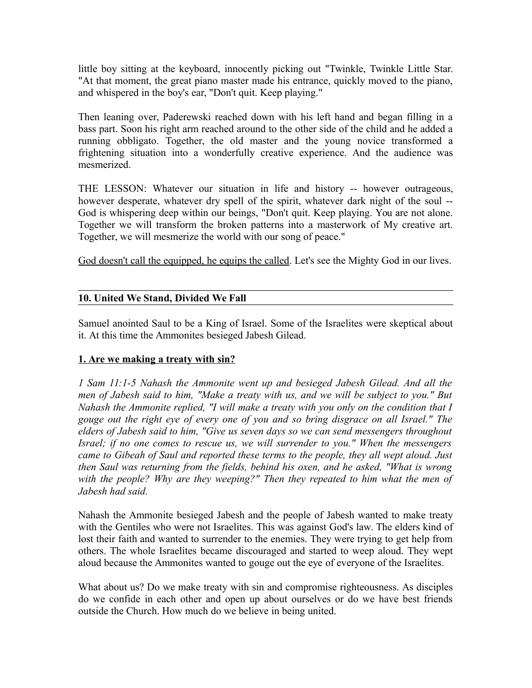little boy sitting at the keyboard, innocently picking out "Twinkle, Twinkle Little Star. "At that moment, the great piano master made his entrance, quickly moved to the piano, and whispered in the boy's ear, "Don't quit. Keep playing."

Then leaning over, Paderewski reached down with his left hand and began filling in a bass part. Soon his right arm reached around to the other side of the child and he added a running obbligato. Together, the old master and the young novice transformed a frightening situation into a wonderfully creative experience. And the audience was mesmerized.

THE LESSON: Whatever our situation in life and history -- however outrageous, however desperate, whatever dry spell of the spirit, whatever dark night of the soul -- God is whispering deep within our beings, "Don't quit. Keep playing. You are not alone. Together we will transform the broken patterns into a masterwork of My creative art. Together, we will mesmerize the world with our song of peace."

God doesn't call the equipped, he equips the called. Let's see the Mighty God in our lives.

# **10. United We Stand, Divided We Fall**

Samuel anointed Saul to be a King of Israel. Some of the Israelites were skeptical about it. At this time the Ammonites besieged Jabesh Gilead.

# **1. Are we making a treaty with sin?**

*1 Sam 11:1-5 Nahash the Ammonite went up and besieged Jabesh Gilead. And all the men of Jabesh said to him, "Make a treaty with us, and we will be subject to you." But Nahash the Ammonite replied, "I will make a treaty with you only on the condition that I gouge out the right eye of every one of you and so bring disgrace on all Israel." The elders of Jabesh said to him, "Give us seven days so we can send messengers throughout Israel; if no one comes to rescue us, we will surrender to you." When the messengers came to Gibeah of Saul and reported these terms to the people, they all wept aloud. Just then Saul was returning from the fields, behind his oxen, and he asked, "What is wrong with the people? Why are they weeping?" Then they repeated to him what the men of Jabesh had said.*

Nahash the Ammonite besieged Jabesh and the people of Jabesh wanted to make treaty with the Gentiles who were not Israelites. This was against God's law. The elders kind of lost their faith and wanted to surrender to the enemies. They were trying to get help from others. The whole Israelites became discouraged and started to weep aloud. They wept aloud because the Ammonites wanted to gouge out the eye of everyone of the Israelites.

What about us? Do we make treaty with sin and compromise righteousness. As disciples do we confide in each other and open up about ourselves or do we have best friends outside the Church. How much do we believe in being united.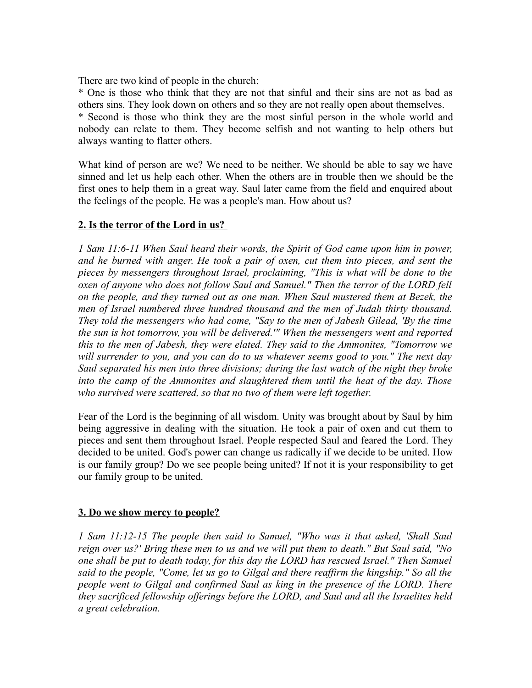There are two kind of people in the church:

\* One is those who think that they are not that sinful and their sins are not as bad as others sins. They look down on others and so they are not really open about themselves. \* Second is those who think they are the most sinful person in the whole world and nobody can relate to them. They become selfish and not wanting to help others but always wanting to flatter others.

What kind of person are we? We need to be neither. We should be able to say we have sinned and let us help each other. When the others are in trouble then we should be the first ones to help them in a great way. Saul later came from the field and enquired about the feelings of the people. He was a people's man. How about us?

#### **2. Is the terror of the Lord in us?**

*1 Sam 11:6-11 When Saul heard their words, the Spirit of God came upon him in power, and he burned with anger. He took a pair of oxen, cut them into pieces, and sent the pieces by messengers throughout Israel, proclaiming, "This is what will be done to the oxen of anyone who does not follow Saul and Samuel." Then the terror of the LORD fell on the people, and they turned out as one man. When Saul mustered them at Bezek, the men of Israel numbered three hundred thousand and the men of Judah thirty thousand. They told the messengers who had come, "Say to the men of Jabesh Gilead, 'By the time the sun is hot tomorrow, you will be delivered.'" When the messengers went and reported this to the men of Jabesh, they were elated. They said to the Ammonites, "Tomorrow we will surrender to you, and you can do to us whatever seems good to you." The next day Saul separated his men into three divisions; during the last watch of the night they broke into the camp of the Ammonites and slaughtered them until the heat of the day. Those who survived were scattered, so that no two of them were left together.* 

Fear of the Lord is the beginning of all wisdom. Unity was brought about by Saul by him being aggressive in dealing with the situation. He took a pair of oxen and cut them to pieces and sent them throughout Israel. People respected Saul and feared the Lord. They decided to be united. God's power can change us radically if we decide to be united. How is our family group? Do we see people being united? If not it is your responsibility to get our family group to be united.

#### **3. Do we show mercy to people?**

*1 Sam 11:12-15 The people then said to Samuel, "Who was it that asked, 'Shall Saul reign over us?' Bring these men to us and we will put them to death." But Saul said, "No one shall be put to death today, for this day the LORD has rescued Israel." Then Samuel said to the people, "Come, let us go to Gilgal and there reaffirm the kingship." So all the people went to Gilgal and confirmed Saul as king in the presence of the LORD. There they sacrificed fellowship offerings before the LORD, and Saul and all the Israelites held a great celebration.*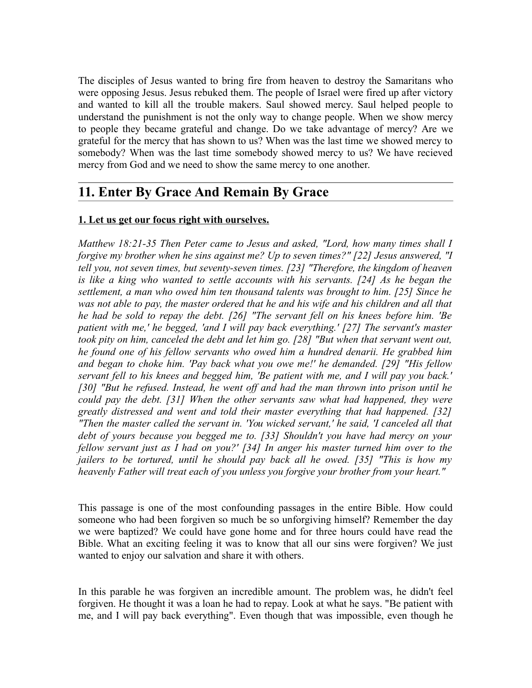The disciples of Jesus wanted to bring fire from heaven to destroy the Samaritans who were opposing Jesus. Jesus rebuked them. The people of Israel were fired up after victory and wanted to kill all the trouble makers. Saul showed mercy. Saul helped people to understand the punishment is not the only way to change people. When we show mercy to people they became grateful and change. Do we take advantage of mercy? Are we grateful for the mercy that has shown to us? When was the last time we showed mercy to somebody? When was the last time somebody showed mercy to us? We have recieved mercy from God and we need to show the same mercy to one another.

# **11. Enter By Grace And Remain By Grace**

# **1. Let us get our focus right with ourselves.**

*Matthew 18:21-35 Then Peter came to Jesus and asked, "Lord, how many times shall I forgive my brother when he sins against me? Up to seven times?" [22] Jesus answered, "I tell you, not seven times, but seventy-seven times. [23] "Therefore, the kingdom of heaven is like a king who wanted to settle accounts with his servants. [24] As he began the settlement, a man who owed him ten thousand talents was brought to him. [25] Since he was not able to pay, the master ordered that he and his wife and his children and all that he had be sold to repay the debt. [26] "The servant fell on his knees before him. 'Be patient with me,' he begged, 'and I will pay back everything.' [27] The servant's master took pity on him, canceled the debt and let him go. [28] "But when that servant went out, he found one of his fellow servants who owed him a hundred denarii. He grabbed him and began to choke him. 'Pay back what you owe me!' he demanded. [29] "His fellow servant fell to his knees and begged him, 'Be patient with me, and I will pay you back.' [30] "But he refused. Instead, he went off and had the man thrown into prison until he could pay the debt. [31] When the other servants saw what had happened, they were greatly distressed and went and told their master everything that had happened. [32] "Then the master called the servant in. 'You wicked servant,' he said, 'I canceled all that debt of yours because you begged me to. [33] Shouldn't you have had mercy on your fellow servant just as I had on you?' [34] In anger his master turned him over to the jailers to be tortured, until he should pay back all he owed. [35] "This is how my heavenly Father will treat each of you unless you forgive your brother from your heart."*

This passage is one of the most confounding passages in the entire Bible. How could someone who had been forgiven so much be so unforgiving himself? Remember the day we were baptized? We could have gone home and for three hours could have read the Bible. What an exciting feeling it was to know that all our sins were forgiven? We just wanted to enjoy our salvation and share it with others.

In this parable he was forgiven an incredible amount. The problem was, he didn't feel forgiven. He thought it was a loan he had to repay. Look at what he says. "Be patient with me, and I will pay back everything". Even though that was impossible, even though he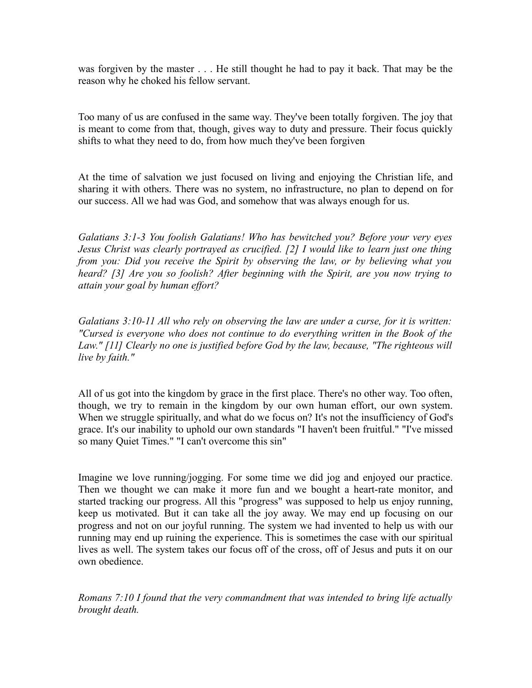was forgiven by the master . . . He still thought he had to pay it back. That may be the reason why he choked his fellow servant.

Too many of us are confused in the same way. They've been totally forgiven. The joy that is meant to come from that, though, gives way to duty and pressure. Their focus quickly shifts to what they need to do, from how much they've been forgiven

At the time of salvation we just focused on living and enjoying the Christian life, and sharing it with others. There was no system, no infrastructure, no plan to depend on for our success. All we had was God, and somehow that was always enough for us.

*Galatians 3:1-3 You foolish Galatians! Who has bewitched you? Before your very eyes Jesus Christ was clearly portrayed as crucified. [2] I would like to learn just one thing from you: Did you receive the Spirit by observing the law, or by believing what you heard? [3] Are you so foolish? After beginning with the Spirit, are you now trying to attain your goal by human effort?* 

*Galatians 3:10-11 All who rely on observing the law are under a curse, for it is written: "Cursed is everyone who does not continue to do everything written in the Book of the Law." [11] Clearly no one is justified before God by the law, because, "The righteous will live by faith."* 

All of us got into the kingdom by grace in the first place. There's no other way. Too often, though, we try to remain in the kingdom by our own human effort, our own system. When we struggle spiritually, and what do we focus on? It's not the insufficiency of God's grace. It's our inability to uphold our own standards "I haven't been fruitful." "I've missed so many Quiet Times." "I can't overcome this sin"

Imagine we love running/jogging. For some time we did jog and enjoyed our practice. Then we thought we can make it more fun and we bought a heart-rate monitor, and started tracking our progress. All this "progress" was supposed to help us enjoy running, keep us motivated. But it can take all the joy away. We may end up focusing on our progress and not on our joyful running. The system we had invented to help us with our running may end up ruining the experience. This is sometimes the case with our spiritual lives as well. The system takes our focus off of the cross, off of Jesus and puts it on our own obedience.

*Romans 7:10 I found that the very commandment that was intended to bring life actually brought death.*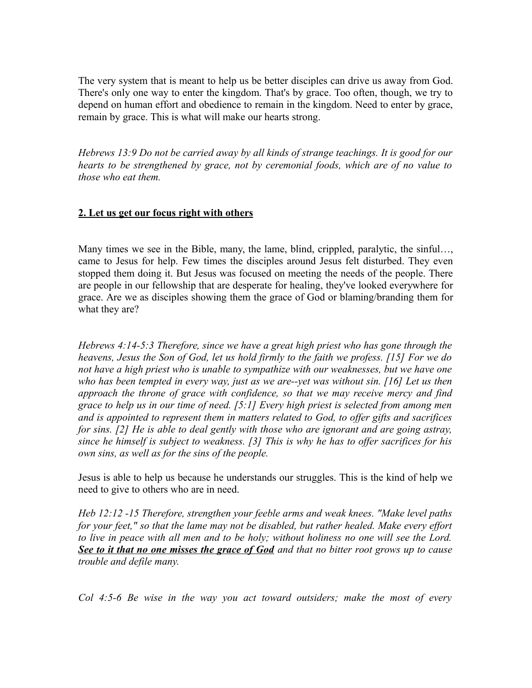The very system that is meant to help us be better disciples can drive us away from God. There's only one way to enter the kingdom. That's by grace. Too often, though, we try to depend on human effort and obedience to remain in the kingdom. Need to enter by grace, remain by grace. This is what will make our hearts strong.

*Hebrews 13:9 Do not be carried away by all kinds of strange teachings. It is good for our hearts to be strengthened by grace, not by ceremonial foods, which are of no value to those who eat them.*

# **2. Let us get our focus right with others**

Many times we see in the Bible, many, the lame, blind, crippled, paralytic, the sinful…, came to Jesus for help. Few times the disciples around Jesus felt disturbed. They even stopped them doing it. But Jesus was focused on meeting the needs of the people. There are people in our fellowship that are desperate for healing, they've looked everywhere for grace. Are we as disciples showing them the grace of God or blaming/branding them for what they are?

*Hebrews 4:14-5:3 Therefore, since we have a great high priest who has gone through the heavens, Jesus the Son of God, let us hold firmly to the faith we profess. [15] For we do not have a high priest who is unable to sympathize with our weaknesses, but we have one who has been tempted in every way, just as we are--yet was without sin. [16] Let us then approach the throne of grace with confidence, so that we may receive mercy and find grace to help us in our time of need. [5:1] Every high priest is selected from among men and is appointed to represent them in matters related to God, to offer gifts and sacrifices for sins. [2] He is able to deal gently with those who are ignorant and are going astray, since he himself is subject to weakness. [3] This is why he has to offer sacrifices for his own sins, as well as for the sins of the people.*

Jesus is able to help us because he understands our struggles. This is the kind of help we need to give to others who are in need.

*Heb 12:12 -15 Therefore, strengthen your feeble arms and weak knees. "Make level paths for your feet," so that the lame may not be disabled, but rather healed. Make every effort to live in peace with all men and to be holy; without holiness no one will see the Lord. See to it that no one misses the grace of God and that no bitter root grows up to cause trouble and defile many.*

*Col 4:5-6 Be wise in the way you act toward outsiders; make the most of every*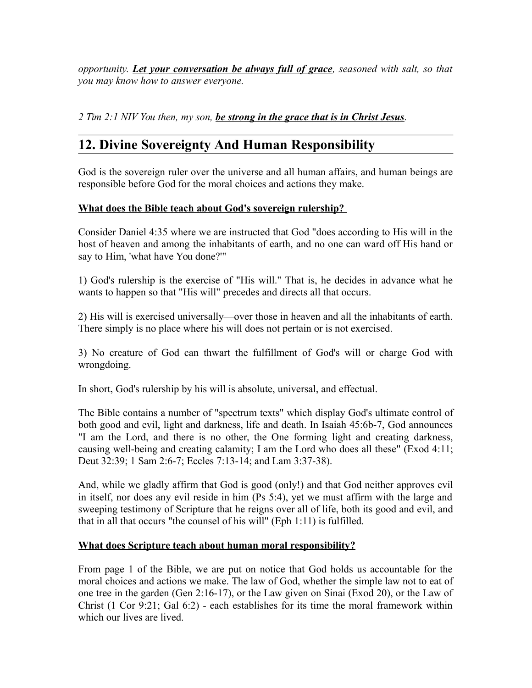*opportunity. Let your conversation be always full of grace, seasoned with salt, so that you may know how to answer everyone.*

*2 Tim 2:1 NIV You then, my son, be strong in the grace that is in Christ Jesus.*

# **12. Divine Sovereignty And Human Responsibility**

God is the sovereign ruler over the universe and all human affairs, and human beings are responsible before God for the moral choices and actions they make.

# **What does the Bible teach about God's sovereign rulership?**

Consider Daniel 4:35 where we are instructed that God "does according to His will in the host of heaven and among the inhabitants of earth, and no one can ward off His hand or say to Him, 'what have You done?'"

1) God's rulership is the exercise of "His will." That is, he decides in advance what he wants to happen so that "His will" precedes and directs all that occurs.

2) His will is exercised universally—over those in heaven and all the inhabitants of earth. There simply is no place where his will does not pertain or is not exercised.

3) No creature of God can thwart the fulfillment of God's will or charge God with wrongdoing.

In short, God's rulership by his will is absolute, universal, and effectual.

The Bible contains a number of "spectrum texts" which display God's ultimate control of both good and evil, light and darkness, life and death. In Isaiah 45:6b-7, God announces "I am the Lord, and there is no other, the One forming light and creating darkness, causing well-being and creating calamity; I am the Lord who does all these" (Exod 4:11; Deut 32:39; 1 Sam 2:6-7; Eccles 7:13-14; and Lam 3:37-38).

And, while we gladly affirm that God is good (only!) and that God neither approves evil in itself, nor does any evil reside in him (Ps 5:4), yet we must affirm with the large and sweeping testimony of Scripture that he reigns over all of life, both its good and evil, and that in all that occurs "the counsel of his will" (Eph 1:11) is fulfilled.

# **What does Scripture teach about human moral responsibility?**

From page 1 of the Bible, we are put on notice that God holds us accountable for the moral choices and actions we make. The law of God, whether the simple law not to eat of one tree in the garden (Gen 2:16-17), or the Law given on Sinai (Exod 20), or the Law of Christ (1 Cor 9:21; Gal 6:2) - each establishes for its time the moral framework within which our lives are lived.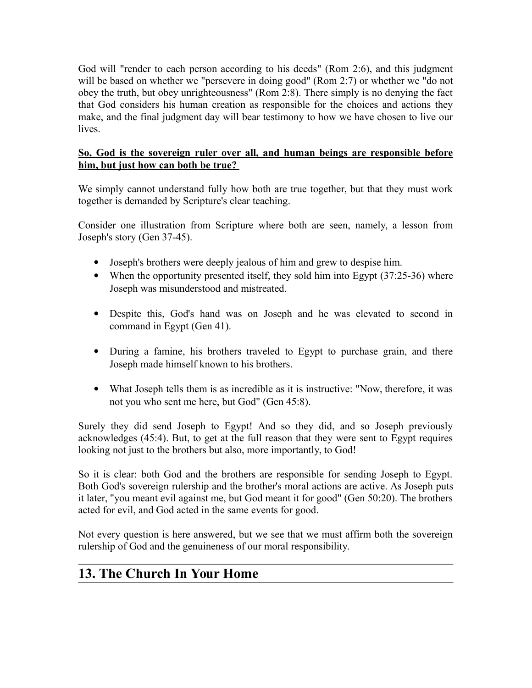God will "render to each person according to his deeds" (Rom 2:6), and this judgment will be based on whether we "persevere in doing good" (Rom 2:7) or whether we "do not obey the truth, but obey unrighteousness" (Rom 2:8). There simply is no denying the fact that God considers his human creation as responsible for the choices and actions they make, and the final judgment day will bear testimony to how we have chosen to live our **lives** 

### **So, God is the sovereign ruler over all, and human beings are responsible before him, but just how can both be true?**

We simply cannot understand fully how both are true together, but that they must work together is demanded by Scripture's clear teaching.

Consider one illustration from Scripture where both are seen, namely, a lesson from Joseph's story (Gen 37-45).

- Joseph's brothers were deeply jealous of him and grew to despise him.
- When the opportunity presented itself, they sold him into Egypt (37:25-36) where Joseph was misunderstood and mistreated.
- Despite this, God's hand was on Joseph and he was elevated to second in command in Egypt (Gen 41).
- During a famine, his brothers traveled to Egypt to purchase grain, and there Joseph made himself known to his brothers.
- What Joseph tells them is as incredible as it is instructive: "Now, therefore, it was not you who sent me here, but God" (Gen 45:8).

Surely they did send Joseph to Egypt! And so they did, and so Joseph previously acknowledges (45:4). But, to get at the full reason that they were sent to Egypt requires looking not just to the brothers but also, more importantly, to God!

So it is clear: both God and the brothers are responsible for sending Joseph to Egypt. Both God's sovereign rulership and the brother's moral actions are active. As Joseph puts it later, "you meant evil against me, but God meant it for good" (Gen 50:20). The brothers acted for evil, and God acted in the same events for good.

Not every question is here answered, but we see that we must affirm both the sovereign rulership of God and the genuineness of our moral responsibility.

# **13. The Church In Your Home**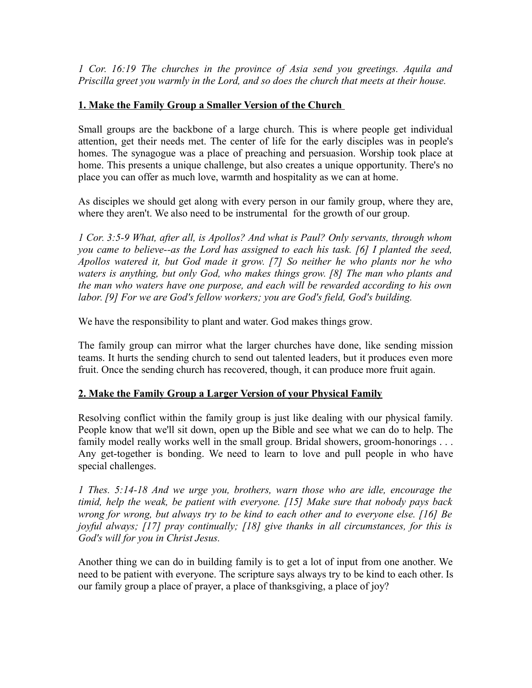*1 Cor. 16:19 The churches in the province of Asia send you greetings. Aquila and Priscilla greet you warmly in the Lord, and so does the church that meets at their house.*

# **1. Make the Family Group a Smaller Version of the Church**

Small groups are the backbone of a large church. This is where people get individual attention, get their needs met. The center of life for the early disciples was in people's homes. The synagogue was a place of preaching and persuasion. Worship took place at home. This presents a unique challenge, but also creates a unique opportunity. There's no place you can offer as much love, warmth and hospitality as we can at home.

As disciples we should get along with every person in our family group, where they are, where they aren't. We also need to be instrumental for the growth of our group.

*1 Cor. 3:5-9 What, after all, is Apollos? And what is Paul? Only servants, through whom you came to believe--as the Lord has assigned to each his task. [6] I planted the seed, Apollos watered it, but God made it grow. [7] So neither he who plants nor he who waters is anything, but only God, who makes things grow. [8] The man who plants and the man who waters have one purpose, and each will be rewarded according to his own labor. [9] For we are God's fellow workers; you are God's field, God's building.*

We have the responsibility to plant and water. God makes things grow.

The family group can mirror what the larger churches have done, like sending mission teams. It hurts the sending church to send out talented leaders, but it produces even more fruit. Once the sending church has recovered, though, it can produce more fruit again.

# **2. Make the Family Group a Larger Version of your Physical Family**

Resolving conflict within the family group is just like dealing with our physical family. People know that we'll sit down, open up the Bible and see what we can do to help. The family model really works well in the small group. Bridal showers, groom-honorings . . . Any get-together is bonding. We need to learn to love and pull people in who have special challenges.

*1 Thes. 5:14-18 And we urge you, brothers, warn those who are idle, encourage the timid, help the weak, be patient with everyone. [15] Make sure that nobody pays back wrong for wrong, but always try to be kind to each other and to everyone else. [16] Be joyful always; [17] pray continually; [18] give thanks in all circumstances, for this is God's will for you in Christ Jesus.*

Another thing we can do in building family is to get a lot of input from one another. We need to be patient with everyone. The scripture says always try to be kind to each other. Is our family group a place of prayer, a place of thanksgiving, a place of joy?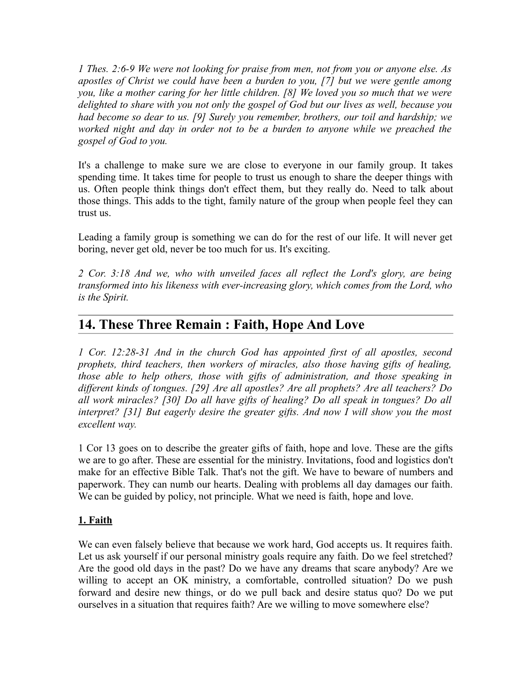*1 Thes. 2:6-9 We were not looking for praise from men, not from you or anyone else. As apostles of Christ we could have been a burden to you, [7] but we were gentle among you, like a mother caring for her little children. [8] We loved you so much that we were delighted to share with you not only the gospel of God but our lives as well, because you had become so dear to us. [9] Surely you remember, brothers, our toil and hardship; we worked night and day in order not to be a burden to anyone while we preached the gospel of God to you.*

It's a challenge to make sure we are close to everyone in our family group. It takes spending time. It takes time for people to trust us enough to share the deeper things with us. Often people think things don't effect them, but they really do. Need to talk about those things. This adds to the tight, family nature of the group when people feel they can trust us.

Leading a family group is something we can do for the rest of our life. It will never get boring, never get old, never be too much for us. It's exciting.

*2 Cor. 3:18 And we, who with unveiled faces all reflect the Lord's glory, are being transformed into his likeness with ever-increasing glory, which comes from the Lord, who is the Spirit.*

# **14. These Three Remain : Faith, Hope And Love**

*1 Cor. 12:28-31 And in the church God has appointed first of all apostles, second prophets, third teachers, then workers of miracles, also those having gifts of healing, those able to help others, those with gifts of administration, and those speaking in different kinds of tongues. [29] Are all apostles? Are all prophets? Are all teachers? Do all work miracles? [30] Do all have gifts of healing? Do all speak in tongues? Do all interpret? [31] But eagerly desire the greater gifts. And now I will show you the most excellent way.*

1 Cor 13 goes on to describe the greater gifts of faith, hope and love. These are the gifts we are to go after. These are essential for the ministry. Invitations, food and logistics don't make for an effective Bible Talk. That's not the gift. We have to beware of numbers and paperwork. They can numb our hearts. Dealing with problems all day damages our faith. We can be guided by policy, not principle. What we need is faith, hope and love.

# **1. Faith**

We can even falsely believe that because we work hard, God accepts us. It requires faith. Let us ask yourself if our personal ministry goals require any faith. Do we feel stretched? Are the good old days in the past? Do we have any dreams that scare anybody? Are we willing to accept an OK ministry, a comfortable, controlled situation? Do we push forward and desire new things, or do we pull back and desire status quo? Do we put ourselves in a situation that requires faith? Are we willing to move somewhere else?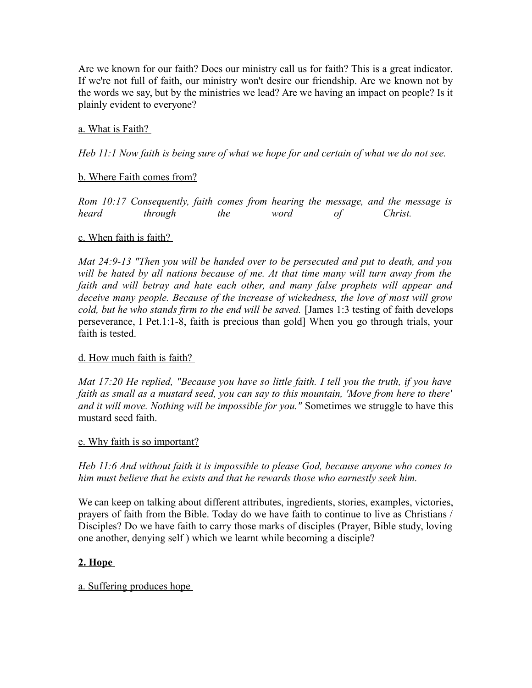Are we known for our faith? Does our ministry call us for faith? This is a great indicator. If we're not full of faith, our ministry won't desire our friendship. Are we known not by the words we say, but by the ministries we lead? Are we having an impact on people? Is it plainly evident to everyone?

### a. What is Faith?

*Heb 11:1 Now faith is being sure of what we hope for and certain of what we do not see.*

#### b. Where Faith comes from?

*Rom 10:17 Consequently, faith comes from hearing the message, and the message is heard through the word of Christ.*

#### c. When faith is faith?

*Mat 24:9-13 "Then you will be handed over to be persecuted and put to death, and you will be hated by all nations because of me. At that time many will turn away from the faith and will betray and hate each other, and many false prophets will appear and deceive many people. Because of the increase of wickedness, the love of most will grow cold, but he who stands firm to the end will be saved.* [James 1:3 testing of faith develops perseverance, I Pet.1:1-8, faith is precious than gold] When you go through trials, your faith is tested.

#### d. How much faith is faith?

*Mat 17:20 He replied, "Because you have so little faith. I tell you the truth, if you have faith as small as a mustard seed, you can say to this mountain, 'Move from here to there' and it will move. Nothing will be impossible for you."* Sometimes we struggle to have this mustard seed faith.

#### e. Why faith is so important?

*Heb 11:6 And without faith it is impossible to please God, because anyone who comes to him must believe that he exists and that he rewards those who earnestly seek him.*

We can keep on talking about different attributes, ingredients, stories, examples, victories, prayers of faith from the Bible. Today do we have faith to continue to live as Christians / Disciples? Do we have faith to carry those marks of disciples (Prayer, Bible study, loving one another, denying self ) which we learnt while becoming a disciple?

#### **2. Hope**

a. Suffering produces hope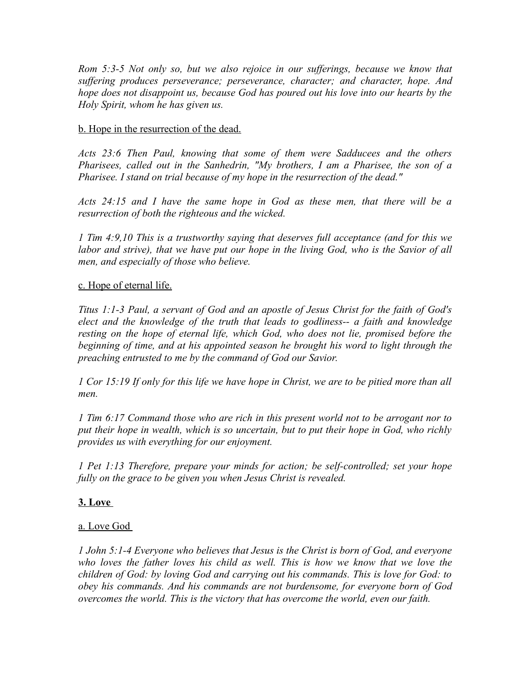*Rom 5:3-5 Not only so, but we also rejoice in our sufferings, because we know that suffering produces perseverance; perseverance, character; and character, hope. And hope does not disappoint us, because God has poured out his love into our hearts by the Holy Spirit, whom he has given us.*

### b. Hope in the resurrection of the dead.

*Acts 23:6 Then Paul, knowing that some of them were Sadducees and the others Pharisees, called out in the Sanhedrin, "My brothers, I am a Pharisee, the son of a Pharisee. I stand on trial because of my hope in the resurrection of the dead."*

*Acts 24:15 and I have the same hope in God as these men, that there will be a resurrection of both the righteous and the wicked.*

*1 Tim 4:9,10 This is a trustworthy saying that deserves full acceptance (and for this we labor and strive), that we have put our hope in the living God, who is the Savior of all men, and especially of those who believe.*

#### c. Hope of eternal life.

*Titus 1:1-3 Paul, a servant of God and an apostle of Jesus Christ for the faith of God's elect and the knowledge of the truth that leads to godliness-- a faith and knowledge resting on the hope of eternal life, which God, who does not lie, promised before the beginning of time, and at his appointed season he brought his word to light through the preaching entrusted to me by the command of God our Savior.*

*1 Cor 15:19 If only for this life we have hope in Christ, we are to be pitied more than all men.*

*1 Tim 6:17 Command those who are rich in this present world not to be arrogant nor to put their hope in wealth, which is so uncertain, but to put their hope in God, who richly provides us with everything for our enjoyment.*

*1 Pet 1:13 Therefore, prepare your minds for action; be self-controlled; set your hope fully on the grace to be given you when Jesus Christ is revealed.*

# **3. Love**

#### a. Love God

*1 John 5:1-4 Everyone who believes that Jesus is the Christ is born of God, and everyone who loves the father loves his child as well. This is how we know that we love the children of God: by loving God and carrying out his commands. This is love for God: to obey his commands. And his commands are not burdensome, for everyone born of God overcomes the world. This is the victory that has overcome the world, even our faith.*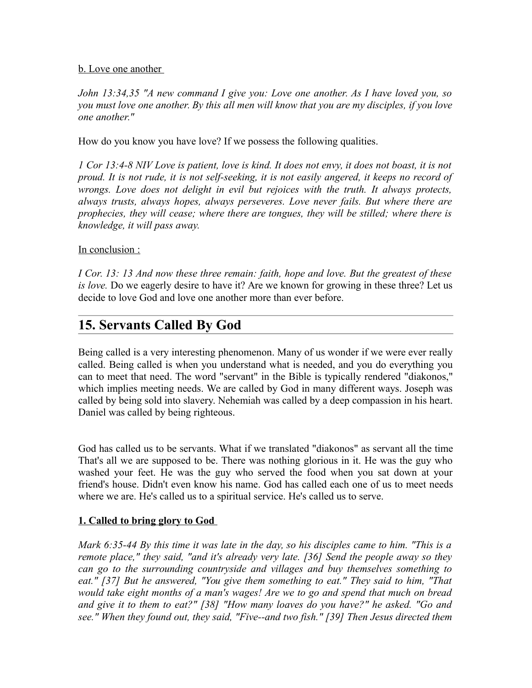#### b. Love one another

*John 13:34,35 "A new command I give you: Love one another. As I have loved you, so you must love one another. By this all men will know that you are my disciples, if you love one another."* 

How do you know you have love? If we possess the following qualities.

*1 Cor 13:4-8 NIV Love is patient, love is kind. It does not envy, it does not boast, it is not proud. It is not rude, it is not self-seeking, it is not easily angered, it keeps no record of wrongs. Love does not delight in evil but rejoices with the truth. It always protects, always trusts, always hopes, always perseveres. Love never fails. But where there are prophecies, they will cease; where there are tongues, they will be stilled; where there is knowledge, it will pass away.*

# In conclusion :

*I Cor. 13: 13 And now these three remain: faith, hope and love. But the greatest of these is love.* Do we eagerly desire to have it? Are we known for growing in these three? Let us decide to love God and love one another more than ever before.

# **15. Servants Called By God**

Being called is a very interesting phenomenon. Many of us wonder if we were ever really called. Being called is when you understand what is needed, and you do everything you can to meet that need. The word "servant" in the Bible is typically rendered "diakonos," which implies meeting needs. We are called by God in many different ways. Joseph was called by being sold into slavery. Nehemiah was called by a deep compassion in his heart. Daniel was called by being righteous.

God has called us to be servants. What if we translated "diakonos" as servant all the time That's all we are supposed to be. There was nothing glorious in it. He was the guy who washed your feet. He was the guy who served the food when you sat down at your friend's house. Didn't even know his name. God has called each one of us to meet needs where we are. He's called us to a spiritual service. He's called us to serve.

# **1. Called to bring glory to God**

*Mark 6:35-44 By this time it was late in the day, so his disciples came to him. "This is a remote place," they said, "and it's already very late. [36] Send the people away so they can go to the surrounding countryside and villages and buy themselves something to eat." [37] But he answered, "You give them something to eat." They said to him, "That would take eight months of a man's wages! Are we to go and spend that much on bread and give it to them to eat?" [38] "How many loaves do you have?" he asked. "Go and see." When they found out, they said, "Five--and two fish." [39] Then Jesus directed them*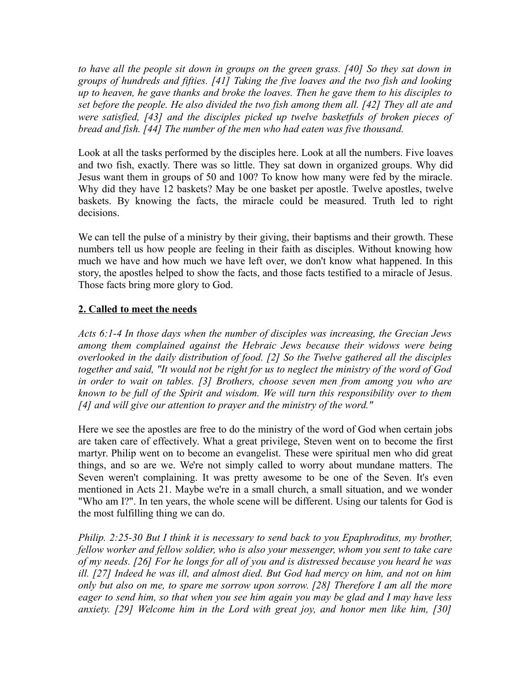*to have all the people sit down in groups on the green grass. [40] So they sat down in groups of hundreds and fifties. [41] Taking the five loaves and the two fish and looking up to heaven, he gave thanks and broke the loaves. Then he gave them to his disciples to set before the people. He also divided the two fish among them all. [42] They all ate and were satisfied, [43] and the disciples picked up twelve basketfuls of broken pieces of bread and fish. [44] The number of the men who had eaten was five thousand.*

Look at all the tasks performed by the disciples here. Look at all the numbers. Five loaves and two fish, exactly. There was so little. They sat down in organized groups. Why did Jesus want them in groups of 50 and 100? To know how many were fed by the miracle. Why did they have 12 baskets? May be one basket per apostle. Twelve apostles, twelve baskets. By knowing the facts, the miracle could be measured. Truth led to right decisions.

We can tell the pulse of a ministry by their giving, their baptisms and their growth. These numbers tell us how people are feeling in their faith as disciples. Without knowing how much we have and how much we have left over, we don't know what happened. In this story, the apostles helped to show the facts, and those facts testified to a miracle of Jesus. Those facts bring more glory to God.

#### **2. Called to meet the needs**

*Acts 6:1-4 In those days when the number of disciples was increasing, the Grecian Jews among them complained against the Hebraic Jews because their widows were being overlooked in the daily distribution of food. [2] So the Twelve gathered all the disciples together and said, "It would not be right for us to neglect the ministry of the word of God in order to wait on tables. [3] Brothers, choose seven men from among you who are known to be full of the Spirit and wisdom. We will turn this responsibility over to them [4] and will give our attention to prayer and the ministry of the word."*

Here we see the apostles are free to do the ministry of the word of God when certain jobs are taken care of effectively. What a great privilege, Steven went on to become the first martyr. Philip went on to become an evangelist. These were spiritual men who did great things, and so are we. We're not simply called to worry about mundane matters. The Seven weren't complaining. It was pretty awesome to be one of the Seven. It's even mentioned in Acts 21. Maybe we're in a small church, a small situation, and we wonder "Who am I?". In ten years, the whole scene will be different. Using our talents for God is the most fulfilling thing we can do.

*Philip. 2:25-30 But I think it is necessary to send back to you Epaphroditus, my brother, fellow worker and fellow soldier, who is also your messenger, whom you sent to take care of my needs. [26] For he longs for all of you and is distressed because you heard he was ill. [27] Indeed he was ill, and almost died. But God had mercy on him, and not on him only but also on me, to spare me sorrow upon sorrow. [28] Therefore I am all the more eager to send him, so that when you see him again you may be glad and I may have less anxiety. [29] Welcome him in the Lord with great joy, and honor men like him, [30]*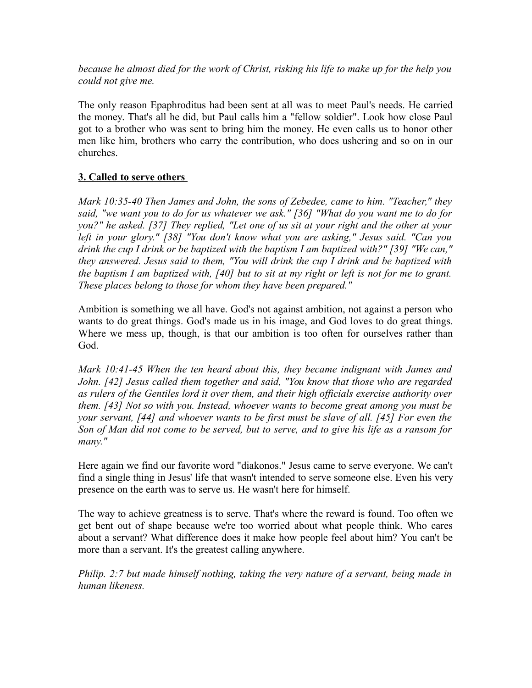*because he almost died for the work of Christ, risking his life to make up for the help you could not give me.*

The only reason Epaphroditus had been sent at all was to meet Paul's needs. He carried the money. That's all he did, but Paul calls him a "fellow soldier". Look how close Paul got to a brother who was sent to bring him the money. He even calls us to honor other men like him, brothers who carry the contribution, who does ushering and so on in our churches.

### **3. Called to serve others**

*Mark 10:35-40 Then James and John, the sons of Zebedee, came to him. "Teacher," they said, "we want you to do for us whatever we ask." [36] "What do you want me to do for you?" he asked. [37] They replied, "Let one of us sit at your right and the other at your left in your glory." [38] "You don't know what you are asking," Jesus said. "Can you drink the cup I drink or be baptized with the baptism I am baptized with?" [39] "We can," they answered. Jesus said to them, "You will drink the cup I drink and be baptized with the baptism I am baptized with, [40] but to sit at my right or left is not for me to grant. These places belong to those for whom they have been prepared."*

Ambition is something we all have. God's not against ambition, not against a person who wants to do great things. God's made us in his image, and God loves to do great things. Where we mess up, though, is that our ambition is too often for ourselves rather than God.

*Mark 10:41-45 When the ten heard about this, they became indignant with James and John. [42] Jesus called them together and said, "You know that those who are regarded as rulers of the Gentiles lord it over them, and their high officials exercise authority over them. [43] Not so with you. Instead, whoever wants to become great among you must be your servant, [44] and whoever wants to be first must be slave of all. [45] For even the Son of Man did not come to be served, but to serve, and to give his life as a ransom for many."*

Here again we find our favorite word "diakonos." Jesus came to serve everyone. We can't find a single thing in Jesus' life that wasn't intended to serve someone else. Even his very presence on the earth was to serve us. He wasn't here for himself.

The way to achieve greatness is to serve. That's where the reward is found. Too often we get bent out of shape because we're too worried about what people think. Who cares about a servant? What difference does it make how people feel about him? You can't be more than a servant. It's the greatest calling anywhere.

*Philip. 2:7 but made himself nothing, taking the very nature of a servant, being made in human likeness.*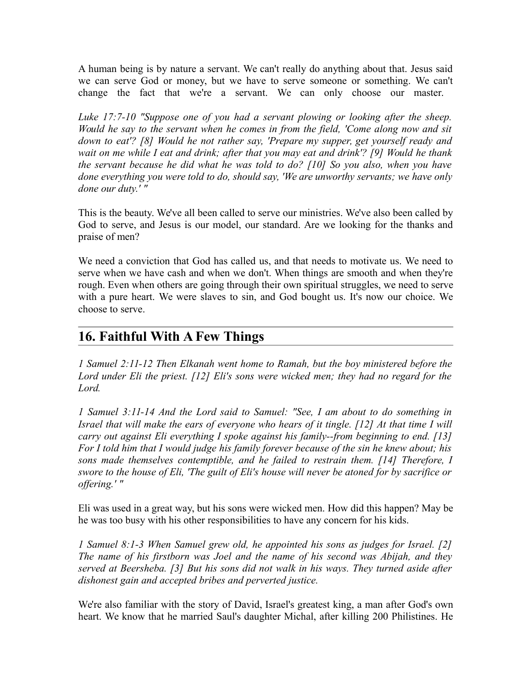A human being is by nature a servant. We can't really do anything about that. Jesus said we can serve God or money, but we have to serve someone or something. We can't change the fact that we're a servant. We can only choose our master.

*Luke 17:7-10 "Suppose one of you had a servant plowing or looking after the sheep. Would he say to the servant when he comes in from the field, 'Come along now and sit down to eat'? [8] Would he not rather say, 'Prepare my supper, get yourself ready and wait on me while I eat and drink; after that you may eat and drink'? [9] Would he thank the servant because he did what he was told to do? [10] So you also, when you have done everything you were told to do, should say, 'We are unworthy servants; we have only done our duty.' "*

This is the beauty. We've all been called to serve our ministries. We've also been called by God to serve, and Jesus is our model, our standard. Are we looking for the thanks and praise of men?

We need a conviction that God has called us, and that needs to motivate us. We need to serve when we have cash and when we don't. When things are smooth and when they're rough. Even when others are going through their own spiritual struggles, we need to serve with a pure heart. We were slaves to sin, and God bought us. It's now our choice. We choose to serve.

## **16. Faithful With A Few Things**

*1 Samuel 2:11-12 Then Elkanah went home to Ramah, but the boy ministered before the Lord under Eli the priest. [12] Eli's sons were wicked men; they had no regard for the Lord.* 

*1 Samuel 3:11-14 And the Lord said to Samuel: "See, I am about to do something in Israel that will make the ears of everyone who hears of it tingle. [12] At that time I will carry out against Eli everything I spoke against his family--from beginning to end. [13] For I told him that I would judge his family forever because of the sin he knew about; his sons made themselves contemptible, and he failed to restrain them. [14] Therefore, I swore to the house of Eli, 'The guilt of Eli's house will never be atoned for by sacrifice or offering.' "* 

Eli was used in a great way, but his sons were wicked men. How did this happen? May be he was too busy with his other responsibilities to have any concern for his kids.

*1 Samuel 8:1-3 When Samuel grew old, he appointed his sons as judges for Israel. [2] The name of his firstborn was Joel and the name of his second was Abijah, and they served at Beersheba. [3] But his sons did not walk in his ways. They turned aside after dishonest gain and accepted bribes and perverted justice.* 

We're also familiar with the story of David, Israel's greatest king, a man after God's own heart. We know that he married Saul's daughter Michal, after killing 200 Philistines. He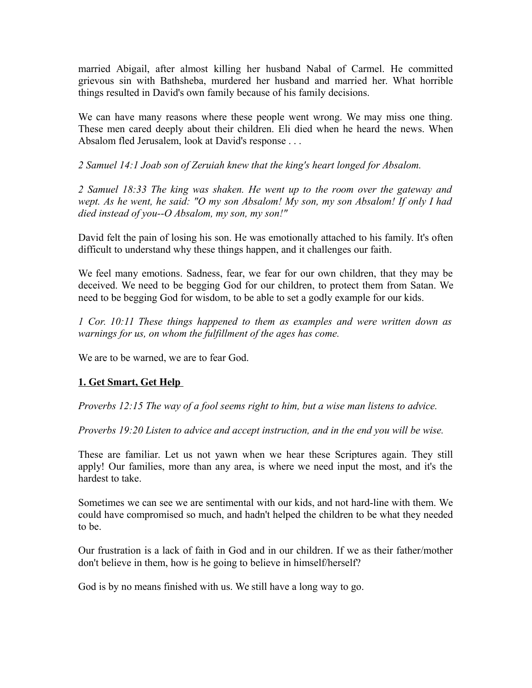married Abigail, after almost killing her husband Nabal of Carmel. He committed grievous sin with Bathsheba, murdered her husband and married her. What horrible things resulted in David's own family because of his family decisions.

We can have many reasons where these people went wrong. We may miss one thing. These men cared deeply about their children. Eli died when he heard the news. When Absalom fled Jerusalem, look at David's response . . .

*2 Samuel 14:1 Joab son of Zeruiah knew that the king's heart longed for Absalom.* 

*2 Samuel 18:33 The king was shaken. He went up to the room over the gateway and wept. As he went, he said: "O my son Absalom! My son, my son Absalom! If only I had died instead of you--O Absalom, my son, my son!"* 

David felt the pain of losing his son. He was emotionally attached to his family. It's often difficult to understand why these things happen, and it challenges our faith.

We feel many emotions. Sadness, fear, we fear for our own children, that they may be deceived. We need to be begging God for our children, to protect them from Satan. We need to be begging God for wisdom, to be able to set a godly example for our kids.

*1 Cor. 10:11 These things happened to them as examples and were written down as warnings for us, on whom the fulfillment of the ages has come.* 

We are to be warned, we are to fear God.

### **1. Get Smart, Get Help**

*Proverbs 12:15 The way of a fool seems right to him, but a wise man listens to advice.* 

*Proverbs 19:20 Listen to advice and accept instruction, and in the end you will be wise.* 

These are familiar. Let us not yawn when we hear these Scriptures again. They still apply! Our families, more than any area, is where we need input the most, and it's the hardest to take.

Sometimes we can see we are sentimental with our kids, and not hard-line with them. We could have compromised so much, and hadn't helped the children to be what they needed to be.

Our frustration is a lack of faith in God and in our children. If we as their father/mother don't believe in them, how is he going to believe in himself/herself?

God is by no means finished with us. We still have a long way to go.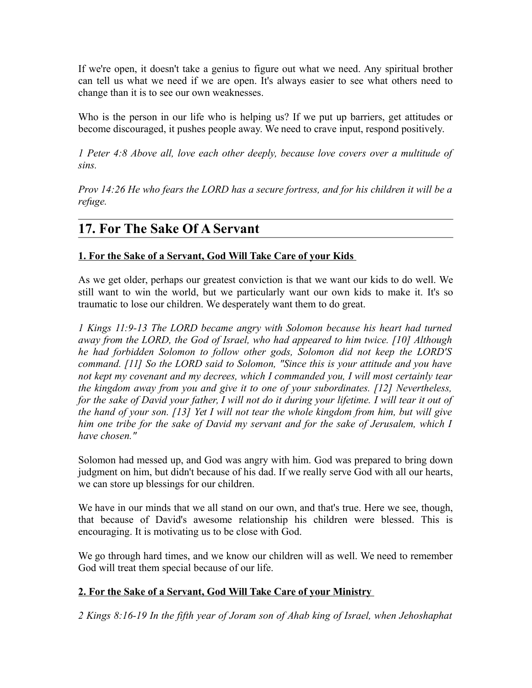If we're open, it doesn't take a genius to figure out what we need. Any spiritual brother can tell us what we need if we are open. It's always easier to see what others need to change than it is to see our own weaknesses.

Who is the person in our life who is helping us? If we put up barriers, get attitudes or become discouraged, it pushes people away. We need to crave input, respond positively.

*1 Peter 4:8 Above all, love each other deeply, because love covers over a multitude of sins.* 

*Prov 14:26 He who fears the LORD has a secure fortress, and for his children it will be a refuge.*

# **17. For The Sake Of A Servant**

## **1. For the Sake of a Servant, God Will Take Care of your Kids**

As we get older, perhaps our greatest conviction is that we want our kids to do well. We still want to win the world, but we particularly want our own kids to make it. It's so traumatic to lose our children. We desperately want them to do great.

*1 Kings 11:9-13 The LORD became angry with Solomon because his heart had turned away from the LORD, the God of Israel, who had appeared to him twice. [10] Although he had forbidden Solomon to follow other gods, Solomon did not keep the LORD'S command. [11] So the LORD said to Solomon, "Since this is your attitude and you have not kept my covenant and my decrees, which I commanded you, I will most certainly tear the kingdom away from you and give it to one of your subordinates. [12] Nevertheless, for the sake of David your father, I will not do it during your lifetime. I will tear it out of the hand of your son. [13] Yet I will not tear the whole kingdom from him, but will give him one tribe for the sake of David my servant and for the sake of Jerusalem, which I have chosen."*

Solomon had messed up, and God was angry with him. God was prepared to bring down judgment on him, but didn't because of his dad. If we really serve God with all our hearts, we can store up blessings for our children.

We have in our minds that we all stand on our own, and that's true. Here we see, though, that because of David's awesome relationship his children were blessed. This is encouraging. It is motivating us to be close with God.

We go through hard times, and we know our children will as well. We need to remember God will treat them special because of our life.

## **2. For the Sake of a Servant, God Will Take Care of your Ministry**

*2 Kings 8:16-19 In the fifth year of Joram son of Ahab king of Israel, when Jehoshaphat*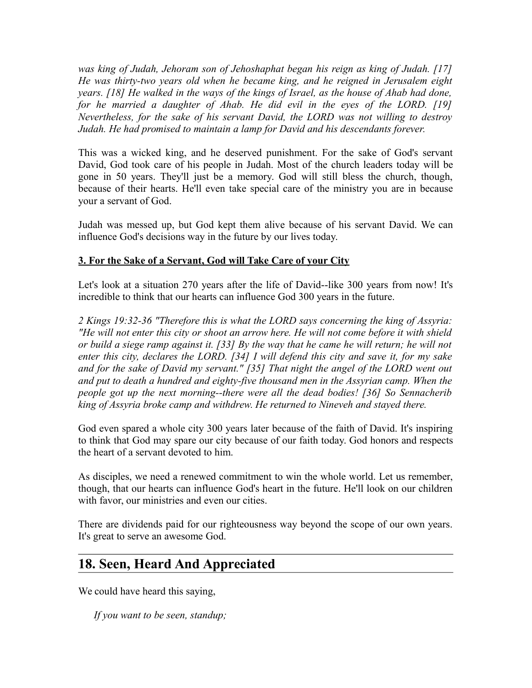*was king of Judah, Jehoram son of Jehoshaphat began his reign as king of Judah. [17] He was thirty-two years old when he became king, and he reigned in Jerusalem eight years. [18] He walked in the ways of the kings of Israel, as the house of Ahab had done, for he married a daughter of Ahab. He did evil in the eyes of the LORD. [19] Nevertheless, for the sake of his servant David, the LORD was not willing to destroy Judah. He had promised to maintain a lamp for David and his descendants forever.*

This was a wicked king, and he deserved punishment. For the sake of God's servant David, God took care of his people in Judah. Most of the church leaders today will be gone in 50 years. They'll just be a memory. God will still bless the church, though, because of their hearts. He'll even take special care of the ministry you are in because your a servant of God.

Judah was messed up, but God kept them alive because of his servant David. We can influence God's decisions way in the future by our lives today.

### **3. For the Sake of a Servant, God will Take Care of your City**

Let's look at a situation 270 years after the life of David--like 300 years from now! It's incredible to think that our hearts can influence God 300 years in the future.

*2 Kings 19:32-36 "Therefore this is what the LORD says concerning the king of Assyria: "He will not enter this city or shoot an arrow here. He will not come before it with shield or build a siege ramp against it. [33] By the way that he came he will return; he will not enter this city, declares the LORD. [34] I will defend this city and save it, for my sake and for the sake of David my servant." [35] That night the angel of the LORD went out and put to death a hundred and eighty-five thousand men in the Assyrian camp. When the people got up the next morning--there were all the dead bodies! [36] So Sennacherib king of Assyria broke camp and withdrew. He returned to Nineveh and stayed there.*

God even spared a whole city 300 years later because of the faith of David. It's inspiring to think that God may spare our city because of our faith today. God honors and respects the heart of a servant devoted to him.

As disciples, we need a renewed commitment to win the whole world. Let us remember, though, that our hearts can influence God's heart in the future. He'll look on our children with favor, our ministries and even our cities.

There are dividends paid for our righteousness way beyond the scope of our own years. It's great to serve an awesome God.

## **18. Seen, Heard And Appreciated**

We could have heard this saying,

*If you want to be seen, standup;*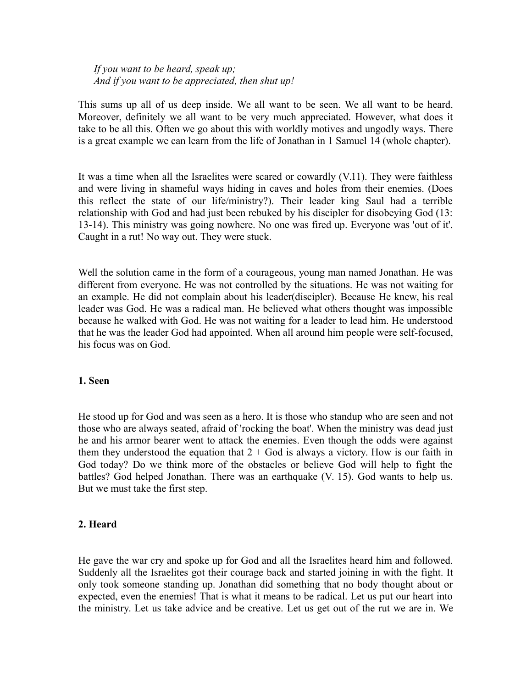#### *If you want to be heard, speak up; And if you want to be appreciated, then shut up!*

This sums up all of us deep inside. We all want to be seen. We all want to be heard. Moreover, definitely we all want to be very much appreciated. However, what does it take to be all this. Often we go about this with worldly motives and ungodly ways. There is a great example we can learn from the life of Jonathan in 1 Samuel 14 (whole chapter).

It was a time when all the Israelites were scared or cowardly (V.11). They were faithless and were living in shameful ways hiding in caves and holes from their enemies. (Does this reflect the state of our life/ministry?). Their leader king Saul had a terrible relationship with God and had just been rebuked by his discipler for disobeying God (13: 13-14). This ministry was going nowhere. No one was fired up. Everyone was 'out of it'. Caught in a rut! No way out. They were stuck.

Well the solution came in the form of a courageous, young man named Jonathan. He was different from everyone. He was not controlled by the situations. He was not waiting for an example. He did not complain about his leader(discipler). Because He knew, his real leader was God. He was a radical man. He believed what others thought was impossible because he walked with God. He was not waiting for a leader to lead him. He understood that he was the leader God had appointed. When all around him people were self-focused, his focus was on God.

#### **1. Seen**

He stood up for God and was seen as a hero. It is those who standup who are seen and not those who are always seated, afraid of 'rocking the boat'. When the ministry was dead just he and his armor bearer went to attack the enemies. Even though the odds were against them they understood the equation that  $2 + God$  is always a victory. How is our faith in God today? Do we think more of the obstacles or believe God will help to fight the battles? God helped Jonathan. There was an earthquake (V. 15). God wants to help us. But we must take the first step.

#### **2. Heard**

He gave the war cry and spoke up for God and all the Israelites heard him and followed. Suddenly all the Israelites got their courage back and started joining in with the fight. It only took someone standing up. Jonathan did something that no body thought about or expected, even the enemies! That is what it means to be radical. Let us put our heart into the ministry. Let us take advice and be creative. Let us get out of the rut we are in. We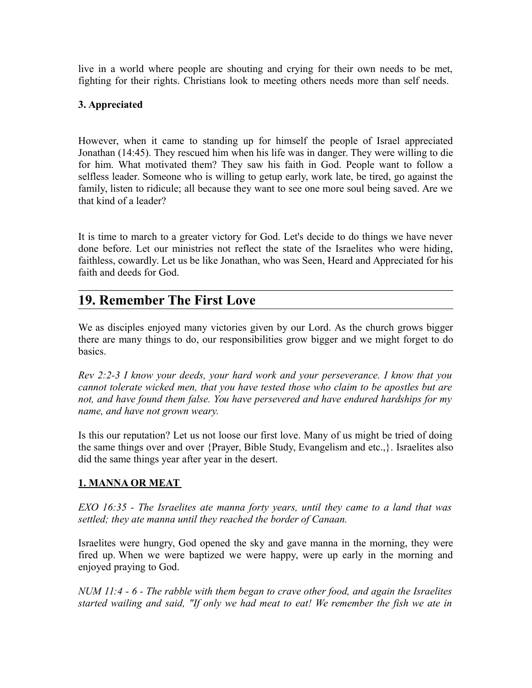live in a world where people are shouting and crying for their own needs to be met, fighting for their rights. Christians look to meeting others needs more than self needs.

### **3. Appreciated**

However, when it came to standing up for himself the people of Israel appreciated Jonathan (14:45). They rescued him when his life was in danger. They were willing to die for him. What motivated them? They saw his faith in God. People want to follow a selfless leader. Someone who is willing to getup early, work late, be tired, go against the family, listen to ridicule; all because they want to see one more soul being saved. Are we that kind of a leader?

It is time to march to a greater victory for God. Let's decide to do things we have never done before. Let our ministries not reflect the state of the Israelites who were hiding, faithless, cowardly. Let us be like Jonathan, who was Seen, Heard and Appreciated for his faith and deeds for God.

# **19. Remember The First Love**

We as disciples enjoyed many victories given by our Lord. As the church grows bigger there are many things to do, our responsibilities grow bigger and we might forget to do basics.

*Rev 2:2-3 I know your deeds, your hard work and your perseverance. I know that you cannot tolerate wicked men, that you have tested those who claim to be apostles but are not, and have found them false. You have persevered and have endured hardships for my name, and have not grown weary.* 

Is this our reputation? Let us not loose our first love. Many of us might be tried of doing the same things over and over {Prayer, Bible Study, Evangelism and etc.,}. Israelites also did the same things year after year in the desert.

## **1. MANNA OR MEAT**

*EXO 16:35 - The Israelites ate manna forty years, until they came to a land that was settled; they ate manna until they reached the border of Canaan.*

Israelites were hungry, God opened the sky and gave manna in the morning, they were fired up. When we were baptized we were happy, were up early in the morning and enjoyed praying to God.

*NUM 11:4 - 6 - The rabble with them began to crave other food, and again the Israelites started wailing and said, "If only we had meat to eat! We remember the fish we ate in*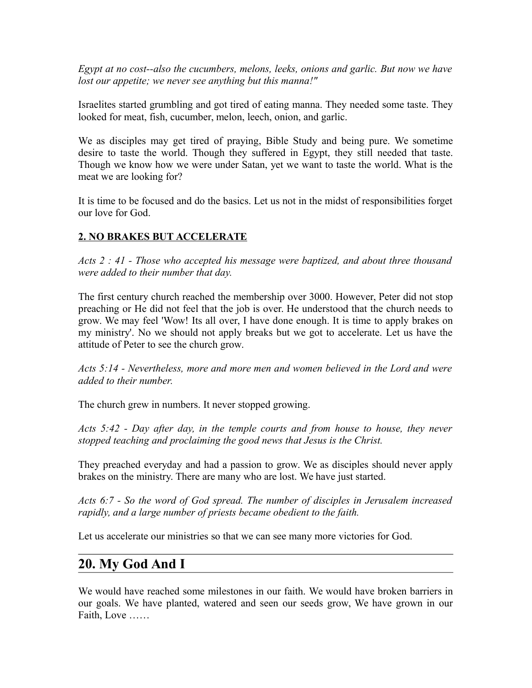*Egypt at no cost--also the cucumbers, melons, leeks, onions and garlic. But now we have lost our appetite; we never see anything but this manna!"* 

Israelites started grumbling and got tired of eating manna. They needed some taste. They looked for meat, fish, cucumber, melon, leech, onion, and garlic.

We as disciples may get tired of praying, Bible Study and being pure. We sometime desire to taste the world. Though they suffered in Egypt, they still needed that taste. Though we know how we were under Satan, yet we want to taste the world. What is the meat we are looking for?

It is time to be focused and do the basics. Let us not in the midst of responsibilities forget our love for God.

## **2. NO BRAKES BUT ACCELERATE**

*Acts 2 : 41 - Those who accepted his message were baptized, and about three thousand were added to their number that day.*

The first century church reached the membership over 3000. However, Peter did not stop preaching or He did not feel that the job is over. He understood that the church needs to grow. We may feel 'Wow! Its all over, I have done enough. It is time to apply brakes on my ministry'. No we should not apply breaks but we got to accelerate. Let us have the attitude of Peter to see the church grow.

*Acts 5:14 - Nevertheless, more and more men and women believed in the Lord and were added to their number.*

The church grew in numbers. It never stopped growing.

*Acts 5:42 - Day after day, in the temple courts and from house to house, they never stopped teaching and proclaiming the good news that Jesus is the Christ.*

They preached everyday and had a passion to grow. We as disciples should never apply brakes on the ministry. There are many who are lost. We have just started.

*Acts 6:7 - So the word of God spread. The number of disciples in Jerusalem increased rapidly, and a large number of priests became obedient to the faith.*

Let us accelerate our ministries so that we can see many more victories for God.

## **20. My God And I**

We would have reached some milestones in our faith. We would have broken barriers in our goals. We have planted, watered and seen our seeds grow, We have grown in our Faith, Love ……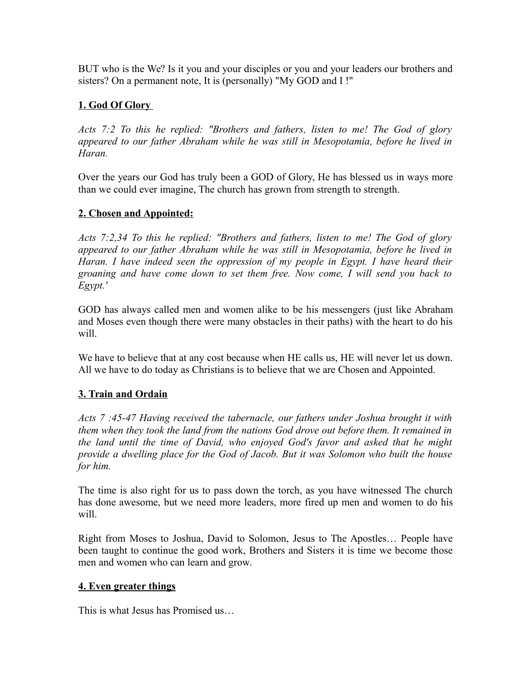BUT who is the We? Is it you and your disciples or you and your leaders our brothers and sisters? On a permanent note, It is (personally) "My GOD and I !"

## **1. God Of Glory**

*Acts 7:2 To this he replied: "Brothers and fathers, listen to me! The God of glory appeared to our father Abraham while he was still in Mesopotamia, before he lived in Haran.*

Over the years our God has truly been a GOD of Glory, He has blessed us in ways more than we could ever imagine, The church has grown from strength to strength.

### **2. Chosen and Appointed:**

*Acts 7:2,34 To this he replied: "Brothers and fathers, listen to me! The God of glory appeared to our father Abraham while he was still in Mesopotamia, before he lived in Haran. I have indeed seen the oppression of my people in Egypt. I have heard their groaning and have come down to set them free. Now come, I will send you back to Egypt.'*

GOD has always called men and women alike to be his messengers (just like Abraham and Moses even though there were many obstacles in their paths) with the heart to do his will.

We have to believe that at any cost because when HE calls us, HE will never let us down. All we have to do today as Christians is to believe that we are Chosen and Appointed.

### **3. Train and Ordain**

*Acts 7 :45-47 Having received the tabernacle, our fathers under Joshua brought it with them when they took the land from the nations God drove out before them. It remained in the land until the time of David, who enjoyed God's favor and asked that he might provide a dwelling place for the God of Jacob. But it was Solomon who built the house for him.*

The time is also right for us to pass down the torch, as you have witnessed The church has done awesome, but we need more leaders, more fired up men and women to do his will.

Right from Moses to Joshua, David to Solomon, Jesus to The Apostles… People have been taught to continue the good work, Brothers and Sisters it is time we become those men and women who can learn and grow.

### **4. Even greater things**

This is what Jesus has Promised us…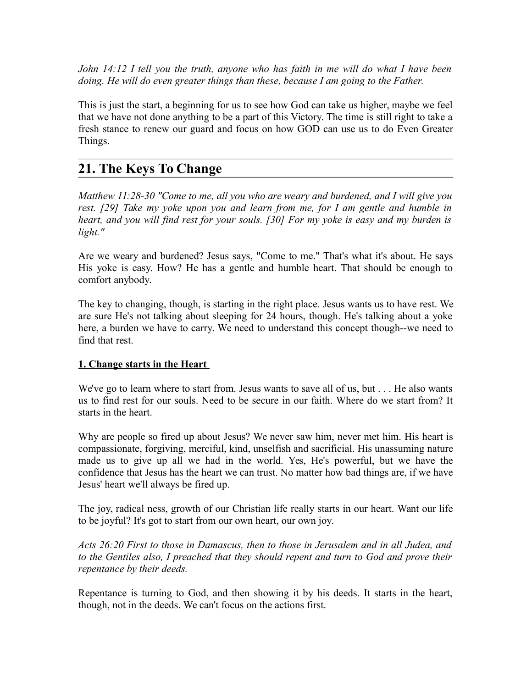*John 14:12 I tell you the truth, anyone who has faith in me will do what I have been doing. He will do even greater things than these, because I am going to the Father.*

This is just the start, a beginning for us to see how God can take us higher, maybe we feel that we have not done anything to be a part of this Victory. The time is still right to take a fresh stance to renew our guard and focus on how GOD can use us to do Even Greater Things.

## **21. The Keys To Change**

*Matthew 11:28-30 "Come to me, all you who are weary and burdened, and I will give you rest. [29] Take my yoke upon you and learn from me, for I am gentle and humble in heart, and you will find rest for your souls. [30] For my yoke is easy and my burden is light."*

Are we weary and burdened? Jesus says, "Come to me." That's what it's about. He says His yoke is easy. How? He has a gentle and humble heart. That should be enough to comfort anybody.

The key to changing, though, is starting in the right place. Jesus wants us to have rest. We are sure He's not talking about sleeping for 24 hours, though. He's talking about a yoke here, a burden we have to carry. We need to understand this concept though--we need to find that rest.

### **1. Change starts in the Heart**

We've go to learn where to start from. Jesus wants to save all of us, but . . . He also wants us to find rest for our souls. Need to be secure in our faith. Where do we start from? It starts in the heart.

Why are people so fired up about Jesus? We never saw him, never met him. His heart is compassionate, forgiving, merciful, kind, unselfish and sacrificial. His unassuming nature made us to give up all we had in the world. Yes, He's powerful, but we have the confidence that Jesus has the heart we can trust. No matter how bad things are, if we have Jesus' heart we'll always be fired up.

The joy, radical ness, growth of our Christian life really starts in our heart. Want our life to be joyful? It's got to start from our own heart, our own joy.

*Acts 26:20 First to those in Damascus, then to those in Jerusalem and in all Judea, and to the Gentiles also, I preached that they should repent and turn to God and prove their repentance by their deeds.*

Repentance is turning to God, and then showing it by his deeds. It starts in the heart, though, not in the deeds. We can't focus on the actions first.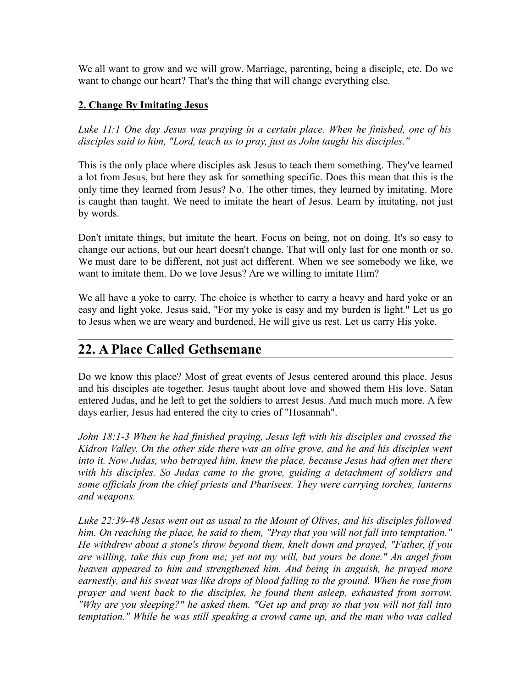We all want to grow and we will grow. Marriage, parenting, being a disciple, etc. Do we want to change our heart? That's the thing that will change everything else.

### **2. Change By Imitating Jesus**

*Luke 11:1 One day Jesus was praying in a certain place. When he finished, one of his disciples said to him, "Lord, teach us to pray, just as John taught his disciples."*

This is the only place where disciples ask Jesus to teach them something. They've learned a lot from Jesus, but here they ask for something specific. Does this mean that this is the only time they learned from Jesus? No. The other times, they learned by imitating. More is caught than taught. We need to imitate the heart of Jesus. Learn by imitating, not just by words.

Don't imitate things, but imitate the heart. Focus on being, not on doing. It's so easy to change our actions, but our heart doesn't change. That will only last for one month or so. We must dare to be different, not just act different. When we see somebody we like, we want to imitate them. Do we love Jesus? Are we willing to imitate Him?

We all have a yoke to carry. The choice is whether to carry a heavy and hard yoke or an easy and light yoke. Jesus said, "For my yoke is easy and my burden is light." Let us go to Jesus when we are weary and burdened, He will give us rest. Let us carry His yoke.

## **22. A Place Called Gethsemane**

Do we know this place? Most of great events of Jesus centered around this place. Jesus and his disciples ate together. Jesus taught about love and showed them His love. Satan entered Judas, and he left to get the soldiers to arrest Jesus. And much much more. A few days earlier, Jesus had entered the city to cries of "Hosannah".

*John 18:1-3 When he had finished praying, Jesus left with his disciples and crossed the Kidron Valley. On the other side there was an olive grove, and he and his disciples went into it. Now Judas, who betrayed him, knew the place, because Jesus had often met there with his disciples. So Judas came to the grove, guiding a detachment of soldiers and some officials from the chief priests and Pharisees. They were carrying torches, lanterns and weapons.* 

*Luke 22:39-48 Jesus went out as usual to the Mount of Olives, and his disciples followed him. On reaching the place, he said to them, "Pray that you will not fall into temptation." He withdrew about a stone's throw beyond them, knelt down and prayed, "Father, if you are willing, take this cup from me; yet not my will, but yours be done." An angel from heaven appeared to him and strengthened him. And being in anguish, he prayed more earnestly, and his sweat was like drops of blood falling to the ground. When he rose from prayer and went back to the disciples, he found them asleep, exhausted from sorrow. "Why are you sleeping?" he asked them. "Get up and pray so that you will not fall into temptation." While he was still speaking a crowd came up, and the man who was called*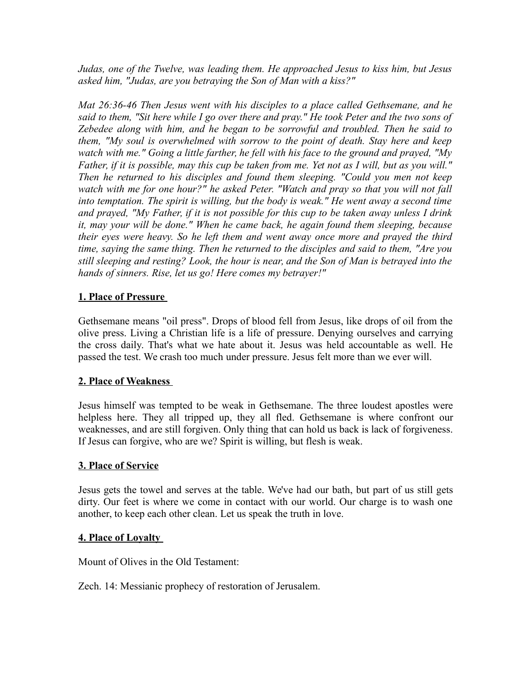*Judas, one of the Twelve, was leading them. He approached Jesus to kiss him, but Jesus asked him, "Judas, are you betraying the Son of Man with a kiss?"* 

*Mat 26:36-46 Then Jesus went with his disciples to a place called Gethsemane, and he said to them, "Sit here while I go over there and pray." He took Peter and the two sons of Zebedee along with him, and he began to be sorrowful and troubled. Then he said to them, "My soul is overwhelmed with sorrow to the point of death. Stay here and keep watch with me." Going a little farther, he fell with his face to the ground and prayed, "My Father, if it is possible, may this cup be taken from me. Yet not as I will, but as you will." Then he returned to his disciples and found them sleeping. "Could you men not keep watch with me for one hour?" he asked Peter. "Watch and pray so that you will not fall into temptation. The spirit is willing, but the body is weak." He went away a second time and prayed, "My Father, if it is not possible for this cup to be taken away unless I drink it, may your will be done." When he came back, he again found them sleeping, because their eyes were heavy. So he left them and went away once more and prayed the third time, saying the same thing. Then he returned to the disciples and said to them, "Are you still sleeping and resting? Look, the hour is near, and the Son of Man is betrayed into the hands of sinners. Rise, let us go! Here comes my betrayer!"*

### **1. Place of Pressure**

Gethsemane means "oil press". Drops of blood fell from Jesus, like drops of oil from the olive press. Living a Christian life is a life of pressure. Denying ourselves and carrying the cross daily. That's what we hate about it. Jesus was held accountable as well. He passed the test. We crash too much under pressure. Jesus felt more than we ever will.

#### **2. Place of Weakness**

Jesus himself was tempted to be weak in Gethsemane. The three loudest apostles were helpless here. They all tripped up, they all fled. Gethsemane is where confront our weaknesses, and are still forgiven. Only thing that can hold us back is lack of forgiveness. If Jesus can forgive, who are we? Spirit is willing, but flesh is weak.

#### **3. Place of Service**

Jesus gets the towel and serves at the table. We've had our bath, but part of us still gets dirty. Our feet is where we come in contact with our world. Our charge is to wash one another, to keep each other clean. Let us speak the truth in love.

#### **4. Place of Loyalty**

Mount of Olives in the Old Testament:

Zech. 14: Messianic prophecy of restoration of Jerusalem.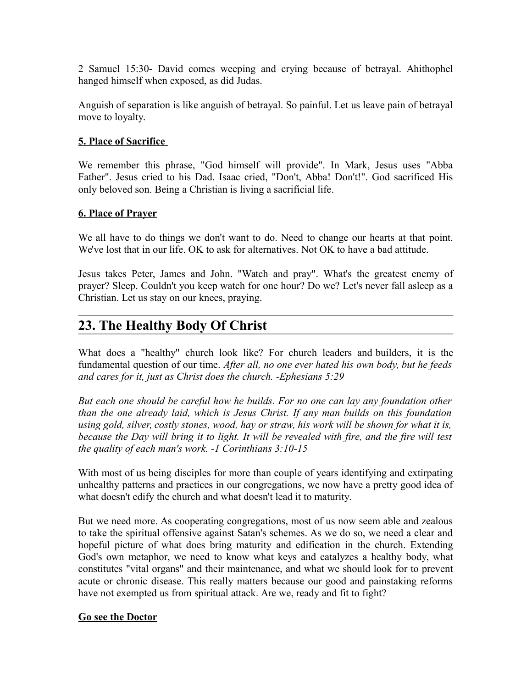2 Samuel 15:30- David comes weeping and crying because of betrayal. Ahithophel hanged himself when exposed, as did Judas.

Anguish of separation is like anguish of betrayal. So painful. Let us leave pain of betrayal move to loyalty.

#### **5. Place of Sacrifice**

We remember this phrase, "God himself will provide". In Mark, Jesus uses "Abba Father". Jesus cried to his Dad. Isaac cried, "Don't, Abba! Don't!". God sacrificed His only beloved son. Being a Christian is living a sacrificial life.

#### **6. Place of Prayer**

We all have to do things we don't want to do. Need to change our hearts at that point. We've lost that in our life. OK to ask for alternatives. Not OK to have a bad attitude.

Jesus takes Peter, James and John. "Watch and pray". What's the greatest enemy of prayer? Sleep. Couldn't you keep watch for one hour? Do we? Let's never fall asleep as a Christian. Let us stay on our knees, praying.

# **23. The Healthy Body Of Christ**

What does a "healthy" church look like? For church leaders and builders, it is the fundamental question of our time. *After all, no one ever hated his own body, but he feeds and cares for it, just as Christ does the church. -Ephesians 5:29* 

*But each one should be careful how he builds. For no one can lay any foundation other than the one already laid, which is Jesus Christ. If any man builds on this foundation using gold, silver, costly stones, wood, hay or straw, his work will be shown for what it is, because the Day will bring it to light. It will be revealed with fire, and the fire will test the quality of each man's work. -1 Corinthians 3:10-15* 

With most of us being disciples for more than couple of years identifying and extirpating unhealthy patterns and practices in our congregations, we now have a pretty good idea of what doesn't edify the church and what doesn't lead it to maturity.

But we need more. As cooperating congregations, most of us now seem able and zealous to take the spiritual offensive against Satan's schemes. As we do so, we need a clear and hopeful picture of what does bring maturity and edification in the church. Extending God's own metaphor, we need to know what keys and catalyzes a healthy body, what constitutes "vital organs" and their maintenance, and what we should look for to prevent acute or chronic disease. This really matters because our good and painstaking reforms have not exempted us from spiritual attack. Are we, ready and fit to fight?

#### **Go see the Doctor**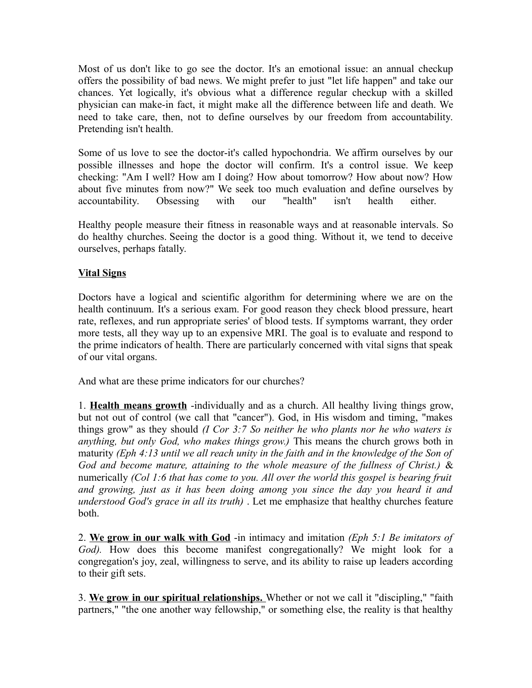Most of us don't like to go see the doctor. It's an emotional issue: an annual checkup offers the possibility of bad news. We might prefer to just "let life happen" and take our chances. Yet logically, it's obvious what a difference regular checkup with a skilled physician can make-in fact, it might make all the difference between life and death. We need to take care, then, not to define ourselves by our freedom from accountability. Pretending isn't health.

Some of us love to see the doctor-it's called hypochondria. We affirm ourselves by our possible illnesses and hope the doctor will confirm. It's a control issue. We keep checking: "Am I well? How am I doing? How about tomorrow? How about now? How about five minutes from now?" We seek too much evaluation and define ourselves by accountability. Obsessing with our "health" isn't health either.

Healthy people measure their fitness in reasonable ways and at reasonable intervals. So do healthy churches. Seeing the doctor is a good thing. Without it, we tend to deceive ourselves, perhaps fatally.

### **Vital Signs**

Doctors have a logical and scientific algorithm for determining where we are on the health continuum. It's a serious exam. For good reason they check blood pressure, heart rate, reflexes, and run appropriate series' of blood tests. If symptoms warrant, they order more tests, all they way up to an expensive MRI. The goal is to evaluate and respond to the prime indicators of health. There are particularly concerned with vital signs that speak of our vital organs.

And what are these prime indicators for our churches?

1. **Health means growth** -individually and as a church. All healthy living things grow, but not out of control (we call that "cancer"). God, in His wisdom and timing, "makes things grow" as they should *(I Cor 3:7 So neither he who plants nor he who waters is anything, but only God, who makes things grow.)* This means the church grows both in maturity *(Eph 4:13 until we all reach unity in the faith and in the knowledge of the Son of God and become mature, attaining to the whole measure of the fullness of Christ.)* & numerically *(Col 1:6 that has come to you. All over the world this gospel is bearing fruit and growing, just as it has been doing among you since the day you heard it and understood God's grace in all its truth)* . Let me emphasize that healthy churches feature both.

2. **We grow in our walk with God** -in intimacy and imitation *(Eph 5:1 Be imitators of God).* How does this become manifest congregationally? We might look for a congregation's joy, zeal, willingness to serve, and its ability to raise up leaders according to their gift sets.

3. **We grow in our spiritual relationships.** Whether or not we call it "discipling," "faith partners," "the one another way fellowship," or something else, the reality is that healthy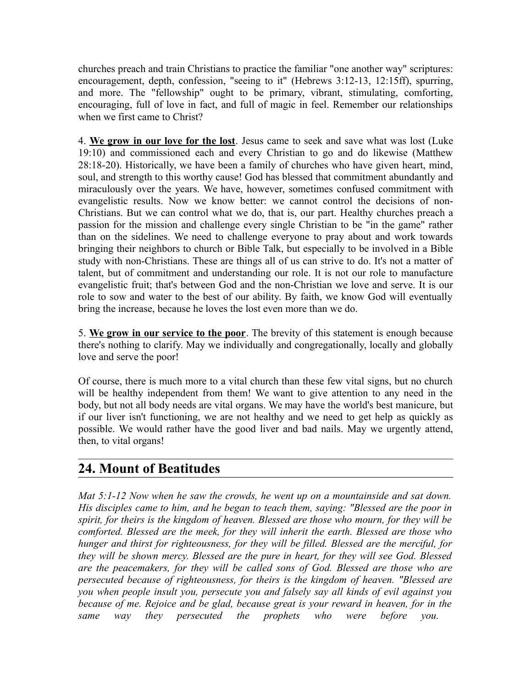churches preach and train Christians to practice the familiar "one another way" scriptures: encouragement, depth, confession, "seeing to it" (Hebrews 3:12-13, 12:15ff), spurring, and more. The "fellowship" ought to be primary, vibrant, stimulating, comforting, encouraging, full of love in fact, and full of magic in feel. Remember our relationships when we first came to Christ?

4. **We grow in our love for the lost**. Jesus came to seek and save what was lost (Luke 19:10) and commissioned each and every Christian to go and do likewise (Matthew 28:18-20). Historically, we have been a family of churches who have given heart, mind, soul, and strength to this worthy cause! God has blessed that commitment abundantly and miraculously over the years. We have, however, sometimes confused commitment with evangelistic results. Now we know better: we cannot control the decisions of non-Christians. But we can control what we do, that is, our part. Healthy churches preach a passion for the mission and challenge every single Christian to be "in the game" rather than on the sidelines. We need to challenge everyone to pray about and work towards bringing their neighbors to church or Bible Talk, but especially to be involved in a Bible study with non-Christians. These are things all of us can strive to do. It's not a matter of talent, but of commitment and understanding our role. It is not our role to manufacture evangelistic fruit; that's between God and the non-Christian we love and serve. It is our role to sow and water to the best of our ability. By faith, we know God will eventually bring the increase, because he loves the lost even more than we do.

5. **We grow in our service to the poor**. The brevity of this statement is enough because there's nothing to clarify. May we individually and congregationally, locally and globally love and serve the poor!

Of course, there is much more to a vital church than these few vital signs, but no church will be healthy independent from them! We want to give attention to any need in the body, but not all body needs are vital organs. We may have the world's best manicure, but if our liver isn't functioning, we are not healthy and we need to get help as quickly as possible. We would rather have the good liver and bad nails. May we urgently attend, then, to vital organs!

## **24. Mount of Beatitudes**

*Mat 5:1-12 Now when he saw the crowds, he went up on a mountainside and sat down. His disciples came to him, and he began to teach them, saying: "Blessed are the poor in spirit, for theirs is the kingdom of heaven. Blessed are those who mourn, for they will be comforted. Blessed are the meek, for they will inherit the earth. Blessed are those who hunger and thirst for righteousness, for they will be filled. Blessed are the merciful, for they will be shown mercy. Blessed are the pure in heart, for they will see God. Blessed are the peacemakers, for they will be called sons of God. Blessed are those who are persecuted because of righteousness, for theirs is the kingdom of heaven. "Blessed are you when people insult you, persecute you and falsely say all kinds of evil against you because of me. Rejoice and be glad, because great is your reward in heaven, for in the same way they persecuted the prophets who were before you.*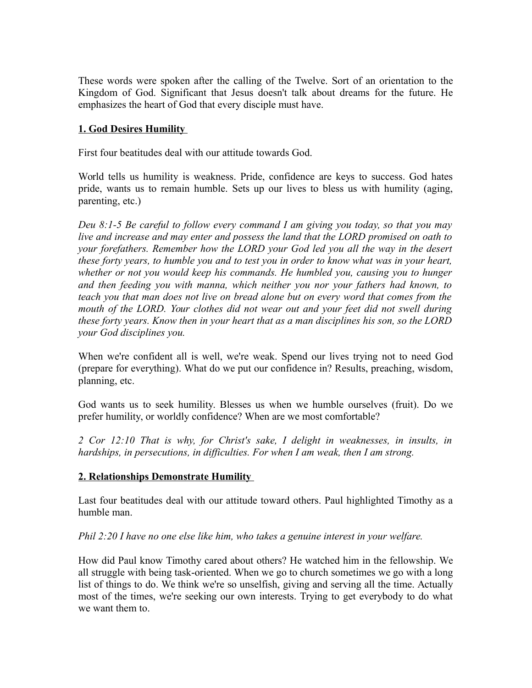These words were spoken after the calling of the Twelve. Sort of an orientation to the Kingdom of God. Significant that Jesus doesn't talk about dreams for the future. He emphasizes the heart of God that every disciple must have.

### **1. God Desires Humility**

First four beatitudes deal with our attitude towards God.

World tells us humility is weakness. Pride, confidence are keys to success. God hates pride, wants us to remain humble. Sets up our lives to bless us with humility (aging, parenting, etc.)

*Deu 8:1-5 Be careful to follow every command I am giving you today, so that you may live and increase and may enter and possess the land that the LORD promised on oath to your forefathers. Remember how the LORD your God led you all the way in the desert these forty years, to humble you and to test you in order to know what was in your heart, whether or not you would keep his commands. He humbled you, causing you to hunger and then feeding you with manna, which neither you nor your fathers had known, to teach you that man does not live on bread alone but on every word that comes from the mouth of the LORD. Your clothes did not wear out and your feet did not swell during these forty years. Know then in your heart that as a man disciplines his son, so the LORD your God disciplines you.* 

When we're confident all is well, we're weak. Spend our lives trying not to need God (prepare for everything). What do we put our confidence in? Results, preaching, wisdom, planning, etc.

God wants us to seek humility. Blesses us when we humble ourselves (fruit). Do we prefer humility, or worldly confidence? When are we most comfortable?

*2 Cor 12:10 That is why, for Christ's sake, I delight in weaknesses, in insults, in hardships, in persecutions, in difficulties. For when I am weak, then I am strong.* 

### **2. Relationships Demonstrate Humility**

Last four beatitudes deal with our attitude toward others. Paul highlighted Timothy as a humble man.

*Phil 2:20 I have no one else like him, who takes a genuine interest in your welfare.*

How did Paul know Timothy cared about others? He watched him in the fellowship. We all struggle with being task-oriented. When we go to church sometimes we go with a long list of things to do. We think we're so unselfish, giving and serving all the time. Actually most of the times, we're seeking our own interests. Trying to get everybody to do what we want them to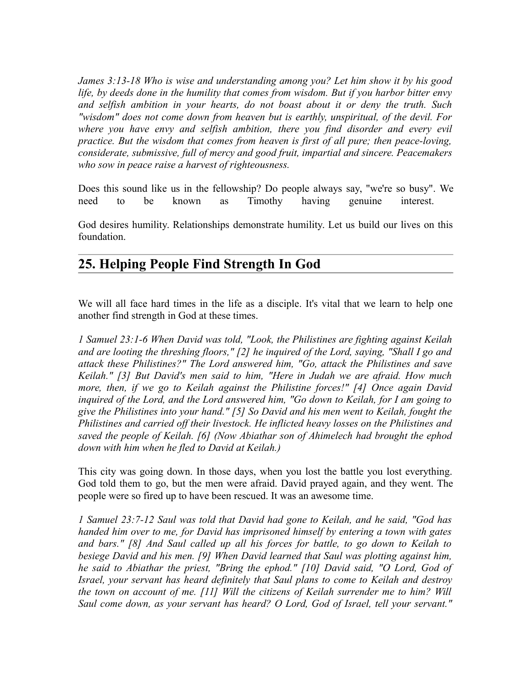*James 3:13-18 Who is wise and understanding among you? Let him show it by his good life, by deeds done in the humility that comes from wisdom. But if you harbor bitter envy and selfish ambition in your hearts, do not boast about it or deny the truth. Such "wisdom" does not come down from heaven but is earthly, unspiritual, of the devil. For where you have envy and selfish ambition, there you find disorder and every evil practice. But the wisdom that comes from heaven is first of all pure; then peace-loving, considerate, submissive, full of mercy and good fruit, impartial and sincere. Peacemakers who sow in peace raise a harvest of righteousness.*

Does this sound like us in the fellowship? Do people always say, "we're so busy". We need to be known as Timothy having genuine interest.

God desires humility. Relationships demonstrate humility. Let us build our lives on this foundation.

# **25. Helping People Find Strength In God**

We will all face hard times in the life as a disciple. It's vital that we learn to help one another find strength in God at these times.

*1 Samuel 23:1-6 When David was told, "Look, the Philistines are fighting against Keilah and are looting the threshing floors," [2] he inquired of the Lord, saying, "Shall I go and attack these Philistines?" The Lord answered him, "Go, attack the Philistines and save Keilah." [3] But David's men said to him, "Here in Judah we are afraid. How much more, then, if we go to Keilah against the Philistine forces!" [4] Once again David inquired of the Lord, and the Lord answered him, "Go down to Keilah, for I am going to give the Philistines into your hand." [5] So David and his men went to Keilah, fought the Philistines and carried off their livestock. He inflicted heavy losses on the Philistines and saved the people of Keilah. [6] (Now Abiathar son of Ahimelech had brought the ephod down with him when he fled to David at Keilah.)*

This city was going down. In those days, when you lost the battle you lost everything. God told them to go, but the men were afraid. David prayed again, and they went. The people were so fired up to have been rescued. It was an awesome time.

*1 Samuel 23:7-12 Saul was told that David had gone to Keilah, and he said, "God has handed him over to me, for David has imprisoned himself by entering a town with gates and bars." [8] And Saul called up all his forces for battle, to go down to Keilah to besiege David and his men. [9] When David learned that Saul was plotting against him, he said to Abiathar the priest, "Bring the ephod." [10] David said, "O Lord, God of Israel, your servant has heard definitely that Saul plans to come to Keilah and destroy the town on account of me. [11] Will the citizens of Keilah surrender me to him? Will Saul come down, as your servant has heard? O Lord, God of Israel, tell your servant."*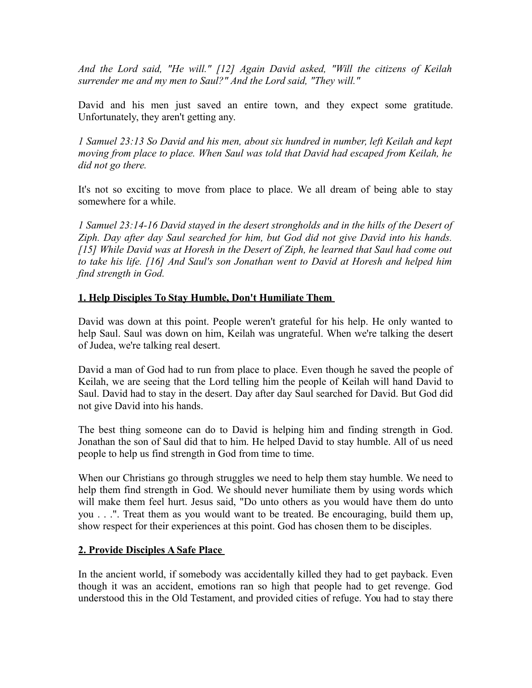*And the Lord said, "He will." [12] Again David asked, "Will the citizens of Keilah surrender me and my men to Saul?" And the Lord said, "They will."*

David and his men just saved an entire town, and they expect some gratitude. Unfortunately, they aren't getting any.

*1 Samuel 23:13 So David and his men, about six hundred in number, left Keilah and kept moving from place to place. When Saul was told that David had escaped from Keilah, he did not go there.*

It's not so exciting to move from place to place. We all dream of being able to stay somewhere for a while.

*1 Samuel 23:14-16 David stayed in the desert strongholds and in the hills of the Desert of Ziph. Day after day Saul searched for him, but God did not give David into his hands. [15] While David was at Horesh in the Desert of Ziph, he learned that Saul had come out to take his life. [16] And Saul's son Jonathan went to David at Horesh and helped him find strength in God.*

### **1. Help Disciples To Stay Humble, Don't Humiliate Them**

David was down at this point. People weren't grateful for his help. He only wanted to help Saul. Saul was down on him, Keilah was ungrateful. When we're talking the desert of Judea, we're talking real desert.

David a man of God had to run from place to place. Even though he saved the people of Keilah, we are seeing that the Lord telling him the people of Keilah will hand David to Saul. David had to stay in the desert. Day after day Saul searched for David. But God did not give David into his hands.

The best thing someone can do to David is helping him and finding strength in God. Jonathan the son of Saul did that to him. He helped David to stay humble. All of us need people to help us find strength in God from time to time.

When our Christians go through struggles we need to help them stay humble. We need to help them find strength in God. We should never humiliate them by using words which will make them feel hurt. Jesus said, "Do unto others as you would have them do unto you . . .". Treat them as you would want to be treated. Be encouraging, build them up, show respect for their experiences at this point. God has chosen them to be disciples.

### **2. Provide Disciples A Safe Place**

In the ancient world, if somebody was accidentally killed they had to get payback. Even though it was an accident, emotions ran so high that people had to get revenge. God understood this in the Old Testament, and provided cities of refuge. You had to stay there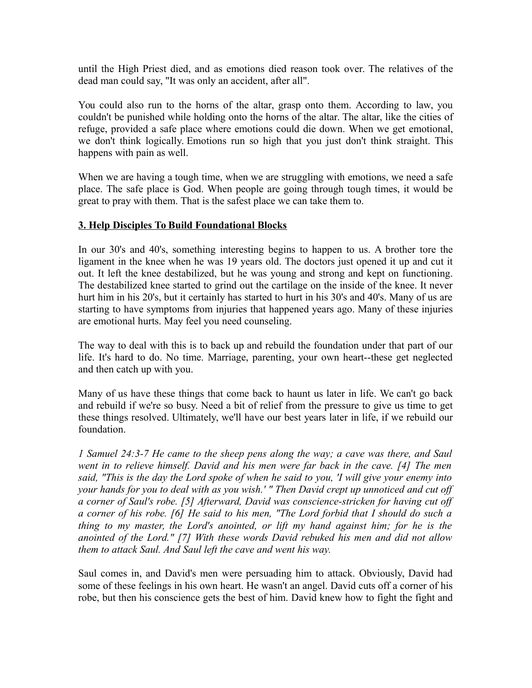until the High Priest died, and as emotions died reason took over. The relatives of the dead man could say, "It was only an accident, after all".

You could also run to the horns of the altar, grasp onto them. According to law, you couldn't be punished while holding onto the horns of the altar. The altar, like the cities of refuge, provided a safe place where emotions could die down. When we get emotional, we don't think logically. Emotions run so high that you just don't think straight. This happens with pain as well.

When we are having a tough time, when we are struggling with emotions, we need a safe place. The safe place is God. When people are going through tough times, it would be great to pray with them. That is the safest place we can take them to.

### **3. Help Disciples To Build Foundational Blocks**

In our 30's and 40's, something interesting begins to happen to us. A brother tore the ligament in the knee when he was 19 years old. The doctors just opened it up and cut it out. It left the knee destabilized, but he was young and strong and kept on functioning. The destabilized knee started to grind out the cartilage on the inside of the knee. It never hurt him in his 20's, but it certainly has started to hurt in his 30's and 40's. Many of us are starting to have symptoms from injuries that happened years ago. Many of these injuries are emotional hurts. May feel you need counseling.

The way to deal with this is to back up and rebuild the foundation under that part of our life. It's hard to do. No time. Marriage, parenting, your own heart--these get neglected and then catch up with you.

Many of us have these things that come back to haunt us later in life. We can't go back and rebuild if we're so busy. Need a bit of relief from the pressure to give us time to get these things resolved. Ultimately, we'll have our best years later in life, if we rebuild our foundation.

*1 Samuel 24:3-7 He came to the sheep pens along the way; a cave was there, and Saul went in to relieve himself. David and his men were far back in the cave. [4] The men said, "This is the day the Lord spoke of when he said to you, 'I will give your enemy into your hands for you to deal with as you wish.' " Then David crept up unnoticed and cut off a corner of Saul's robe. [5] Afterward, David was conscience-stricken for having cut off a corner of his robe. [6] He said to his men, "The Lord forbid that I should do such a thing to my master, the Lord's anointed, or lift my hand against him; for he is the anointed of the Lord." [7] With these words David rebuked his men and did not allow them to attack Saul. And Saul left the cave and went his way.*

Saul comes in, and David's men were persuading him to attack. Obviously, David had some of these feelings in his own heart. He wasn't an angel. David cuts off a corner of his robe, but then his conscience gets the best of him. David knew how to fight the fight and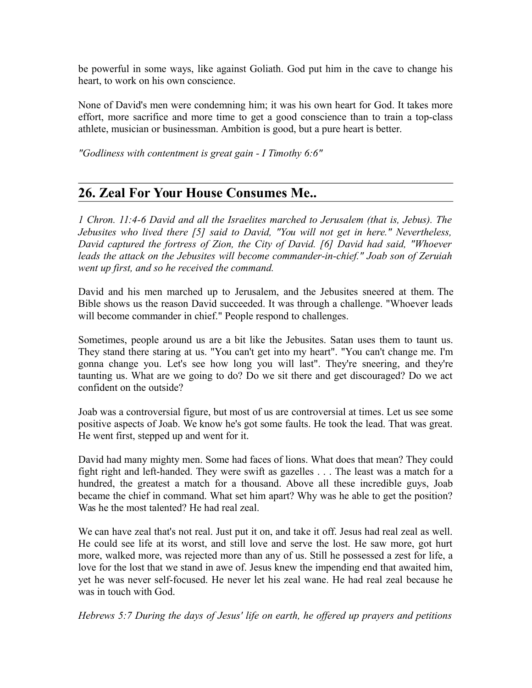be powerful in some ways, like against Goliath. God put him in the cave to change his heart, to work on his own conscience.

None of David's men were condemning him; it was his own heart for God. It takes more effort, more sacrifice and more time to get a good conscience than to train a top-class athlete, musician or businessman. Ambition is good, but a pure heart is better.

*"Godliness with contentment is great gain - I Timothy 6:6"*

## **26. Zeal For Your House Consumes Me..**

*1 Chron. 11:4-6 David and all the Israelites marched to Jerusalem (that is, Jebus). The Jebusites who lived there [5] said to David, "You will not get in here." Nevertheless, David captured the fortress of Zion, the City of David. [6] David had said, "Whoever leads the attack on the Jebusites will become commander-in-chief." Joab son of Zeruiah went up first, and so he received the command.*

David and his men marched up to Jerusalem, and the Jebusites sneered at them. The Bible shows us the reason David succeeded. It was through a challenge. "Whoever leads will become commander in chief." People respond to challenges.

Sometimes, people around us are a bit like the Jebusites. Satan uses them to taunt us. They stand there staring at us. "You can't get into my heart". "You can't change me. I'm gonna change you. Let's see how long you will last". They're sneering, and they're taunting us. What are we going to do? Do we sit there and get discouraged? Do we act confident on the outside?

Joab was a controversial figure, but most of us are controversial at times. Let us see some positive aspects of Joab. We know he's got some faults. He took the lead. That was great. He went first, stepped up and went for it.

David had many mighty men. Some had faces of lions. What does that mean? They could fight right and left-handed. They were swift as gazelles . . . The least was a match for a hundred, the greatest a match for a thousand. Above all these incredible guys, Joab became the chief in command. What set him apart? Why was he able to get the position? Was he the most talented? He had real zeal.

We can have zeal that's not real. Just put it on, and take it off. Jesus had real zeal as well. He could see life at its worst, and still love and serve the lost. He saw more, got hurt more, walked more, was rejected more than any of us. Still he possessed a zest for life, a love for the lost that we stand in awe of. Jesus knew the impending end that awaited him, yet he was never self-focused. He never let his zeal wane. He had real zeal because he was in touch with God.

*Hebrews 5:7 During the days of Jesus' life on earth, he offered up prayers and petitions*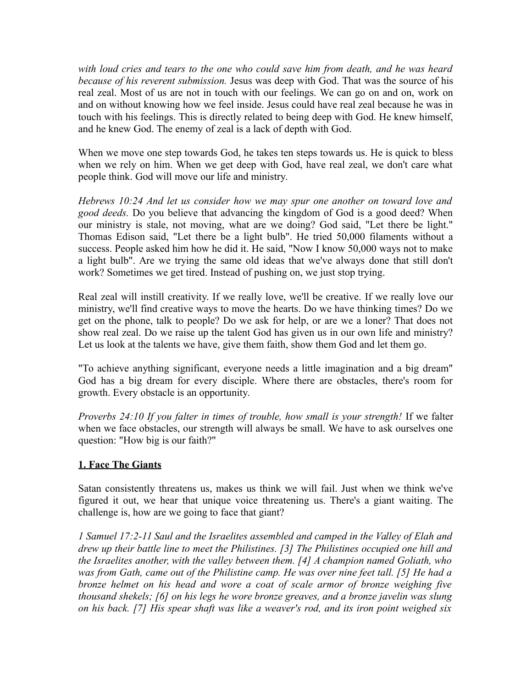*with loud cries and tears to the one who could save him from death, and he was heard because of his reverent submission.* Jesus was deep with God. That was the source of his real zeal. Most of us are not in touch with our feelings. We can go on and on, work on and on without knowing how we feel inside. Jesus could have real zeal because he was in touch with his feelings. This is directly related to being deep with God. He knew himself, and he knew God. The enemy of zeal is a lack of depth with God.

When we move one step towards God, he takes ten steps towards us. He is quick to bless when we rely on him. When we get deep with God, have real zeal, we don't care what people think. God will move our life and ministry.

*Hebrews 10:24 And let us consider how we may spur one another on toward love and good deeds.* Do you believe that advancing the kingdom of God is a good deed? When our ministry is stale, not moving, what are we doing? God said, "Let there be light." Thomas Edison said, "Let there be a light bulb". He tried 50,000 filaments without a success. People asked him how he did it. He said, "Now I know 50,000 ways not to make a light bulb". Are we trying the same old ideas that we've always done that still don't work? Sometimes we get tired. Instead of pushing on, we just stop trying.

Real zeal will instill creativity. If we really love, we'll be creative. If we really love our ministry, we'll find creative ways to move the hearts. Do we have thinking times? Do we get on the phone, talk to people? Do we ask for help, or are we a loner? That does not show real zeal. Do we raise up the talent God has given us in our own life and ministry? Let us look at the talents we have, give them faith, show them God and let them go.

"To achieve anything significant, everyone needs a little imagination and a big dream" God has a big dream for every disciple. Where there are obstacles, there's room for growth. Every obstacle is an opportunity.

*Proverbs 24:10 If you falter in times of trouble, how small is your strength!* If we falter when we face obstacles, our strength will always be small. We have to ask ourselves one question: "How big is our faith?"

### **1. Face The Giants**

Satan consistently threatens us, makes us think we will fail. Just when we think we've figured it out, we hear that unique voice threatening us. There's a giant waiting. The challenge is, how are we going to face that giant?

*1 Samuel 17:2-11 Saul and the Israelites assembled and camped in the Valley of Elah and drew up their battle line to meet the Philistines. [3] The Philistines occupied one hill and the Israelites another, with the valley between them. [4] A champion named Goliath, who was from Gath, came out of the Philistine camp. He was over nine feet tall. [5] He had a bronze helmet on his head and wore a coat of scale armor of bronze weighing five thousand shekels; [6] on his legs he wore bronze greaves, and a bronze javelin was slung on his back. [7] His spear shaft was like a weaver's rod, and its iron point weighed six*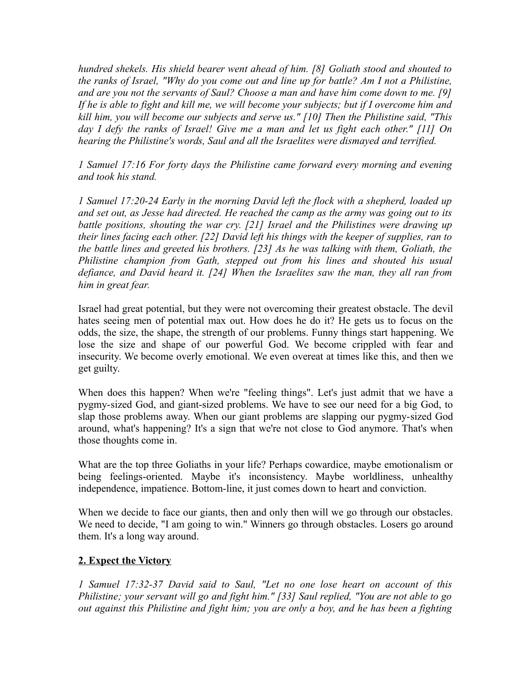*hundred shekels. His shield bearer went ahead of him. [8] Goliath stood and shouted to the ranks of Israel, "Why do you come out and line up for battle? Am I not a Philistine, and are you not the servants of Saul? Choose a man and have him come down to me. [9] If he is able to fight and kill me, we will become your subjects; but if I overcome him and kill him, you will become our subjects and serve us." [10] Then the Philistine said, "This day I defy the ranks of Israel! Give me a man and let us fight each other." [11] On hearing the Philistine's words, Saul and all the Israelites were dismayed and terrified.* 

*1 Samuel 17:16 For forty days the Philistine came forward every morning and evening and took his stand.* 

*1 Samuel 17:20-24 Early in the morning David left the flock with a shepherd, loaded up and set out, as Jesse had directed. He reached the camp as the army was going out to its battle positions, shouting the war cry. [21] Israel and the Philistines were drawing up their lines facing each other. [22] David left his things with the keeper of supplies, ran to the battle lines and greeted his brothers. [23] As he was talking with them, Goliath, the Philistine champion from Gath, stepped out from his lines and shouted his usual defiance, and David heard it. [24] When the Israelites saw the man, they all ran from him in great fear.* 

Israel had great potential, but they were not overcoming their greatest obstacle. The devil hates seeing men of potential max out. How does he do it? He gets us to focus on the odds, the size, the shape, the strength of our problems. Funny things start happening. We lose the size and shape of our powerful God. We become crippled with fear and insecurity. We become overly emotional. We even overeat at times like this, and then we get guilty.

When does this happen? When we're "feeling things". Let's just admit that we have a pygmy-sized God, and giant-sized problems. We have to see our need for a big God, to slap those problems away. When our giant problems are slapping our pygmy-sized God around, what's happening? It's a sign that we're not close to God anymore. That's when those thoughts come in.

What are the top three Goliaths in your life? Perhaps cowardice, maybe emotionalism or being feelings-oriented. Maybe it's inconsistency. Maybe worldliness, unhealthy independence, impatience. Bottom-line, it just comes down to heart and conviction.

When we decide to face our giants, then and only then will we go through our obstacles. We need to decide, "I am going to win." Winners go through obstacles. Losers go around them. It's a long way around.

### **2. Expect the Victory**

*1 Samuel 17:32-37 David said to Saul, "Let no one lose heart on account of this Philistine; your servant will go and fight him." [33] Saul replied, "You are not able to go out against this Philistine and fight him; you are only a boy, and he has been a fighting*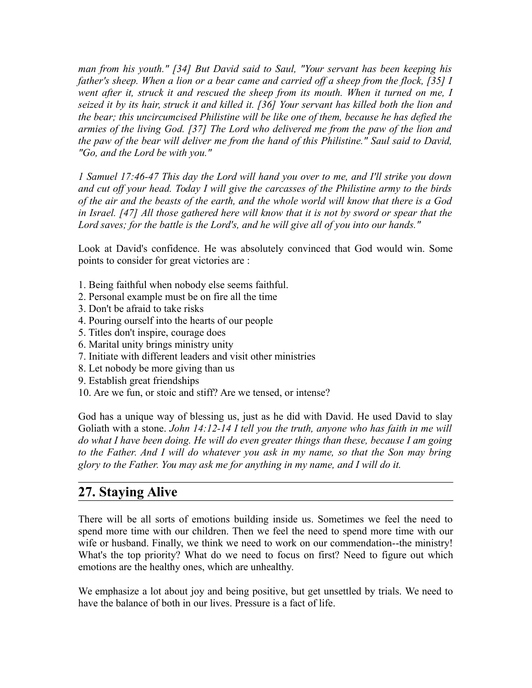*man from his youth." [34] But David said to Saul, "Your servant has been keeping his father's sheep. When a lion or a bear came and carried off a sheep from the flock, [35] I went after it, struck it and rescued the sheep from its mouth. When it turned on me, I seized it by its hair, struck it and killed it. [36] Your servant has killed both the lion and the bear; this uncircumcised Philistine will be like one of them, because he has defied the armies of the living God. [37] The Lord who delivered me from the paw of the lion and the paw of the bear will deliver me from the hand of this Philistine." Saul said to David, "Go, and the Lord be with you."* 

*1 Samuel 17:46-47 This day the Lord will hand you over to me, and I'll strike you down and cut off your head. Today I will give the carcasses of the Philistine army to the birds of the air and the beasts of the earth, and the whole world will know that there is a God in Israel. [47] All those gathered here will know that it is not by sword or spear that the Lord saves; for the battle is the Lord's, and he will give all of you into our hands."*

Look at David's confidence. He was absolutely convinced that God would win. Some points to consider for great victories are :

- 1. Being faithful when nobody else seems faithful.
- 2. Personal example must be on fire all the time
- 3. Don't be afraid to take risks
- 4. Pouring ourself into the hearts of our people
- 5. Titles don't inspire, courage does
- 6. Marital unity brings ministry unity
- 7. Initiate with different leaders and visit other ministries
- 8. Let nobody be more giving than us
- 9. Establish great friendships
- 10. Are we fun, or stoic and stiff? Are we tensed, or intense?

God has a unique way of blessing us, just as he did with David. He used David to slay Goliath with a stone. *John 14:12-14 I tell you the truth, anyone who has faith in me will do what I have been doing. He will do even greater things than these, because I am going to the Father. And I will do whatever you ask in my name, so that the Son may bring glory to the Father. You may ask me for anything in my name, and I will do it.*

## **27. Staying Alive**

There will be all sorts of emotions building inside us. Sometimes we feel the need to spend more time with our children. Then we feel the need to spend more time with our wife or husband. Finally, we think we need to work on our commendation--the ministry! What's the top priority? What do we need to focus on first? Need to figure out which emotions are the healthy ones, which are unhealthy.

We emphasize a lot about joy and being positive, but get unsettled by trials. We need to have the balance of both in our lives. Pressure is a fact of life.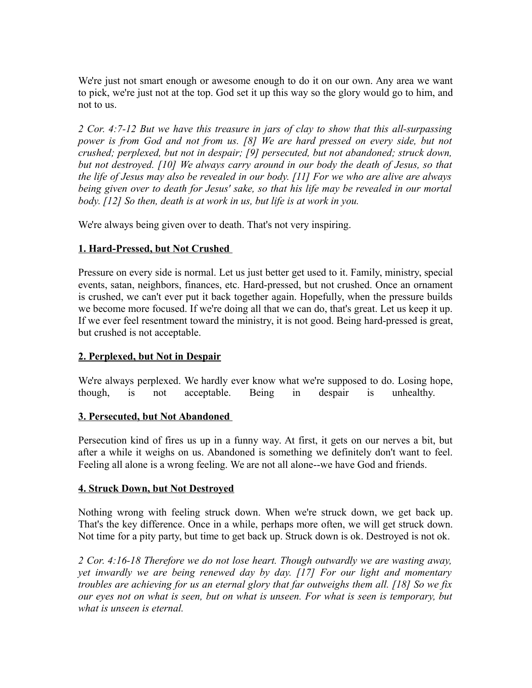We're just not smart enough or awesome enough to do it on our own. Any area we want to pick, we're just not at the top. God set it up this way so the glory would go to him, and not to us.

*2 Cor. 4:7-12 But we have this treasure in jars of clay to show that this all-surpassing power is from God and not from us. [8] We are hard pressed on every side, but not crushed; perplexed, but not in despair; [9] persecuted, but not abandoned; struck down, but not destroyed. [10] We always carry around in our body the death of Jesus, so that the life of Jesus may also be revealed in our body. [11] For we who are alive are always being given over to death for Jesus' sake, so that his life may be revealed in our mortal body. [12] So then, death is at work in us, but life is at work in you.*

We're always being given over to death. That's not very inspiring.

### **1. Hard-Pressed, but Not Crushed**

Pressure on every side is normal. Let us just better get used to it. Family, ministry, special events, satan, neighbors, finances, etc. Hard-pressed, but not crushed. Once an ornament is crushed, we can't ever put it back together again. Hopefully, when the pressure builds we become more focused. If we're doing all that we can do, that's great. Let us keep it up. If we ever feel resentment toward the ministry, it is not good. Being hard-pressed is great, but crushed is not acceptable.

### **2. Perplexed, but Not in Despair**

We're always perplexed. We hardly ever know what we're supposed to do. Losing hope, though, is not acceptable. Being in despair is unhealthy.

### **3. Persecuted, but Not Abandoned**

Persecution kind of fires us up in a funny way. At first, it gets on our nerves a bit, but after a while it weighs on us. Abandoned is something we definitely don't want to feel. Feeling all alone is a wrong feeling. We are not all alone--we have God and friends.

### **4. Struck Down, but Not Destroyed**

Nothing wrong with feeling struck down. When we're struck down, we get back up. That's the key difference. Once in a while, perhaps more often, we will get struck down. Not time for a pity party, but time to get back up. Struck down is ok. Destroyed is not ok.

*2 Cor. 4:16-18 Therefore we do not lose heart. Though outwardly we are wasting away, yet inwardly we are being renewed day by day. [17] For our light and momentary troubles are achieving for us an eternal glory that far outweighs them all. [18] So we fix our eyes not on what is seen, but on what is unseen. For what is seen is temporary, but what is unseen is eternal.*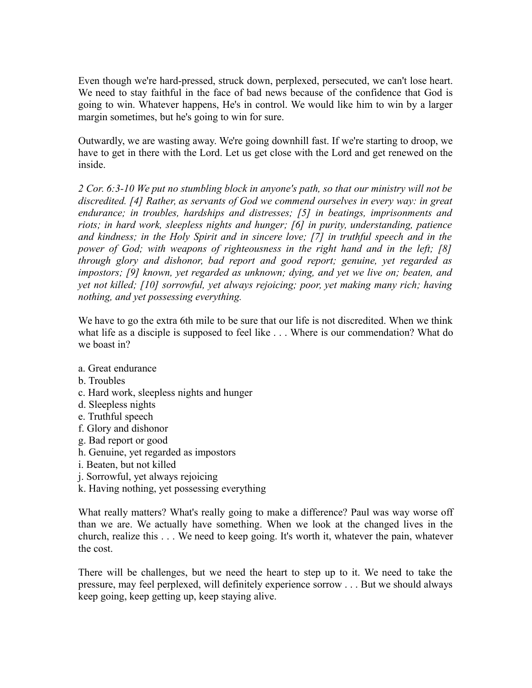Even though we're hard-pressed, struck down, perplexed, persecuted, we can't lose heart. We need to stay faithful in the face of bad news because of the confidence that God is going to win. Whatever happens, He's in control. We would like him to win by a larger margin sometimes, but he's going to win for sure.

Outwardly, we are wasting away. We're going downhill fast. If we're starting to droop, we have to get in there with the Lord. Let us get close with the Lord and get renewed on the inside.

*2 Cor. 6:3-10 We put no stumbling block in anyone's path, so that our ministry will not be discredited. [4] Rather, as servants of God we commend ourselves in every way: in great endurance; in troubles, hardships and distresses; [5] in beatings, imprisonments and riots; in hard work, sleepless nights and hunger; [6] in purity, understanding, patience and kindness; in the Holy Spirit and in sincere love; [7] in truthful speech and in the power of God; with weapons of righteousness in the right hand and in the left; [8] through glory and dishonor, bad report and good report; genuine, yet regarded as impostors; [9] known, yet regarded as unknown; dying, and yet we live on; beaten, and yet not killed; [10] sorrowful, yet always rejoicing; poor, yet making many rich; having nothing, and yet possessing everything.*

We have to go the extra 6th mile to be sure that our life is not discredited. When we think what life as a disciple is supposed to feel like . . . Where is our commendation? What do we boast in?

- a. Great endurance
- b. Troubles
- c. Hard work, sleepless nights and hunger
- d. Sleepless nights
- e. Truthful speech
- f. Glory and dishonor
- g. Bad report or good
- h. Genuine, yet regarded as impostors
- i. Beaten, but not killed
- j. Sorrowful, yet always rejoicing
- k. Having nothing, yet possessing everything

What really matters? What's really going to make a difference? Paul was way worse off than we are. We actually have something. When we look at the changed lives in the church, realize this . . . We need to keep going. It's worth it, whatever the pain, whatever the cost.

There will be challenges, but we need the heart to step up to it. We need to take the pressure, may feel perplexed, will definitely experience sorrow . . . But we should always keep going, keep getting up, keep staying alive.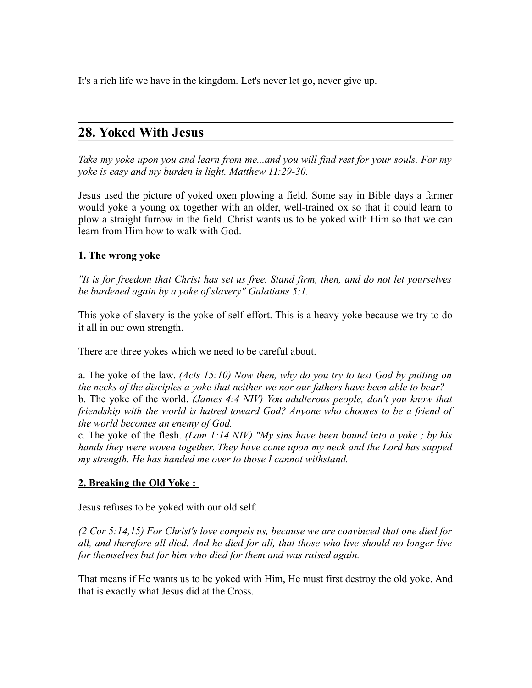It's a rich life we have in the kingdom. Let's never let go, never give up.

## **28. Yoked With Jesus**

*Take my yoke upon you and learn from me...and you will find rest for your souls. For my yoke is easy and my burden is light. Matthew 11:29-30.*

Jesus used the picture of yoked oxen plowing a field. Some say in Bible days a farmer would yoke a young ox together with an older, well-trained ox so that it could learn to plow a straight furrow in the field. Christ wants us to be yoked with Him so that we can learn from Him how to walk with God.

### **1. The wrong yoke**

*"It is for freedom that Christ has set us free. Stand firm, then, and do not let yourselves be burdened again by a yoke of slavery" Galatians 5:1.*

This yoke of slavery is the yoke of self-effort. This is a heavy yoke because we try to do it all in our own strength.

There are three yokes which we need to be careful about.

a. The yoke of the law. *(Acts 15:10) Now then, why do you try to test God by putting on the necks of the disciples a yoke that neither we nor our fathers have been able to bear?* b. The yoke of the world. *(James 4:4 NIV) You adulterous people, don't you know that friendship with the world is hatred toward God? Anyone who chooses to be a friend of the world becomes an enemy of God.*

c. The yoke of the flesh. *(Lam 1:14 NIV) "My sins have been bound into a yoke ; by his hands they were woven together. They have come upon my neck and the Lord has sapped my strength. He has handed me over to those I cannot withstand.*

### **2. Breaking the Old Yoke :**

Jesus refuses to be yoked with our old self.

*(2 Cor 5:14,15) For Christ's love compels us, because we are convinced that one died for all, and therefore all died. And he died for all, that those who live should no longer live for themselves but for him who died for them and was raised again.*

That means if He wants us to be yoked with Him, He must first destroy the old yoke. And that is exactly what Jesus did at the Cross.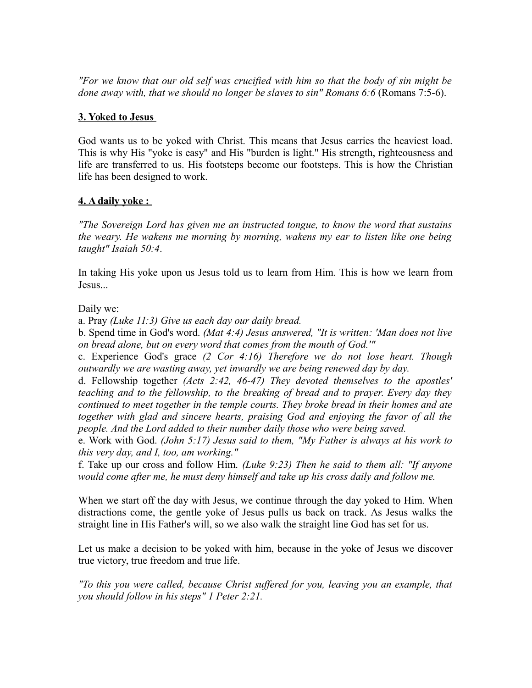*"For we know that our old self was crucified with him so that the body of sin might be done away with, that we should no longer be slaves to sin" Romans 6:6* (Romans 7:5-6).

### **3. Yoked to Jesus**

God wants us to be yoked with Christ. This means that Jesus carries the heaviest load. This is why His "yoke is easy" and His "burden is light." His strength, righteousness and life are transferred to us. His footsteps become our footsteps. This is how the Christian life has been designed to work.

### **4. A daily yoke :**

*"The Sovereign Lord has given me an instructed tongue, to know the word that sustains the weary. He wakens me morning by morning, wakens my ear to listen like one being taught" Isaiah 50:4*.

In taking His yoke upon us Jesus told us to learn from Him. This is how we learn from Jesus...

Daily we:

a. Pray *(Luke 11:3) Give us each day our daily bread.*

b. Spend time in God's word. *(Mat 4:4) Jesus answered, "It is written: 'Man does not live on bread alone, but on every word that comes from the mouth of God.'"*

c. Experience God's grace *(2 Cor 4:16) Therefore we do not lose heart. Though outwardly we are wasting away, yet inwardly we are being renewed day by day.*

d. Fellowship together *(Acts 2:42, 46-47) They devoted themselves to the apostles' teaching and to the fellowship, to the breaking of bread and to prayer. Every day they continued to meet together in the temple courts. They broke bread in their homes and ate together with glad and sincere hearts, praising God and enjoying the favor of all the people. And the Lord added to their number daily those who were being saved.* 

e. Work with God. *(John 5:17) Jesus said to them, "My Father is always at his work to this very day, and I, too, am working."*

f. Take up our cross and follow Him. *(Luke 9:23) Then he said to them all: "If anyone would come after me, he must deny himself and take up his cross daily and follow me.* 

When we start off the day with Jesus, we continue through the day yoked to Him. When distractions come, the gentle yoke of Jesus pulls us back on track. As Jesus walks the straight line in His Father's will, so we also walk the straight line God has set for us.

Let us make a decision to be yoked with him, because in the yoke of Jesus we discover true victory, true freedom and true life.

*"To this you were called, because Christ suffered for you, leaving you an example, that you should follow in his steps" 1 Peter 2:21.*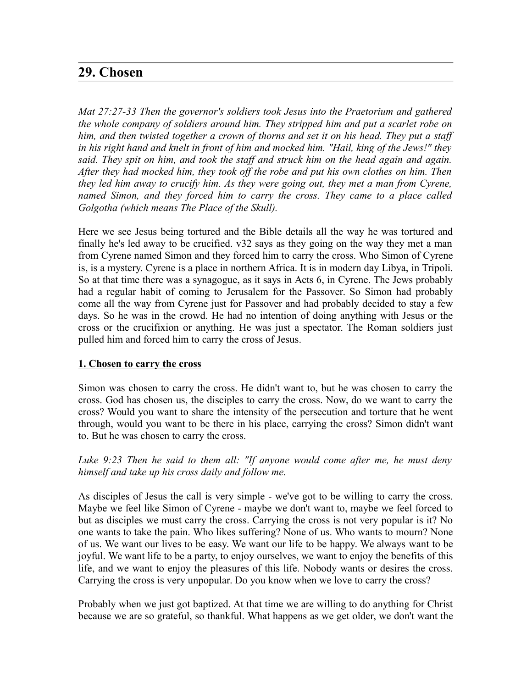## **29. Chosen**

*Mat 27:27-33 Then the governor's soldiers took Jesus into the Praetorium and gathered the whole company of soldiers around him. They stripped him and put a scarlet robe on him, and then twisted together a crown of thorns and set it on his head. They put a staff in his right hand and knelt in front of him and mocked him. "Hail, king of the Jews!" they said. They spit on him, and took the staff and struck him on the head again and again. After they had mocked him, they took off the robe and put his own clothes on him. Then they led him away to crucify him. As they were going out, they met a man from Cyrene, named Simon, and they forced him to carry the cross. They came to a place called Golgotha (which means The Place of the Skull).*

Here we see Jesus being tortured and the Bible details all the way he was tortured and finally he's led away to be crucified. v32 says as they going on the way they met a man from Cyrene named Simon and they forced him to carry the cross. Who Simon of Cyrene is, is a mystery. Cyrene is a place in northern Africa. It is in modern day Libya, in Tripoli. So at that time there was a synagogue, as it says in Acts 6, in Cyrene. The Jews probably had a regular habit of coming to Jerusalem for the Passover. So Simon had probably come all the way from Cyrene just for Passover and had probably decided to stay a few days. So he was in the crowd. He had no intention of doing anything with Jesus or the cross or the crucifixion or anything. He was just a spectator. The Roman soldiers just pulled him and forced him to carry the cross of Jesus.

### **1. Chosen to carry the cross**

Simon was chosen to carry the cross. He didn't want to, but he was chosen to carry the cross. God has chosen us, the disciples to carry the cross. Now, do we want to carry the cross? Would you want to share the intensity of the persecution and torture that he went through, would you want to be there in his place, carrying the cross? Simon didn't want to. But he was chosen to carry the cross.

*Luke 9:23 Then he said to them all: "If anyone would come after me, he must deny himself and take up his cross daily and follow me.*

As disciples of Jesus the call is very simple - we've got to be willing to carry the cross. Maybe we feel like Simon of Cyrene - maybe we don't want to, maybe we feel forced to but as disciples we must carry the cross. Carrying the cross is not very popular is it? No one wants to take the pain. Who likes suffering? None of us. Who wants to mourn? None of us. We want our lives to be easy. We want our life to be happy. We always want to be joyful. We want life to be a party, to enjoy ourselves, we want to enjoy the benefits of this life, and we want to enjoy the pleasures of this life. Nobody wants or desires the cross. Carrying the cross is very unpopular. Do you know when we love to carry the cross?

Probably when we just got baptized. At that time we are willing to do anything for Christ because we are so grateful, so thankful. What happens as we get older, we don't want the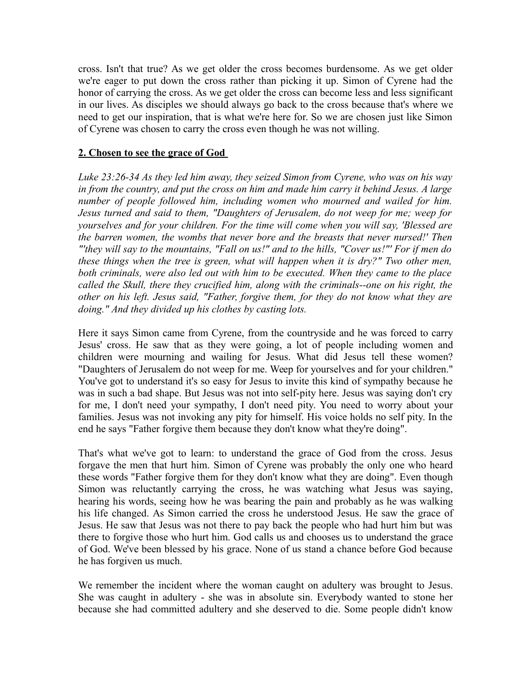cross. Isn't that true? As we get older the cross becomes burdensome. As we get older we're eager to put down the cross rather than picking it up. Simon of Cyrene had the honor of carrying the cross. As we get older the cross can become less and less significant in our lives. As disciples we should always go back to the cross because that's where we need to get our inspiration, that is what we're here for. So we are chosen just like Simon of Cyrene was chosen to carry the cross even though he was not willing.

#### **2. Chosen to see the grace of God**

*Luke 23:26-34 As they led him away, they seized Simon from Cyrene, who was on his way in from the country, and put the cross on him and made him carry it behind Jesus. A large number of people followed him, including women who mourned and wailed for him. Jesus turned and said to them, "Daughters of Jerusalem, do not weep for me; weep for yourselves and for your children. For the time will come when you will say, 'Blessed are the barren women, the wombs that never bore and the breasts that never nursed!' Then "'they will say to the mountains, "Fall on us!" and to the hills, "Cover us!"' For if men do these things when the tree is green, what will happen when it is dry?" Two other men, both criminals, were also led out with him to be executed. When they came to the place called the Skull, there they crucified him, along with the criminals--one on his right, the other on his left. Jesus said, "Father, forgive them, for they do not know what they are doing." And they divided up his clothes by casting lots.*

Here it says Simon came from Cyrene, from the countryside and he was forced to carry Jesus' cross. He saw that as they were going, a lot of people including women and children were mourning and wailing for Jesus. What did Jesus tell these women? "Daughters of Jerusalem do not weep for me. Weep for yourselves and for your children." You've got to understand it's so easy for Jesus to invite this kind of sympathy because he was in such a bad shape. But Jesus was not into self-pity here. Jesus was saying don't cry for me, I don't need your sympathy, I don't need pity. You need to worry about your families. Jesus was not invoking any pity for himself. His voice holds no self pity. In the end he says "Father forgive them because they don't know what they're doing".

That's what we've got to learn: to understand the grace of God from the cross. Jesus forgave the men that hurt him. Simon of Cyrene was probably the only one who heard these words "Father forgive them for they don't know what they are doing". Even though Simon was reluctantly carrying the cross, he was watching what Jesus was saying, hearing his words, seeing how he was bearing the pain and probably as he was walking his life changed. As Simon carried the cross he understood Jesus. He saw the grace of Jesus. He saw that Jesus was not there to pay back the people who had hurt him but was there to forgive those who hurt him. God calls us and chooses us to understand the grace of God. We've been blessed by his grace. None of us stand a chance before God because he has forgiven us much.

We remember the incident where the woman caught on adultery was brought to Jesus. She was caught in adultery - she was in absolute sin. Everybody wanted to stone her because she had committed adultery and she deserved to die. Some people didn't know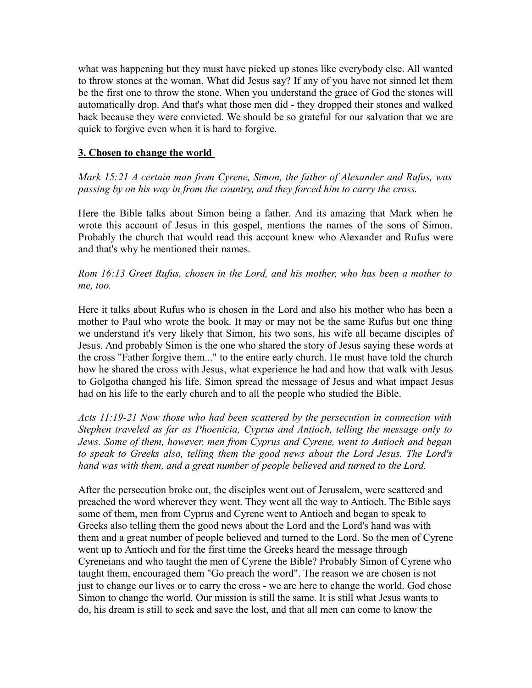what was happening but they must have picked up stones like everybody else. All wanted to throw stones at the woman. What did Jesus say? If any of you have not sinned let them be the first one to throw the stone. When you understand the grace of God the stones will automatically drop. And that's what those men did - they dropped their stones and walked back because they were convicted. We should be so grateful for our salvation that we are quick to forgive even when it is hard to forgive.

#### **3. Chosen to change the world**

*Mark 15:21 A certain man from Cyrene, Simon, the father of Alexander and Rufus, was passing by on his way in from the country, and they forced him to carry the cross.* 

Here the Bible talks about Simon being a father. And its amazing that Mark when he wrote this account of Jesus in this gospel, mentions the names of the sons of Simon. Probably the church that would read this account knew who Alexander and Rufus were and that's why he mentioned their names.

#### *Rom 16:13 Greet Rufus, chosen in the Lord, and his mother, who has been a mother to me, too.*

Here it talks about Rufus who is chosen in the Lord and also his mother who has been a mother to Paul who wrote the book. It may or may not be the same Rufus but one thing we understand it's very likely that Simon, his two sons, his wife all became disciples of Jesus. And probably Simon is the one who shared the story of Jesus saying these words at the cross "Father forgive them..." to the entire early church. He must have told the church how he shared the cross with Jesus, what experience he had and how that walk with Jesus to Golgotha changed his life. Simon spread the message of Jesus and what impact Jesus had on his life to the early church and to all the people who studied the Bible.

*Acts 11:19-21 Now those who had been scattered by the persecution in connection with Stephen traveled as far as Phoenicia, Cyprus and Antioch, telling the message only to Jews. Some of them, however, men from Cyprus and Cyrene, went to Antioch and began to speak to Greeks also, telling them the good news about the Lord Jesus. The Lord's* hand was with them, and a great number of people believed and turned to the Lord.

After the persecution broke out, the disciples went out of Jerusalem, were scattered and preached the word wherever they went. They went all the way to Antioch. The Bible says some of them, men from Cyprus and Cyrene went to Antioch and began to speak to Greeks also telling them the good news about the Lord and the Lord's hand was with them and a great number of people believed and turned to the Lord. So the men of Cyrene went up to Antioch and for the first time the Greeks heard the message through Cyreneians and who taught the men of Cyrene the Bible? Probably Simon of Cyrene who taught them, encouraged them "Go preach the word". The reason we are chosen is not just to change our lives or to carry the cross - we are here to change the world. God chose Simon to change the world. Our mission is still the same. It is still what Jesus wants to do, his dream is still to seek and save the lost, and that all men can come to know the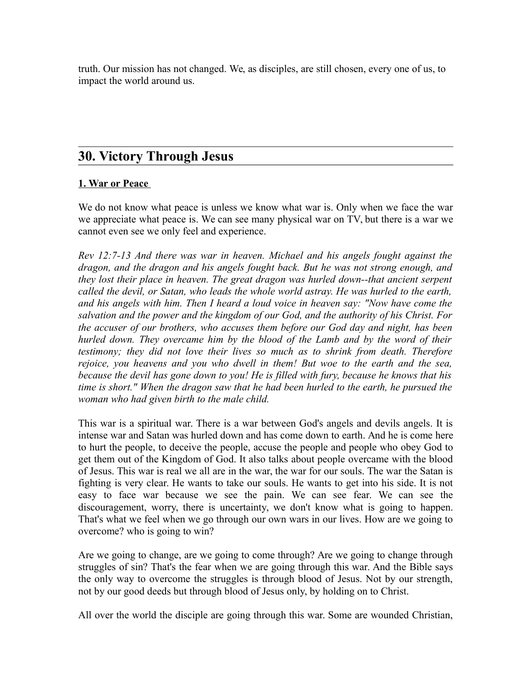truth. Our mission has not changed. We, as disciples, are still chosen, every one of us, to impact the world around us.

## **30. Victory Through Jesus**

### **1. War or Peace**

We do not know what peace is unless we know what war is. Only when we face the war we appreciate what peace is. We can see many physical war on TV, but there is a war we cannot even see we only feel and experience.

*Rev 12:7-13 And there was war in heaven. Michael and his angels fought against the dragon, and the dragon and his angels fought back. But he was not strong enough, and they lost their place in heaven. The great dragon was hurled down--that ancient serpent called the devil, or Satan, who leads the whole world astray. He was hurled to the earth, and his angels with him. Then I heard a loud voice in heaven say: "Now have come the salvation and the power and the kingdom of our God, and the authority of his Christ. For the accuser of our brothers, who accuses them before our God day and night, has been hurled down. They overcame him by the blood of the Lamb and by the word of their testimony; they did not love their lives so much as to shrink from death. Therefore rejoice, you heavens and you who dwell in them! But woe to the earth and the sea, because the devil has gone down to you! He is filled with fury, because he knows that his time is short." When the dragon saw that he had been hurled to the earth, he pursued the woman who had given birth to the male child.*

This war is a spiritual war. There is a war between God's angels and devils angels. It is intense war and Satan was hurled down and has come down to earth. And he is come here to hurt the people, to deceive the people, accuse the people and people who obey God to get them out of the Kingdom of God. It also talks about people overcame with the blood of Jesus. This war is real we all are in the war, the war for our souls. The war the Satan is fighting is very clear. He wants to take our souls. He wants to get into his side. It is not easy to face war because we see the pain. We can see fear. We can see the discouragement, worry, there is uncertainty, we don't know what is going to happen. That's what we feel when we go through our own wars in our lives. How are we going to overcome? who is going to win?

Are we going to change, are we going to come through? Are we going to change through struggles of sin? That's the fear when we are going through this war. And the Bible says the only way to overcome the struggles is through blood of Jesus. Not by our strength, not by our good deeds but through blood of Jesus only, by holding on to Christ.

All over the world the disciple are going through this war. Some are wounded Christian,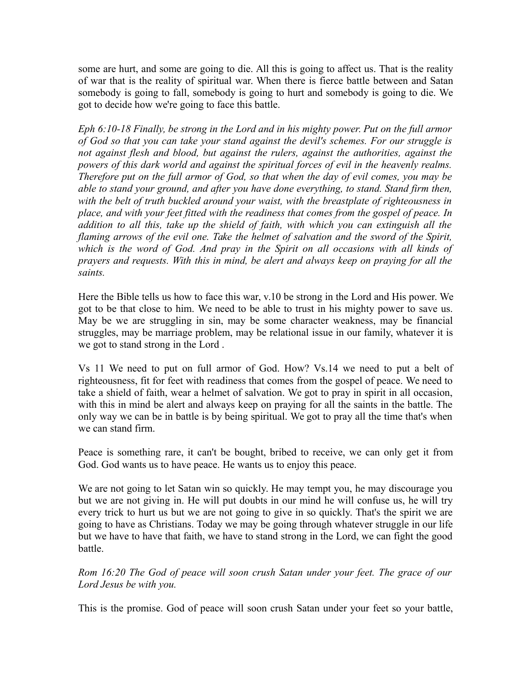some are hurt, and some are going to die. All this is going to affect us. That is the reality of war that is the reality of spiritual war. When there is fierce battle between and Satan somebody is going to fall, somebody is going to hurt and somebody is going to die. We got to decide how we're going to face this battle.

*Eph 6:10-18 Finally, be strong in the Lord and in his mighty power. Put on the full armor of God so that you can take your stand against the devil's schemes. For our struggle is not against flesh and blood, but against the rulers, against the authorities, against the powers of this dark world and against the spiritual forces of evil in the heavenly realms. Therefore put on the full armor of God, so that when the day of evil comes, you may be able to stand your ground, and after you have done everything, to stand. Stand firm then, with the belt of truth buckled around your waist, with the breastplate of righteousness in place, and with your feet fitted with the readiness that comes from the gospel of peace. In addition to all this, take up the shield of faith, with which you can extinguish all the flaming arrows of the evil one. Take the helmet of salvation and the sword of the Spirit, which is the word of God. And pray in the Spirit on all occasions with all kinds of prayers and requests. With this in mind, be alert and always keep on praying for all the saints.*

Here the Bible tells us how to face this war, v.10 be strong in the Lord and His power. We got to be that close to him. We need to be able to trust in his mighty power to save us. May be we are struggling in sin, may be some character weakness, may be financial struggles, may be marriage problem, may be relational issue in our family, whatever it is we got to stand strong in the Lord .

Vs 11 We need to put on full armor of God. How? Vs.14 we need to put a belt of righteousness, fit for feet with readiness that comes from the gospel of peace. We need to take a shield of faith, wear a helmet of salvation. We got to pray in spirit in all occasion, with this in mind be alert and always keep on praying for all the saints in the battle. The only way we can be in battle is by being spiritual. We got to pray all the time that's when we can stand firm.

Peace is something rare, it can't be bought, bribed to receive, we can only get it from God. God wants us to have peace. He wants us to enjoy this peace.

We are not going to let Satan win so quickly. He may tempt you, he may discourage you but we are not giving in. He will put doubts in our mind he will confuse us, he will try every trick to hurt us but we are not going to give in so quickly. That's the spirit we are going to have as Christians. Today we may be going through whatever struggle in our life but we have to have that faith, we have to stand strong in the Lord, we can fight the good battle.

*Rom 16:20 The God of peace will soon crush Satan under your feet. The grace of our Lord Jesus be with you.*

This is the promise. God of peace will soon crush Satan under your feet so your battle,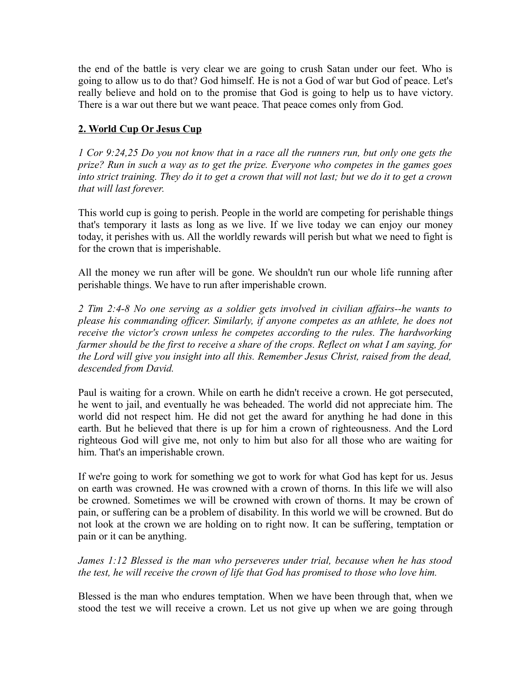the end of the battle is very clear we are going to crush Satan under our feet. Who is going to allow us to do that? God himself. He is not a God of war but God of peace. Let's really believe and hold on to the promise that God is going to help us to have victory. There is a war out there but we want peace. That peace comes only from God.

### **2. World Cup Or Jesus Cup**

*1 Cor 9:24,25 Do you not know that in a race all the runners run, but only one gets the prize? Run in such a way as to get the prize. Everyone who competes in the games goes into strict training. They do it to get a crown that will not last; but we do it to get a crown that will last forever.*

This world cup is going to perish. People in the world are competing for perishable things that's temporary it lasts as long as we live. If we live today we can enjoy our money today, it perishes with us. All the worldly rewards will perish but what we need to fight is for the crown that is imperishable.

All the money we run after will be gone. We shouldn't run our whole life running after perishable things. We have to run after imperishable crown.

*2 Tim 2:4-8 No one serving as a soldier gets involved in civilian affairs--he wants to please his commanding officer. Similarly, if anyone competes as an athlete, he does not receive the victor's crown unless he competes according to the rules. The hardworking farmer should be the first to receive a share of the crops. Reflect on what I am saying, for the Lord will give you insight into all this. Remember Jesus Christ, raised from the dead, descended from David.*

Paul is waiting for a crown. While on earth he didn't receive a crown. He got persecuted, he went to jail, and eventually he was beheaded. The world did not appreciate him. The world did not respect him. He did not get the award for anything he had done in this earth. But he believed that there is up for him a crown of righteousness. And the Lord righteous God will give me, not only to him but also for all those who are waiting for him. That's an imperishable crown.

If we're going to work for something we got to work for what God has kept for us. Jesus on earth was crowned. He was crowned with a crown of thorns. In this life we will also be crowned. Sometimes we will be crowned with crown of thorns. It may be crown of pain, or suffering can be a problem of disability. In this world we will be crowned. But do not look at the crown we are holding on to right now. It can be suffering, temptation or pain or it can be anything.

*James 1:12 Blessed is the man who perseveres under trial, because when he has stood the test, he will receive the crown of life that God has promised to those who love him.*

Blessed is the man who endures temptation. When we have been through that, when we stood the test we will receive a crown. Let us not give up when we are going through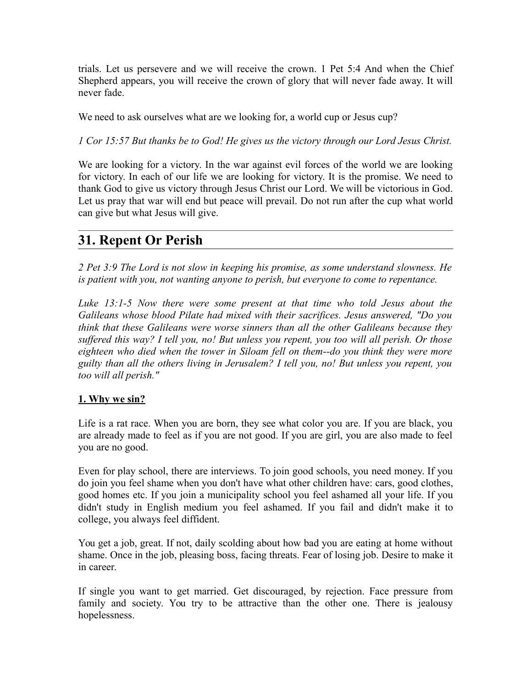trials. Let us persevere and we will receive the crown. 1 Pet 5:4 And when the Chief Shepherd appears, you will receive the crown of glory that will never fade away. It will never fade.

We need to ask ourselves what are we looking for, a world cup or Jesus cup?

*1 Cor 15:57 But thanks be to God! He gives us the victory through our Lord Jesus Christ.*

We are looking for a victory. In the war against evil forces of the world we are looking for victory. In each of our life we are looking for victory. It is the promise. We need to thank God to give us victory through Jesus Christ our Lord. We will be victorious in God. Let us pray that war will end but peace will prevail. Do not run after the cup what world can give but what Jesus will give.

# **31. Repent Or Perish**

*2 Pet 3:9 The Lord is not slow in keeping his promise, as some understand slowness. He is patient with you, not wanting anyone to perish, but everyone to come to repentance.* 

*Luke 13:1-5 Now there were some present at that time who told Jesus about the Galileans whose blood Pilate had mixed with their sacrifices. Jesus answered, "Do you think that these Galileans were worse sinners than all the other Galileans because they suffered this way? I tell you, no! But unless you repent, you too will all perish. Or those eighteen who died when the tower in Siloam fell on them--do you think they were more guilty than all the others living in Jerusalem? I tell you, no! But unless you repent, you too will all perish."* 

### **1. Why we sin?**

Life is a rat race. When you are born, they see what color you are. If you are black, you are already made to feel as if you are not good. If you are girl, you are also made to feel you are no good.

Even for play school, there are interviews. To join good schools, you need money. If you do join you feel shame when you don't have what other children have: cars, good clothes, good homes etc. If you join a municipality school you feel ashamed all your life. If you didn't study in English medium you feel ashamed. If you fail and didn't make it to college, you always feel diffident.

You get a job, great. If not, daily scolding about how bad you are eating at home without shame. Once in the job, pleasing boss, facing threats. Fear of losing job. Desire to make it in career.

If single you want to get married. Get discouraged, by rejection. Face pressure from family and society. You try to be attractive than the other one. There is jealousy hopelessness.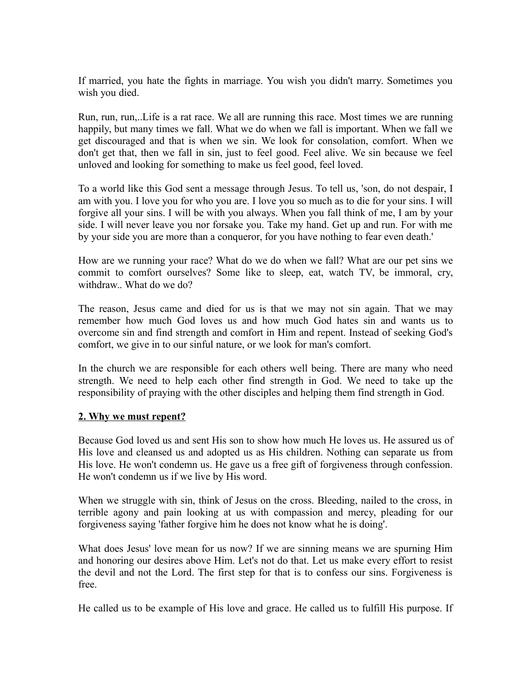If married, you hate the fights in marriage. You wish you didn't marry. Sometimes you wish you died.

Run, run, run,..Life is a rat race. We all are running this race. Most times we are running happily, but many times we fall. What we do when we fall is important. When we fall we get discouraged and that is when we sin. We look for consolation, comfort. When we don't get that, then we fall in sin, just to feel good. Feel alive. We sin because we feel unloved and looking for something to make us feel good, feel loved.

To a world like this God sent a message through Jesus. To tell us, 'son, do not despair, I am with you. I love you for who you are. I love you so much as to die for your sins. I will forgive all your sins. I will be with you always. When you fall think of me, I am by your side. I will never leave you nor forsake you. Take my hand. Get up and run. For with me by your side you are more than a conqueror, for you have nothing to fear even death.'

How are we running your race? What do we do when we fall? What are our pet sins we commit to comfort ourselves? Some like to sleep, eat, watch TV, be immoral, cry, withdraw.. What do we do?

The reason, Jesus came and died for us is that we may not sin again. That we may remember how much God loves us and how much God hates sin and wants us to overcome sin and find strength and comfort in Him and repent. Instead of seeking God's comfort, we give in to our sinful nature, or we look for man's comfort.

In the church we are responsible for each others well being. There are many who need strength. We need to help each other find strength in God. We need to take up the responsibility of praying with the other disciples and helping them find strength in God.

#### **2. Why we must repent?**

Because God loved us and sent His son to show how much He loves us. He assured us of His love and cleansed us and adopted us as His children. Nothing can separate us from His love. He won't condemn us. He gave us a free gift of forgiveness through confession. He won't condemn us if we live by His word.

When we struggle with sin, think of Jesus on the cross. Bleeding, nailed to the cross, in terrible agony and pain looking at us with compassion and mercy, pleading for our forgiveness saying 'father forgive him he does not know what he is doing'.

What does Jesus' love mean for us now? If we are sinning means we are spurning Him and honoring our desires above Him. Let's not do that. Let us make every effort to resist the devil and not the Lord. The first step for that is to confess our sins. Forgiveness is free.

He called us to be example of His love and grace. He called us to fulfill His purpose. If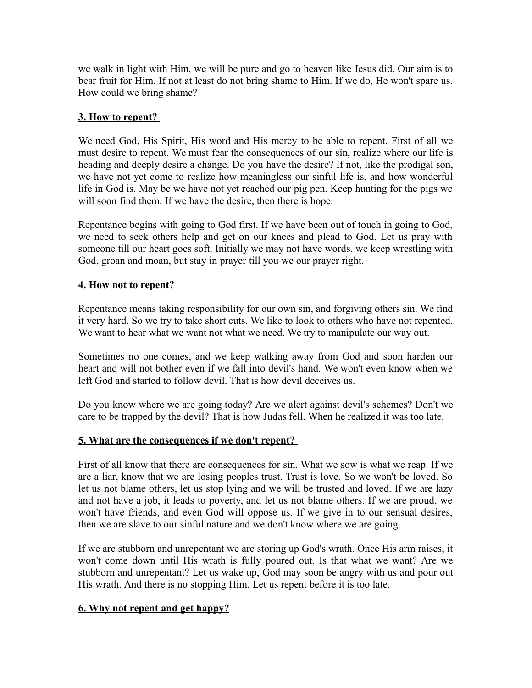we walk in light with Him, we will be pure and go to heaven like Jesus did. Our aim is to bear fruit for Him. If not at least do not bring shame to Him. If we do, He won't spare us. How could we bring shame?

### **3. How to repent?**

We need God, His Spirit, His word and His mercy to be able to repent. First of all we must desire to repent. We must fear the consequences of our sin, realize where our life is heading and deeply desire a change. Do you have the desire? If not, like the prodigal son, we have not yet come to realize how meaningless our sinful life is, and how wonderful life in God is. May be we have not yet reached our pig pen. Keep hunting for the pigs we will soon find them. If we have the desire, then there is hope.

Repentance begins with going to God first. If we have been out of touch in going to God, we need to seek others help and get on our knees and plead to God. Let us pray with someone till our heart goes soft. Initially we may not have words, we keep wrestling with God, groan and moan, but stay in prayer till you we our prayer right.

### **4. How not to repent?**

Repentance means taking responsibility for our own sin, and forgiving others sin. We find it very hard. So we try to take short cuts. We like to look to others who have not repented. We want to hear what we want not what we need. We try to manipulate our way out.

Sometimes no one comes, and we keep walking away from God and soon harden our heart and will not bother even if we fall into devil's hand. We won't even know when we left God and started to follow devil. That is how devil deceives us.

Do you know where we are going today? Are we alert against devil's schemes? Don't we care to be trapped by the devil? That is how Judas fell. When he realized it was too late.

### **5. What are the consequences if we don't repent?**

First of all know that there are consequences for sin. What we sow is what we reap. If we are a liar, know that we are losing peoples trust. Trust is love. So we won't be loved. So let us not blame others, let us stop lying and we will be trusted and loved. If we are lazy and not have a job, it leads to poverty, and let us not blame others. If we are proud, we won't have friends, and even God will oppose us. If we give in to our sensual desires, then we are slave to our sinful nature and we don't know where we are going.

If we are stubborn and unrepentant we are storing up God's wrath. Once His arm raises, it won't come down until His wrath is fully poured out. Is that what we want? Are we stubborn and unrepentant? Let us wake up, God may soon be angry with us and pour out His wrath. And there is no stopping Him. Let us repent before it is too late.

### **6. Why not repent and get happy?**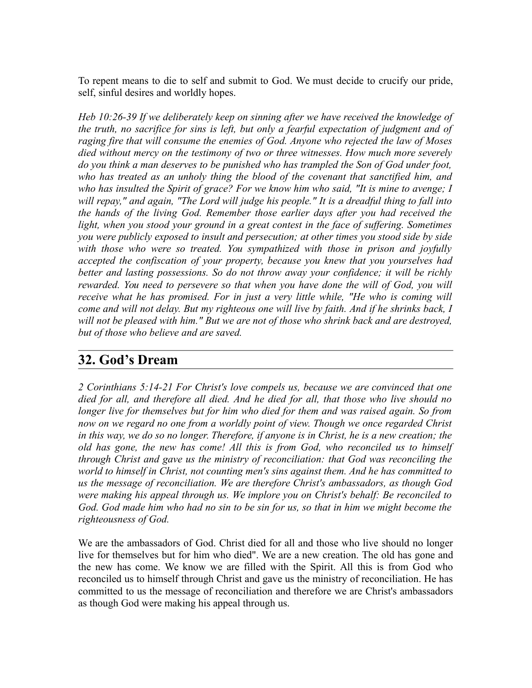To repent means to die to self and submit to God. We must decide to crucify our pride, self, sinful desires and worldly hopes.

*Heb 10:26-39 If we deliberately keep on sinning after we have received the knowledge of the truth, no sacrifice for sins is left, but only a fearful expectation of judgment and of raging fire that will consume the enemies of God. Anyone who rejected the law of Moses died without mercy on the testimony of two or three witnesses. How much more severely do you think a man deserves to be punished who has trampled the Son of God under foot, who has treated as an unholy thing the blood of the covenant that sanctified him, and who has insulted the Spirit of grace? For we know him who said, "It is mine to avenge; I will repay," and again, "The Lord will judge his people." It is a dreadful thing to fall into the hands of the living God. Remember those earlier days after you had received the light, when you stood your ground in a great contest in the face of suffering. Sometimes you were publicly exposed to insult and persecution; at other times you stood side by side with those who were so treated. You sympathized with those in prison and joyfully accepted the confiscation of your property, because you knew that you yourselves had better and lasting possessions. So do not throw away your confidence; it will be richly rewarded. You need to persevere so that when you have done the will of God, you will receive what he has promised. For in just a very little while, "He who is coming will come and will not delay. But my righteous one will live by faith. And if he shrinks back, I will not be pleased with him." But we are not of those who shrink back and are destroyed, but of those who believe and are saved.*

# **32. God's Dream**

*2 Corinthians 5:14-21 For Christ's love compels us, because we are convinced that one died for all, and therefore all died. And he died for all, that those who live should no longer live for themselves but for him who died for them and was raised again. So from now on we regard no one from a worldly point of view. Though we once regarded Christ in this way, we do so no longer. Therefore, if anyone is in Christ, he is a new creation; the old has gone, the new has come! All this is from God, who reconciled us to himself through Christ and gave us the ministry of reconciliation: that God was reconciling the world to himself in Christ, not counting men's sins against them. And he has committed to us the message of reconciliation. We are therefore Christ's ambassadors, as though God were making his appeal through us. We implore you on Christ's behalf: Be reconciled to God. God made him who had no sin to be sin for us, so that in him we might become the righteousness of God.*

We are the ambassadors of God. Christ died for all and those who live should no longer live for themselves but for him who died". We are a new creation. The old has gone and the new has come. We know we are filled with the Spirit. All this is from God who reconciled us to himself through Christ and gave us the ministry of reconciliation. He has committed to us the message of reconciliation and therefore we are Christ's ambassadors as though God were making his appeal through us.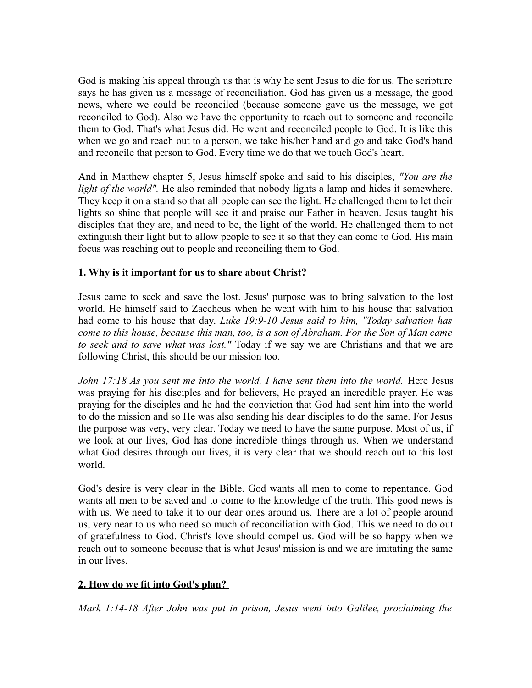God is making his appeal through us that is why he sent Jesus to die for us. The scripture says he has given us a message of reconciliation. God has given us a message, the good news, where we could be reconciled (because someone gave us the message, we got reconciled to God). Also we have the opportunity to reach out to someone and reconcile them to God. That's what Jesus did. He went and reconciled people to God. It is like this when we go and reach out to a person, we take his/her hand and go and take God's hand and reconcile that person to God. Every time we do that we touch God's heart.

And in Matthew chapter 5, Jesus himself spoke and said to his disciples, *"You are the light of the world".* He also reminded that nobody lights a lamp and hides it somewhere. They keep it on a stand so that all people can see the light. He challenged them to let their lights so shine that people will see it and praise our Father in heaven. Jesus taught his disciples that they are, and need to be, the light of the world. He challenged them to not extinguish their light but to allow people to see it so that they can come to God. His main focus was reaching out to people and reconciling them to God.

### **1. Why is it important for us to share about Christ?**

Jesus came to seek and save the lost. Jesus' purpose was to bring salvation to the lost world. He himself said to Zaccheus when he went with him to his house that salvation had come to his house that day. *Luke 19:9-10 Jesus said to him, "Today salvation has come to this house, because this man, too, is a son of Abraham. For the Son of Man came to seek and to save what was lost."* Today if we say we are Christians and that we are following Christ, this should be our mission too.

*John 17:18 As you sent me into the world, I have sent them into the world.* Here Jesus was praying for his disciples and for believers, He prayed an incredible prayer. He was praying for the disciples and he had the conviction that God had sent him into the world to do the mission and so He was also sending his dear disciples to do the same. For Jesus the purpose was very, very clear. Today we need to have the same purpose. Most of us, if we look at our lives, God has done incredible things through us. When we understand what God desires through our lives, it is very clear that we should reach out to this lost world.

God's desire is very clear in the Bible. God wants all men to come to repentance. God wants all men to be saved and to come to the knowledge of the truth. This good news is with us. We need to take it to our dear ones around us. There are a lot of people around us, very near to us who need so much of reconciliation with God. This we need to do out of gratefulness to God. Christ's love should compel us. God will be so happy when we reach out to someone because that is what Jesus' mission is and we are imitating the same in our lives.

#### **2. How do we fit into God's plan?**

*Mark 1:14-18 After John was put in prison, Jesus went into Galilee, proclaiming the*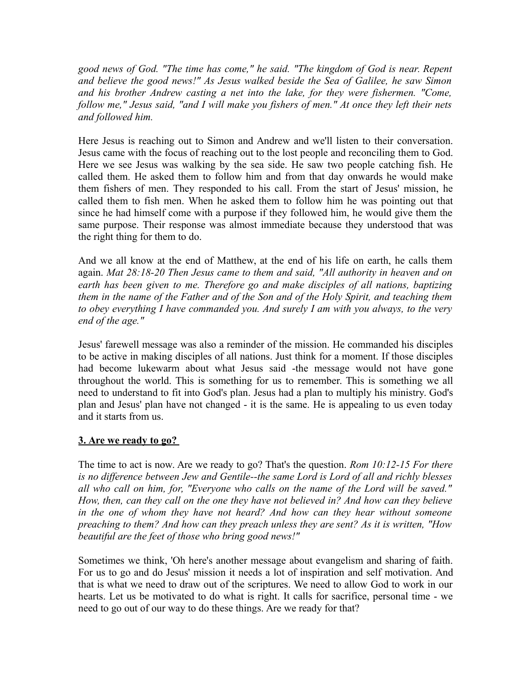*good news of God. "The time has come," he said. "The kingdom of God is near. Repent and believe the good news!" As Jesus walked beside the Sea of Galilee, he saw Simon and his brother Andrew casting a net into the lake, for they were fishermen. "Come, follow me," Jesus said, "and I will make you fishers of men." At once they left their nets and followed him.* 

Here Jesus is reaching out to Simon and Andrew and we'll listen to their conversation. Jesus came with the focus of reaching out to the lost people and reconciling them to God. Here we see Jesus was walking by the sea side. He saw two people catching fish. He called them. He asked them to follow him and from that day onwards he would make them fishers of men. They responded to his call. From the start of Jesus' mission, he called them to fish men. When he asked them to follow him he was pointing out that since he had himself come with a purpose if they followed him, he would give them the same purpose. Their response was almost immediate because they understood that was the right thing for them to do.

And we all know at the end of Matthew, at the end of his life on earth, he calls them again. *Mat 28:18-20 Then Jesus came to them and said, "All authority in heaven and on earth has been given to me. Therefore go and make disciples of all nations, baptizing them in the name of the Father and of the Son and of the Holy Spirit, and teaching them to obey everything I have commanded you. And surely I am with you always, to the very end of the age."*

Jesus' farewell message was also a reminder of the mission. He commanded his disciples to be active in making disciples of all nations. Just think for a moment. If those disciples had become lukewarm about what Jesus said -the message would not have gone throughout the world. This is something for us to remember. This is something we all need to understand to fit into God's plan. Jesus had a plan to multiply his ministry. God's plan and Jesus' plan have not changed - it is the same. He is appealing to us even today and it starts from us.

#### **3. Are we ready to go?**

The time to act is now. Are we ready to go? That's the question. *Rom 10:12-15 For there is no difference between Jew and Gentile--the same Lord is Lord of all and richly blesses all who call on him, for, "Everyone who calls on the name of the Lord will be saved." How, then, can they call on the one they have not believed in? And how can they believe in the one of whom they have not heard? And how can they hear without someone preaching to them? And how can they preach unless they are sent? As it is written, "How beautiful are the feet of those who bring good news!"*

Sometimes we think, 'Oh here's another message about evangelism and sharing of faith. For us to go and do Jesus' mission it needs a lot of inspiration and self motivation. And that is what we need to draw out of the scriptures. We need to allow God to work in our hearts. Let us be motivated to do what is right. It calls for sacrifice, personal time - we need to go out of our way to do these things. Are we ready for that?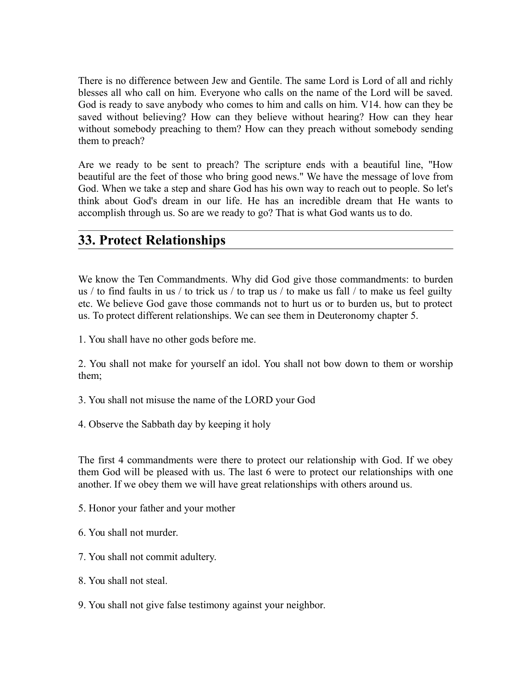There is no difference between Jew and Gentile. The same Lord is Lord of all and richly blesses all who call on him. Everyone who calls on the name of the Lord will be saved. God is ready to save anybody who comes to him and calls on him. V14. how can they be saved without believing? How can they believe without hearing? How can they hear without somebody preaching to them? How can they preach without somebody sending them to preach?

Are we ready to be sent to preach? The scripture ends with a beautiful line, "How beautiful are the feet of those who bring good news." We have the message of love from God. When we take a step and share God has his own way to reach out to people. So let's think about God's dream in our life. He has an incredible dream that He wants to accomplish through us. So are we ready to go? That is what God wants us to do.

# **33. Protect Relationships**

We know the Ten Commandments. Why did God give those commandments: to burden us / to find faults in us / to trick us / to trap us / to make us fall / to make us feel guilty etc. We believe God gave those commands not to hurt us or to burden us, but to protect us. To protect different relationships. We can see them in Deuteronomy chapter 5.

1. You shall have no other gods before me.

2. You shall not make for yourself an idol. You shall not bow down to them or worship them;

- 3. You shall not misuse the name of the LORD your God
- 4. Observe the Sabbath day by keeping it holy

The first 4 commandments were there to protect our relationship with God. If we obey them God will be pleased with us. The last 6 were to protect our relationships with one another. If we obey them we will have great relationships with others around us.

- 5. Honor your father and your mother
- 6. You shall not murder.
- 7. You shall not commit adultery.
- 8. You shall not steal.

9. You shall not give false testimony against your neighbor.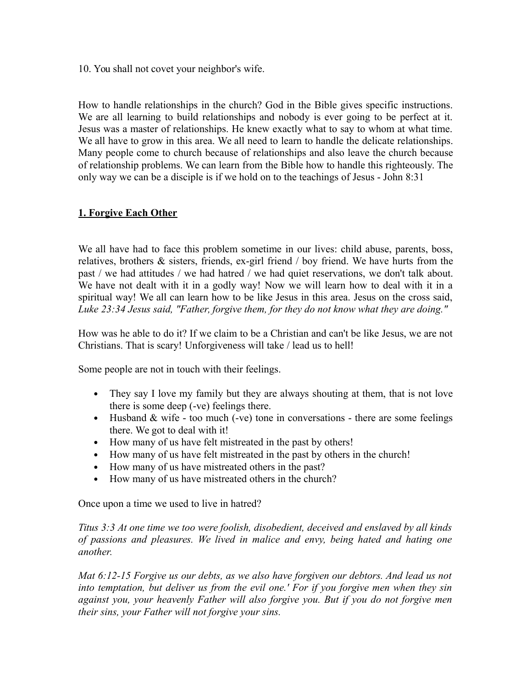10. You shall not covet your neighbor's wife.

How to handle relationships in the church? God in the Bible gives specific instructions. We are all learning to build relationships and nobody is ever going to be perfect at it. Jesus was a master of relationships. He knew exactly what to say to whom at what time. We all have to grow in this area. We all need to learn to handle the delicate relationships. Many people come to church because of relationships and also leave the church because of relationship problems. We can learn from the Bible how to handle this righteously. The only way we can be a disciple is if we hold on to the teachings of Jesus - John 8:31

#### **1. Forgive Each Other**

We all have had to face this problem sometime in our lives: child abuse, parents, boss, relatives, brothers  $\&$  sisters, friends, ex-girl friend / boy friend. We have hurts from the past / we had attitudes / we had hatred / we had quiet reservations, we don't talk about. We have not dealt with it in a godly way! Now we will learn how to deal with it in a spiritual way! We all can learn how to be like Jesus in this area. Jesus on the cross said, *Luke 23:34 Jesus said, "Father, forgive them, for they do not know what they are doing."*

How was he able to do it? If we claim to be a Christian and can't be like Jesus, we are not Christians. That is scary! Unforgiveness will take / lead us to hell!

Some people are not in touch with their feelings.

- They say I love my family but they are always shouting at them, that is not love there is some deep (-ve) feelings there.
- Husband  $&$  wife too much (-ve) tone in conversations there are some feelings there. We got to deal with it!
- How many of us have felt mistreated in the past by others!
- How many of us have felt mistreated in the past by others in the church!
- How many of us have mistreated others in the past?
- How many of us have mistreated others in the church?

Once upon a time we used to live in hatred?

*Titus 3:3 At one time we too were foolish, disobedient, deceived and enslaved by all kinds of passions and pleasures. We lived in malice and envy, being hated and hating one another.*

*Mat 6:12-15 Forgive us our debts, as we also have forgiven our debtors. And lead us not into temptation, but deliver us from the evil one.' For if you forgive men when they sin against you, your heavenly Father will also forgive you. But if you do not forgive men their sins, your Father will not forgive your sins.*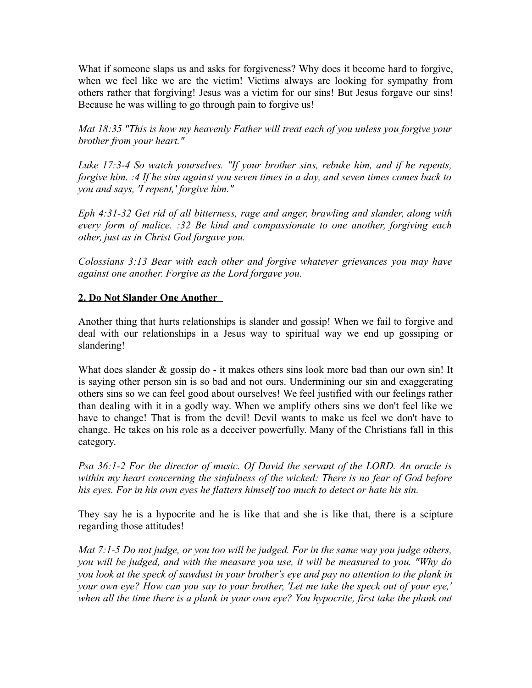What if someone slaps us and asks for forgiveness? Why does it become hard to forgive, when we feel like we are the victim! Victims always are looking for sympathy from others rather that forgiving! Jesus was a victim for our sins! But Jesus forgave our sins! Because he was willing to go through pain to forgive us!

*Mat 18:35 "This is how my heavenly Father will treat each of you unless you forgive your brother from your heart."*

*Luke 17:3-4 So watch yourselves. "If your brother sins, rebuke him, and if he repents, forgive him. :4 If he sins against you seven times in a day, and seven times comes back to you and says, 'I repent,' forgive him."*

*Eph 4:31-32 Get rid of all bitterness, rage and anger, brawling and slander, along with every form of malice. :32 Be kind and compassionate to one another, forgiving each other, just as in Christ God forgave you.*

*Colossians 3:13 Bear with each other and forgive whatever grievances you may have against one another. Forgive as the Lord forgave you.*

#### **2. Do Not Slander One Another**

Another thing that hurts relationships is slander and gossip! When we fail to forgive and deal with our relationships in a Jesus way to spiritual way we end up gossiping or slandering!

What does slander & gossip do - it makes others sins look more bad than our own sin! It is saying other person sin is so bad and not ours. Undermining our sin and exaggerating others sins so we can feel good about ourselves! We feel justified with our feelings rather than dealing with it in a godly way. When we amplify others sins we don't feel like we have to change! That is from the devil! Devil wants to make us feel we don't have to change. He takes on his role as a deceiver powerfully. Many of the Christians fall in this category.

*Psa 36:1-2 For the director of music. Of David the servant of the LORD. An oracle is within my heart concerning the sinfulness of the wicked: There is no fear of God before his eyes. For in his own eyes he flatters himself too much to detect or hate his sin.* 

They say he is a hypocrite and he is like that and she is like that, there is a scipture regarding those attitudes!

*Mat 7:1-5 Do not judge, or you too will be judged. For in the same way you judge others, you will be judged, and with the measure you use, it will be measured to you. "Why do you look at the speck of sawdust in your brother's eye and pay no attention to the plank in your own eye? How can you say to your brother, 'Let me take the speck out of your eye,' when all the time there is a plank in your own eye? You hypocrite, first take the plank out*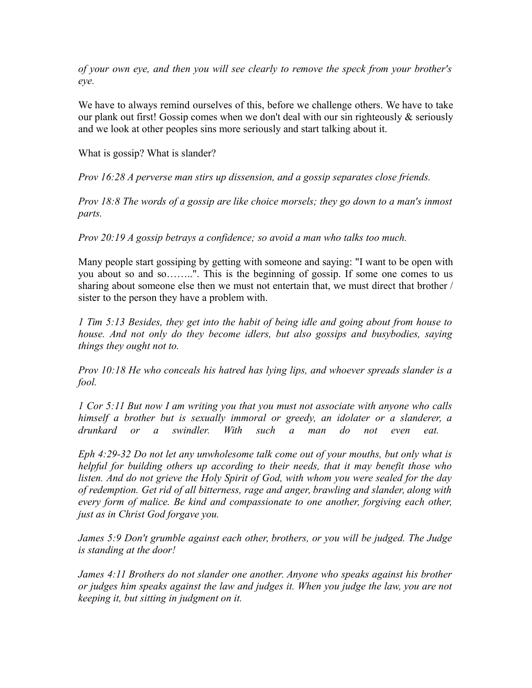*of your own eye, and then you will see clearly to remove the speck from your brother's eye.*

We have to always remind ourselves of this, before we challenge others. We have to take our plank out first! Gossip comes when we don't deal with our sin righteously  $\&$  seriously and we look at other peoples sins more seriously and start talking about it.

What is gossip? What is slander?

*Prov 16:28 A perverse man stirs up dissension, and a gossip separates close friends.*

*Prov 18:8 The words of a gossip are like choice morsels; they go down to a man's inmost parts.*

*Prov 20:19 A gossip betrays a confidence; so avoid a man who talks too much.*

Many people start gossiping by getting with someone and saying: "I want to be open with you about so and so……..". This is the beginning of gossip. If some one comes to us sharing about someone else then we must not entertain that, we must direct that brother / sister to the person they have a problem with.

*1 Tim 5:13 Besides, they get into the habit of being idle and going about from house to house. And not only do they become idlers, but also gossips and busybodies, saying things they ought not to.*

*Prov 10:18 He who conceals his hatred has lying lips, and whoever spreads slander is a fool.*

*1 Cor 5:11 But now I am writing you that you must not associate with anyone who calls himself a brother but is sexually immoral or greedy, an idolater or a slanderer, a drunkard or a swindler. With such a man do not even eat.*

*Eph 4:29-32 Do not let any unwholesome talk come out of your mouths, but only what is helpful for building others up according to their needs, that it may benefit those who listen. And do not grieve the Holy Spirit of God, with whom you were sealed for the day of redemption. Get rid of all bitterness, rage and anger, brawling and slander, along with every form of malice. Be kind and compassionate to one another, forgiving each other, just as in Christ God forgave you.*

*James 5:9 Don't grumble against each other, brothers, or you will be judged. The Judge is standing at the door!*

*James 4:11 Brothers do not slander one another. Anyone who speaks against his brother or judges him speaks against the law and judges it. When you judge the law, you are not keeping it, but sitting in judgment on it.*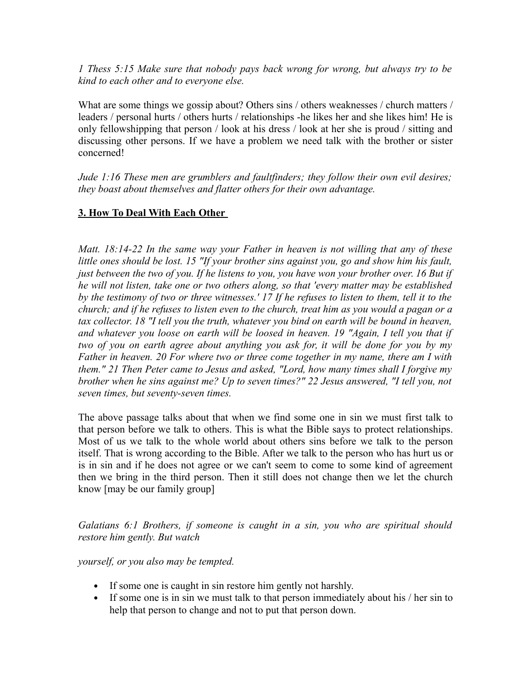*1 Thess 5:15 Make sure that nobody pays back wrong for wrong, but always try to be kind to each other and to everyone else.*

What are some things we gossip about? Others sins / others weaknesses / church matters / leaders / personal hurts / others hurts / relationships -he likes her and she likes him! He is only fellowshipping that person / look at his dress / look at her she is proud / sitting and discussing other persons. If we have a problem we need talk with the brother or sister concerned!

*Jude 1:16 These men are grumblers and faultfinders; they follow their own evil desires; they boast about themselves and flatter others for their own advantage.*

#### **3. How To Deal With Each Other**

*Matt. 18:14-22 In the same way your Father in heaven is not willing that any of these little ones should be lost. 15 "If your brother sins against you, go and show him his fault, just between the two of you. If he listens to you, you have won your brother over. 16 But if he will not listen, take one or two others along, so that 'every matter may be established by the testimony of two or three witnesses.' 17 If he refuses to listen to them, tell it to the church; and if he refuses to listen even to the church, treat him as you would a pagan or a tax collector. 18 "I tell you the truth, whatever you bind on earth will be bound in heaven, and whatever you loose on earth will be loosed in heaven. 19 "Again, I tell you that if two of you on earth agree about anything you ask for, it will be done for you by my Father in heaven. 20 For where two or three come together in my name, there am I with them." 21 Then Peter came to Jesus and asked, "Lord, how many times shall I forgive my brother when he sins against me? Up to seven times?" 22 Jesus answered, "I tell you, not seven times, but seventy-seven times.*

The above passage talks about that when we find some one in sin we must first talk to that person before we talk to others. This is what the Bible says to protect relationships. Most of us we talk to the whole world about others sins before we talk to the person itself. That is wrong according to the Bible. After we talk to the person who has hurt us or is in sin and if he does not agree or we can't seem to come to some kind of agreement then we bring in the third person. Then it still does not change then we let the church know [may be our family group]

*Galatians 6:1 Brothers, if someone is caught in a sin, you who are spiritual should restore him gently. But watch* 

*yourself, or you also may be tempted.*

- If some one is caught in sin restore him gently not harshly.
- If some one is in sin we must talk to that person immediately about his / her sin to help that person to change and not to put that person down.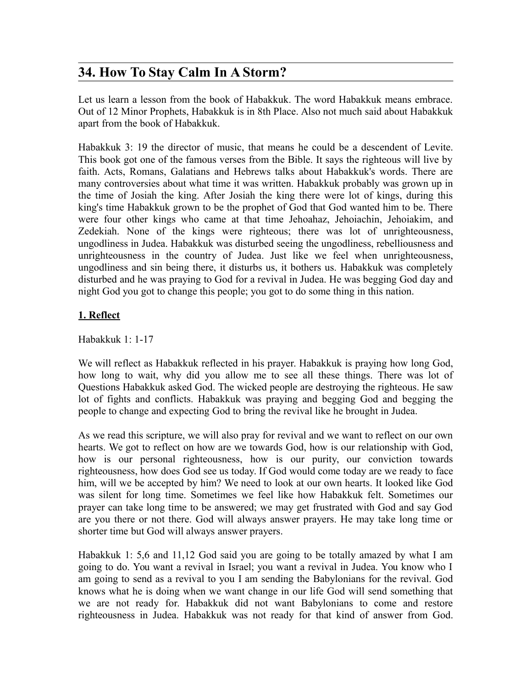# **34. How To Stay Calm In A Storm?**

Let us learn a lesson from the book of Habakkuk. The word Habakkuk means embrace. Out of 12 Minor Prophets, Habakkuk is in 8th Place. Also not much said about Habakkuk apart from the book of Habakkuk.

Habakkuk 3: 19 the director of music, that means he could be a descendent of Levite. This book got one of the famous verses from the Bible. It says the righteous will live by faith. Acts, Romans, Galatians and Hebrews talks about Habakkuk's words. There are many controversies about what time it was written. Habakkuk probably was grown up in the time of Josiah the king. After Josiah the king there were lot of kings, during this king's time Habakkuk grown to be the prophet of God that God wanted him to be. There were four other kings who came at that time Jehoahaz, Jehoiachin, Jehoiakim, and Zedekiah. None of the kings were righteous; there was lot of unrighteousness, ungodliness in Judea. Habakkuk was disturbed seeing the ungodliness, rebelliousness and unrighteousness in the country of Judea. Just like we feel when unrighteousness, ungodliness and sin being there, it disturbs us, it bothers us. Habakkuk was completely disturbed and he was praying to God for a revival in Judea. He was begging God day and night God you got to change this people; you got to do some thing in this nation.

### **1. Reflect**

Habakkuk 1: 1-17

We will reflect as Habakkuk reflected in his prayer. Habakkuk is praying how long God, how long to wait, why did you allow me to see all these things. There was lot of Questions Habakkuk asked God. The wicked people are destroying the righteous. He saw lot of fights and conflicts. Habakkuk was praying and begging God and begging the people to change and expecting God to bring the revival like he brought in Judea.

As we read this scripture, we will also pray for revival and we want to reflect on our own hearts. We got to reflect on how are we towards God, how is our relationship with God, how is our personal righteousness, how is our purity, our conviction towards righteousness, how does God see us today. If God would come today are we ready to face him, will we be accepted by him? We need to look at our own hearts. It looked like God was silent for long time. Sometimes we feel like how Habakkuk felt. Sometimes our prayer can take long time to be answered; we may get frustrated with God and say God are you there or not there. God will always answer prayers. He may take long time or shorter time but God will always answer prayers.

Habakkuk 1: 5,6 and 11,12 God said you are going to be totally amazed by what I am going to do. You want a revival in Israel; you want a revival in Judea. You know who I am going to send as a revival to you I am sending the Babylonians for the revival. God knows what he is doing when we want change in our life God will send something that we are not ready for. Habakkuk did not want Babylonians to come and restore righteousness in Judea. Habakkuk was not ready for that kind of answer from God.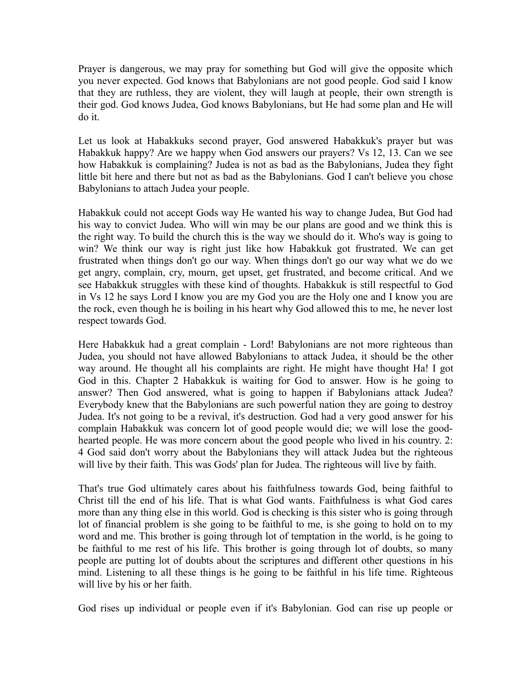Prayer is dangerous, we may pray for something but God will give the opposite which you never expected. God knows that Babylonians are not good people. God said I know that they are ruthless, they are violent, they will laugh at people, their own strength is their god. God knows Judea, God knows Babylonians, but He had some plan and He will do it.

Let us look at Habakkuks second prayer, God answered Habakkuk's prayer but was Habakkuk happy? Are we happy when God answers our prayers? Vs 12, 13. Can we see how Habakkuk is complaining? Judea is not as bad as the Babylonians, Judea they fight little bit here and there but not as bad as the Babylonians. God I can't believe you chose Babylonians to attach Judea your people.

Habakkuk could not accept Gods way He wanted his way to change Judea, But God had his way to convict Judea. Who will win may be our plans are good and we think this is the right way. To build the church this is the way we should do it. Who's way is going to win? We think our way is right just like how Habakkuk got frustrated. We can get frustrated when things don't go our way. When things don't go our way what we do we get angry, complain, cry, mourn, get upset, get frustrated, and become critical. And we see Habakkuk struggles with these kind of thoughts. Habakkuk is still respectful to God in Vs 12 he says Lord I know you are my God you are the Holy one and I know you are the rock, even though he is boiling in his heart why God allowed this to me, he never lost respect towards God.

Here Habakkuk had a great complain - Lord! Babylonians are not more righteous than Judea, you should not have allowed Babylonians to attack Judea, it should be the other way around. He thought all his complaints are right. He might have thought Ha! I got God in this. Chapter 2 Habakkuk is waiting for God to answer. How is he going to answer? Then God answered, what is going to happen if Babylonians attack Judea? Everybody knew that the Babylonians are such powerful nation they are going to destroy Judea. It's not going to be a revival, it's destruction. God had a very good answer for his complain Habakkuk was concern lot of good people would die; we will lose the goodhearted people. He was more concern about the good people who lived in his country. 2: 4 God said don't worry about the Babylonians they will attack Judea but the righteous will live by their faith. This was Gods' plan for Judea. The righteous will live by faith.

That's true God ultimately cares about his faithfulness towards God, being faithful to Christ till the end of his life. That is what God wants. Faithfulness is what God cares more than any thing else in this world. God is checking is this sister who is going through lot of financial problem is she going to be faithful to me, is she going to hold on to my word and me. This brother is going through lot of temptation in the world, is he going to be faithful to me rest of his life. This brother is going through lot of doubts, so many people are putting lot of doubts about the scriptures and different other questions in his mind. Listening to all these things is he going to be faithful in his life time. Righteous will live by his or her faith.

God rises up individual or people even if it's Babylonian. God can rise up people or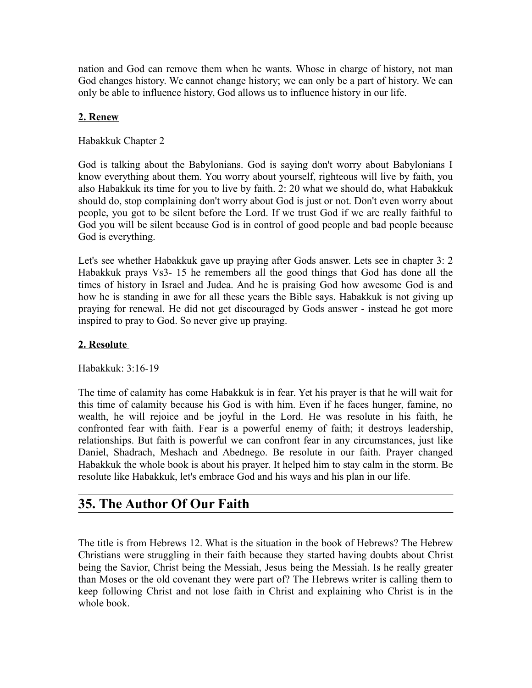nation and God can remove them when he wants. Whose in charge of history, not man God changes history. We cannot change history; we can only be a part of history. We can only be able to influence history, God allows us to influence history in our life.

### **2. Renew**

#### Habakkuk Chapter 2

God is talking about the Babylonians. God is saying don't worry about Babylonians I know everything about them. You worry about yourself, righteous will live by faith, you also Habakkuk its time for you to live by faith. 2: 20 what we should do, what Habakkuk should do, stop complaining don't worry about God is just or not. Don't even worry about people, you got to be silent before the Lord. If we trust God if we are really faithful to God you will be silent because God is in control of good people and bad people because God is everything.

Let's see whether Habakkuk gave up praying after Gods answer. Lets see in chapter 3: 2 Habakkuk prays Vs3- 15 he remembers all the good things that God has done all the times of history in Israel and Judea. And he is praising God how awesome God is and how he is standing in awe for all these years the Bible says. Habakkuk is not giving up praying for renewal. He did not get discouraged by Gods answer - instead he got more inspired to pray to God. So never give up praying.

#### **2. Resolute**

Habakkuk: 3:16-19

The time of calamity has come Habakkuk is in fear. Yet his prayer is that he will wait for this time of calamity because his God is with him. Even if he faces hunger, famine, no wealth, he will rejoice and be joyful in the Lord. He was resolute in his faith, he confronted fear with faith. Fear is a powerful enemy of faith; it destroys leadership, relationships. But faith is powerful we can confront fear in any circumstances, just like Daniel, Shadrach, Meshach and Abednego. Be resolute in our faith. Prayer changed Habakkuk the whole book is about his prayer. It helped him to stay calm in the storm. Be resolute like Habakkuk, let's embrace God and his ways and his plan in our life.

# **35. The Author Of Our Faith**

The title is from Hebrews 12. What is the situation in the book of Hebrews? The Hebrew Christians were struggling in their faith because they started having doubts about Christ being the Savior, Christ being the Messiah, Jesus being the Messiah. Is he really greater than Moses or the old covenant they were part of? The Hebrews writer is calling them to keep following Christ and not lose faith in Christ and explaining who Christ is in the whole book.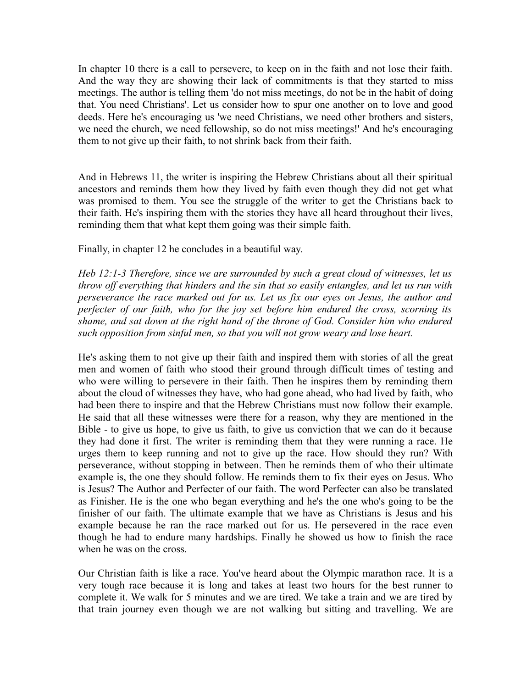In chapter 10 there is a call to persevere, to keep on in the faith and not lose their faith. And the way they are showing their lack of commitments is that they started to miss meetings. The author is telling them 'do not miss meetings, do not be in the habit of doing that. You need Christians'. Let us consider how to spur one another on to love and good deeds. Here he's encouraging us 'we need Christians, we need other brothers and sisters, we need the church, we need fellowship, so do not miss meetings!' And he's encouraging them to not give up their faith, to not shrink back from their faith.

And in Hebrews 11, the writer is inspiring the Hebrew Christians about all their spiritual ancestors and reminds them how they lived by faith even though they did not get what was promised to them. You see the struggle of the writer to get the Christians back to their faith. He's inspiring them with the stories they have all heard throughout their lives, reminding them that what kept them going was their simple faith.

Finally, in chapter 12 he concludes in a beautiful way.

*Heb 12:1-3 Therefore, since we are surrounded by such a great cloud of witnesses, let us throw off everything that hinders and the sin that so easily entangles, and let us run with perseverance the race marked out for us. Let us fix our eyes on Jesus, the author and perfecter of our faith, who for the joy set before him endured the cross, scorning its shame, and sat down at the right hand of the throne of God. Consider him who endured such opposition from sinful men, so that you will not grow weary and lose heart.*

He's asking them to not give up their faith and inspired them with stories of all the great men and women of faith who stood their ground through difficult times of testing and who were willing to persevere in their faith. Then he inspires them by reminding them about the cloud of witnesses they have, who had gone ahead, who had lived by faith, who had been there to inspire and that the Hebrew Christians must now follow their example. He said that all these witnesses were there for a reason, why they are mentioned in the Bible - to give us hope, to give us faith, to give us conviction that we can do it because they had done it first. The writer is reminding them that they were running a race. He urges them to keep running and not to give up the race. How should they run? With perseverance, without stopping in between. Then he reminds them of who their ultimate example is, the one they should follow. He reminds them to fix their eyes on Jesus. Who is Jesus? The Author and Perfecter of our faith. The word Perfecter can also be translated as Finisher. He is the one who began everything and he's the one who's going to be the finisher of our faith. The ultimate example that we have as Christians is Jesus and his example because he ran the race marked out for us. He persevered in the race even though he had to endure many hardships. Finally he showed us how to finish the race when he was on the cross.

Our Christian faith is like a race. You've heard about the Olympic marathon race. It is a very tough race because it is long and takes at least two hours for the best runner to complete it. We walk for 5 minutes and we are tired. We take a train and we are tired by that train journey even though we are not walking but sitting and travelling. We are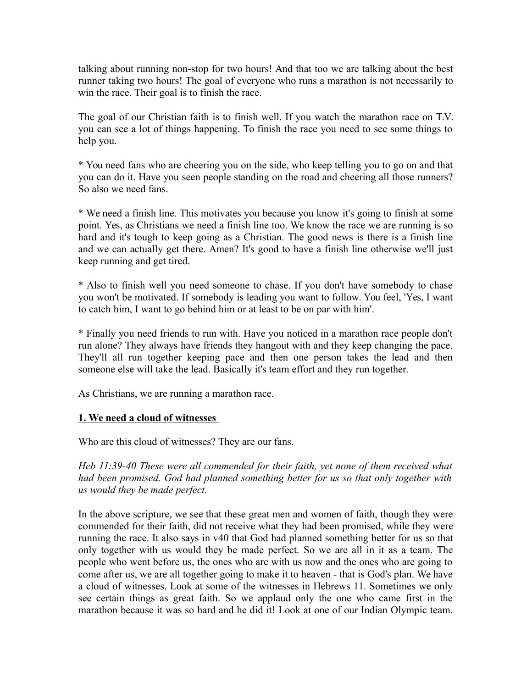talking about running non-stop for two hours! And that too we are talking about the best runner taking two hours! The goal of everyone who runs a marathon is not necessarily to win the race. Their goal is to finish the race.

The goal of our Christian faith is to finish well. If you watch the marathon race on T.V. you can see a lot of things happening. To finish the race you need to see some things to help you.

\* You need fans who are cheering you on the side, who keep telling you to go on and that you can do it. Have you seen people standing on the road and cheering all those runners? So also we need fans.

\* We need a finish line. This motivates you because you know it's going to finish at some point. Yes, as Christians we need a finish line too. We know the race we are running is so hard and it's tough to keep going as a Christian. The good news is there is a finish line and we can actually get there. Amen? It's good to have a finish line otherwise we'll just keep running and get tired.

\* Also to finish well you need someone to chase. If you don't have somebody to chase you won't be motivated. If somebody is leading you want to follow. You feel, 'Yes, I want to catch him, I want to go behind him or at least to be on par with him'.

\* Finally you need friends to run with. Have you noticed in a marathon race people don't run alone? They always have friends they hangout with and they keep changing the pace. They'll all run together keeping pace and then one person takes the lead and then someone else will take the lead. Basically it's team effort and they run together.

As Christians, we are running a marathon race.

#### **1. We need a cloud of witnesses**

Who are this cloud of witnesses? They are our fans.

*Heb 11:39-40 These were all commended for their faith, yet none of them received what had been promised. God had planned something better for us so that only together with us would they be made perfect.* 

In the above scripture, we see that these great men and women of faith, though they were commended for their faith, did not receive what they had been promised, while they were running the race. It also says in v40 that God had planned something better for us so that only together with us would they be made perfect. So we are all in it as a team. The people who went before us, the ones who are with us now and the ones who are going to come after us, we are all together going to make it to heaven - that is God's plan. We have a cloud of witnesses. Look at some of the witnesses in Hebrews 11. Sometimes we only see certain things as great faith. So we applaud only the one who came first in the marathon because it was so hard and he did it! Look at one of our Indian Olympic team.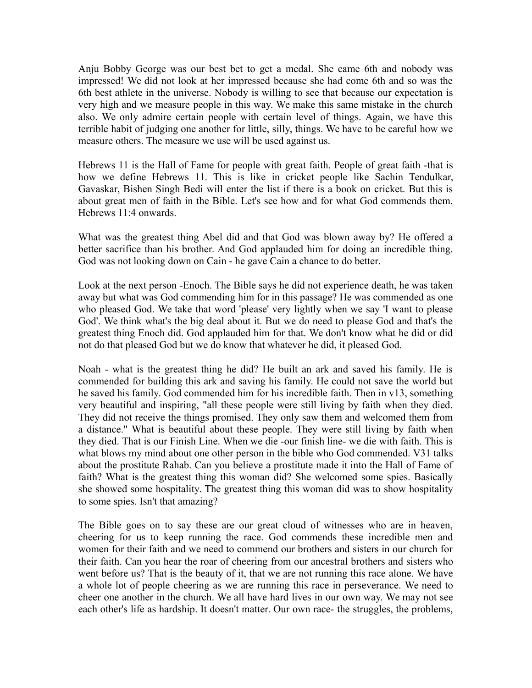Anju Bobby George was our best bet to get a medal. She came 6th and nobody was impressed! We did not look at her impressed because she had come 6th and so was the 6th best athlete in the universe. Nobody is willing to see that because our expectation is very high and we measure people in this way. We make this same mistake in the church also. We only admire certain people with certain level of things. Again, we have this terrible habit of judging one another for little, silly, things. We have to be careful how we measure others. The measure we use will be used against us.

Hebrews 11 is the Hall of Fame for people with great faith. People of great faith -that is how we define Hebrews 11. This is like in cricket people like Sachin Tendulkar, Gavaskar, Bishen Singh Bedi will enter the list if there is a book on cricket. But this is about great men of faith in the Bible. Let's see how and for what God commends them. Hebrews 11:4 onwards.

What was the greatest thing Abel did and that God was blown away by? He offered a better sacrifice than his brother. And God applauded him for doing an incredible thing. God was not looking down on Cain - he gave Cain a chance to do better.

Look at the next person -Enoch. The Bible says he did not experience death, he was taken away but what was God commending him for in this passage? He was commended as one who pleased God. We take that word 'please' very lightly when we say 'I want to please God'. We think what's the big deal about it. But we do need to please God and that's the greatest thing Enoch did. God applauded him for that. We don't know what he did or did not do that pleased God but we do know that whatever he did, it pleased God.

Noah - what is the greatest thing he did? He built an ark and saved his family. He is commended for building this ark and saving his family. He could not save the world but he saved his family. God commended him for his incredible faith. Then in v13, something very beautiful and inspiring, "all these people were still living by faith when they died. They did not receive the things promised. They only saw them and welcomed them from a distance." What is beautiful about these people. They were still living by faith when they died. That is our Finish Line. When we die -our finish line- we die with faith. This is what blows my mind about one other person in the bible who God commended. V31 talks about the prostitute Rahab. Can you believe a prostitute made it into the Hall of Fame of faith? What is the greatest thing this woman did? She welcomed some spies. Basically she showed some hospitality. The greatest thing this woman did was to show hospitality to some spies. Isn't that amazing?

The Bible goes on to say these are our great cloud of witnesses who are in heaven, cheering for us to keep running the race. God commends these incredible men and women for their faith and we need to commend our brothers and sisters in our church for their faith. Can you hear the roar of cheering from our ancestral brothers and sisters who went before us? That is the beauty of it, that we are not running this race alone. We have a whole lot of people cheering as we are running this race in perseverance. We need to cheer one another in the church. We all have hard lives in our own way. We may not see each other's life as hardship. It doesn't matter. Our own race- the struggles, the problems,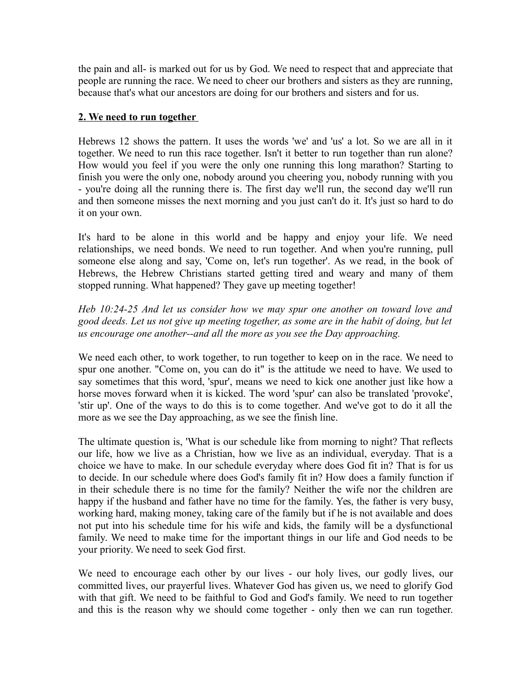the pain and all- is marked out for us by God. We need to respect that and appreciate that people are running the race. We need to cheer our brothers and sisters as they are running, because that's what our ancestors are doing for our brothers and sisters and for us.

#### **2. We need to run together**

Hebrews 12 shows the pattern. It uses the words 'we' and 'us' a lot. So we are all in it together. We need to run this race together. Isn't it better to run together than run alone? How would you feel if you were the only one running this long marathon? Starting to finish you were the only one, nobody around you cheering you, nobody running with you - you're doing all the running there is. The first day we'll run, the second day we'll run and then someone misses the next morning and you just can't do it. It's just so hard to do it on your own.

It's hard to be alone in this world and be happy and enjoy your life. We need relationships, we need bonds. We need to run together. And when you're running, pull someone else along and say, 'Come on, let's run together'. As we read, in the book of Hebrews, the Hebrew Christians started getting tired and weary and many of them stopped running. What happened? They gave up meeting together!

*Heb 10:24-25 And let us consider how we may spur one another on toward love and good deeds. Let us not give up meeting together, as some are in the habit of doing, but let us encourage one another--and all the more as you see the Day approaching.*

We need each other, to work together, to run together to keep on in the race. We need to spur one another. "Come on, you can do it" is the attitude we need to have. We used to say sometimes that this word, 'spur', means we need to kick one another just like how a horse moves forward when it is kicked. The word 'spur' can also be translated 'provoke', 'stir up'. One of the ways to do this is to come together. And we've got to do it all the more as we see the Day approaching, as we see the finish line.

The ultimate question is, 'What is our schedule like from morning to night? That reflects our life, how we live as a Christian, how we live as an individual, everyday. That is a choice we have to make. In our schedule everyday where does God fit in? That is for us to decide. In our schedule where does God's family fit in? How does a family function if in their schedule there is no time for the family? Neither the wife nor the children are happy if the husband and father have no time for the family. Yes, the father is very busy, working hard, making money, taking care of the family but if he is not available and does not put into his schedule time for his wife and kids, the family will be a dysfunctional family. We need to make time for the important things in our life and God needs to be your priority. We need to seek God first.

We need to encourage each other by our lives - our holy lives, our godly lives, our committed lives, our prayerful lives. Whatever God has given us, we need to glorify God with that gift. We need to be faithful to God and God's family. We need to run together and this is the reason why we should come together - only then we can run together.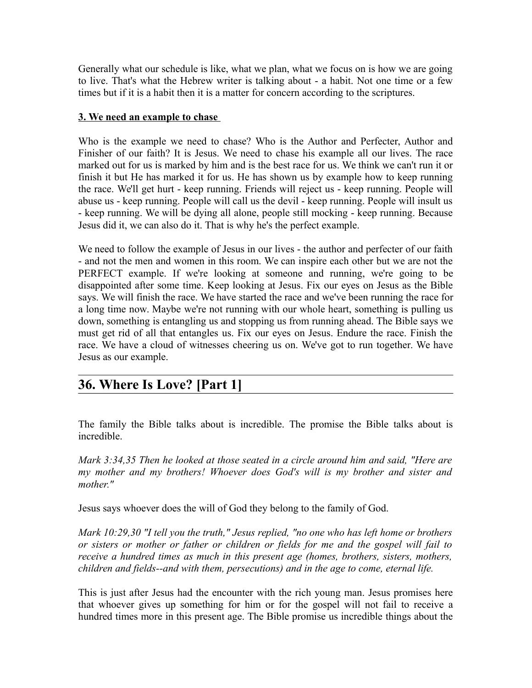Generally what our schedule is like, what we plan, what we focus on is how we are going to live. That's what the Hebrew writer is talking about - a habit. Not one time or a few times but if it is a habit then it is a matter for concern according to the scriptures.

#### **3. We need an example to chase**

Who is the example we need to chase? Who is the Author and Perfecter, Author and Finisher of our faith? It is Jesus. We need to chase his example all our lives. The race marked out for us is marked by him and is the best race for us. We think we can't run it or finish it but He has marked it for us. He has shown us by example how to keep running the race. We'll get hurt - keep running. Friends will reject us - keep running. People will abuse us - keep running. People will call us the devil - keep running. People will insult us - keep running. We will be dying all alone, people still mocking - keep running. Because Jesus did it, we can also do it. That is why he's the perfect example.

We need to follow the example of Jesus in our lives - the author and perfecter of our faith - and not the men and women in this room. We can inspire each other but we are not the PERFECT example. If we're looking at someone and running, we're going to be disappointed after some time. Keep looking at Jesus. Fix our eyes on Jesus as the Bible says. We will finish the race. We have started the race and we've been running the race for a long time now. Maybe we're not running with our whole heart, something is pulling us down, something is entangling us and stopping us from running ahead. The Bible says we must get rid of all that entangles us. Fix our eyes on Jesus. Endure the race. Finish the race. We have a cloud of witnesses cheering us on. We've got to run together. We have Jesus as our example.

# **36. Where Is Love? [Part 1]**

The family the Bible talks about is incredible. The promise the Bible talks about is incredible.

*Mark 3:34,35 Then he looked at those seated in a circle around him and said, "Here are my mother and my brothers! Whoever does God's will is my brother and sister and mother."* 

Jesus says whoever does the will of God they belong to the family of God.

*Mark 10:29,30 "I tell you the truth," Jesus replied, "no one who has left home or brothers or sisters or mother or father or children or fields for me and the gospel will fail to receive a hundred times as much in this present age (homes, brothers, sisters, mothers, children and fields--and with them, persecutions) and in the age to come, eternal life.* 

This is just after Jesus had the encounter with the rich young man. Jesus promises here that whoever gives up something for him or for the gospel will not fail to receive a hundred times more in this present age. The Bible promise us incredible things about the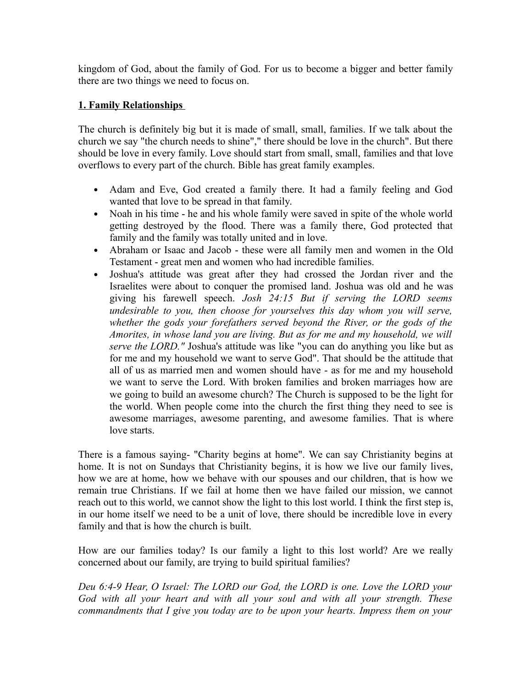kingdom of God, about the family of God. For us to become a bigger and better family there are two things we need to focus on.

#### **1. Family Relationships**

The church is definitely big but it is made of small, small, families. If we talk about the church we say "the church needs to shine"," there should be love in the church". But there should be love in every family. Love should start from small, small, families and that love overflows to every part of the church. Bible has great family examples.

- Adam and Eve, God created a family there. It had a family feeling and God wanted that love to be spread in that family.
- Noah in his time he and his whole family were saved in spite of the whole world getting destroyed by the flood. There was a family there, God protected that family and the family was totally united and in love.
- Abraham or Isaac and Jacob these were all family men and women in the Old Testament - great men and women who had incredible families.
- Joshua's attitude was great after they had crossed the Jordan river and the Israelites were about to conquer the promised land. Joshua was old and he was giving his farewell speech. *Josh 24:15 But if serving the LORD seems undesirable to you, then choose for yourselves this day whom you will serve, whether the gods your forefathers served beyond the River, or the gods of the Amorites, in whose land you are living. But as for me and my household, we will serve the LORD."* Joshua's attitude was like "you can do anything you like but as for me and my household we want to serve God". That should be the attitude that all of us as married men and women should have - as for me and my household we want to serve the Lord. With broken families and broken marriages how are we going to build an awesome church? The Church is supposed to be the light for the world. When people come into the church the first thing they need to see is awesome marriages, awesome parenting, and awesome families. That is where love starts.

There is a famous saying- "Charity begins at home". We can say Christianity begins at home. It is not on Sundays that Christianity begins, it is how we live our family lives, how we are at home, how we behave with our spouses and our children, that is how we remain true Christians. If we fail at home then we have failed our mission, we cannot reach out to this world, we cannot show the light to this lost world. I think the first step is, in our home itself we need to be a unit of love, there should be incredible love in every family and that is how the church is built.

How are our families today? Is our family a light to this lost world? Are we really concerned about our family, are trying to build spiritual families?

*Deu 6:4-9 Hear, O Israel: The LORD our God, the LORD is one. Love the LORD your God with all your heart and with all your soul and with all your strength. These commandments that I give you today are to be upon your hearts. Impress them on your*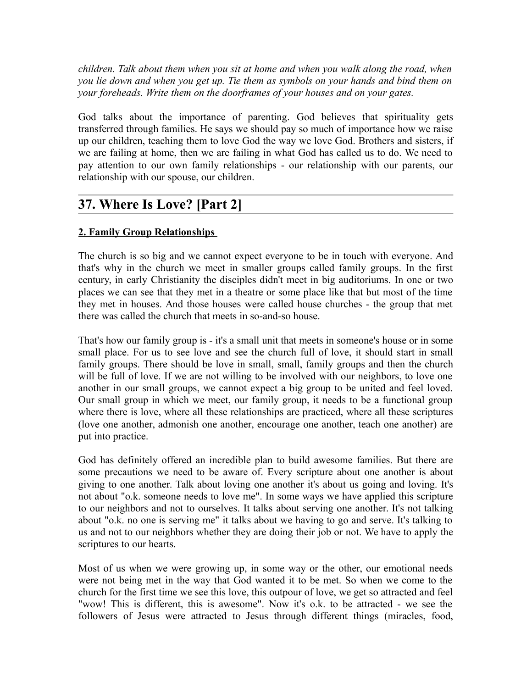*children. Talk about them when you sit at home and when you walk along the road, when you lie down and when you get up. Tie them as symbols on your hands and bind them on your foreheads. Write them on the doorframes of your houses and on your gates.*

God talks about the importance of parenting. God believes that spirituality gets transferred through families. He says we should pay so much of importance how we raise up our children, teaching them to love God the way we love God. Brothers and sisters, if we are failing at home, then we are failing in what God has called us to do. We need to pay attention to our own family relationships - our relationship with our parents, our relationship with our spouse, our children.

# **37. Where Is Love? [Part 2]**

## **2. Family Group Relationships**

The church is so big and we cannot expect everyone to be in touch with everyone. And that's why in the church we meet in smaller groups called family groups. In the first century, in early Christianity the disciples didn't meet in big auditoriums. In one or two places we can see that they met in a theatre or some place like that but most of the time they met in houses. And those houses were called house churches - the group that met there was called the church that meets in so-and-so house.

That's how our family group is - it's a small unit that meets in someone's house or in some small place. For us to see love and see the church full of love, it should start in small family groups. There should be love in small, small, family groups and then the church will be full of love. If we are not willing to be involved with our neighbors, to love one another in our small groups, we cannot expect a big group to be united and feel loved. Our small group in which we meet, our family group, it needs to be a functional group where there is love, where all these relationships are practiced, where all these scriptures (love one another, admonish one another, encourage one another, teach one another) are put into practice.

God has definitely offered an incredible plan to build awesome families. But there are some precautions we need to be aware of. Every scripture about one another is about giving to one another. Talk about loving one another it's about us going and loving. It's not about "o.k. someone needs to love me". In some ways we have applied this scripture to our neighbors and not to ourselves. It talks about serving one another. It's not talking about "o.k. no one is serving me" it talks about we having to go and serve. It's talking to us and not to our neighbors whether they are doing their job or not. We have to apply the scriptures to our hearts.

Most of us when we were growing up, in some way or the other, our emotional needs were not being met in the way that God wanted it to be met. So when we come to the church for the first time we see this love, this outpour of love, we get so attracted and feel "wow! This is different, this is awesome". Now it's o.k. to be attracted - we see the followers of Jesus were attracted to Jesus through different things (miracles, food,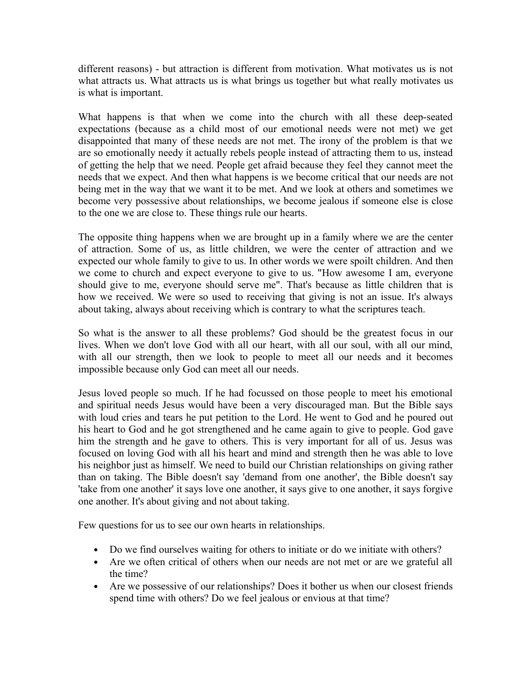different reasons) - but attraction is different from motivation. What motivates us is not what attracts us. What attracts us is what brings us together but what really motivates us is what is important.

What happens is that when we come into the church with all these deep-seated expectations (because as a child most of our emotional needs were not met) we get disappointed that many of these needs are not met. The irony of the problem is that we are so emotionally needy it actually rebels people instead of attracting them to us, instead of getting the help that we need. People get afraid because they feel they cannot meet the needs that we expect. And then what happens is we become critical that our needs are not being met in the way that we want it to be met. And we look at others and sometimes we become very possessive about relationships, we become jealous if someone else is close to the one we are close to. These things rule our hearts.

The opposite thing happens when we are brought up in a family where we are the center of attraction. Some of us, as little children, we were the center of attraction and we expected our whole family to give to us. In other words we were spoilt children. And then we come to church and expect everyone to give to us. "How awesome I am, everyone should give to me, everyone should serve me". That's because as little children that is how we received. We were so used to receiving that giving is not an issue. It's always about taking, always about receiving which is contrary to what the scriptures teach.

So what is the answer to all these problems? God should be the greatest focus in our lives. When we don't love God with all our heart, with all our soul, with all our mind, with all our strength, then we look to people to meet all our needs and it becomes impossible because only God can meet all our needs.

Jesus loved people so much. If he had focussed on those people to meet his emotional and spiritual needs Jesus would have been a very discouraged man. But the Bible says with loud cries and tears he put petition to the Lord. He went to God and he poured out his heart to God and he got strengthened and he came again to give to people. God gave him the strength and he gave to others. This is very important for all of us. Jesus was focused on loving God with all his heart and mind and strength then he was able to love his neighbor just as himself. We need to build our Christian relationships on giving rather than on taking. The Bible doesn't say 'demand from one another', the Bible doesn't say 'take from one another' it says love one another, it says give to one another, it says forgive one another. It's about giving and not about taking.

Few questions for us to see our own hearts in relationships.

- Do we find ourselves waiting for others to initiate or do we initiate with others?
- Are we often critical of others when our needs are not met or are we grateful all the time?
- Are we possessive of our relationships? Does it bother us when our closest friends spend time with others? Do we feel jealous or envious at that time?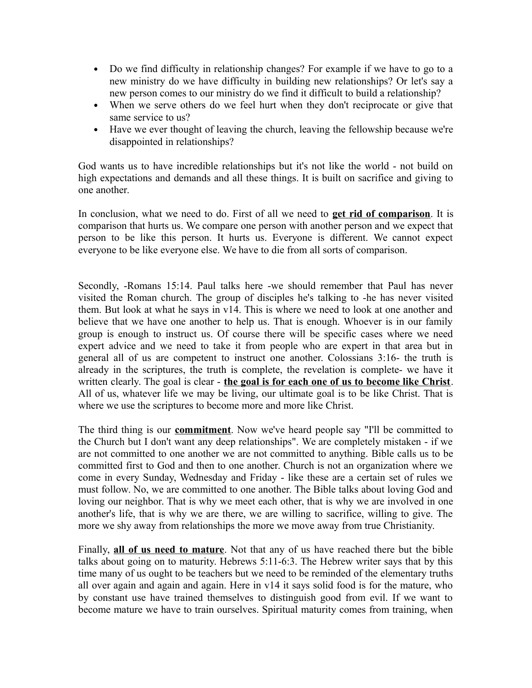- Do we find difficulty in relationship changes? For example if we have to go to a new ministry do we have difficulty in building new relationships? Or let's say a new person comes to our ministry do we find it difficult to build a relationship?
- When we serve others do we feel hurt when they don't reciprocate or give that same service to us?
- Have we ever thought of leaving the church, leaving the fellowship because we're disappointed in relationships?

God wants us to have incredible relationships but it's not like the world - not build on high expectations and demands and all these things. It is built on sacrifice and giving to one another.

In conclusion, what we need to do. First of all we need to **get rid of comparison**. It is comparison that hurts us. We compare one person with another person and we expect that person to be like this person. It hurts us. Everyone is different. We cannot expect everyone to be like everyone else. We have to die from all sorts of comparison.

Secondly, -Romans 15:14. Paul talks here -we should remember that Paul has never visited the Roman church. The group of disciples he's talking to -he has never visited them. But look at what he says in v14. This is where we need to look at one another and believe that we have one another to help us. That is enough. Whoever is in our family group is enough to instruct us. Of course there will be specific cases where we need expert advice and we need to take it from people who are expert in that area but in general all of us are competent to instruct one another. Colossians 3:16- the truth is already in the scriptures, the truth is complete, the revelation is complete- we have it written clearly. The goal is clear - **the goal is for each one of us to become like Christ**. All of us, whatever life we may be living, our ultimate goal is to be like Christ. That is where we use the scriptures to become more and more like Christ.

The third thing is our **commitment**. Now we've heard people say "I'll be committed to the Church but I don't want any deep relationships". We are completely mistaken - if we are not committed to one another we are not committed to anything. Bible calls us to be committed first to God and then to one another. Church is not an organization where we come in every Sunday, Wednesday and Friday - like these are a certain set of rules we must follow. No, we are committed to one another. The Bible talks about loving God and loving our neighbor. That is why we meet each other, that is why we are involved in one another's life, that is why we are there, we are willing to sacrifice, willing to give. The more we shy away from relationships the more we move away from true Christianity.

Finally, **all of us need to mature**. Not that any of us have reached there but the bible talks about going on to maturity. Hebrews 5:11-6:3. The Hebrew writer says that by this time many of us ought to be teachers but we need to be reminded of the elementary truths all over again and again and again. Here in v14 it says solid food is for the mature, who by constant use have trained themselves to distinguish good from evil. If we want to become mature we have to train ourselves. Spiritual maturity comes from training, when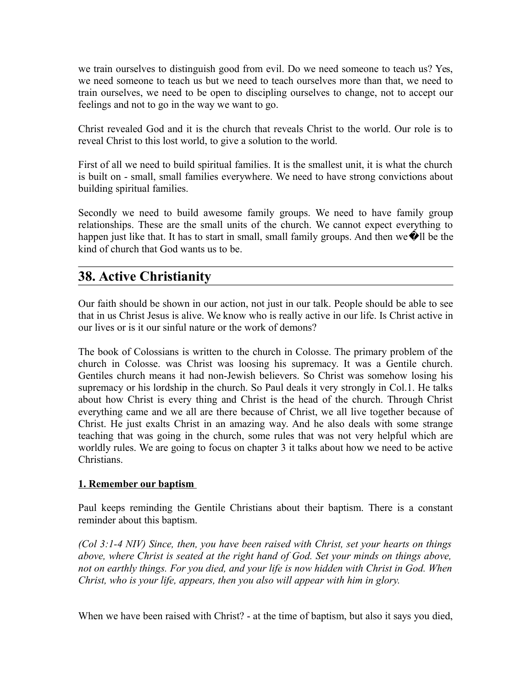we train ourselves to distinguish good from evil. Do we need someone to teach us? Yes, we need someone to teach us but we need to teach ourselves more than that, we need to train ourselves, we need to be open to discipling ourselves to change, not to accept our feelings and not to go in the way we want to go.

Christ revealed God and it is the church that reveals Christ to the world. Our role is to reveal Christ to this lost world, to give a solution to the world.

First of all we need to build spiritual families. It is the smallest unit, it is what the church is built on - small, small families everywhere. We need to have strong convictions about building spiritual families.

Secondly we need to build awesome family groups. We need to have family group relationships. These are the small units of the church. We cannot expect everything to happen just like that. It has to start in small, small family groups. And then we  $\bigcirc$ ll be the kind of church that God wants us to be.

# **38. Active Christianity**

Our faith should be shown in our action, not just in our talk. People should be able to see that in us Christ Jesus is alive. We know who is really active in our life. Is Christ active in our lives or is it our sinful nature or the work of demons?

The book of Colossians is written to the church in Colosse. The primary problem of the church in Colosse. was Christ was loosing his supremacy. It was a Gentile church. Gentiles church means it had non-Jewish believers. So Christ was somehow losing his supremacy or his lordship in the church. So Paul deals it very strongly in Col.1. He talks about how Christ is every thing and Christ is the head of the church. Through Christ everything came and we all are there because of Christ, we all live together because of Christ. He just exalts Christ in an amazing way. And he also deals with some strange teaching that was going in the church, some rules that was not very helpful which are worldly rules. We are going to focus on chapter 3 it talks about how we need to be active **Christians** 

#### **1. Remember our baptism**

Paul keeps reminding the Gentile Christians about their baptism. There is a constant reminder about this baptism.

*(Col 3:1-4 NIV) Since, then, you have been raised with Christ, set your hearts on things above, where Christ is seated at the right hand of God. Set your minds on things above, not on earthly things. For you died, and your life is now hidden with Christ in God. When Christ, who is your life, appears, then you also will appear with him in glory.* 

When we have been raised with Christ? - at the time of baptism, but also it says you died,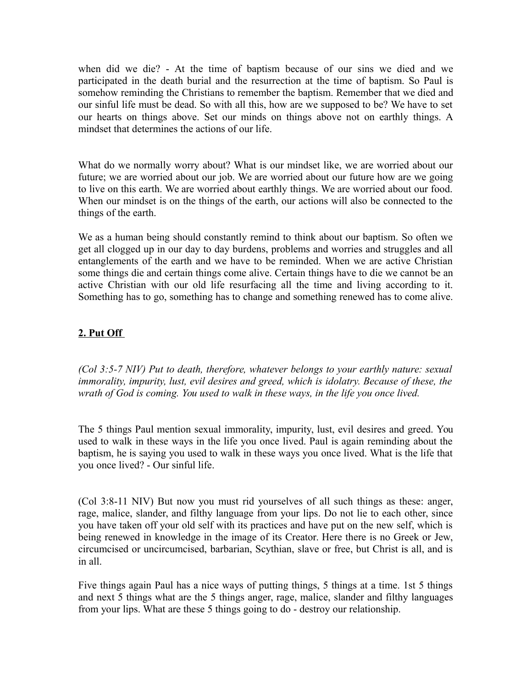when did we die? - At the time of baptism because of our sins we died and we participated in the death burial and the resurrection at the time of baptism. So Paul is somehow reminding the Christians to remember the baptism. Remember that we died and our sinful life must be dead. So with all this, how are we supposed to be? We have to set our hearts on things above. Set our minds on things above not on earthly things. A mindset that determines the actions of our life.

What do we normally worry about? What is our mindset like, we are worried about our future; we are worried about our job. We are worried about our future how are we going to live on this earth. We are worried about earthly things. We are worried about our food. When our mindset is on the things of the earth, our actions will also be connected to the things of the earth.

We as a human being should constantly remind to think about our baptism. So often we get all clogged up in our day to day burdens, problems and worries and struggles and all entanglements of the earth and we have to be reminded. When we are active Christian some things die and certain things come alive. Certain things have to die we cannot be an active Christian with our old life resurfacing all the time and living according to it. Something has to go, something has to change and something renewed has to come alive.

#### **2. Put Off**

*(Col 3:5-7 NIV) Put to death, therefore, whatever belongs to your earthly nature: sexual immorality, impurity, lust, evil desires and greed, which is idolatry. Because of these, the wrath of God is coming. You used to walk in these ways, in the life you once lived.*

The 5 things Paul mention sexual immorality, impurity, lust, evil desires and greed. You used to walk in these ways in the life you once lived. Paul is again reminding about the baptism, he is saying you used to walk in these ways you once lived. What is the life that you once lived? - Our sinful life.

(Col 3:8-11 NIV) But now you must rid yourselves of all such things as these: anger, rage, malice, slander, and filthy language from your lips. Do not lie to each other, since you have taken off your old self with its practices and have put on the new self, which is being renewed in knowledge in the image of its Creator. Here there is no Greek or Jew, circumcised or uncircumcised, barbarian, Scythian, slave or free, but Christ is all, and is in all.

Five things again Paul has a nice ways of putting things, 5 things at a time. 1st 5 things and next 5 things what are the 5 things anger, rage, malice, slander and filthy languages from your lips. What are these 5 things going to do - destroy our relationship.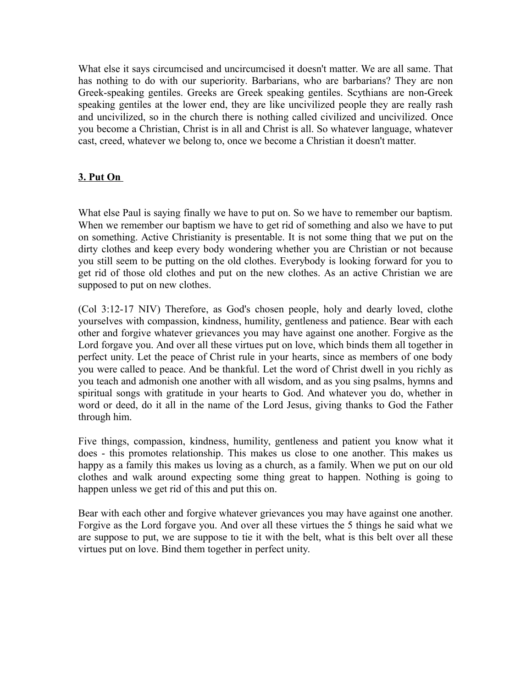What else it says circumcised and uncircumcised it doesn't matter. We are all same. That has nothing to do with our superiority. Barbarians, who are barbarians? They are non Greek-speaking gentiles. Greeks are Greek speaking gentiles. Scythians are non-Greek speaking gentiles at the lower end, they are like uncivilized people they are really rash and uncivilized, so in the church there is nothing called civilized and uncivilized. Once you become a Christian, Christ is in all and Christ is all. So whatever language, whatever cast, creed, whatever we belong to, once we become a Christian it doesn't matter.

### **3. Put On**

What else Paul is saying finally we have to put on. So we have to remember our baptism. When we remember our baptism we have to get rid of something and also we have to put on something. Active Christianity is presentable. It is not some thing that we put on the dirty clothes and keep every body wondering whether you are Christian or not because you still seem to be putting on the old clothes. Everybody is looking forward for you to get rid of those old clothes and put on the new clothes. As an active Christian we are supposed to put on new clothes.

(Col 3:12-17 NIV) Therefore, as God's chosen people, holy and dearly loved, clothe yourselves with compassion, kindness, humility, gentleness and patience. Bear with each other and forgive whatever grievances you may have against one another. Forgive as the Lord forgave you. And over all these virtues put on love, which binds them all together in perfect unity. Let the peace of Christ rule in your hearts, since as members of one body you were called to peace. And be thankful. Let the word of Christ dwell in you richly as you teach and admonish one another with all wisdom, and as you sing psalms, hymns and spiritual songs with gratitude in your hearts to God. And whatever you do, whether in word or deed, do it all in the name of the Lord Jesus, giving thanks to God the Father through him.

Five things, compassion, kindness, humility, gentleness and patient you know what it does - this promotes relationship. This makes us close to one another. This makes us happy as a family this makes us loving as a church, as a family. When we put on our old clothes and walk around expecting some thing great to happen. Nothing is going to happen unless we get rid of this and put this on.

Bear with each other and forgive whatever grievances you may have against one another. Forgive as the Lord forgave you. And over all these virtues the 5 things he said what we are suppose to put, we are suppose to tie it with the belt, what is this belt over all these virtues put on love. Bind them together in perfect unity.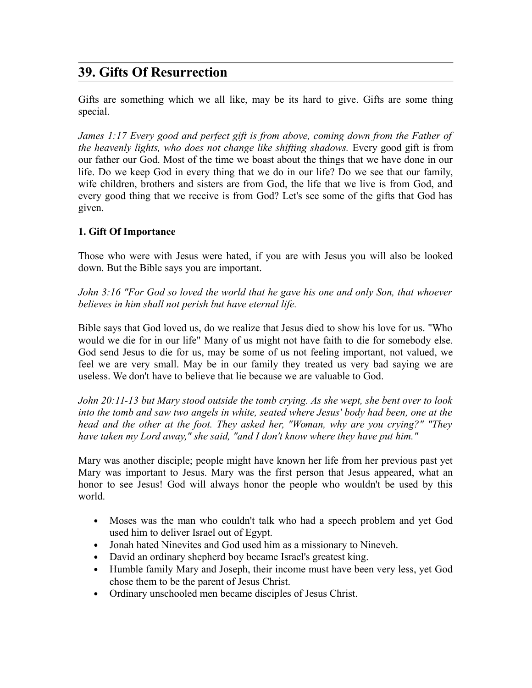# **39. Gifts Of Resurrection**

Gifts are something which we all like, may be its hard to give. Gifts are some thing special.

*James 1:17 Every good and perfect gift is from above, coming down from the Father of the heavenly lights, who does not change like shifting shadows.* Every good gift is from our father our God. Most of the time we boast about the things that we have done in our life. Do we keep God in every thing that we do in our life? Do we see that our family, wife children, brothers and sisters are from God, the life that we live is from God, and every good thing that we receive is from God? Let's see some of the gifts that God has given.

### **1. Gift Of Importance**

Those who were with Jesus were hated, if you are with Jesus you will also be looked down. But the Bible says you are important.

*John 3:16 "For God so loved the world that he gave his one and only Son, that whoever believes in him shall not perish but have eternal life.*

Bible says that God loved us, do we realize that Jesus died to show his love for us. "Who would we die for in our life" Many of us might not have faith to die for somebody else. God send Jesus to die for us, may be some of us not feeling important, not valued, we feel we are very small. May be in our family they treated us very bad saying we are useless. We don't have to believe that lie because we are valuable to God.

*John 20:11-13 but Mary stood outside the tomb crying. As she wept, she bent over to look into the tomb and saw two angels in white, seated where Jesus' body had been, one at the head and the other at the foot. They asked her, "Woman, why are you crying?" "They have taken my Lord away," she said, "and I don't know where they have put him."* 

Mary was another disciple; people might have known her life from her previous past yet Mary was important to Jesus. Mary was the first person that Jesus appeared, what an honor to see Jesus! God will always honor the people who wouldn't be used by this world.

- Moses was the man who couldn't talk who had a speech problem and yet God used him to deliver Israel out of Egypt.
- Jonah hated Ninevites and God used him as a missionary to Nineveh.
- David an ordinary shepherd boy became Israel's greatest king.
- Humble family Mary and Joseph, their income must have been very less, yet God chose them to be the parent of Jesus Christ.
- Ordinary unschooled men became disciples of Jesus Christ.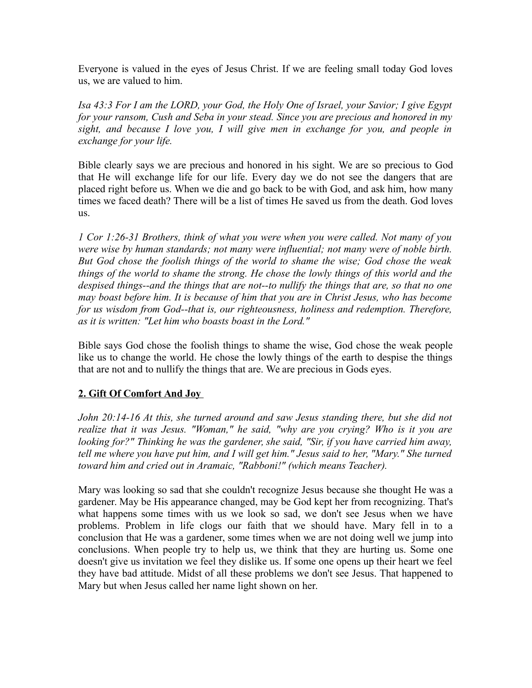Everyone is valued in the eyes of Jesus Christ. If we are feeling small today God loves us, we are valued to him.

*Isa 43:3 For I am the LORD, your God, the Holy One of Israel, your Savior; I give Egypt for your ransom, Cush and Seba in your stead. Since you are precious and honored in my sight, and because I love you, I will give men in exchange for you, and people in exchange for your life.*

Bible clearly says we are precious and honored in his sight. We are so precious to God that He will exchange life for our life. Every day we do not see the dangers that are placed right before us. When we die and go back to be with God, and ask him, how many times we faced death? There will be a list of times He saved us from the death. God loves us.

*1 Cor 1:26-31 Brothers, think of what you were when you were called. Not many of you were wise by human standards; not many were influential; not many were of noble birth. But God chose the foolish things of the world to shame the wise; God chose the weak things of the world to shame the strong. He chose the lowly things of this world and the despised things--and the things that are not--to nullify the things that are, so that no one may boast before him. It is because of him that you are in Christ Jesus, who has become for us wisdom from God--that is, our righteousness, holiness and redemption. Therefore, as it is written: "Let him who boasts boast in the Lord."*

Bible says God chose the foolish things to shame the wise, God chose the weak people like us to change the world. He chose the lowly things of the earth to despise the things that are not and to nullify the things that are. We are precious in Gods eyes.

#### **2. Gift Of Comfort And Joy**

*John 20:14-16 At this, she turned around and saw Jesus standing there, but she did not realize that it was Jesus. "Woman," he said, "why are you crying? Who is it you are looking for?" Thinking he was the gardener, she said, "Sir, if you have carried him away, tell me where you have put him, and I will get him." Jesus said to her, "Mary." She turned toward him and cried out in Aramaic, "Rabboni!" (which means Teacher).* 

Mary was looking so sad that she couldn't recognize Jesus because she thought He was a gardener. May be His appearance changed, may be God kept her from recognizing. That's what happens some times with us we look so sad, we don't see Jesus when we have problems. Problem in life clogs our faith that we should have. Mary fell in to a conclusion that He was a gardener, some times when we are not doing well we jump into conclusions. When people try to help us, we think that they are hurting us. Some one doesn't give us invitation we feel they dislike us. If some one opens up their heart we feel they have bad attitude. Midst of all these problems we don't see Jesus. That happened to Mary but when Jesus called her name light shown on her.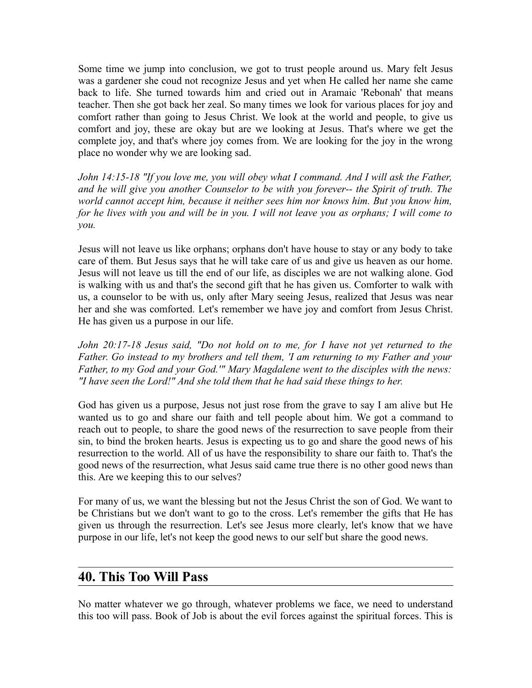Some time we jump into conclusion, we got to trust people around us. Mary felt Jesus was a gardener she coud not recognize Jesus and yet when He called her name she came back to life. She turned towards him and cried out in Aramaic 'Rebonah' that means teacher. Then she got back her zeal. So many times we look for various places for joy and comfort rather than going to Jesus Christ. We look at the world and people, to give us comfort and joy, these are okay but are we looking at Jesus. That's where we get the complete joy, and that's where joy comes from. We are looking for the joy in the wrong place no wonder why we are looking sad.

*John 14:15-18 "If you love me, you will obey what I command. And I will ask the Father, and he will give you another Counselor to be with you forever-- the Spirit of truth. The world cannot accept him, because it neither sees him nor knows him. But you know him, for he lives with you and will be in you. I will not leave you as orphans; I will come to you.*

Jesus will not leave us like orphans; orphans don't have house to stay or any body to take care of them. But Jesus says that he will take care of us and give us heaven as our home. Jesus will not leave us till the end of our life, as disciples we are not walking alone. God is walking with us and that's the second gift that he has given us. Comforter to walk with us, a counselor to be with us, only after Mary seeing Jesus, realized that Jesus was near her and she was comforted. Let's remember we have joy and comfort from Jesus Christ. He has given us a purpose in our life.

*John 20:17-18 Jesus said, "Do not hold on to me, for I have not yet returned to the Father. Go instead to my brothers and tell them, 'I am returning to my Father and your Father, to my God and your God.'" Mary Magdalene went to the disciples with the news: "I have seen the Lord!" And she told them that he had said these things to her.*

God has given us a purpose, Jesus not just rose from the grave to say I am alive but He wanted us to go and share our faith and tell people about him. We got a command to reach out to people, to share the good news of the resurrection to save people from their sin, to bind the broken hearts. Jesus is expecting us to go and share the good news of his resurrection to the world. All of us have the responsibility to share our faith to. That's the good news of the resurrection, what Jesus said came true there is no other good news than this. Are we keeping this to our selves?

For many of us, we want the blessing but not the Jesus Christ the son of God. We want to be Christians but we don't want to go to the cross. Let's remember the gifts that He has given us through the resurrection. Let's see Jesus more clearly, let's know that we have purpose in our life, let's not keep the good news to our self but share the good news.

# **40. This Too Will Pass**

No matter whatever we go through, whatever problems we face, we need to understand this too will pass. Book of Job is about the evil forces against the spiritual forces. This is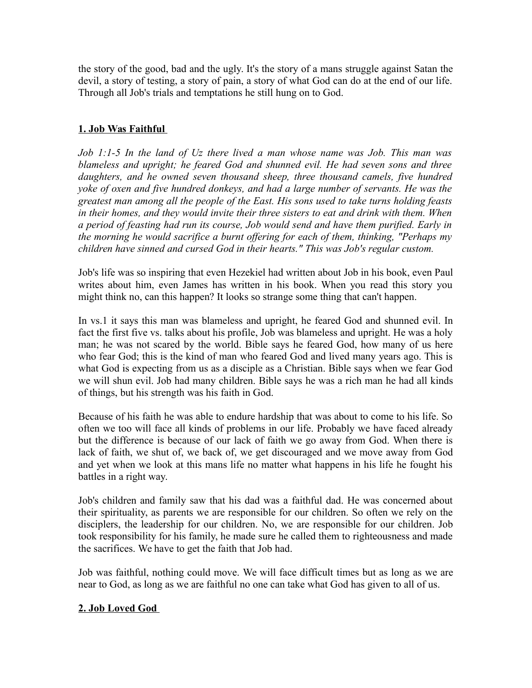the story of the good, bad and the ugly. It's the story of a mans struggle against Satan the devil, a story of testing, a story of pain, a story of what God can do at the end of our life. Through all Job's trials and temptations he still hung on to God.

### **1. Job Was Faithful**

*Job 1:1-5 In the land of Uz there lived a man whose name was Job. This man was blameless and upright; he feared God and shunned evil. He had seven sons and three daughters, and he owned seven thousand sheep, three thousand camels, five hundred yoke of oxen and five hundred donkeys, and had a large number of servants. He was the greatest man among all the people of the East. His sons used to take turns holding feasts in their homes, and they would invite their three sisters to eat and drink with them. When a period of feasting had run its course, Job would send and have them purified. Early in the morning he would sacrifice a burnt offering for each of them, thinking, "Perhaps my children have sinned and cursed God in their hearts." This was Job's regular custom.*

Job's life was so inspiring that even Hezekiel had written about Job in his book, even Paul writes about him, even James has written in his book. When you read this story you might think no, can this happen? It looks so strange some thing that can't happen.

In vs.1 it says this man was blameless and upright, he feared God and shunned evil. In fact the first five vs. talks about his profile, Job was blameless and upright. He was a holy man; he was not scared by the world. Bible says he feared God, how many of us here who fear God; this is the kind of man who feared God and lived many years ago. This is what God is expecting from us as a disciple as a Christian. Bible says when we fear God we will shun evil. Job had many children. Bible says he was a rich man he had all kinds of things, but his strength was his faith in God.

Because of his faith he was able to endure hardship that was about to come to his life. So often we too will face all kinds of problems in our life. Probably we have faced already but the difference is because of our lack of faith we go away from God. When there is lack of faith, we shut of, we back of, we get discouraged and we move away from God and yet when we look at this mans life no matter what happens in his life he fought his battles in a right way.

Job's children and family saw that his dad was a faithful dad. He was concerned about their spirituality, as parents we are responsible for our children. So often we rely on the disciplers, the leadership for our children. No, we are responsible for our children. Job took responsibility for his family, he made sure he called them to righteousness and made the sacrifices. We have to get the faith that Job had.

Job was faithful, nothing could move. We will face difficult times but as long as we are near to God, as long as we are faithful no one can take what God has given to all of us.

#### **2. Job Loved God**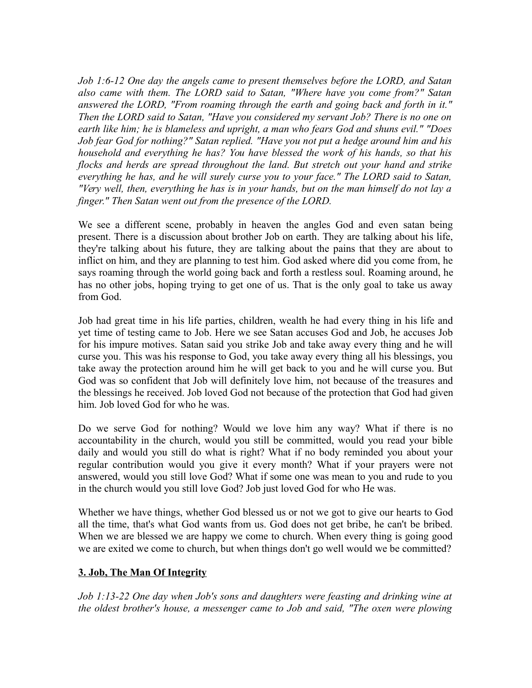*Job 1:6-12 One day the angels came to present themselves before the LORD, and Satan also came with them. The LORD said to Satan, "Where have you come from?" Satan answered the LORD, "From roaming through the earth and going back and forth in it." Then the LORD said to Satan, "Have you considered my servant Job? There is no one on earth like him; he is blameless and upright, a man who fears God and shuns evil." "Does Job fear God for nothing?" Satan replied. "Have you not put a hedge around him and his household and everything he has? You have blessed the work of his hands, so that his flocks and herds are spread throughout the land. But stretch out your hand and strike everything he has, and he will surely curse you to your face." The LORD said to Satan, "Very well, then, everything he has is in your hands, but on the man himself do not lay a finger." Then Satan went out from the presence of the LORD.* 

We see a different scene, probably in heaven the angles God and even satan being present. There is a discussion about brother Job on earth. They are talking about his life, they're talking about his future, they are talking about the pains that they are about to inflict on him, and they are planning to test him. God asked where did you come from, he says roaming through the world going back and forth a restless soul. Roaming around, he has no other jobs, hoping trying to get one of us. That is the only goal to take us away from God.

Job had great time in his life parties, children, wealth he had every thing in his life and yet time of testing came to Job. Here we see Satan accuses God and Job, he accuses Job for his impure motives. Satan said you strike Job and take away every thing and he will curse you. This was his response to God, you take away every thing all his blessings, you take away the protection around him he will get back to you and he will curse you. But God was so confident that Job will definitely love him, not because of the treasures and the blessings he received. Job loved God not because of the protection that God had given him. Job loved God for who he was.

Do we serve God for nothing? Would we love him any way? What if there is no accountability in the church, would you still be committed, would you read your bible daily and would you still do what is right? What if no body reminded you about your regular contribution would you give it every month? What if your prayers were not answered, would you still love God? What if some one was mean to you and rude to you in the church would you still love God? Job just loved God for who He was.

Whether we have things, whether God blessed us or not we got to give our hearts to God all the time, that's what God wants from us. God does not get bribe, he can't be bribed. When we are blessed we are happy we come to church. When every thing is going good we are exited we come to church, but when things don't go well would we be committed?

#### **3. Job, The Man Of Integrity**

*Job 1:13-22 One day when Job's sons and daughters were feasting and drinking wine at the oldest brother's house, a messenger came to Job and said, "The oxen were plowing*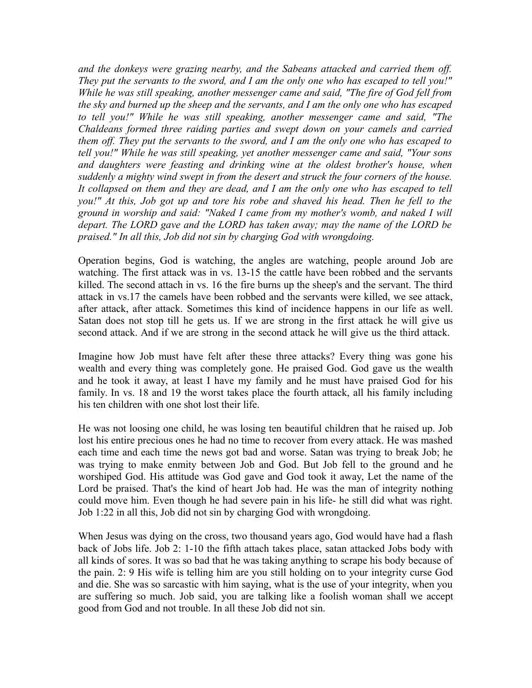*and the donkeys were grazing nearby, and the Sabeans attacked and carried them off. They put the servants to the sword, and I am the only one who has escaped to tell you!" While he was still speaking, another messenger came and said, "The fire of God fell from the sky and burned up the sheep and the servants, and I am the only one who has escaped to tell you!" While he was still speaking, another messenger came and said, "The Chaldeans formed three raiding parties and swept down on your camels and carried them off. They put the servants to the sword, and I am the only one who has escaped to tell you!" While he was still speaking, yet another messenger came and said, "Your sons and daughters were feasting and drinking wine at the oldest brother's house, when suddenly a mighty wind swept in from the desert and struck the four corners of the house. It collapsed on them and they are dead, and I am the only one who has escaped to tell you!" At this, Job got up and tore his robe and shaved his head. Then he fell to the ground in worship and said: "Naked I came from my mother's womb, and naked I will depart. The LORD gave and the LORD has taken away; may the name of the LORD be praised." In all this, Job did not sin by charging God with wrongdoing.*

Operation begins, God is watching, the angles are watching, people around Job are watching. The first attack was in vs. 13-15 the cattle have been robbed and the servants killed. The second attach in vs. 16 the fire burns up the sheep's and the servant. The third attack in vs.17 the camels have been robbed and the servants were killed, we see attack, after attack, after attack. Sometimes this kind of incidence happens in our life as well. Satan does not stop till he gets us. If we are strong in the first attack he will give us second attack. And if we are strong in the second attack he will give us the third attack.

Imagine how Job must have felt after these three attacks? Every thing was gone his wealth and every thing was completely gone. He praised God. God gave us the wealth and he took it away, at least I have my family and he must have praised God for his family. In vs. 18 and 19 the worst takes place the fourth attack, all his family including his ten children with one shot lost their life.

He was not loosing one child, he was losing ten beautiful children that he raised up. Job lost his entire precious ones he had no time to recover from every attack. He was mashed each time and each time the news got bad and worse. Satan was trying to break Job; he was trying to make enmity between Job and God. But Job fell to the ground and he worshiped God. His attitude was God gave and God took it away, Let the name of the Lord be praised. That's the kind of heart Job had. He was the man of integrity nothing could move him. Even though he had severe pain in his life- he still did what was right. Job 1:22 in all this, Job did not sin by charging God with wrongdoing.

When Jesus was dying on the cross, two thousand years ago, God would have had a flash back of Jobs life. Job 2: 1-10 the fifth attach takes place, satan attacked Jobs body with all kinds of sores. It was so bad that he was taking anything to scrape his body because of the pain. 2: 9 His wife is telling him are you still holding on to your integrity curse God and die. She was so sarcastic with him saying, what is the use of your integrity, when you are suffering so much. Job said, you are talking like a foolish woman shall we accept good from God and not trouble. In all these Job did not sin.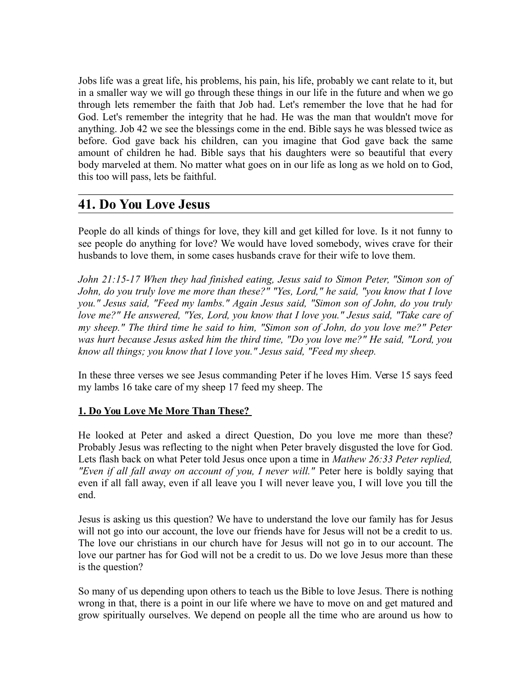Jobs life was a great life, his problems, his pain, his life, probably we cant relate to it, but in a smaller way we will go through these things in our life in the future and when we go through lets remember the faith that Job had. Let's remember the love that he had for God. Let's remember the integrity that he had. He was the man that wouldn't move for anything. Job 42 we see the blessings come in the end. Bible says he was blessed twice as before. God gave back his children, can you imagine that God gave back the same amount of children he had. Bible says that his daughters were so beautiful that every body marveled at them. No matter what goes on in our life as long as we hold on to God, this too will pass, lets be faithful.

# **41. Do You Love Jesus**

People do all kinds of things for love, they kill and get killed for love. Is it not funny to see people do anything for love? We would have loved somebody, wives crave for their husbands to love them, in some cases husbands crave for their wife to love them.

*John 21:15-17 When they had finished eating, Jesus said to Simon Peter, "Simon son of John, do you truly love me more than these?" "Yes, Lord," he said, "you know that I love you." Jesus said, "Feed my lambs." Again Jesus said, "Simon son of John, do you truly love me?" He answered, "Yes, Lord, you know that I love you." Jesus said, "Take care of my sheep." The third time he said to him, "Simon son of John, do you love me?" Peter was hurt because Jesus asked him the third time, "Do you love me?" He said, "Lord, you know all things; you know that I love you." Jesus said, "Feed my sheep.* 

In these three verses we see Jesus commanding Peter if he loves Him. Verse 15 says feed my lambs 16 take care of my sheep 17 feed my sheep. The

## **1. Do You Love Me More Than These?**

He looked at Peter and asked a direct Question, Do you love me more than these? Probably Jesus was reflecting to the night when Peter bravely disgusted the love for God. Lets flash back on what Peter told Jesus once upon a time in *Mathew 26:33 Peter replied, "Even if all fall away on account of you, I never will."* Peter here is boldly saying that even if all fall away, even if all leave you I will never leave you, I will love you till the end.

Jesus is asking us this question? We have to understand the love our family has for Jesus will not go into our account, the love our friends have for Jesus will not be a credit to us. The love our christians in our church have for Jesus will not go in to our account. The love our partner has for God will not be a credit to us. Do we love Jesus more than these is the question?

So many of us depending upon others to teach us the Bible to love Jesus. There is nothing wrong in that, there is a point in our life where we have to move on and get matured and grow spiritually ourselves. We depend on people all the time who are around us how to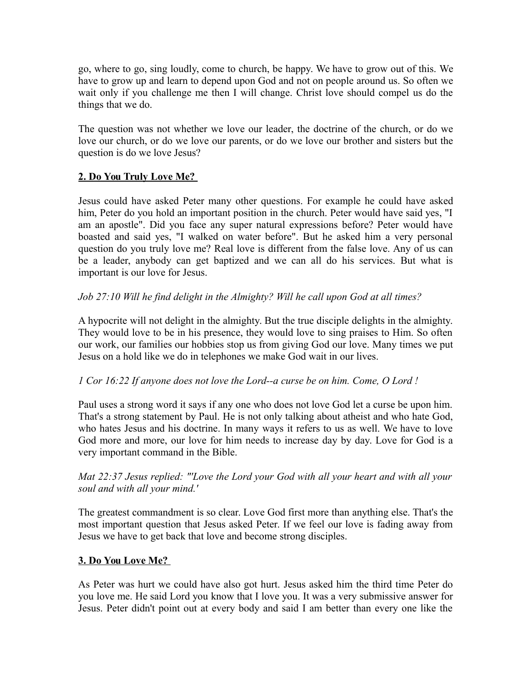go, where to go, sing loudly, come to church, be happy. We have to grow out of this. We have to grow up and learn to depend upon God and not on people around us. So often we wait only if you challenge me then I will change. Christ love should compel us do the things that we do.

The question was not whether we love our leader, the doctrine of the church, or do we love our church, or do we love our parents, or do we love our brother and sisters but the question is do we love Jesus?

### **2. Do You Truly Love Me?**

Jesus could have asked Peter many other questions. For example he could have asked him, Peter do you hold an important position in the church. Peter would have said yes, "I am an apostle". Did you face any super natural expressions before? Peter would have boasted and said yes, "I walked on water before". But he asked him a very personal question do you truly love me? Real love is different from the false love. Any of us can be a leader, anybody can get baptized and we can all do his services. But what is important is our love for Jesus.

#### *Job 27:10 Will he find delight in the Almighty? Will he call upon God at all times?*

A hypocrite will not delight in the almighty. But the true disciple delights in the almighty. They would love to be in his presence, they would love to sing praises to Him. So often our work, our families our hobbies stop us from giving God our love. Many times we put Jesus on a hold like we do in telephones we make God wait in our lives.

#### *1 Cor 16:22 If anyone does not love the Lord--a curse be on him. Come, O Lord !*

Paul uses a strong word it says if any one who does not love God let a curse be upon him. That's a strong statement by Paul. He is not only talking about atheist and who hate God, who hates Jesus and his doctrine. In many ways it refers to us as well. We have to love God more and more, our love for him needs to increase day by day. Love for God is a very important command in the Bible.

#### *Mat 22:37 Jesus replied: "'Love the Lord your God with all your heart and with all your soul and with all your mind.'*

The greatest commandment is so clear. Love God first more than anything else. That's the most important question that Jesus asked Peter. If we feel our love is fading away from Jesus we have to get back that love and become strong disciples.

#### **3. Do You Love Me?**

As Peter was hurt we could have also got hurt. Jesus asked him the third time Peter do you love me. He said Lord you know that I love you. It was a very submissive answer for Jesus. Peter didn't point out at every body and said I am better than every one like the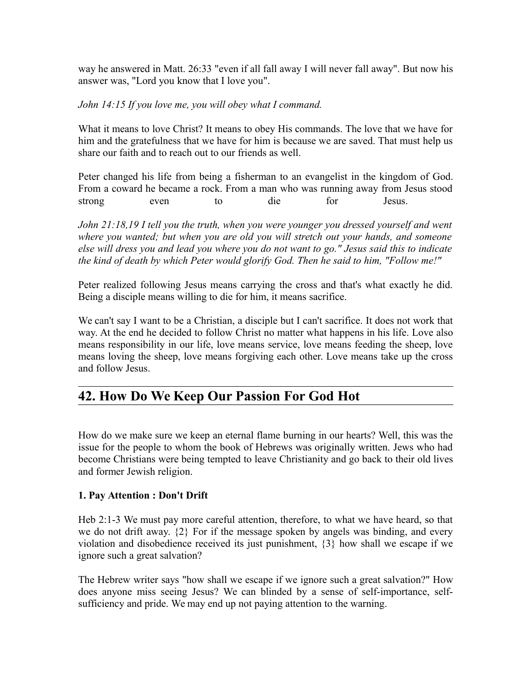way he answered in Matt. 26:33 "even if all fall away I will never fall away". But now his answer was, "Lord you know that I love you".

#### *John 14:15 If you love me, you will obey what I command.*

What it means to love Christ? It means to obey His commands. The love that we have for him and the gratefulness that we have for him is because we are saved. That must help us share our faith and to reach out to our friends as well.

Peter changed his life from being a fisherman to an evangelist in the kingdom of God. From a coward he became a rock. From a man who was running away from Jesus stood strong even to die for Jesus.

*John 21:18,19 I tell you the truth, when you were younger you dressed yourself and went where you wanted; but when you are old you will stretch out your hands, and someone else will dress you and lead you where you do not want to go." Jesus said this to indicate the kind of death by which Peter would glorify God. Then he said to him, "Follow me!"* 

Peter realized following Jesus means carrying the cross and that's what exactly he did. Being a disciple means willing to die for him, it means sacrifice.

We can't say I want to be a Christian, a disciple but I can't sacrifice. It does not work that way. At the end he decided to follow Christ no matter what happens in his life. Love also means responsibility in our life, love means service, love means feeding the sheep, love means loving the sheep, love means forgiving each other. Love means take up the cross and follow Jesus.

# **42. How Do We Keep Our Passion For God Hot**

How do we make sure we keep an eternal flame burning in our hearts? Well, this was the issue for the people to whom the book of Hebrews was originally written. Jews who had become Christians were being tempted to leave Christianity and go back to their old lives and former Jewish religion.

#### **1. Pay Attention : Don't Drift**

Heb 2:1-3 We must pay more careful attention, therefore, to what we have heard, so that we do not drift away. {2} For if the message spoken by angels was binding, and every violation and disobedience received its just punishment, {3} how shall we escape if we ignore such a great salvation?

The Hebrew writer says "how shall we escape if we ignore such a great salvation?" How does anyone miss seeing Jesus? We can blinded by a sense of self-importance, selfsufficiency and pride. We may end up not paying attention to the warning.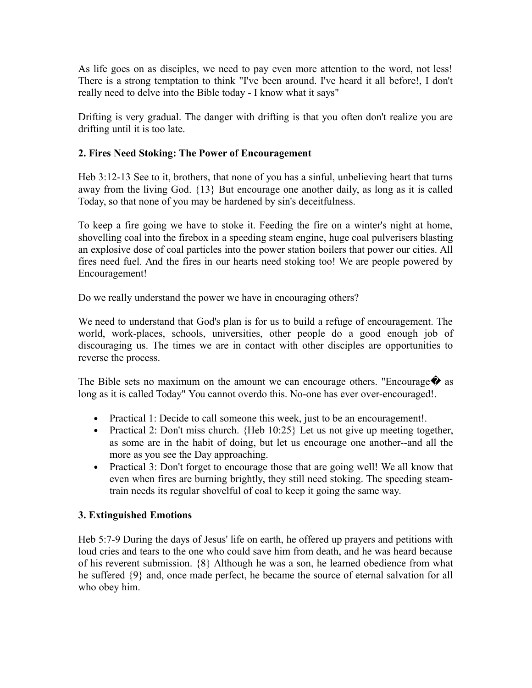As life goes on as disciples, we need to pay even more attention to the word, not less! There is a strong temptation to think "I've been around. I've heard it all before!, I don't really need to delve into the Bible today - I know what it says"

Drifting is very gradual. The danger with drifting is that you often don't realize you are drifting until it is too late.

## **2. Fires Need Stoking: The Power of Encouragement**

Heb 3:12-13 See to it, brothers, that none of you has a sinful, unbelieving heart that turns away from the living God. {13} But encourage one another daily, as long as it is called Today, so that none of you may be hardened by sin's deceitfulness.

To keep a fire going we have to stoke it. Feeding the fire on a winter's night at home, shovelling coal into the firebox in a speeding steam engine, huge coal pulverisers blasting an explosive dose of coal particles into the power station boilers that power our cities. All fires need fuel. And the fires in our hearts need stoking too! We are people powered by Encouragement!

Do we really understand the power we have in encouraging others?

We need to understand that God's plan is for us to build a refuge of encouragement. The world, work-places, schools, universities, other people do a good enough job of discouraging us. The times we are in contact with other disciples are opportunities to reverse the process.

The Bible sets no maximum on the amount we can encourage others. "Encourage  $\bullet$  as long as it is called Today" You cannot overdo this. No-one has ever over-encouraged!.

- Practical 1: Decide to call someone this week, just to be an encouragement!
- Practical 2: Don't miss church. {Heb 10:25} Let us not give up meeting together, as some are in the habit of doing, but let us encourage one another--and all the more as you see the Day approaching.
- Practical 3: Don't forget to encourage those that are going well! We all know that even when fires are burning brightly, they still need stoking. The speeding steamtrain needs its regular shovelful of coal to keep it going the same way.

#### **3. Extinguished Emotions**

Heb 5:7-9 During the days of Jesus' life on earth, he offered up prayers and petitions with loud cries and tears to the one who could save him from death, and he was heard because of his reverent submission. {8} Although he was a son, he learned obedience from what he suffered {9} and, once made perfect, he became the source of eternal salvation for all who obey him.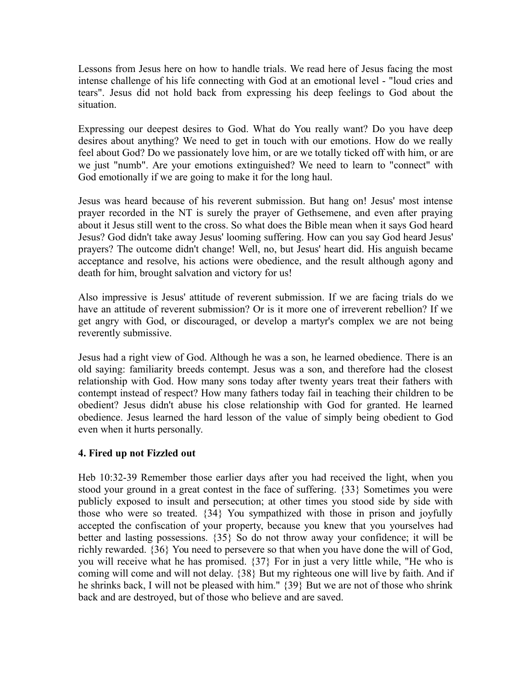Lessons from Jesus here on how to handle trials. We read here of Jesus facing the most intense challenge of his life connecting with God at an emotional level - "loud cries and tears". Jesus did not hold back from expressing his deep feelings to God about the situation.

Expressing our deepest desires to God. What do You really want? Do you have deep desires about anything? We need to get in touch with our emotions. How do we really feel about God? Do we passionately love him, or are we totally ticked off with him, or are we just "numb". Are your emotions extinguished? We need to learn to "connect" with God emotionally if we are going to make it for the long haul.

Jesus was heard because of his reverent submission. But hang on! Jesus' most intense prayer recorded in the NT is surely the prayer of Gethsemene, and even after praying about it Jesus still went to the cross. So what does the Bible mean when it says God heard Jesus? God didn't take away Jesus' looming suffering. How can you say God heard Jesus' prayers? The outcome didn't change! Well, no, but Jesus' heart did. His anguish became acceptance and resolve, his actions were obedience, and the result although agony and death for him, brought salvation and victory for us!

Also impressive is Jesus' attitude of reverent submission. If we are facing trials do we have an attitude of reverent submission? Or is it more one of irreverent rebellion? If we get angry with God, or discouraged, or develop a martyr's complex we are not being reverently submissive.

Jesus had a right view of God. Although he was a son, he learned obedience. There is an old saying: familiarity breeds contempt. Jesus was a son, and therefore had the closest relationship with God. How many sons today after twenty years treat their fathers with contempt instead of respect? How many fathers today fail in teaching their children to be obedient? Jesus didn't abuse his close relationship with God for granted. He learned obedience. Jesus learned the hard lesson of the value of simply being obedient to God even when it hurts personally.

#### **4. Fired up not Fizzled out**

Heb 10:32-39 Remember those earlier days after you had received the light, when you stood your ground in a great contest in the face of suffering. {33} Sometimes you were publicly exposed to insult and persecution; at other times you stood side by side with those who were so treated. {34} You sympathized with those in prison and joyfully accepted the confiscation of your property, because you knew that you yourselves had better and lasting possessions. {35} So do not throw away your confidence; it will be richly rewarded. {36} You need to persevere so that when you have done the will of God, you will receive what he has promised. {37} For in just a very little while, "He who is coming will come and will not delay. {38} But my righteous one will live by faith. And if he shrinks back, I will not be pleased with him." {39} But we are not of those who shrink back and are destroyed, but of those who believe and are saved.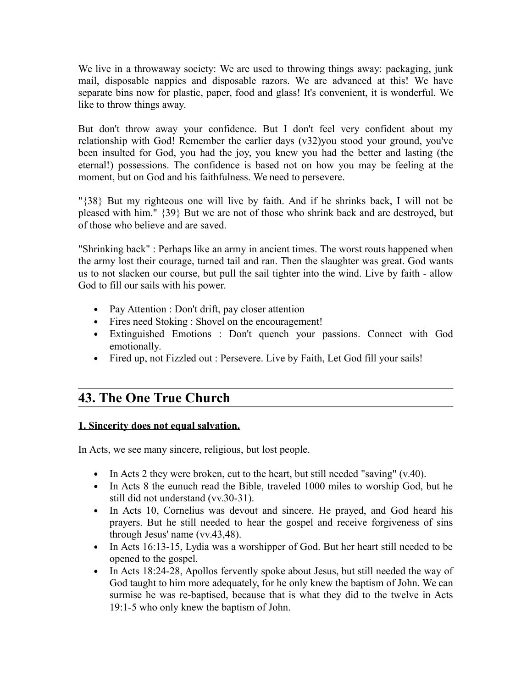We live in a throwaway society: We are used to throwing things away: packaging, junk mail, disposable nappies and disposable razors. We are advanced at this! We have separate bins now for plastic, paper, food and glass! It's convenient, it is wonderful. We like to throw things away.

But don't throw away your confidence. But I don't feel very confident about my relationship with God! Remember the earlier days (v32)you stood your ground, you've been insulted for God, you had the joy, you knew you had the better and lasting (the eternal!) possessions. The confidence is based not on how you may be feeling at the moment, but on God and his faithfulness. We need to persevere.

"{38} But my righteous one will live by faith. And if he shrinks back, I will not be pleased with him." {39} But we are not of those who shrink back and are destroyed, but of those who believe and are saved.

"Shrinking back" : Perhaps like an army in ancient times. The worst routs happened when the army lost their courage, turned tail and ran. Then the slaughter was great. God wants us to not slacken our course, but pull the sail tighter into the wind. Live by faith - allow God to fill our sails with his power.

- Pay Attention : Don't drift, pay closer attention
- Fires need Stoking : Shovel on the encouragement!
- Extinguished Emotions : Don't quench your passions. Connect with God emotionally.
- Fired up, not Fizzled out : Persevere. Live by Faith, Let God fill your sails!

# **43. The One True Church**

#### **1. Sincerity does not equal salvation.**

In Acts, we see many sincere, religious, but lost people.

- In Acts 2 they were broken, cut to the heart, but still needed "saving"  $(v.40)$ .
- In Acts 8 the eunuch read the Bible, traveled 1000 miles to worship God, but he still did not understand (vv.30-31).
- In Acts 10, Cornelius was devout and sincere. He prayed, and God heard his prayers. But he still needed to hear the gospel and receive forgiveness of sins through Jesus' name (vv.43,48).
- In Acts 16:13-15, Lydia was a worshipper of God. But her heart still needed to be opened to the gospel.
- In Acts 18:24-28, Apollos fervently spoke about Jesus, but still needed the way of God taught to him more adequately, for he only knew the baptism of John. We can surmise he was re-baptised, because that is what they did to the twelve in Acts 19:1-5 who only knew the baptism of John.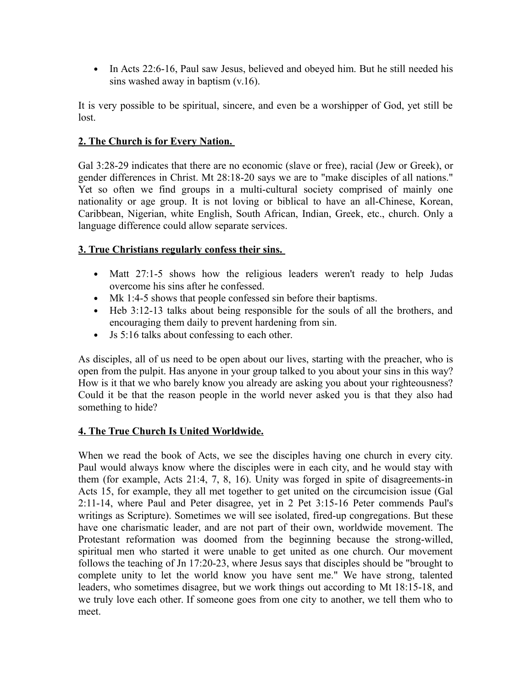• In Acts 22:6-16, Paul saw Jesus, believed and obeyed him. But he still needed his sins washed away in baptism (v.16).

It is very possible to be spiritual, sincere, and even be a worshipper of God, yet still be lost.

### **2. The Church is for Every Nation.**

Gal 3:28-29 indicates that there are no economic (slave or free), racial (Jew or Greek), or gender differences in Christ. Mt 28:18-20 says we are to "make disciples of all nations." Yet so often we find groups in a multi-cultural society comprised of mainly one nationality or age group. It is not loving or biblical to have an all-Chinese, Korean, Caribbean, Nigerian, white English, South African, Indian, Greek, etc., church. Only a language difference could allow separate services.

### **3. True Christians regularly confess their sins.**

- Matt 27:1-5 shows how the religious leaders weren't ready to help Judas overcome his sins after he confessed.
- Mk 1:4-5 shows that people confessed sin before their baptisms.
- Heb 3:12-13 talks about being responsible for the souls of all the brothers, and encouraging them daily to prevent hardening from sin.
- Js 5:16 talks about confessing to each other.

As disciples, all of us need to be open about our lives, starting with the preacher, who is open from the pulpit. Has anyone in your group talked to you about your sins in this way? How is it that we who barely know you already are asking you about your righteousness? Could it be that the reason people in the world never asked you is that they also had something to hide?

#### **4. The True Church Is United Worldwide.**

When we read the book of Acts, we see the disciples having one church in every city. Paul would always know where the disciples were in each city, and he would stay with them (for example, Acts 21:4, 7, 8, 16). Unity was forged in spite of disagreements-in Acts 15, for example, they all met together to get united on the circumcision issue (Gal 2:11-14, where Paul and Peter disagree, yet in 2 Pet 3:15-16 Peter commends Paul's writings as Scripture). Sometimes we will see isolated, fired-up congregations. But these have one charismatic leader, and are not part of their own, worldwide movement. The Protestant reformation was doomed from the beginning because the strong-willed, spiritual men who started it were unable to get united as one church. Our movement follows the teaching of Jn 17:20-23, where Jesus says that disciples should be "brought to complete unity to let the world know you have sent me." We have strong, talented leaders, who sometimes disagree, but we work things out according to Mt 18:15-18, and we truly love each other. If someone goes from one city to another, we tell them who to meet.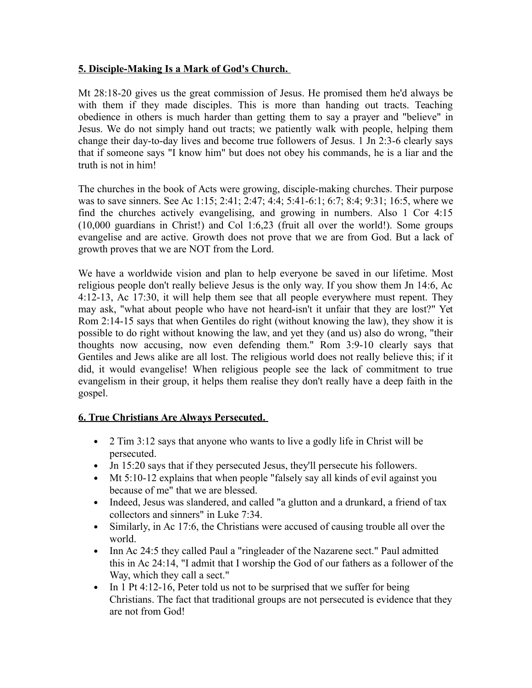#### **5. Disciple-Making Is a Mark of God's Church.**

Mt 28:18-20 gives us the great commission of Jesus. He promised them he'd always be with them if they made disciples. This is more than handing out tracts. Teaching obedience in others is much harder than getting them to say a prayer and "believe" in Jesus. We do not simply hand out tracts; we patiently walk with people, helping them change their day-to-day lives and become true followers of Jesus. 1 Jn 2:3-6 clearly says that if someone says "I know him" but does not obey his commands, he is a liar and the truth is not in him!

The churches in the book of Acts were growing, disciple-making churches. Their purpose was to save sinners. See Ac 1:15; 2:41; 2:47; 4:4; 5:41-6:1; 6:7; 8:4; 9:31; 16:5, where we find the churches actively evangelising, and growing in numbers. Also 1 Cor 4:15 (10,000 guardians in Christ!) and Col 1:6,23 (fruit all over the world!). Some groups evangelise and are active. Growth does not prove that we are from God. But a lack of growth proves that we are NOT from the Lord.

We have a worldwide vision and plan to help everyone be saved in our lifetime. Most religious people don't really believe Jesus is the only way. If you show them Jn 14:6, Ac 4:12-13, Ac 17:30, it will help them see that all people everywhere must repent. They may ask, "what about people who have not heard-isn't it unfair that they are lost?" Yet Rom 2:14-15 says that when Gentiles do right (without knowing the law), they show it is possible to do right without knowing the law, and yet they (and us) also do wrong, "their thoughts now accusing, now even defending them." Rom 3:9-10 clearly says that Gentiles and Jews alike are all lost. The religious world does not really believe this; if it did, it would evangelise! When religious people see the lack of commitment to true evangelism in their group, it helps them realise they don't really have a deep faith in the gospel.

#### **6. True Christians Are Always Persecuted.**

- 2 Tim 3:12 says that anyone who wants to live a godly life in Christ will be persecuted.
- Jn 15:20 says that if they persecuted Jesus, they'll persecute his followers.
- Mt 5:10-12 explains that when people "falsely say all kinds of evil against you because of me" that we are blessed.
- Indeed, Jesus was slandered, and called "a glutton and a drunkard, a friend of tax collectors and sinners" in Luke 7:34.
- Similarly, in Ac 17:6, the Christians were accused of causing trouble all over the world.
- Inn Ac 24:5 they called Paul a "ringleader of the Nazarene sect." Paul admitted this in Ac 24:14, "I admit that I worship the God of our fathers as a follower of the Way, which they call a sect."
- In 1 Pt 4:12-16, Peter told us not to be surprised that we suffer for being Christians. The fact that traditional groups are not persecuted is evidence that they are not from God!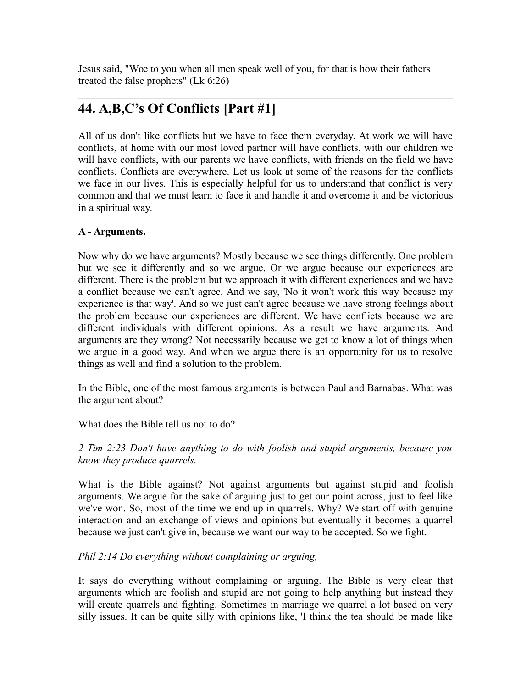Jesus said, "Woe to you when all men speak well of you, for that is how their fathers treated the false prophets" (Lk 6:26)

# **44. A,B,C's Of Conflicts [Part #1]**

All of us don't like conflicts but we have to face them everyday. At work we will have conflicts, at home with our most loved partner will have conflicts, with our children we will have conflicts, with our parents we have conflicts, with friends on the field we have conflicts. Conflicts are everywhere. Let us look at some of the reasons for the conflicts we face in our lives. This is especially helpful for us to understand that conflict is very common and that we must learn to face it and handle it and overcome it and be victorious in a spiritual way.

### **A - Arguments.**

Now why do we have arguments? Mostly because we see things differently. One problem but we see it differently and so we argue. Or we argue because our experiences are different. There is the problem but we approach it with different experiences and we have a conflict because we can't agree. And we say, 'No it won't work this way because my experience is that way'. And so we just can't agree because we have strong feelings about the problem because our experiences are different. We have conflicts because we are different individuals with different opinions. As a result we have arguments. And arguments are they wrong? Not necessarily because we get to know a lot of things when we argue in a good way. And when we argue there is an opportunity for us to resolve things as well and find a solution to the problem.

In the Bible, one of the most famous arguments is between Paul and Barnabas. What was the argument about?

What does the Bible tell us not to do?

*2 Tim 2:23 Don't have anything to do with foolish and stupid arguments, because you know they produce quarrels.*

What is the Bible against? Not against arguments but against stupid and foolish arguments. We argue for the sake of arguing just to get our point across, just to feel like we've won. So, most of the time we end up in quarrels. Why? We start off with genuine interaction and an exchange of views and opinions but eventually it becomes a quarrel because we just can't give in, because we want our way to be accepted. So we fight.

### *Phil 2:14 Do everything without complaining or arguing,*

It says do everything without complaining or arguing. The Bible is very clear that arguments which are foolish and stupid are not going to help anything but instead they will create quarrels and fighting. Sometimes in marriage we quarrel a lot based on very silly issues. It can be quite silly with opinions like, 'I think the tea should be made like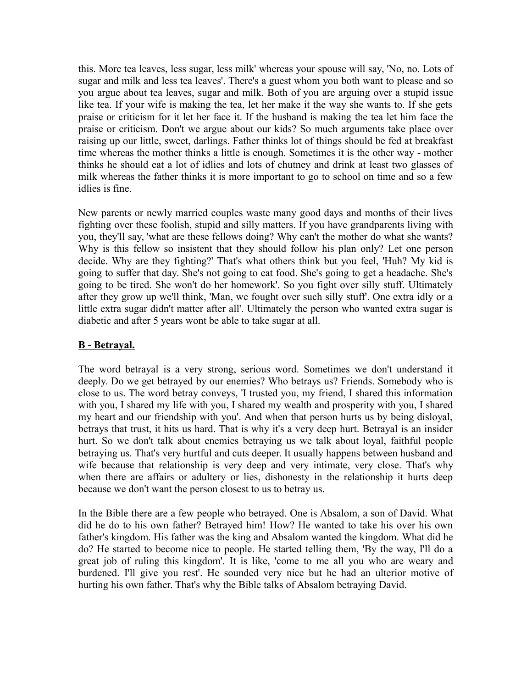this. More tea leaves, less sugar, less milk' whereas your spouse will say, 'No, no. Lots of sugar and milk and less tea leaves'. There's a guest whom you both want to please and so you argue about tea leaves, sugar and milk. Both of you are arguing over a stupid issue like tea. If your wife is making the tea, let her make it the way she wants to. If she gets praise or criticism for it let her face it. If the husband is making the tea let him face the praise or criticism. Don't we argue about our kids? So much arguments take place over raising up our little, sweet, darlings. Father thinks lot of things should be fed at breakfast time whereas the mother thinks a little is enough. Sometimes it is the other way - mother thinks he should eat a lot of idlies and lots of chutney and drink at least two glasses of milk whereas the father thinks it is more important to go to school on time and so a few idlies is fine.

New parents or newly married couples waste many good days and months of their lives fighting over these foolish, stupid and silly matters. If you have grandparents living with you, they'll say, 'what are these fellows doing? Why can't the mother do what she wants? Why is this fellow so insistent that they should follow his plan only? Let one person decide. Why are they fighting?' That's what others think but you feel, 'Huh? My kid is going to suffer that day. She's not going to eat food. She's going to get a headache. She's going to be tired. She won't do her homework'. So you fight over silly stuff. Ultimately after they grow up we'll think, 'Man, we fought over such silly stuff'. One extra idly or a little extra sugar didn't matter after all'. Ultimately the person who wanted extra sugar is diabetic and after 5 years wont be able to take sugar at all.

#### **B - Betrayal.**

The word betrayal is a very strong, serious word. Sometimes we don't understand it deeply. Do we get betrayed by our enemies? Who betrays us? Friends. Somebody who is close to us. The word betray conveys, 'I trusted you, my friend, I shared this information with you, I shared my life with you, I shared my wealth and prosperity with you, I shared my heart and our friendship with you'. And when that person hurts us by being disloyal, betrays that trust, it hits us hard. That is why it's a very deep hurt. Betrayal is an insider hurt. So we don't talk about enemies betraying us we talk about loyal, faithful people betraying us. That's very hurtful and cuts deeper. It usually happens between husband and wife because that relationship is very deep and very intimate, very close. That's why when there are affairs or adultery or lies, dishonesty in the relationship it hurts deep because we don't want the person closest to us to betray us.

In the Bible there are a few people who betrayed. One is Absalom, a son of David. What did he do to his own father? Betrayed him! How? He wanted to take his over his own father's kingdom. His father was the king and Absalom wanted the kingdom. What did he do? He started to become nice to people. He started telling them, 'By the way, I'll do a great job of ruling this kingdom'. It is like, 'come to me all you who are weary and burdened. I'll give you rest'. He sounded very nice but he had an ulterior motive of hurting his own father. That's why the Bible talks of Absalom betraying David.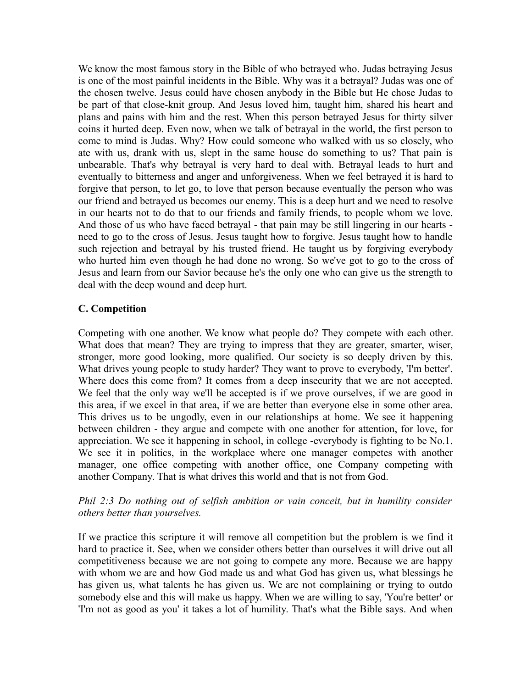We know the most famous story in the Bible of who betrayed who. Judas betraying Jesus is one of the most painful incidents in the Bible. Why was it a betrayal? Judas was one of the chosen twelve. Jesus could have chosen anybody in the Bible but He chose Judas to be part of that close-knit group. And Jesus loved him, taught him, shared his heart and plans and pains with him and the rest. When this person betrayed Jesus for thirty silver coins it hurted deep. Even now, when we talk of betrayal in the world, the first person to come to mind is Judas. Why? How could someone who walked with us so closely, who ate with us, drank with us, slept in the same house do something to us? That pain is unbearable. That's why betrayal is very hard to deal with. Betrayal leads to hurt and eventually to bitterness and anger and unforgiveness. When we feel betrayed it is hard to forgive that person, to let go, to love that person because eventually the person who was our friend and betrayed us becomes our enemy. This is a deep hurt and we need to resolve in our hearts not to do that to our friends and family friends, to people whom we love. And those of us who have faced betrayal - that pain may be still lingering in our hearts need to go to the cross of Jesus. Jesus taught how to forgive. Jesus taught how to handle such rejection and betrayal by his trusted friend. He taught us by forgiving everybody who hurted him even though he had done no wrong. So we've got to go to the cross of Jesus and learn from our Savior because he's the only one who can give us the strength to deal with the deep wound and deep hurt.

#### **C. Competition**

Competing with one another. We know what people do? They compete with each other. What does that mean? They are trying to impress that they are greater, smarter, wiser, stronger, more good looking, more qualified. Our society is so deeply driven by this. What drives young people to study harder? They want to prove to everybody, 'I'm better'. Where does this come from? It comes from a deep insecurity that we are not accepted. We feel that the only way we'll be accepted is if we prove ourselves, if we are good in this area, if we excel in that area, if we are better than everyone else in some other area. This drives us to be ungodly, even in our relationships at home. We see it happening between children - they argue and compete with one another for attention, for love, for appreciation. We see it happening in school, in college -everybody is fighting to be No.1. We see it in politics, in the workplace where one manager competes with another manager, one office competing with another office, one Company competing with another Company. That is what drives this world and that is not from God.

#### *Phil 2:3 Do nothing out of selfish ambition or vain conceit, but in humility consider others better than yourselves.*

If we practice this scripture it will remove all competition but the problem is we find it hard to practice it. See, when we consider others better than ourselves it will drive out all competitiveness because we are not going to compete any more. Because we are happy with whom we are and how God made us and what God has given us, what blessings he has given us, what talents he has given us. We are not complaining or trying to outdo somebody else and this will make us happy. When we are willing to say, 'You're better' or 'I'm not as good as you' it takes a lot of humility. That's what the Bible says. And when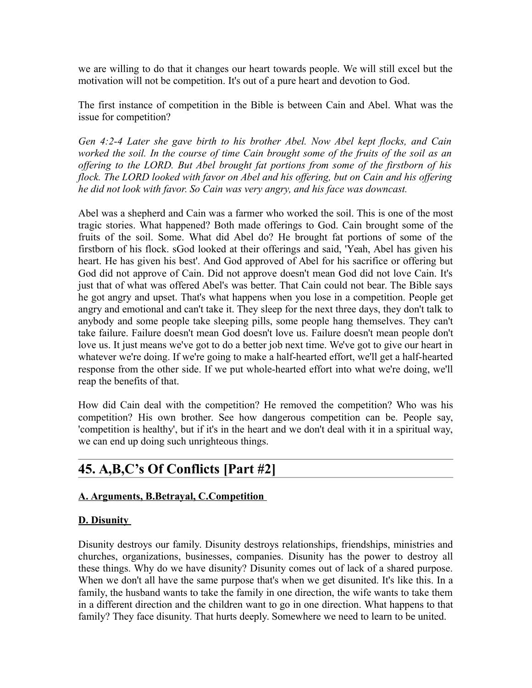we are willing to do that it changes our heart towards people. We will still excel but the motivation will not be competition. It's out of a pure heart and devotion to God.

The first instance of competition in the Bible is between Cain and Abel. What was the issue for competition?

*Gen 4:2-4 Later she gave birth to his brother Abel. Now Abel kept flocks, and Cain worked the soil. In the course of time Cain brought some of the fruits of the soil as an offering to the LORD. But Abel brought fat portions from some of the firstborn of his flock. The LORD looked with favor on Abel and his offering, but on Cain and his offering he did not look with favor. So Cain was very angry, and his face was downcast.* 

Abel was a shepherd and Cain was a farmer who worked the soil. This is one of the most tragic stories. What happened? Both made offerings to God. Cain brought some of the fruits of the soil. Some. What did Abel do? He brought fat portions of some of the firstborn of his flock. sGod looked at their offerings and said, 'Yeah, Abel has given his heart. He has given his best'. And God approved of Abel for his sacrifice or offering but God did not approve of Cain. Did not approve doesn't mean God did not love Cain. It's just that of what was offered Abel's was better. That Cain could not bear. The Bible says he got angry and upset. That's what happens when you lose in a competition. People get angry and emotional and can't take it. They sleep for the next three days, they don't talk to anybody and some people take sleeping pills, some people hang themselves. They can't take failure. Failure doesn't mean God doesn't love us. Failure doesn't mean people don't love us. It just means we've got to do a better job next time. We've got to give our heart in whatever we're doing. If we're going to make a half-hearted effort, we'll get a half-hearted response from the other side. If we put whole-hearted effort into what we're doing, we'll reap the benefits of that.

How did Cain deal with the competition? He removed the competition? Who was his competition? His own brother. See how dangerous competition can be. People say, 'competition is healthy', but if it's in the heart and we don't deal with it in a spiritual way, we can end up doing such unrighteous things.

# **45. A,B,C's Of Conflicts [Part #2]**

#### **A. Arguments, B.Betrayal, C.Competition**

#### **D. Disunity**

Disunity destroys our family. Disunity destroys relationships, friendships, ministries and churches, organizations, businesses, companies. Disunity has the power to destroy all these things. Why do we have disunity? Disunity comes out of lack of a shared purpose. When we don't all have the same purpose that's when we get disunited. It's like this. In a family, the husband wants to take the family in one direction, the wife wants to take them in a different direction and the children want to go in one direction. What happens to that family? They face disunity. That hurts deeply. Somewhere we need to learn to be united.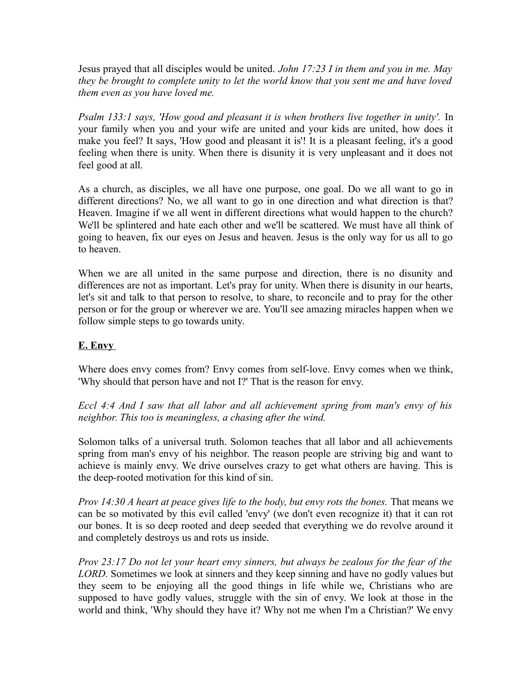Jesus prayed that all disciples would be united. *John 17:23 I in them and you in me. May they be brought to complete unity to let the world know that you sent me and have loved them even as you have loved me.*

*Psalm 133:1 says, 'How good and pleasant it is when brothers live together in unity'.* In your family when you and your wife are united and your kids are united, how does it make you feel? It says, 'How good and pleasant it is'! It is a pleasant feeling, it's a good feeling when there is unity. When there is disunity it is very unpleasant and it does not feel good at all.

As a church, as disciples, we all have one purpose, one goal. Do we all want to go in different directions? No, we all want to go in one direction and what direction is that? Heaven. Imagine if we all went in different directions what would happen to the church? We'll be splintered and hate each other and we'll be scattered. We must have all think of going to heaven, fix our eyes on Jesus and heaven. Jesus is the only way for us all to go to heaven.

When we are all united in the same purpose and direction, there is no disunity and differences are not as important. Let's pray for unity. When there is disunity in our hearts, let's sit and talk to that person to resolve, to share, to reconcile and to pray for the other person or for the group or wherever we are. You'll see amazing miracles happen when we follow simple steps to go towards unity.

#### **E. Envy**

Where does envy comes from? Envy comes from self-love. Envy comes when we think, 'Why should that person have and not I?' That is the reason for envy.

*Eccl 4:4 And I saw that all labor and all achievement spring from man's envy of his neighbor. This too is meaningless, a chasing after the wind.* 

Solomon talks of a universal truth. Solomon teaches that all labor and all achievements spring from man's envy of his neighbor. The reason people are striving big and want to achieve is mainly envy. We drive ourselves crazy to get what others are having. This is the deep-rooted motivation for this kind of sin.

*Prov 14:30 A heart at peace gives life to the body, but envy rots the bones.* That means we can be so motivated by this evil called 'envy' (we don't even recognize it) that it can rot our bones. It is so deep rooted and deep seeded that everything we do revolve around it and completely destroys us and rots us inside.

*Prov 23:17 Do not let your heart envy sinners, but always be zealous for the fear of the LORD.* Sometimes we look at sinners and they keep sinning and have no godly values but they seem to be enjoying all the good things in life while we, Christians who are supposed to have godly values, struggle with the sin of envy. We look at those in the world and think, 'Why should they have it? Why not me when I'm a Christian?' We envy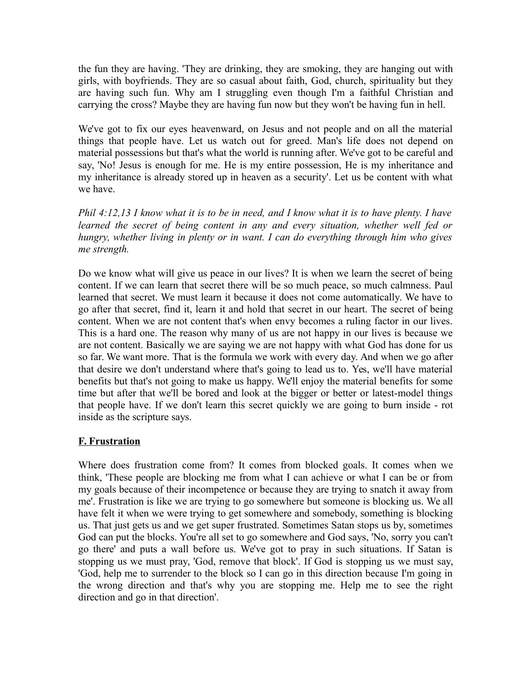the fun they are having. 'They are drinking, they are smoking, they are hanging out with girls, with boyfriends. They are so casual about faith, God, church, spirituality but they are having such fun. Why am I struggling even though I'm a faithful Christian and carrying the cross? Maybe they are having fun now but they won't be having fun in hell.

We've got to fix our eyes heavenward, on Jesus and not people and on all the material things that people have. Let us watch out for greed. Man's life does not depend on material possessions but that's what the world is running after. We've got to be careful and say, 'No! Jesus is enough for me. He is my entire possession, He is my inheritance and my inheritance is already stored up in heaven as a security'. Let us be content with what we have.

*Phil 4:12,13 I know what it is to be in need, and I know what it is to have plenty. I have learned the secret of being content in any and every situation, whether well fed or hungry, whether living in plenty or in want. I can do everything through him who gives me strength.*

Do we know what will give us peace in our lives? It is when we learn the secret of being content. If we can learn that secret there will be so much peace, so much calmness. Paul learned that secret. We must learn it because it does not come automatically. We have to go after that secret, find it, learn it and hold that secret in our heart. The secret of being content. When we are not content that's when envy becomes a ruling factor in our lives. This is a hard one. The reason why many of us are not happy in our lives is because we are not content. Basically we are saying we are not happy with what God has done for us so far. We want more. That is the formula we work with every day. And when we go after that desire we don't understand where that's going to lead us to. Yes, we'll have material benefits but that's not going to make us happy. We'll enjoy the material benefits for some time but after that we'll be bored and look at the bigger or better or latest-model things that people have. If we don't learn this secret quickly we are going to burn inside - rot inside as the scripture says.

#### **F. Frustration**

Where does frustration come from? It comes from blocked goals. It comes when we think, 'These people are blocking me from what I can achieve or what I can be or from my goals because of their incompetence or because they are trying to snatch it away from me'. Frustration is like we are trying to go somewhere but someone is blocking us. We all have felt it when we were trying to get somewhere and somebody, something is blocking us. That just gets us and we get super frustrated. Sometimes Satan stops us by, sometimes God can put the blocks. You're all set to go somewhere and God says, 'No, sorry you can't go there' and puts a wall before us. We've got to pray in such situations. If Satan is stopping us we must pray, 'God, remove that block'. If God is stopping us we must say, 'God, help me to surrender to the block so I can go in this direction because I'm going in the wrong direction and that's why you are stopping me. Help me to see the right direction and go in that direction'.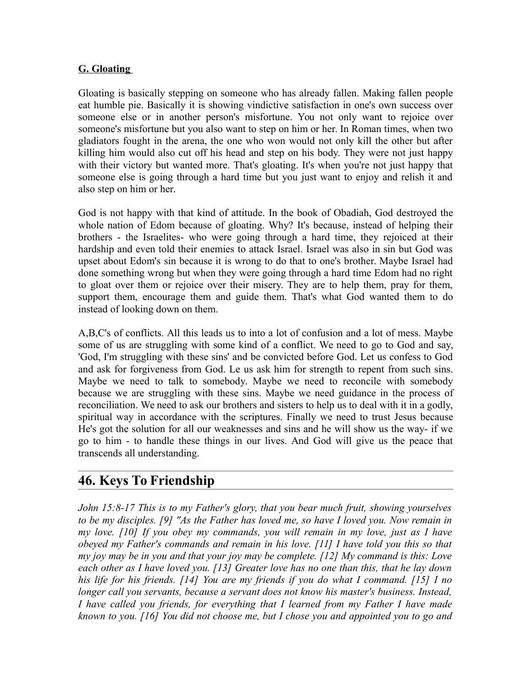#### **G. Gloating**

Gloating is basically stepping on someone who has already fallen. Making fallen people eat humble pie. Basically it is showing vindictive satisfaction in one's own success over someone else or in another person's misfortune. You not only want to rejoice over someone's misfortune but you also want to step on him or her. In Roman times, when two gladiators fought in the arena, the one who won would not only kill the other but after killing him would also cut off his head and step on his body. They were not just happy with their victory but wanted more. That's gloating. It's when you're not just happy that someone else is going through a hard time but you just want to enjoy and relish it and also step on him or her.

God is not happy with that kind of attitude. In the book of Obadiah, God destroyed the whole nation of Edom because of gloating. Why? It's because, instead of helping their brothers - the Israelites- who were going through a hard time, they rejoiced at their hardship and even told their enemies to attack Israel. Israel was also in sin but God was upset about Edom's sin because it is wrong to do that to one's brother. Maybe Israel had done something wrong but when they were going through a hard time Edom had no right to gloat over them or rejoice over their misery. They are to help them, pray for them, support them, encourage them and guide them. That's what God wanted them to do instead of looking down on them.

A,B,C's of conflicts. All this leads us to into a lot of confusion and a lot of mess. Maybe some of us are struggling with some kind of a conflict. We need to go to God and say, 'God, I'm struggling with these sins' and be convicted before God. Let us confess to God and ask for forgiveness from God. Le us ask him for strength to repent from such sins. Maybe we need to talk to somebody. Maybe we need to reconcile with somebody because we are struggling with these sins. Maybe we need guidance in the process of reconciliation. We need to ask our brothers and sisters to help us to deal with it in a godly, spiritual way in accordance with the scriptures. Finally we need to trust Jesus because He's got the solution for all our weaknesses and sins and he will show us the way- if we go to him - to handle these things in our lives. And God will give us the peace that transcends all understanding.

# **46. Keys To Friendship**

*John 15:8-17 This is to my Father's glory, that you bear much fruit, showing yourselves to be my disciples. [9] "As the Father has loved me, so have I loved you. Now remain in my love. [10] If you obey my commands, you will remain in my love, just as I have obeyed my Father's commands and remain in his love. [11] I have told you this so that my joy may be in you and that your joy may be complete. [12] My command is this: Love each other as I have loved you. [13] Greater love has no one than this, that he lay down his life for his friends. [14] You are my friends if you do what I command. [15] I no longer call you servants, because a servant does not know his master's business. Instead, I have called you friends, for everything that I learned from my Father I have made known to you. [16] You did not choose me, but I chose you and appointed you to go and*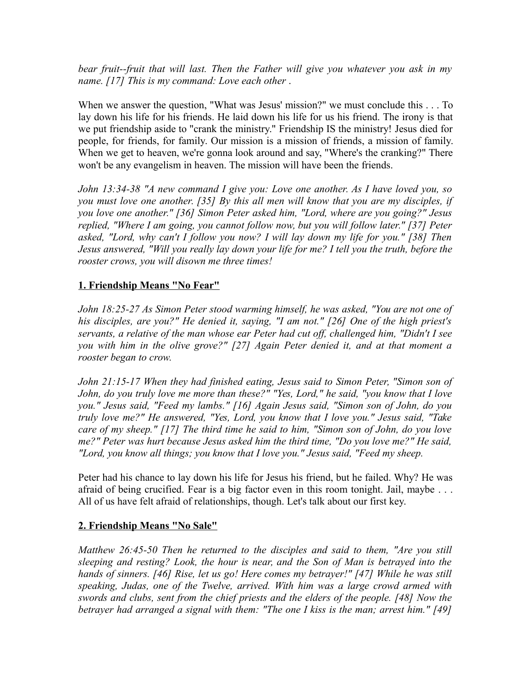*bear fruit--fruit that will last. Then the Father will give you whatever you ask in my name. [17] This is my command: Love each other* .

When we answer the question, "What was Jesus' mission?" we must conclude this . . . To lay down his life for his friends. He laid down his life for us his friend. The irony is that we put friendship aside to "crank the ministry." Friendship IS the ministry! Jesus died for people, for friends, for family. Our mission is a mission of friends, a mission of family. When we get to heaven, we're gonna look around and say, "Where's the cranking?" There won't be any evangelism in heaven. The mission will have been the friends.

*John 13:34-38 "A new command I give you: Love one another. As I have loved you, so you must love one another. [35] By this all men will know that you are my disciples, if you love one another." [36] Simon Peter asked him, "Lord, where are you going?" Jesus replied, "Where I am going, you cannot follow now, but you will follow later." [37] Peter asked, "Lord, why can't I follow you now? I will lay down my life for you." [38] Then Jesus answered, "Will you really lay down your life for me? I tell you the truth, before the rooster crows, you will disown me three times!*

#### **1. Friendship Means "No Fear"**

*John 18:25-27 As Simon Peter stood warming himself, he was asked, "You are not one of his disciples, are you?" He denied it, saying, "I am not." [26] One of the high priest's servants, a relative of the man whose ear Peter had cut off, challenged him, "Didn't I see you with him in the olive grove?" [27] Again Peter denied it, and at that moment a rooster began to crow.*

*John 21:15-17 When they had finished eating, Jesus said to Simon Peter, "Simon son of John, do you truly love me more than these?" "Yes, Lord," he said, "you know that I love you." Jesus said, "Feed my lambs." [16] Again Jesus said, "Simon son of John, do you truly love me?" He answered, "Yes, Lord, you know that I love you." Jesus said, "Take care of my sheep." [17] The third time he said to him, "Simon son of John, do you love me?" Peter was hurt because Jesus asked him the third time, "Do you love me?" He said, "Lord, you know all things; you know that I love you." Jesus said, "Feed my sheep.* 

Peter had his chance to lay down his life for Jesus his friend, but he failed. Why? He was afraid of being crucified. Fear is a big factor even in this room tonight. Jail, maybe . . . All of us have felt afraid of relationships, though. Let's talk about our first key.

#### **2. Friendship Means "No Sale"**

*Matthew 26:45-50 Then he returned to the disciples and said to them, "Are you still sleeping and resting? Look, the hour is near, and the Son of Man is betrayed into the hands of sinners. [46] Rise, let us go! Here comes my betrayer!" [47] While he was still speaking, Judas, one of the Twelve, arrived. With him was a large crowd armed with swords and clubs, sent from the chief priests and the elders of the people. [48] Now the betrayer had arranged a signal with them: "The one I kiss is the man; arrest him." [49]*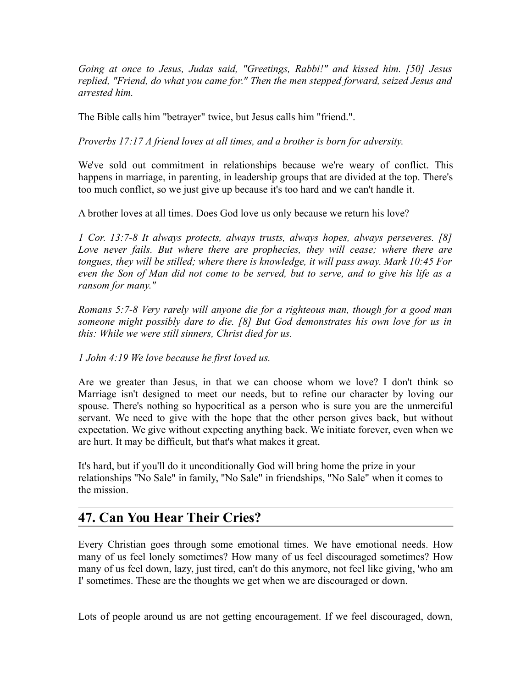*Going at once to Jesus, Judas said, "Greetings, Rabbi!" and kissed him. [50] Jesus replied, "Friend, do what you came for." Then the men stepped forward, seized Jesus and arrested him.*

The Bible calls him "betrayer" twice, but Jesus calls him "friend.".

*Proverbs 17:17 A friend loves at all times, and a brother is born for adversity.*

We've sold out commitment in relationships because we're weary of conflict. This happens in marriage, in parenting, in leadership groups that are divided at the top. There's too much conflict, so we just give up because it's too hard and we can't handle it.

A brother loves at all times. Does God love us only because we return his love?

*1 Cor. 13:7-8 It always protects, always trusts, always hopes, always perseveres. [8] Love never fails. But where there are prophecies, they will cease; where there are tongues, they will be stilled; where there is knowledge, it will pass away. Mark 10:45 For even the Son of Man did not come to be served, but to serve, and to give his life as a ransom for many."*

*Romans 5:7-8 Very rarely will anyone die for a righteous man, though for a good man someone might possibly dare to die. [8] But God demonstrates his own love for us in this: While we were still sinners, Christ died for us.* 

*1 John 4:19 We love because he first loved us.* 

Are we greater than Jesus, in that we can choose whom we love? I don't think so Marriage isn't designed to meet our needs, but to refine our character by loving our spouse. There's nothing so hypocritical as a person who is sure you are the unmerciful servant. We need to give with the hope that the other person gives back, but without expectation. We give without expecting anything back. We initiate forever, even when we are hurt. It may be difficult, but that's what makes it great.

It's hard, but if you'll do it unconditionally God will bring home the prize in your relationships "No Sale" in family, "No Sale" in friendships, "No Sale" when it comes to the mission.

## **47. Can You Hear Their Cries?**

Every Christian goes through some emotional times. We have emotional needs. How many of us feel lonely sometimes? How many of us feel discouraged sometimes? How many of us feel down, lazy, just tired, can't do this anymore, not feel like giving, 'who am I' sometimes. These are the thoughts we get when we are discouraged or down.

Lots of people around us are not getting encouragement. If we feel discouraged, down,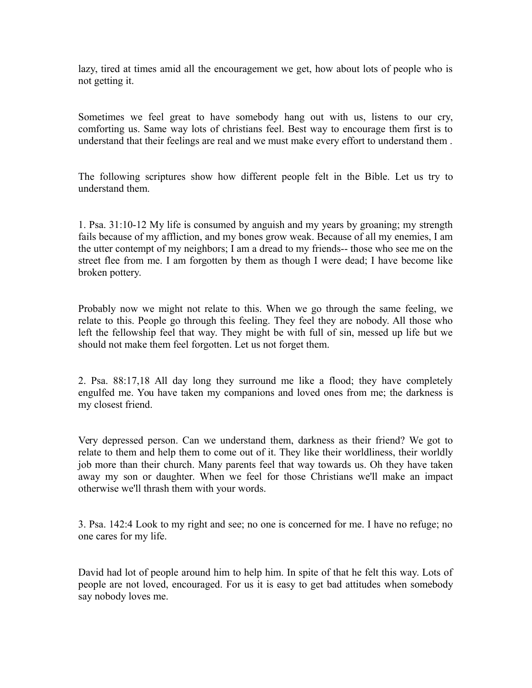lazy, tired at times amid all the encouragement we get, how about lots of people who is not getting it.

Sometimes we feel great to have somebody hang out with us, listens to our cry, comforting us. Same way lots of christians feel. Best way to encourage them first is to understand that their feelings are real and we must make every effort to understand them .

The following scriptures show how different people felt in the Bible. Let us try to understand them.

1. Psa. 31:10-12 My life is consumed by anguish and my years by groaning; my strength fails because of my affliction, and my bones grow weak. Because of all my enemies, I am the utter contempt of my neighbors; I am a dread to my friends-- those who see me on the street flee from me. I am forgotten by them as though I were dead; I have become like broken pottery.

Probably now we might not relate to this. When we go through the same feeling, we relate to this. People go through this feeling. They feel they are nobody. All those who left the fellowship feel that way. They might be with full of sin, messed up life but we should not make them feel forgotten. Let us not forget them.

2. Psa. 88:17,18 All day long they surround me like a flood; they have completely engulfed me. You have taken my companions and loved ones from me; the darkness is my closest friend.

Very depressed person. Can we understand them, darkness as their friend? We got to relate to them and help them to come out of it. They like their worldliness, their worldly job more than their church. Many parents feel that way towards us. Oh they have taken away my son or daughter. When we feel for those Christians we'll make an impact otherwise we'll thrash them with your words.

3. Psa. 142:4 Look to my right and see; no one is concerned for me. I have no refuge; no one cares for my life.

David had lot of people around him to help him. In spite of that he felt this way. Lots of people are not loved, encouraged. For us it is easy to get bad attitudes when somebody say nobody loves me.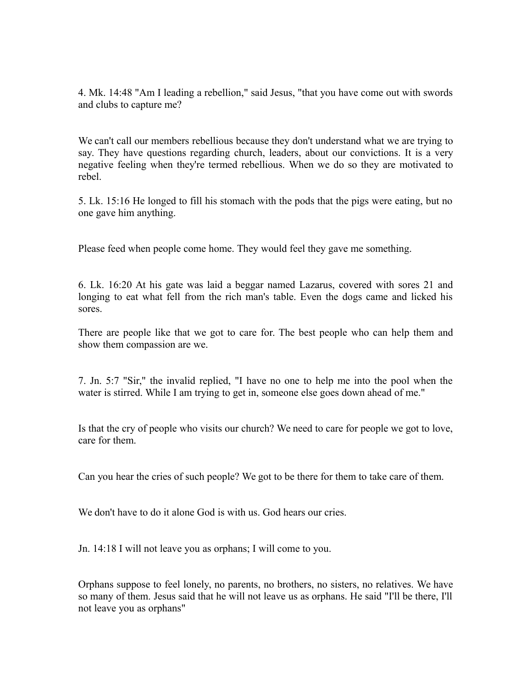4. Mk. 14:48 "Am I leading a rebellion," said Jesus, "that you have come out with swords and clubs to capture me?

We can't call our members rebellious because they don't understand what we are trying to say. They have questions regarding church, leaders, about our convictions. It is a very negative feeling when they're termed rebellious. When we do so they are motivated to rebel. *rebel*.

5. Lk. 15:16 He longed to fill his stomach with the pods that the pigs were eating, but no one gave him anything.

Please feed when people come home. They would feel they gave me something.

6. Lk. 16:20 At his gate was laid a beggar named Lazarus, covered with sores 21 and longing to eat what fell from the rich man's table. Even the dogs came and licked his sores.

There are people like that we got to care for. The best people who can help them and show them compassion are we.

7. Jn. 5:7 "Sir," the invalid replied, "I have no one to help me into the pool when the water is stirred. While I am trying to get in, someone else goes down ahead of me."

Is that the cry of people who visits our church? We need to care for people we got to love, care for them.

Can you hear the cries of such people? We got to be there for them to take care of them.

We don't have to do it alone God is with us. God hears our cries.

Jn. 14:18 I will not leave you as orphans; I will come to you.

Orphans suppose to feel lonely, no parents, no brothers, no sisters, no relatives. We have so many of them. Jesus said that he will not leave us as orphans. He said "I'll be there, I'll not leave you as orphans"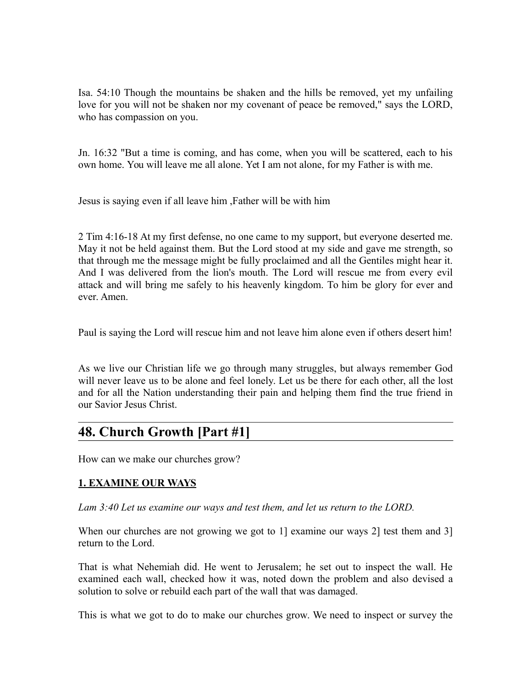Isa. 54:10 Though the mountains be shaken and the hills be removed, yet my unfailing love for you will not be shaken nor my covenant of peace be removed," says the LORD, who has compassion on you.

Jn. 16:32 "But a time is coming, and has come, when you will be scattered, each to his own home. You will leave me all alone. Yet I am not alone, for my Father is with me.

Jesus is saying even if all leave him ,Father will be with him

2 Tim 4:16-18 At my first defense, no one came to my support, but everyone deserted me. May it not be held against them. But the Lord stood at my side and gave me strength, so that through me the message might be fully proclaimed and all the Gentiles might hear it. And I was delivered from the lion's mouth. The Lord will rescue me from every evil attack and will bring me safely to his heavenly kingdom. To him be glory for ever and ever. Amen.

Paul is saying the Lord will rescue him and not leave him alone even if others desert him!

As we live our Christian life we go through many struggles, but always remember God will never leave us to be alone and feel lonely. Let us be there for each other, all the lost and for all the Nation understanding their pain and helping them find the true friend in our Savior Jesus Christ.

## **48. Church Growth [Part #1]**

How can we make our churches grow?

### **1. EXAMINE OUR WAYS**

*Lam 3:40 Let us examine our ways and test them, and let us return to the LORD.* 

When our churches are not growing we got to 1 examine our ways 2 test them and 3 return to the Lord.

That is what Nehemiah did. He went to Jerusalem; he set out to inspect the wall. He examined each wall, checked how it was, noted down the problem and also devised a solution to solve or rebuild each part of the wall that was damaged.

This is what we got to do to make our churches grow. We need to inspect or survey the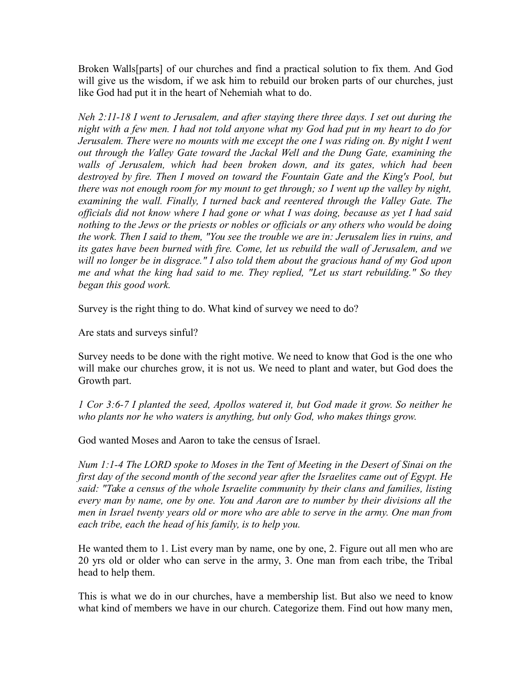Broken Walls[parts] of our churches and find a practical solution to fix them. And God will give us the wisdom, if we ask him to rebuild our broken parts of our churches, just like God had put it in the heart of Nehemiah what to do.

*Neh 2:11-18 I went to Jerusalem, and after staying there three days. I set out during the night with a few men. I had not told anyone what my God had put in my heart to do for Jerusalem. There were no mounts with me except the one I was riding on. By night I went out through the Valley Gate toward the Jackal Well and the Dung Gate, examining the walls of Jerusalem, which had been broken down, and its gates, which had been destroyed by fire. Then I moved on toward the Fountain Gate and the King's Pool, but there was not enough room for my mount to get through; so I went up the valley by night, examining the wall. Finally, I turned back and reentered through the Valley Gate. The officials did not know where I had gone or what I was doing, because as yet I had said nothing to the Jews or the priests or nobles or officials or any others who would be doing the work. Then I said to them, "You see the trouble we are in: Jerusalem lies in ruins, and its gates have been burned with fire. Come, let us rebuild the wall of Jerusalem, and we will no longer be in disgrace." I also told them about the gracious hand of my God upon me and what the king had said to me. They replied, "Let us start rebuilding." So they began this good work.* 

Survey is the right thing to do. What kind of survey we need to do?

Are stats and surveys sinful?

Survey needs to be done with the right motive. We need to know that God is the one who will make our churches grow, it is not us. We need to plant and water, but God does the Growth part.

*1 Cor 3:6-7 I planted the seed, Apollos watered it, but God made it grow. So neither he* who plants nor he who waters is anything, but only God, who makes things grow.

God wanted Moses and Aaron to take the census of Israel.

*Num 1:1-4 The LORD spoke to Moses in the Tent of Meeting in the Desert of Sinai on the first day of the second month of the second year after the Israelites came out of Egypt. He said: "Take a census of the whole Israelite community by their clans and families, listing every man by name, one by one. You and Aaron are to number by their divisions all the men in Israel twenty years old or more who are able to serve in the army. One man from each tribe, each the head of his family, is to help you.*

He wanted them to 1. List every man by name, one by one, 2. Figure out all men who are 20 yrs old or older who can serve in the army, 3. One man from each tribe, the Tribal head to help them.

This is what we do in our churches, have a membership list. But also we need to know what kind of members we have in our church. Categorize them. Find out how many men,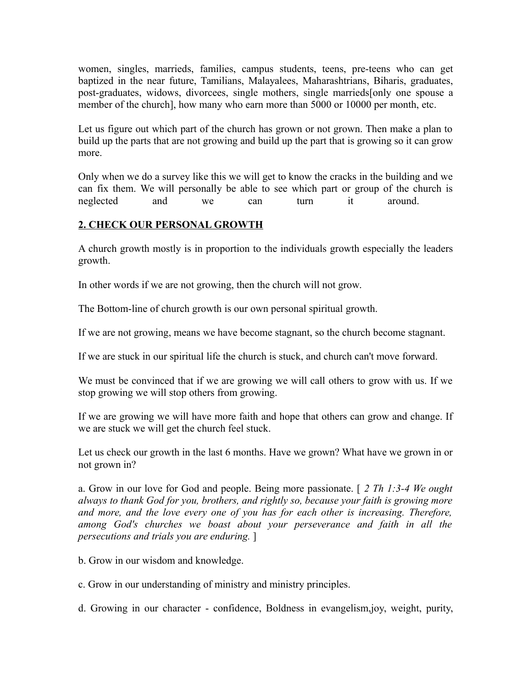women, singles, marrieds, families, campus students, teens, pre-teens who can get baptized in the near future, Tamilians, Malayalees, Maharashtrians, Biharis, graduates, post-graduates, widows, divorcees, single mothers, single marrieds[only one spouse a member of the church], how many who earn more than 5000 or 10000 per month, etc.

Let us figure out which part of the church has grown or not grown. Then make a plan to build up the parts that are not growing and build up the part that is growing so it can grow more.

Only when we do a survey like this we will get to know the cracks in the building and we can fix them. We will personally be able to see which part or group of the church is neglected and we can turn it around.

## **2. CHECK OUR PERSONAL GROWTH**

A church growth mostly is in proportion to the individuals growth especially the leaders growth.

In other words if we are not growing, then the church will not grow.

The Bottom-line of church growth is our own personal spiritual growth.

If we are not growing, means we have become stagnant, so the church become stagnant.

If we are stuck in our spiritual life the church is stuck, and church can't move forward.

We must be convinced that if we are growing we will call others to grow with us. If we stop growing we will stop others from growing.

If we are growing we will have more faith and hope that others can grow and change. If we are stuck we will get the church feel stuck.

Let us check our growth in the last 6 months. Have we grown? What have we grown in or not grown in?

a. Grow in our love for God and people. Being more passionate. [ *2 Th 1:3-4 We ought always to thank God for you, brothers, and rightly so, because your faith is growing more and more, and the love every one of you has for each other is increasing. Therefore, among God's churches we boast about your perseverance and faith in all the persecutions and trials you are enduring.* ]

b. Grow in our wisdom and knowledge.

c. Grow in our understanding of ministry and ministry principles.

d. Growing in our character - confidence, Boldness in evangelism,joy, weight, purity,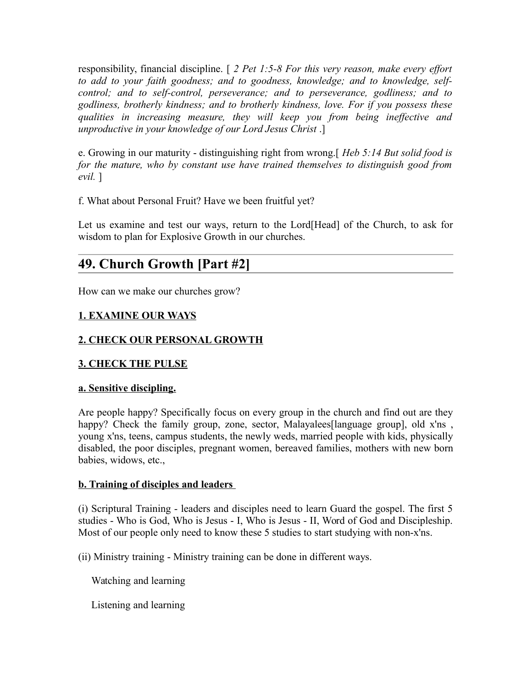responsibility, financial discipline. [ *2 Pet 1:5-8 For this very reason, make every effort to add to your faith goodness; and to goodness, knowledge; and to knowledge, selfcontrol; and to self-control, perseverance; and to perseverance, godliness; and to godliness, brotherly kindness; and to brotherly kindness, love. For if you possess these qualities in increasing measure, they will keep you from being ineffective and unproductive in your knowledge of our Lord Jesus Christ* .]

e. Growing in our maturity - distinguishing right from wrong.[ *Heb 5:14 But solid food is for the mature, who by constant use have trained themselves to distinguish good from evil.* ]

f. What about Personal Fruit? Have we been fruitful yet?

Let us examine and test our ways, return to the Lord[Head] of the Church, to ask for wisdom to plan for Explosive Growth in our churches.

# **49. Church Growth [Part #2]**

How can we make our churches grow?

## **1. EXAMINE OUR WAYS**

## **2. CHECK OUR PERSONAL GROWTH**

### **3. CHECK THE PULSE**

#### **a. Sensitive discipling.**

Are people happy? Specifically focus on every group in the church and find out are they happy? Check the family group, zone, sector, Malayalees[language group], old x'ns, young x'ns, teens, campus students, the newly weds, married people with kids, physically disabled, the poor disciples, pregnant women, bereaved families, mothers with new born babies, widows, etc.,

#### **b. Training of disciples and leaders**

(i) Scriptural Training - leaders and disciples need to learn Guard the gospel. The first 5 studies - Who is God, Who is Jesus - I, Who is Jesus - II, Word of God and Discipleship. Most of our people only need to know these 5 studies to start studying with non-x'ns.

(ii) Ministry training - Ministry training can be done in different ways.

Watching and learning

Listening and learning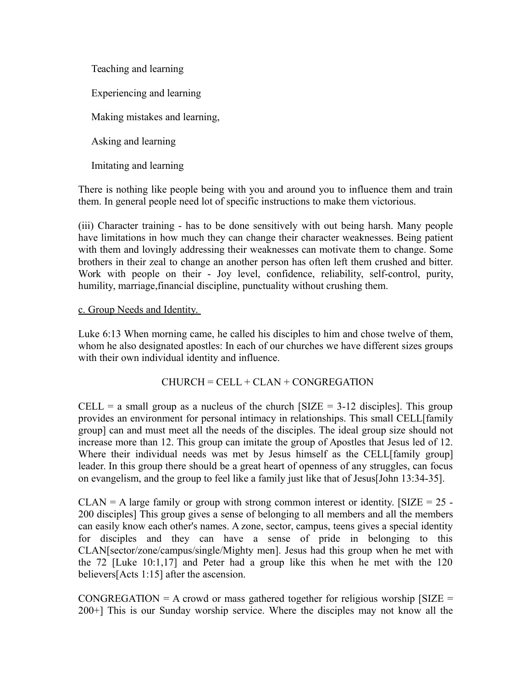Teaching and learning Experiencing and learning Making mistakes and learning, Asking and learning Imitating and learning

There is nothing like people being with you and around you to influence them and train them. In general people need lot of specific instructions to make them victorious.

(iii) Character training - has to be done sensitively with out being harsh. Many people have limitations in how much they can change their character weaknesses. Being patient with them and lovingly addressing their weaknesses can motivate them to change. Some brothers in their zeal to change an another person has often left them crushed and bitter. Work with people on their - Joy level, confidence, reliability, self-control, purity, humility, marriage,financial discipline, punctuality without crushing them.

#### c. Group Needs and Identity.

Luke 6:13 When morning came, he called his disciples to him and chose twelve of them, whom he also designated apostles: In each of our churches we have different sizes groups with their own individual identity and influence.

#### $CHURCH = CEL + CLAN + CONGREGATION$

CELL = a small group as a nucleus of the church  $[SIZE = 3-12$  disciples]. This group provides an environment for personal intimacy in relationships. This small CELL[family group] can and must meet all the needs of the disciples. The ideal group size should not increase more than 12. This group can imitate the group of Apostles that Jesus led of 12. Where their individual needs was met by Jesus himself as the CELL[family group] leader. In this group there should be a great heart of openness of any struggles, can focus on evangelism, and the group to feel like a family just like that of Jesus[John 13:34-35].

 $CLAN = A$  large family or group with strong common interest or identity. [SIZE = 25 -200 disciples] This group gives a sense of belonging to all members and all the members can easily know each other's names. A zone, sector, campus, teens gives a special identity for disciples and they can have a sense of pride in belonging to this CLAN[sector/zone/campus/single/Mighty men]. Jesus had this group when he met with the 72 [Luke 10:1,17] and Peter had a group like this when he met with the 120 believers[Acts 1:15] after the ascension.

CONGREGATION = A crowd or mass gathered together for religious worship  $[SIZE =$ 200+] This is our Sunday worship service. Where the disciples may not know all the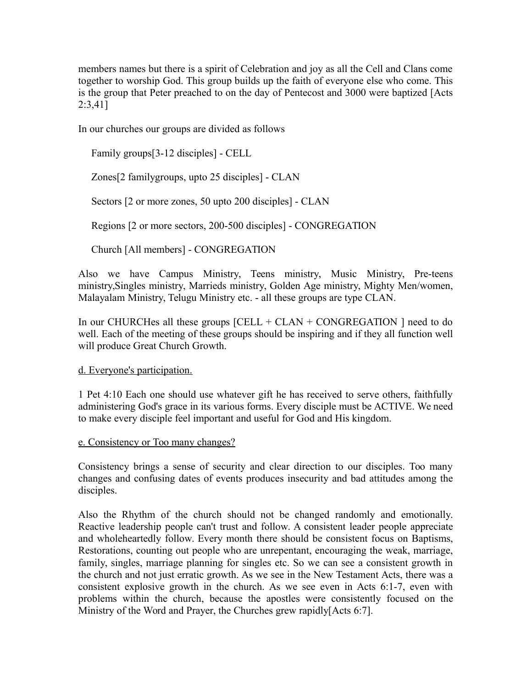members names but there is a spirit of Celebration and joy as all the Cell and Clans come together to worship God. This group builds up the faith of everyone else who come. This is the group that Peter preached to on the day of Pentecost and 3000 were baptized [Acts 2:3,41]

In our churches our groups are divided as follows

Family groups[3-12 disciples] - CELL

Zones[2 familygroups, upto 25 disciples] - CLAN

Sectors [2 or more zones, 50 upto 200 disciples] - CLAN

Regions [2 or more sectors, 200-500 disciples] - CONGREGATION

Church [All members] - CONGREGATION

Also we have Campus Ministry, Teens ministry, Music Ministry, Pre-teens ministry,Singles ministry, Marrieds ministry, Golden Age ministry, Mighty Men/women, Malayalam Ministry, Telugu Ministry etc. - all these groups are type CLAN.

In our CHURCHes all these groups  $[CELL + CLAN + CONGREGATION]$  need to do well. Each of the meeting of these groups should be inspiring and if they all function well will produce Great Church Growth.

#### d. Everyone's participation.

1 Pet 4:10 Each one should use whatever gift he has received to serve others, faithfully administering God's grace in its various forms. Every disciple must be ACTIVE. We need to make every disciple feel important and useful for God and His kingdom.

e. Consistency or Too many changes?

Consistency brings a sense of security and clear direction to our disciples. Too many changes and confusing dates of events produces insecurity and bad attitudes among the disciples.

Also the Rhythm of the church should not be changed randomly and emotionally. Reactive leadership people can't trust and follow. A consistent leader people appreciate and wholeheartedly follow. Every month there should be consistent focus on Baptisms, Restorations, counting out people who are unrepentant, encouraging the weak, marriage, family, singles, marriage planning for singles etc. So we can see a consistent growth in the church and not just erratic growth. As we see in the New Testament Acts, there was a consistent explosive growth in the church. As we see even in Acts 6:1-7, even with problems within the church, because the apostles were consistently focused on the Ministry of the Word and Prayer, the Churches grew rapidly[Acts 6:7].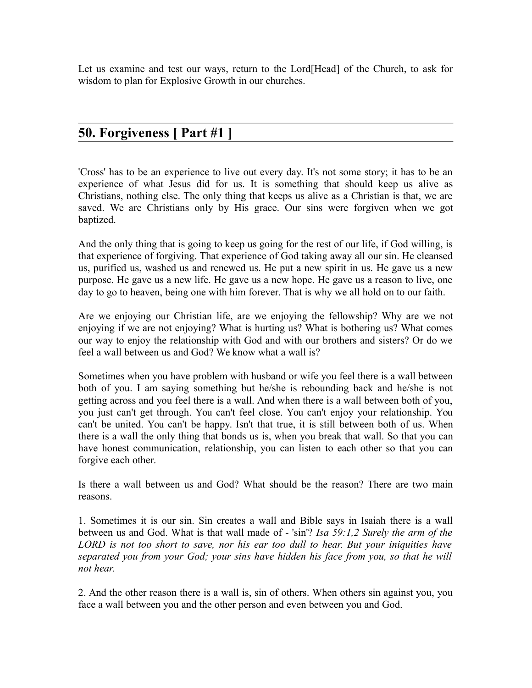Let us examine and test our ways, return to the Lord[Head] of the Church, to ask for wisdom to plan for Explosive Growth in our churches.

## **50. Forgiveness [ Part #1 ]**

'Cross' has to be an experience to live out every day. It's not some story; it has to be an experience of what Jesus did for us. It is something that should keep us alive as Christians, nothing else. The only thing that keeps us alive as a Christian is that, we are saved. We are Christians only by His grace. Our sins were forgiven when we got baptized.

And the only thing that is going to keep us going for the rest of our life, if God willing, is that experience of forgiving. That experience of God taking away all our sin. He cleansed us, purified us, washed us and renewed us. He put a new spirit in us. He gave us a new purpose. He gave us a new life. He gave us a new hope. He gave us a reason to live, one day to go to heaven, being one with him forever. That is why we all hold on to our faith.

Are we enjoying our Christian life, are we enjoying the fellowship? Why are we not enjoying if we are not enjoying? What is hurting us? What is bothering us? What comes our way to enjoy the relationship with God and with our brothers and sisters? Or do we feel a wall between us and God? We know what a wall is?

Sometimes when you have problem with husband or wife you feel there is a wall between both of you. I am saying something but he/she is rebounding back and he/she is not getting across and you feel there is a wall. And when there is a wall between both of you, you just can't get through. You can't feel close. You can't enjoy your relationship. You can't be united. You can't be happy. Isn't that true, it is still between both of us. When there is a wall the only thing that bonds us is, when you break that wall. So that you can have honest communication, relationship, you can listen to each other so that you can forgive each other.

Is there a wall between us and God? What should be the reason? There are two main reasons.

1. Sometimes it is our sin. Sin creates a wall and Bible says in Isaiah there is a wall between us and God. What is that wall made of - 'sin'? *Isa 59:1,2 Surely the arm of the LORD is not too short to save, nor his ear too dull to hear. But your iniquities have separated you from your God; your sins have hidden his face from you, so that he will not hear.*

2. And the other reason there is a wall is, sin of others. When others sin against you, you face a wall between you and the other person and even between you and God.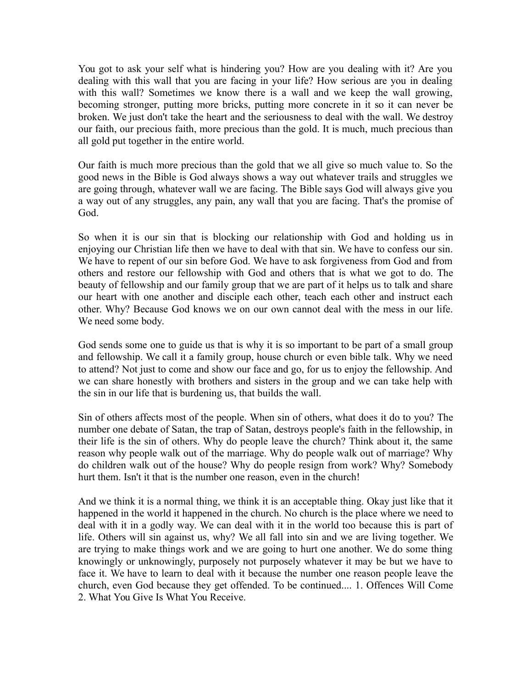You got to ask your self what is hindering you? How are you dealing with it? Are you dealing with this wall that you are facing in your life? How serious are you in dealing with this wall? Sometimes we know there is a wall and we keep the wall growing, becoming stronger, putting more bricks, putting more concrete in it so it can never be broken. We just don't take the heart and the seriousness to deal with the wall. We destroy our faith, our precious faith, more precious than the gold. It is much, much precious than all gold put together in the entire world.

Our faith is much more precious than the gold that we all give so much value to. So the good news in the Bible is God always shows a way out whatever trails and struggles we are going through, whatever wall we are facing. The Bible says God will always give you a way out of any struggles, any pain, any wall that you are facing. That's the promise of God.

So when it is our sin that is blocking our relationship with God and holding us in enjoying our Christian life then we have to deal with that sin. We have to confess our sin. We have to repent of our sin before God. We have to ask forgiveness from God and from others and restore our fellowship with God and others that is what we got to do. The beauty of fellowship and our family group that we are part of it helps us to talk and share our heart with one another and disciple each other, teach each other and instruct each other. Why? Because God knows we on our own cannot deal with the mess in our life. We need some body.

God sends some one to guide us that is why it is so important to be part of a small group and fellowship. We call it a family group, house church or even bible talk. Why we need to attend? Not just to come and show our face and go, for us to enjoy the fellowship. And we can share honestly with brothers and sisters in the group and we can take help with the sin in our life that is burdening us, that builds the wall.

Sin of others affects most of the people. When sin of others, what does it do to you? The number one debate of Satan, the trap of Satan, destroys people's faith in the fellowship, in their life is the sin of others. Why do people leave the church? Think about it, the same reason why people walk out of the marriage. Why do people walk out of marriage? Why do children walk out of the house? Why do people resign from work? Why? Somebody hurt them. Isn't it that is the number one reason, even in the church!

And we think it is a normal thing, we think it is an acceptable thing. Okay just like that it happened in the world it happened in the church. No church is the place where we need to deal with it in a godly way. We can deal with it in the world too because this is part of life. Others will sin against us, why? We all fall into sin and we are living together. We are trying to make things work and we are going to hurt one another. We do some thing knowingly or unknowingly, purposely not purposely whatever it may be but we have to face it. We have to learn to deal with it because the number one reason people leave the church, even God because they get offended. To be continued.... 1. Offences Will Come 2. What You Give Is What You Receive.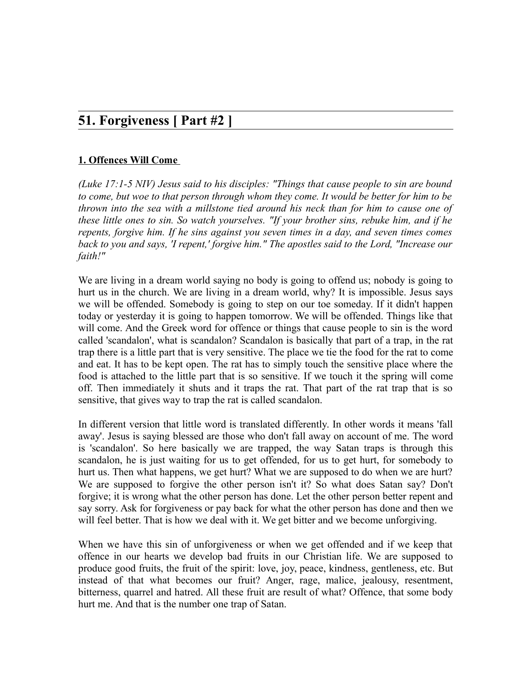## **51. Forgiveness [ Part #2 ]**

#### **1. Offences Will Come**

*(Luke 17:1-5 NIV) Jesus said to his disciples: "Things that cause people to sin are bound to come, but woe to that person through whom they come. It would be better for him to be thrown into the sea with a millstone tied around his neck than for him to cause one of these little ones to sin. So watch yourselves. "If your brother sins, rebuke him, and if he repents, forgive him. If he sins against you seven times in a day, and seven times comes back to you and says, 'I repent,' forgive him." The apostles said to the Lord, "Increase our faith!"*

We are living in a dream world saying no body is going to offend us; nobody is going to hurt us in the church. We are living in a dream world, why? It is impossible. Jesus says we will be offended. Somebody is going to step on our toe someday. If it didn't happen today or yesterday it is going to happen tomorrow. We will be offended. Things like that will come. And the Greek word for offence or things that cause people to sin is the word called 'scandalon', what is scandalon? Scandalon is basically that part of a trap, in the rat trap there is a little part that is very sensitive. The place we tie the food for the rat to come and eat. It has to be kept open. The rat has to simply touch the sensitive place where the food is attached to the little part that is so sensitive. If we touch it the spring will come off. Then immediately it shuts and it traps the rat. That part of the rat trap that is so sensitive, that gives way to trap the rat is called scandalon.

In different version that little word is translated differently. In other words it means 'fall away'. Jesus is saying blessed are those who don't fall away on account of me. The word is 'scandalon'. So here basically we are trapped, the way Satan traps is through this scandalon, he is just waiting for us to get offended, for us to get hurt, for somebody to hurt us. Then what happens, we get hurt? What we are supposed to do when we are hurt? We are supposed to forgive the other person isn't it? So what does Satan say? Don't forgive; it is wrong what the other person has done. Let the other person better repent and say sorry. Ask for forgiveness or pay back for what the other person has done and then we will feel better. That is how we deal with it. We get bitter and we become unforgiving.

When we have this sin of unforgiveness or when we get offended and if we keep that offence in our hearts we develop bad fruits in our Christian life. We are supposed to produce good fruits, the fruit of the spirit: love, joy, peace, kindness, gentleness, etc. But instead of that what becomes our fruit? Anger, rage, malice, jealousy, resentment, bitterness, quarrel and hatred. All these fruit are result of what? Offence, that some body hurt me. And that is the number one trap of Satan.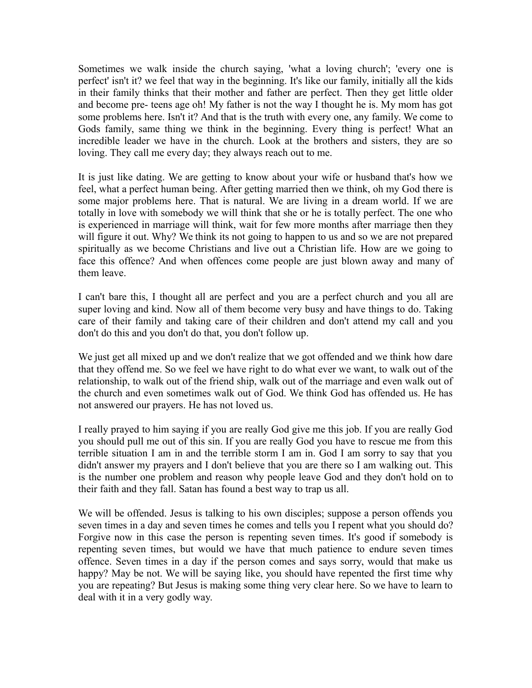Sometimes we walk inside the church saying, 'what a loving church'; 'every one is perfect' isn't it? we feel that way in the beginning. It's like our family, initially all the kids in their family thinks that their mother and father are perfect. Then they get little older and become pre- teens age oh! My father is not the way I thought he is. My mom has got some problems here. Isn't it? And that is the truth with every one, any family. We come to Gods family, same thing we think in the beginning. Every thing is perfect! What an incredible leader we have in the church. Look at the brothers and sisters, they are so loving. They call me every day; they always reach out to me.

It is just like dating. We are getting to know about your wife or husband that's how we feel, what a perfect human being. After getting married then we think, oh my God there is some major problems here. That is natural. We are living in a dream world. If we are totally in love with somebody we will think that she or he is totally perfect. The one who is experienced in marriage will think, wait for few more months after marriage then they will figure it out. Why? We think its not going to happen to us and so we are not prepared spiritually as we become Christians and live out a Christian life. How are we going to face this offence? And when offences come people are just blown away and many of them leave.

I can't bare this, I thought all are perfect and you are a perfect church and you all are super loving and kind. Now all of them become very busy and have things to do. Taking care of their family and taking care of their children and don't attend my call and you don't do this and you don't do that, you don't follow up.

We just get all mixed up and we don't realize that we got offended and we think how dare that they offend me. So we feel we have right to do what ever we want, to walk out of the relationship, to walk out of the friend ship, walk out of the marriage and even walk out of the church and even sometimes walk out of God. We think God has offended us. He has not answered our prayers. He has not loved us.

I really prayed to him saying if you are really God give me this job. If you are really God you should pull me out of this sin. If you are really God you have to rescue me from this terrible situation I am in and the terrible storm I am in. God I am sorry to say that you didn't answer my prayers and I don't believe that you are there so I am walking out. This is the number one problem and reason why people leave God and they don't hold on to their faith and they fall. Satan has found a best way to trap us all.

We will be offended. Jesus is talking to his own disciples; suppose a person offends you seven times in a day and seven times he comes and tells you I repent what you should do? Forgive now in this case the person is repenting seven times. It's good if somebody is repenting seven times, but would we have that much patience to endure seven times offence. Seven times in a day if the person comes and says sorry, would that make us happy? May be not. We will be saying like, you should have repented the first time why you are repeating? But Jesus is making some thing very clear here. So we have to learn to deal with it in a very godly way.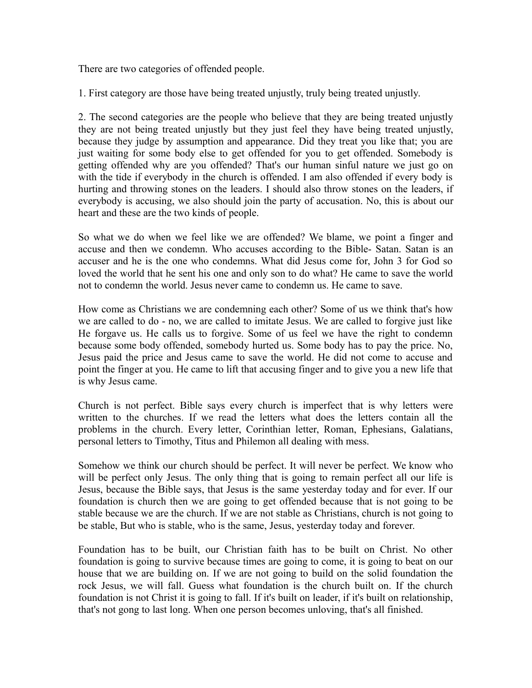There are two categories of offended people.

1. First category are those have being treated unjustly, truly being treated unjustly.

2. The second categories are the people who believe that they are being treated unjustly they are not being treated unjustly but they just feel they have being treated unjustly, because they judge by assumption and appearance. Did they treat you like that; you are just waiting for some body else to get offended for you to get offended. Somebody is getting offended why are you offended? That's our human sinful nature we just go on with the tide if everybody in the church is offended. I am also offended if every body is hurting and throwing stones on the leaders. I should also throw stones on the leaders, if everybody is accusing, we also should join the party of accusation. No, this is about our heart and these are the two kinds of people.

So what we do when we feel like we are offended? We blame, we point a finger and accuse and then we condemn. Who accuses according to the Bible- Satan. Satan is an accuser and he is the one who condemns. What did Jesus come for, John 3 for God so loved the world that he sent his one and only son to do what? He came to save the world not to condemn the world. Jesus never came to condemn us. He came to save.

How come as Christians we are condemning each other? Some of us we think that's how we are called to do - no, we are called to imitate Jesus. We are called to forgive just like He forgave us. He calls us to forgive. Some of us feel we have the right to condemn because some body offended, somebody hurted us. Some body has to pay the price. No, Jesus paid the price and Jesus came to save the world. He did not come to accuse and point the finger at you. He came to lift that accusing finger and to give you a new life that is why Jesus came.

Church is not perfect. Bible says every church is imperfect that is why letters were written to the churches. If we read the letters what does the letters contain all the problems in the church. Every letter, Corinthian letter, Roman, Ephesians, Galatians, personal letters to Timothy, Titus and Philemon all dealing with mess.

Somehow we think our church should be perfect. It will never be perfect. We know who will be perfect only Jesus. The only thing that is going to remain perfect all our life is Jesus, because the Bible says, that Jesus is the same yesterday today and for ever. If our foundation is church then we are going to get offended because that is not going to be stable because we are the church. If we are not stable as Christians, church is not going to be stable, But who is stable, who is the same, Jesus, yesterday today and forever.

Foundation has to be built, our Christian faith has to be built on Christ. No other foundation is going to survive because times are going to come, it is going to beat on our house that we are building on. If we are not going to build on the solid foundation the rock Jesus, we will fall. Guess what foundation is the church built on. If the church foundation is not Christ it is going to fall. If it's built on leader, if it's built on relationship, that's not gong to last long. When one person becomes unloving, that's all finished.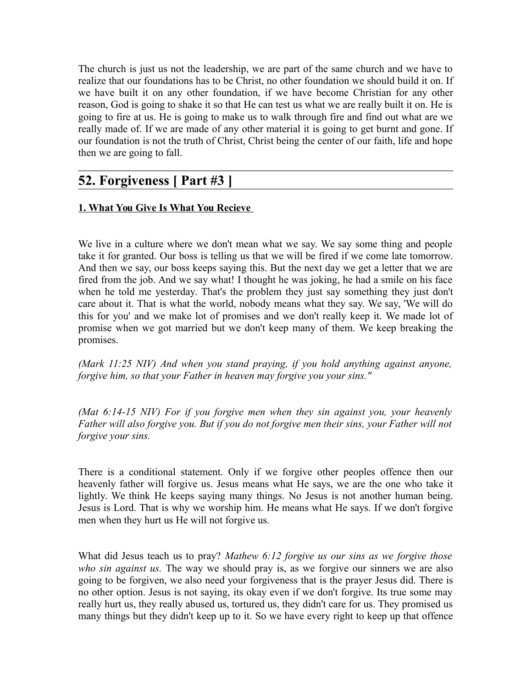The church is just us not the leadership, we are part of the same church and we have to realize that our foundations has to be Christ, no other foundation we should build it on. If we have built it on any other foundation, if we have become Christian for any other reason, God is going to shake it so that He can test us what we are really built it on. He is going to fire at us. He is going to make us to walk through fire and find out what are we really made of. If we are made of any other material it is going to get burnt and gone. If our foundation is not the truth of Christ, Christ being the center of our faith, life and hope then we are going to fall.

# **52. Forgiveness [ Part #3 ]**

### **1. What You Give Is What You Recieve**

We live in a culture where we don't mean what we say. We say some thing and people take it for granted. Our boss is telling us that we will be fired if we come late tomorrow. And then we say, our boss keeps saying this. But the next day we get a letter that we are fired from the job. And we say what! I thought he was joking, he had a smile on his face when he told me yesterday. That's the problem they just say something they just don't care about it. That is what the world, nobody means what they say. We say, 'We will do this for you' and we make lot of promises and we don't really keep it. We made lot of promise when we got married but we don't keep many of them. We keep breaking the promises.

*(Mark 11:25 NIV) And when you stand praying, if you hold anything against anyone, forgive him, so that your Father in heaven may forgive you your sins."* 

*(Mat 6:14-15 NIV) For if you forgive men when they sin against you, your heavenly Father will also forgive you. But if you do not forgive men their sins, your Father will not forgive your sins.*

There is a conditional statement. Only if we forgive other peoples offence then our heavenly father will forgive us. Jesus means what He says, we are the one who take it lightly. We think He keeps saying many things. No Jesus is not another human being. Jesus is Lord. That is why we worship him. He means what He says. If we don't forgive men when they hurt us He will not forgive us.

What did Jesus teach us to pray? *Mathew 6:12 forgive us our sins as we forgive those who sin against us.* The way we should pray is, as we forgive our sinners we are also going to be forgiven, we also need your forgiveness that is the prayer Jesus did. There is no other option. Jesus is not saying, its okay even if we don't forgive. Its true some may really hurt us, they really abused us, tortured us, they didn't care for us. They promised us many things but they didn't keep up to it. So we have every right to keep up that offence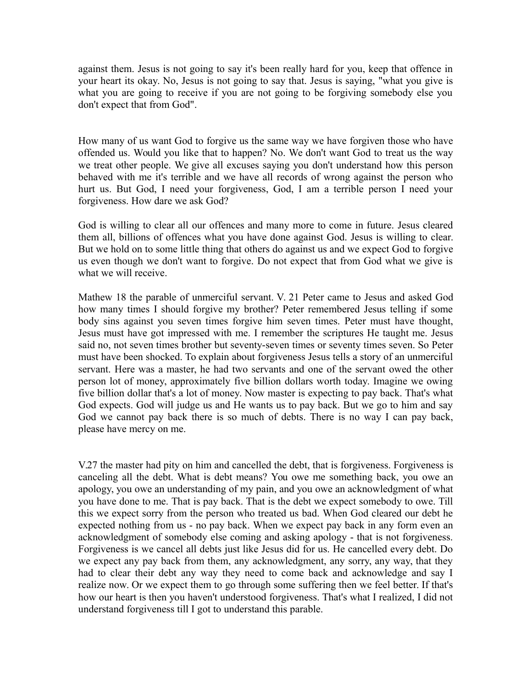against them. Jesus is not going to say it's been really hard for you, keep that offence in your heart its okay. No, Jesus is not going to say that. Jesus is saying, "what you give is what you are going to receive if you are not going to be forgiving somebody else you don't expect that from God".

How many of us want God to forgive us the same way we have forgiven those who have offended us. Would you like that to happen? No. We don't want God to treat us the way we treat other people. We give all excuses saying you don't understand how this person behaved with me it's terrible and we have all records of wrong against the person who hurt us. But God, I need your forgiveness, God, I am a terrible person I need your forgiveness. How dare we ask God?

God is willing to clear all our offences and many more to come in future. Jesus cleared them all, billions of offences what you have done against God. Jesus is willing to clear. But we hold on to some little thing that others do against us and we expect God to forgive us even though we don't want to forgive. Do not expect that from God what we give is what we will receive.

Mathew 18 the parable of unmerciful servant. V. 21 Peter came to Jesus and asked God how many times I should forgive my brother? Peter remembered Jesus telling if some body sins against you seven times forgive him seven times. Peter must have thought, Jesus must have got impressed with me. I remember the scriptures He taught me. Jesus said no, not seven times brother but seventy-seven times or seventy times seven. So Peter must have been shocked. To explain about forgiveness Jesus tells a story of an unmerciful servant. Here was a master, he had two servants and one of the servant owed the other person lot of money, approximately five billion dollars worth today. Imagine we owing five billion dollar that's a lot of money. Now master is expecting to pay back. That's what God expects. God will judge us and He wants us to pay back. But we go to him and say God we cannot pay back there is so much of debts. There is no way I can pay back, please have mercy on me.

V.27 the master had pity on him and cancelled the debt, that is forgiveness. Forgiveness is canceling all the debt. What is debt means? You owe me something back, you owe an apology, you owe an understanding of my pain, and you owe an acknowledgment of what you have done to me. That is pay back. That is the debt we expect somebody to owe. Till this we expect sorry from the person who treated us bad. When God cleared our debt he expected nothing from us - no pay back. When we expect pay back in any form even an acknowledgment of somebody else coming and asking apology - that is not forgiveness. Forgiveness is we cancel all debts just like Jesus did for us. He cancelled every debt. Do we expect any pay back from them, any acknowledgment, any sorry, any way, that they had to clear their debt any way they need to come back and acknowledge and say I realize now. Or we expect them to go through some suffering then we feel better. If that's how our heart is then you haven't understood forgiveness. That's what I realized, I did not understand forgiveness till I got to understand this parable.